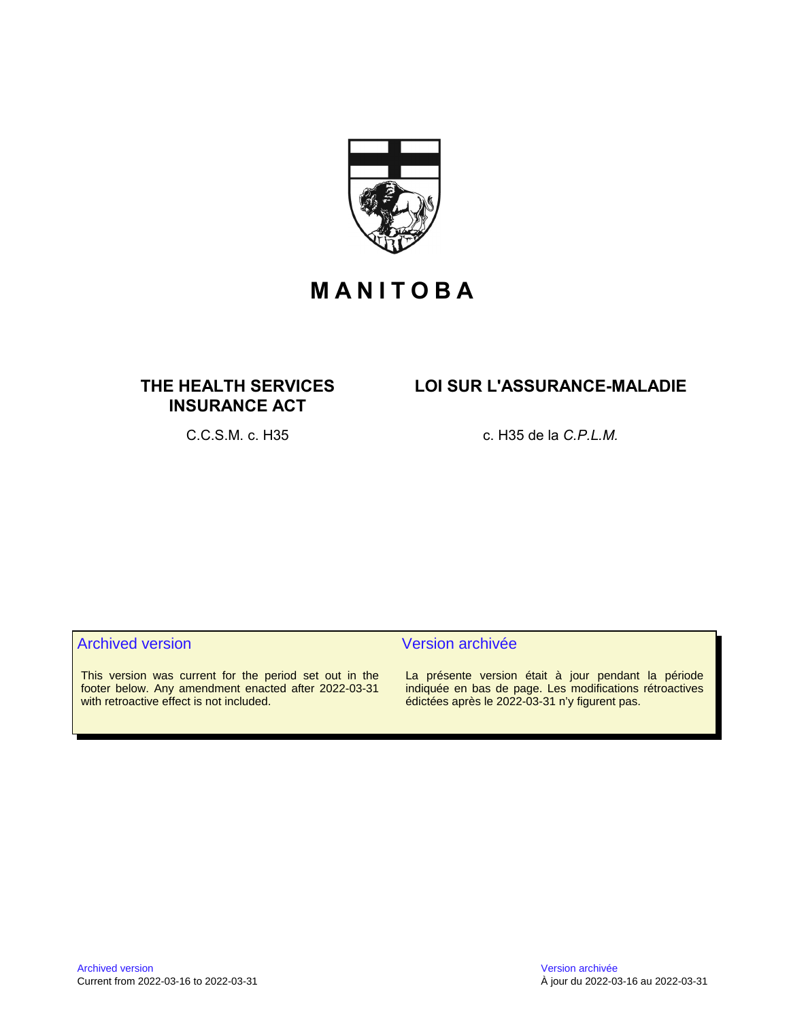

# **M A N I T O B A**

# **THE HEALTH SERVICES INSURANCE ACT**

# **LOI SUR L'ASSURANCE-MALADIE**

C.C.S.M. c. H35 c. H35 de la *C.P.L.M.*

# Archived version and version archivée

This version was current for the period set out in the footer below. Any amendment enacted after 2022-03-31 with retroactive effect is not included.

La présente version était à jour pendant la période indiquée en bas de page. Les modifications rétroactives édictées après le 2022-03-31 n'y figurent pas.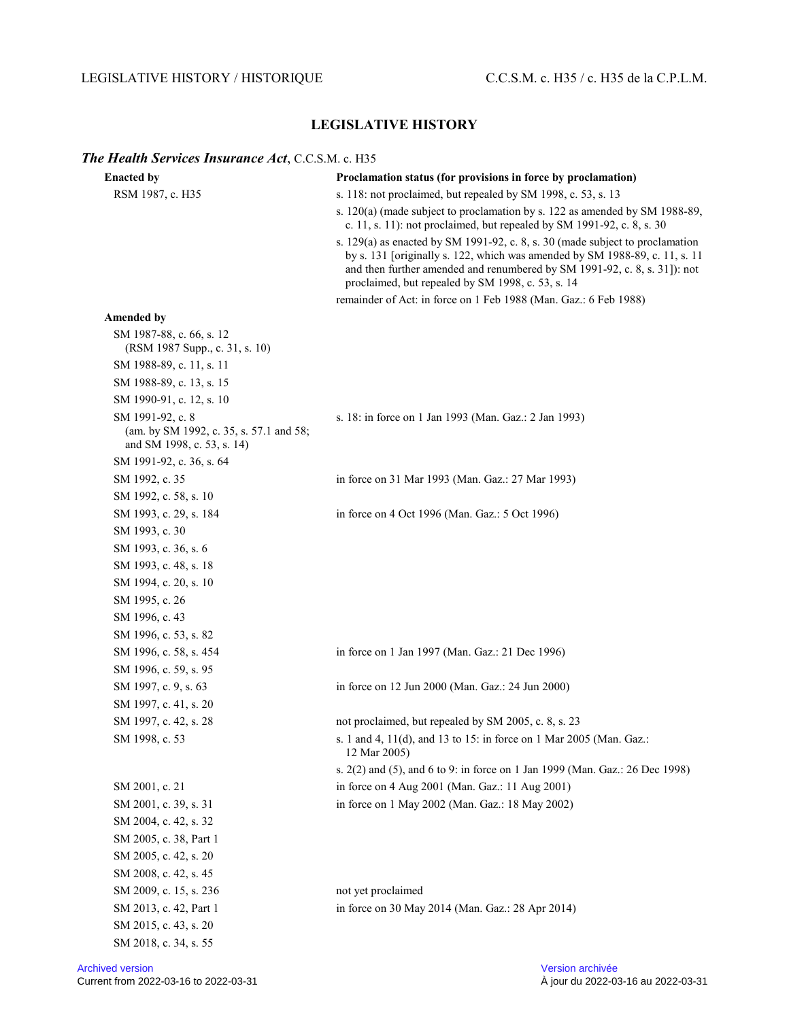# LEGISLATIVE HISTORY / HISTORIQUE C.C.S.M. c. H35 / c. H35 de la C.P.L.M.

# **LEGISLATIVE HISTORY**

# *The Health Services Insurance Act*, C.C.S.M. c. H35

| <b>Enacted by</b>                                                                         | Proclamation status (for provisions in force by proclamation)                                                                                                                                                                                                                                  |
|-------------------------------------------------------------------------------------------|------------------------------------------------------------------------------------------------------------------------------------------------------------------------------------------------------------------------------------------------------------------------------------------------|
| RSM 1987, c. H35                                                                          | s. 118: not proclaimed, but repealed by SM 1998, c. 53, s. 13                                                                                                                                                                                                                                  |
|                                                                                           | s. 120(a) (made subject to proclamation by s. 122 as amended by SM 1988-89,<br>c. 11, s. 11): not proclaimed, but repealed by SM 1991-92, c. 8, s. 30                                                                                                                                          |
|                                                                                           | s. 129(a) as enacted by SM 1991-92, c. 8, s. 30 (made subject to proclamation<br>by s. 131 [originally s. 122, which was amended by SM 1988-89, c. 11, s. 11<br>and then further amended and renumbered by SM 1991-92, c. 8, s. 31]): not<br>proclaimed, but repealed by SM 1998, c. 53, s. 14 |
|                                                                                           | remainder of Act: in force on 1 Feb 1988 (Man. Gaz.: 6 Feb 1988)                                                                                                                                                                                                                               |
| <b>Amended by</b>                                                                         |                                                                                                                                                                                                                                                                                                |
| SM 1987-88, c. 66, s. 12<br>(RSM 1987 Supp., c. 31, s. 10)                                |                                                                                                                                                                                                                                                                                                |
| SM 1988-89, c. 11, s. 11                                                                  |                                                                                                                                                                                                                                                                                                |
| SM 1988-89, c. 13, s. 15                                                                  |                                                                                                                                                                                                                                                                                                |
| SM 1990-91, c. 12, s. 10                                                                  |                                                                                                                                                                                                                                                                                                |
| SM 1991-92, c. 8<br>(am. by SM 1992, c. 35, s. 57.1 and 58;<br>and SM 1998, c. 53, s. 14) | s. 18: in force on 1 Jan 1993 (Man. Gaz.: 2 Jan 1993)                                                                                                                                                                                                                                          |
| SM 1991-92, c. 36, s. 64                                                                  |                                                                                                                                                                                                                                                                                                |
| SM 1992, c. 35                                                                            | in force on 31 Mar 1993 (Man. Gaz.: 27 Mar 1993)                                                                                                                                                                                                                                               |
| SM 1992, c. 58, s. 10                                                                     |                                                                                                                                                                                                                                                                                                |
| SM 1993, c. 29, s. 184                                                                    | in force on 4 Oct 1996 (Man. Gaz.: 5 Oct 1996)                                                                                                                                                                                                                                                 |
| SM 1993, c. 30                                                                            |                                                                                                                                                                                                                                                                                                |
| SM 1993, c. 36, s. 6                                                                      |                                                                                                                                                                                                                                                                                                |
| SM 1993, c. 48, s. 18                                                                     |                                                                                                                                                                                                                                                                                                |
| SM 1994, c. 20, s. 10                                                                     |                                                                                                                                                                                                                                                                                                |
| SM 1995, c. 26                                                                            |                                                                                                                                                                                                                                                                                                |
| SM 1996, c. 43                                                                            |                                                                                                                                                                                                                                                                                                |
| SM 1996, c. 53, s. 82                                                                     |                                                                                                                                                                                                                                                                                                |
| SM 1996, c. 58, s. 454                                                                    | in force on 1 Jan 1997 (Man. Gaz.: 21 Dec 1996)                                                                                                                                                                                                                                                |
| SM 1996, c. 59, s. 95                                                                     |                                                                                                                                                                                                                                                                                                |
| SM 1997, c. 9, s. 63                                                                      | in force on 12 Jun 2000 (Man. Gaz.: 24 Jun 2000)                                                                                                                                                                                                                                               |
| SM 1997, c. 41, s. 20                                                                     |                                                                                                                                                                                                                                                                                                |
| SM 1997, c. 42, s. 28                                                                     | not proclaimed, but repealed by SM 2005, c. 8, s. 23                                                                                                                                                                                                                                           |
| SM 1998, c. 53                                                                            | s. 1 and 4, 11(d), and 13 to 15: in force on 1 Mar 2005 (Man. Gaz.:<br>12 Mar 2005)                                                                                                                                                                                                            |
|                                                                                           | s. 2(2) and (5), and 6 to 9: in force on 1 Jan 1999 (Man. Gaz.: 26 Dec 1998)                                                                                                                                                                                                                   |
| SM 2001, c. 21                                                                            | in force on 4 Aug 2001 (Man. Gaz.: 11 Aug 2001)                                                                                                                                                                                                                                                |
| SM 2001, c. 39, s. 31                                                                     | in force on 1 May 2002 (Man. Gaz.: 18 May 2002)                                                                                                                                                                                                                                                |
| SM 2004, c. 42, s. 32                                                                     |                                                                                                                                                                                                                                                                                                |
| SM 2005, c. 38, Part 1                                                                    |                                                                                                                                                                                                                                                                                                |
| SM 2005, c. 42, s. 20                                                                     |                                                                                                                                                                                                                                                                                                |
| SM 2008, c. 42, s. 45                                                                     |                                                                                                                                                                                                                                                                                                |
| SM 2009, c. 15, s. 236                                                                    | not yet proclaimed                                                                                                                                                                                                                                                                             |
| SM 2013, c. 42, Part 1                                                                    | in force on 30 May 2014 (Man. Gaz.: 28 Apr 2014)                                                                                                                                                                                                                                               |
| SM 2015, c. 43, s. 20                                                                     |                                                                                                                                                                                                                                                                                                |
| SM 2018, c. 34, s. 55                                                                     |                                                                                                                                                                                                                                                                                                |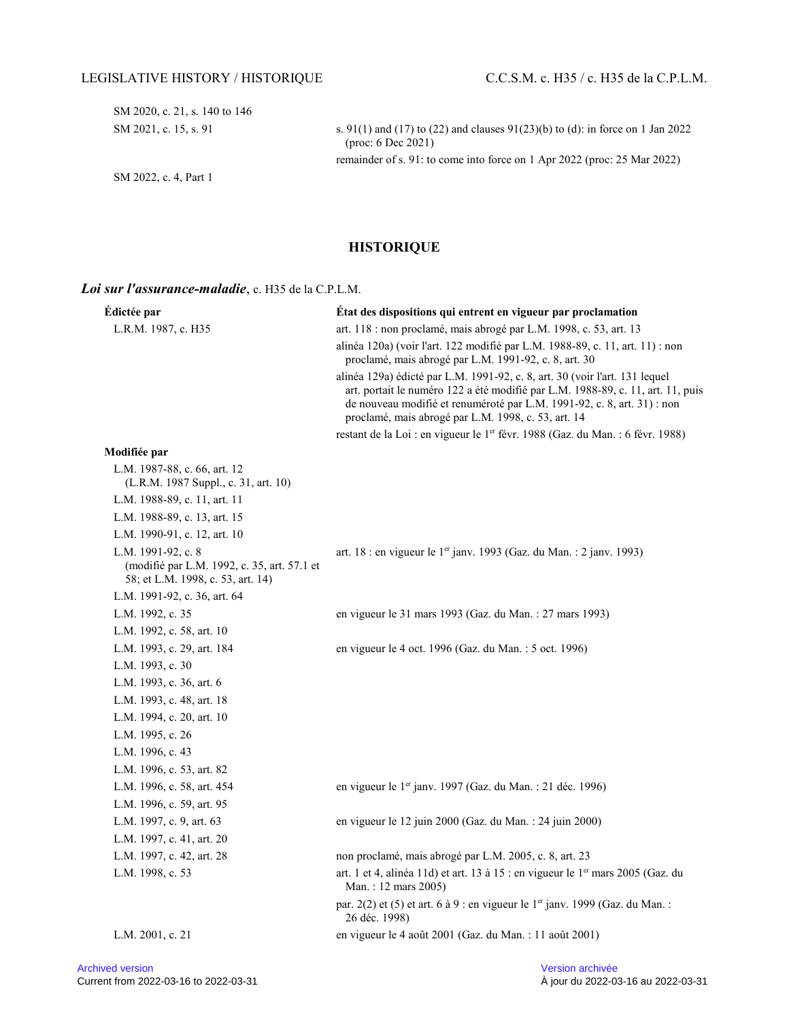SM 2020, c. 21, s. 140 to 146

SM 2022, c. 4, Part 1

SM 2021, c. 15, s. 91 s. 91(1) and (17) to (22) and clauses 91(23)(b) to (d): in force on 1 Jan 2022 (proc: 6 Dec 2021) remainder of s. 91: to come into force on 1 Apr 2022 (proc: 25 Mar 2022)

**HISTORIQUE**

#### *Loi sur l'assurance-maladie*, c. H35 de la C.P.L.M.

| Édictée par                                                                                            | État des dispositions qui entrent en vigueur par proclamation                                                                                                                                                                                                                                    |
|--------------------------------------------------------------------------------------------------------|--------------------------------------------------------------------------------------------------------------------------------------------------------------------------------------------------------------------------------------------------------------------------------------------------|
| L.R.M. 1987, c. H35                                                                                    | art. 118 : non proclamé, mais abrogé par L.M. 1998, c. 53, art. 13                                                                                                                                                                                                                               |
|                                                                                                        | alinéa 120a) (voir l'art. 122 modifié par L.M. 1988-89, c. 11, art. 11) : non<br>proclamé, mais abrogé par L.M. 1991-92, c. 8, art. 30                                                                                                                                                           |
|                                                                                                        | alinéa 129a) édicté par L.M. 1991-92, c. 8, art. 30 (voir l'art. 131 lequel<br>art. portait le numéro 122 a été modifié par L.M. 1988-89, c. 11, art. 11, puis<br>de nouveau modifié et renuméroté par L.M. 1991-92, c. 8, art. 31) : non<br>proclamé, mais abrogé par L.M. 1998, c. 53, art. 14 |
|                                                                                                        | restant de la Loi : en vigueur le 1 <sup>er</sup> févr. 1988 (Gaz. du Man. : 6 févr. 1988)                                                                                                                                                                                                       |
| Modifiée par                                                                                           |                                                                                                                                                                                                                                                                                                  |
| L.M. 1987-88, c. 66, art. 12<br>(L.R.M. 1987 Suppl., c. 31, art. 10)                                   |                                                                                                                                                                                                                                                                                                  |
| L.M. 1988-89, c. 11, art. 11                                                                           |                                                                                                                                                                                                                                                                                                  |
| L.M. 1988-89, c. 13, art. 15                                                                           |                                                                                                                                                                                                                                                                                                  |
| L.M. 1990-91, c. 12, art. 10                                                                           |                                                                                                                                                                                                                                                                                                  |
| L.M. 1991-92, c. 8<br>(modifié par L.M. 1992, c. 35, art. 57.1 et<br>58; et L.M. 1998, c. 53, art. 14) | art. 18 : en vigueur le 1 <sup>er</sup> janv. 1993 (Gaz. du Man. : 2 janv. 1993)                                                                                                                                                                                                                 |
| L.M. 1991-92, c. 36, art. 64                                                                           |                                                                                                                                                                                                                                                                                                  |
| L.M. 1992, c. 35                                                                                       | en vigueur le 31 mars 1993 (Gaz. du Man. : 27 mars 1993)                                                                                                                                                                                                                                         |
| L.M. 1992, c. 58, art. 10                                                                              |                                                                                                                                                                                                                                                                                                  |
| L.M. 1993, c. 29, art. 184                                                                             | en vigueur le 4 oct. 1996 (Gaz. du Man. : 5 oct. 1996)                                                                                                                                                                                                                                           |
| L.M. 1993, c. 30                                                                                       |                                                                                                                                                                                                                                                                                                  |
| L.M. 1993, c. 36, art. 6                                                                               |                                                                                                                                                                                                                                                                                                  |
| L.M. 1993, c. 48, art. 18                                                                              |                                                                                                                                                                                                                                                                                                  |
| L.M. 1994, c. 20, art. 10                                                                              |                                                                                                                                                                                                                                                                                                  |
| L.M. 1995, c. 26                                                                                       |                                                                                                                                                                                                                                                                                                  |
| L.M. 1996, c. 43                                                                                       |                                                                                                                                                                                                                                                                                                  |
| L.M. 1996, c. 53, art. 82                                                                              |                                                                                                                                                                                                                                                                                                  |
| L.M. 1996, c. 58, art. 454                                                                             | en vigueur le 1 <sup>er</sup> janv. 1997 (Gaz. du Man. : 21 déc. 1996)                                                                                                                                                                                                                           |
| L.M. 1996, c. 59, art. 95                                                                              |                                                                                                                                                                                                                                                                                                  |
| L.M. 1997, c. 9, art. 63                                                                               | en vigueur le 12 juin 2000 (Gaz. du Man. : 24 juin 2000)                                                                                                                                                                                                                                         |
| L.M. 1997, c. 41, art. 20                                                                              |                                                                                                                                                                                                                                                                                                  |
| L.M. 1997, c. 42, art. 28                                                                              | non proclamé, mais abrogé par L.M. 2005, c. 8, art. 23                                                                                                                                                                                                                                           |
| L.M. 1998, c. 53                                                                                       | art. 1 et 4, alinéa 11d) et art. 13 à 15 : en vigueur le 1 <sup>er</sup> mars 2005 (Gaz. du<br>Man.: 12 mars 2005)                                                                                                                                                                               |
|                                                                                                        | par. 2(2) et (5) et art. 6 à 9 : en vigueur le 1er janv. 1999 (Gaz. du Man. :<br>26 déc. 1998)                                                                                                                                                                                                   |
| L.M. 2001, c. 21                                                                                       | en vigueur le 4 août 2001 (Gaz. du Man. : 11 août 2001)                                                                                                                                                                                                                                          |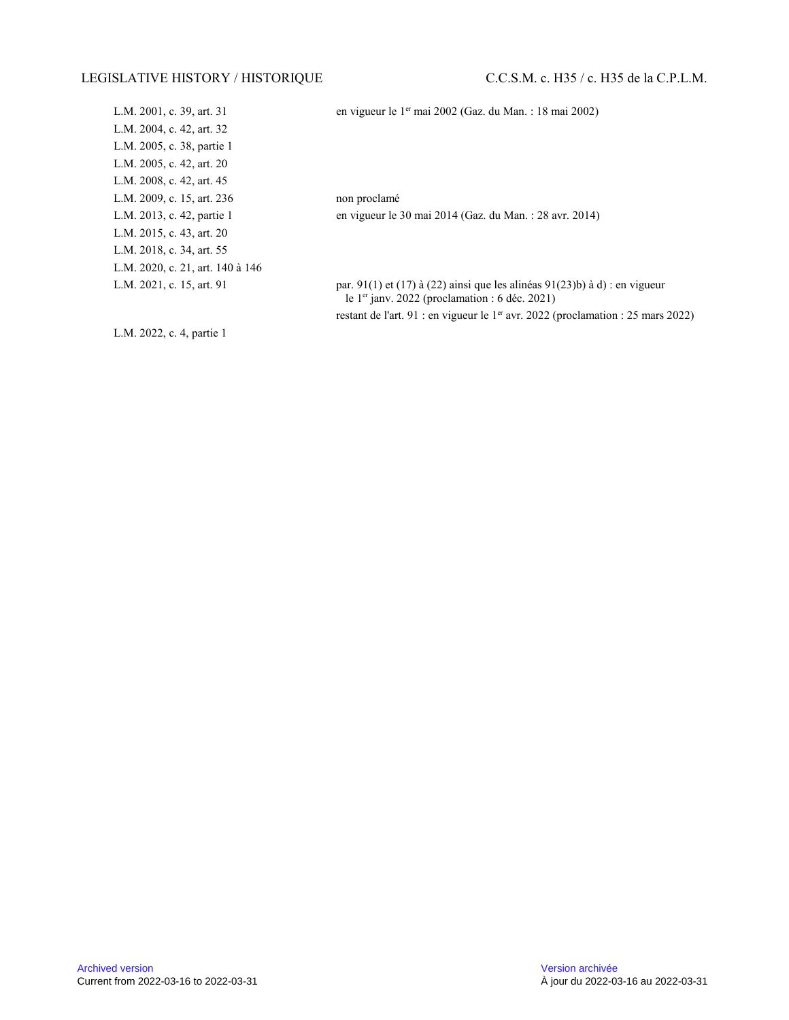| L.M. 2001, c. 39, art. 31        |  |
|----------------------------------|--|
| L.M. 2004, c. 42, art. 32        |  |
| L.M. 2005, c. 38, partie 1       |  |
| L.M. 2005, c. 42, art. 20        |  |
| L.M. 2008, c. 42, art. 45        |  |
| L.M. 2009, c. 15, art. 236       |  |
| L.M. 2013, c. 42, partie 1       |  |
| L.M. 2015, c. 43, art. 20        |  |
| L.M. 2018, c. 34, art. 55        |  |
| L.M. 2020, c. 21, art. 140 à 146 |  |
| L.M. 2021, c. 15, art. 91        |  |
|                                  |  |

en vigueur le 1<sup>er</sup> mai 2002 (Gaz. du Man. : 18 mai 2002)

non proclamé en vigueur le 30 mai 2014 (Gaz. du Man. : 28 avr. 2014)

par. 91(1) et (17) à (22) ainsi que les alinéas 91(23)b) à d) : en vigueur le 1<sup>er</sup> janv. 2022 (proclamation : 6 déc. 2021) restant de l'art. 91 : en vigueur le 1<sup>er</sup> avr. 2022 (proclamation : 25 mars 2022)

L.M. 2022, c. 4, partie 1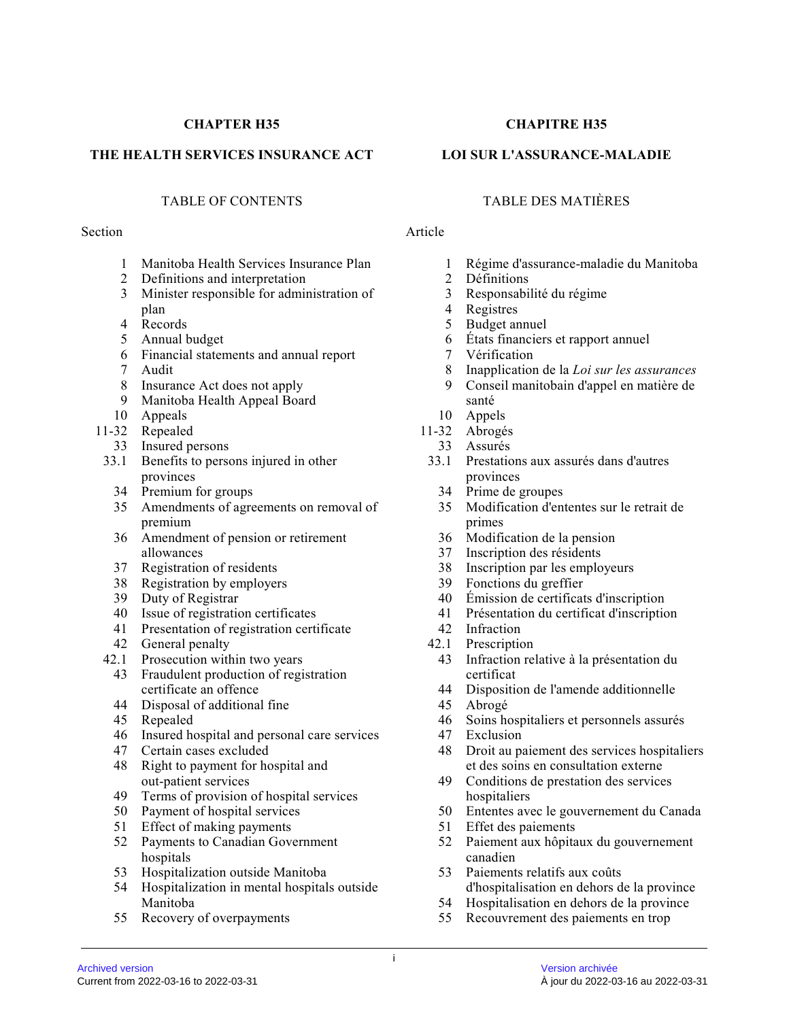# **CHAPTER H35**

### **THE HEALTH SERVICES INSURANCE ACT**

#### Section Article

- 1 Manitoba Health Services Insurance Plan
- 2 Definitions and interpretation
- 3 Minister responsible for administration of plan
- 4 Records
- 5 Annual budget
- 6 Financial statements and annual report
- 7 Audit
- 8 Insurance Act does not apply
- 9 Manitoba Health Appeal Board
- 10 Appeals
- 11-32 Repealed
	- 33 Insured persons
- 33.1 Benefits to persons injured in other provinces
	- 34 Premium for groups
	- 35 Amendments of agreements on removal of premium
	- 36 Amendment of pension or retirement allowances
	- 37 Registration of residents
	- 38 Registration by employers
	- 39 Duty of Registrar
	- 40 Issue of registration certificates
	- 41 Presentation of registration certificate
	- 42 General penalty
- 42.1 Prosecution within two years
	- 43 Fraudulent production of registration certificate an offence
	- 44 Disposal of additional fine
	- 45 Repealed
	- 46 Insured hospital and personal care services
	- 47 Certain cases excluded
	- 48 Right to payment for hospital and out-patient services
	- 49 Terms of provision of hospital services
	- 50 Payment of hospital services
	- 51 Effect of making payments
	- 52 Payments to Canadian Government hospitals
	- 53 Hospitalization outside Manitoba
	- 54 Hospitalization in mental hospitals outside Manitoba
	- 55 Recovery of overpayments

# **CHAPITRE H35**

# **LOI SUR L'ASSURANCE-MALADIE**

# TABLE OF CONTENTS TABLE DES MATIÈRES

- 1 Régime d'assurance-maladie du Manitoba<br>2 Définitions
- **Définitions**
- 3 Responsabilité du régime
- 4 Registres
- 5 Budget annuel
- 6 États financiers et rapport annuel
- 7 Vérification
- 8 Inapplication de la *Loi sur les assurances*
- 9 Conseil manitobain d'appel en matière de santé
- 10 Appels
- 11-32 Abrogés
	- 33 Assurés
- 33.1 Prestations aux assurés dans d'autres provinces
	- 34 Prime de groupes
	- 35 Modification d'ententes sur le retrait de primes
	- 36 Modification de la pension
	- 37 Inscription des résidents
	- 38 Inscription par les employeurs
	- 39 Fonctions du greffier
	- 40 Émission de certificats d'inscription
	- 41 Présentation du certificat d'inscription
	- 42 Infraction
- 42.1 Prescription
- 43 Infraction relative à la présentation du certificat
- 44 Disposition de l'amende additionnelle
- 45 Abrogé
- 46 Soins hospitaliers et personnels assurés
- 47 Exclusion
- 48 Droit au paiement des services hospitaliers et des soins en consultation externe
- 49 Conditions de prestation des services hospitaliers
- 50 Ententes avec le gouvernement du Canada
- 51 Effet des paiements
- 52 Paiement aux hôpitaux du gouvernement canadien
- 53 Paiements relatifs aux coûts d'hospitalisation en dehors de la province
- 54 Hospitalisation en dehors de la province
- 55 Recouvrement des paiements en trop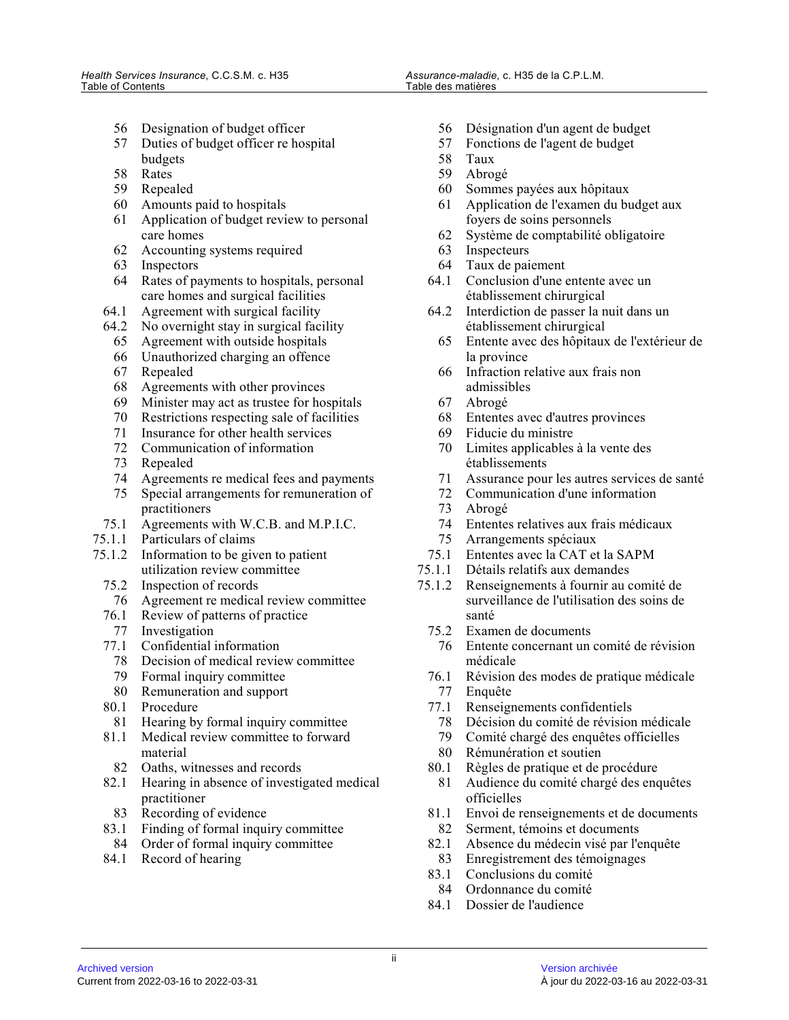- 56 Designation of budget officer
- 57 Duties of budget officer re hospital budgets
- 58 Rates
- 59 Repealed
- 60 Amounts paid to hospitals
- 61 Application of budget review to personal care homes
- 62 Accounting systems required
- 63 Inspectors
- 64 Rates of payments to hospitals, personal care homes and surgical facilities
- 64.1 Agreement with surgical facility
- 64.2 No overnight stay in surgical facility
	- 65 Agreement with outside hospitals
	- 66 Unauthorized charging an offence
	- 67 Repealed
	- 68 Agreements with other provinces
	- 69 Minister may act as trustee for hospitals
	- 70 Restrictions respecting sale of facilities
	- 71 Insurance for other health services
	- 72 Communication of information
	- 73 Repealed
	- 74 Agreements re medical fees and payments
	- 75 Special arrangements for remuneration of practitioners
- 75.1 Agreements with W.C.B. and M.P.I.C.
- 75.1.1 Particulars of claims
- 75.1.2 Information to be given to patient utilization review committee
	- 75.2 Inspection of records
		- 76 Agreement re medical review committee
	- 76.1 Review of patterns of practice
	- 77 Investigation
	- 77.1 Confidential information
		- 78 Decision of medical review committee
	- 79 Formal inquiry committee
	- 80 Remuneration and support
	- 80.1 Procedure
	- 81 Hearing by formal inquiry committee
	- 81.1 Medical review committee to forward material
	- 82 Oaths, witnesses and records
	- 82.1 Hearing in absence of investigated medical practitioner
	- 83 Recording of evidence
	- 83.1 Finding of formal inquiry committee
	- 84 Order of formal inquiry committee
	- 84.1 Record of hearing
- 56 Désignation d'un agent de budget
- 57 Fonctions de l'agent de budget
- 58 Taux
- 59 Abrogé
- 60 Sommes payées aux hôpitaux
- 61 Application de l'examen du budget aux foyers de soins personnels
- 62 Système de comptabilité obligatoire
- 63 Inspecteurs
- 64 Taux de paiement
- 64.1 Conclusion d'une entente avec un établissement chirurgical
- 64.2 Interdiction de passer la nuit dans un établissement chirurgical
	- 65 Entente avec des hôpitaux de l'extérieur de la province
	- 66 Infraction relative aux frais non admissibles
	- 67 Abrogé
	- 68 Ententes avec d'autres provinces
	- 69 Fiducie du ministre<br>70 Limites applicables
	- Limites applicables à la vente des établissements
	- 71 Assurance pour les autres services de santé
	- 72 Communication d'une information
- Abrogé
- 74 Ententes relatives aux frais médicaux
- 75 Arrangements spéciaux
- 75.1 Ententes avec la CAT et la SAPM
- 75.1.1 Détails relatifs aux demandes
- 75.1.2 Renseignements à fournir au comité de surveillance de l'utilisation des soins de santé
	- 75.2 Examen de documents
	- 76 Entente concernant un comité de révision médicale
	- 76.1 Révision des modes de pratique médicale 77 Enquête
	-
	- 77.1 Renseignements confidentiels
		- 78 Décision du comité de révision médicale<br>79 Comité chargé des enquêtes officielles
		- Comité chargé des enquêtes officielles
		- 80 Rémunération et soutien
	- 80.1 Règles de pratique et de procédure
	- 81 Audience du comité chargé des enquêtes officielles
- 81.1 Envoi de renseignements et de documents
- 82 Serment, témoins et documents
- 82.1 Absence du médecin visé par l'enquête<br>83 Enregistrement des témoignages Enregistrement des témoignages
- 83.1 Conclusions du comité
- 84 Ordonnance du comité
- 84.1 Dossier de l'audience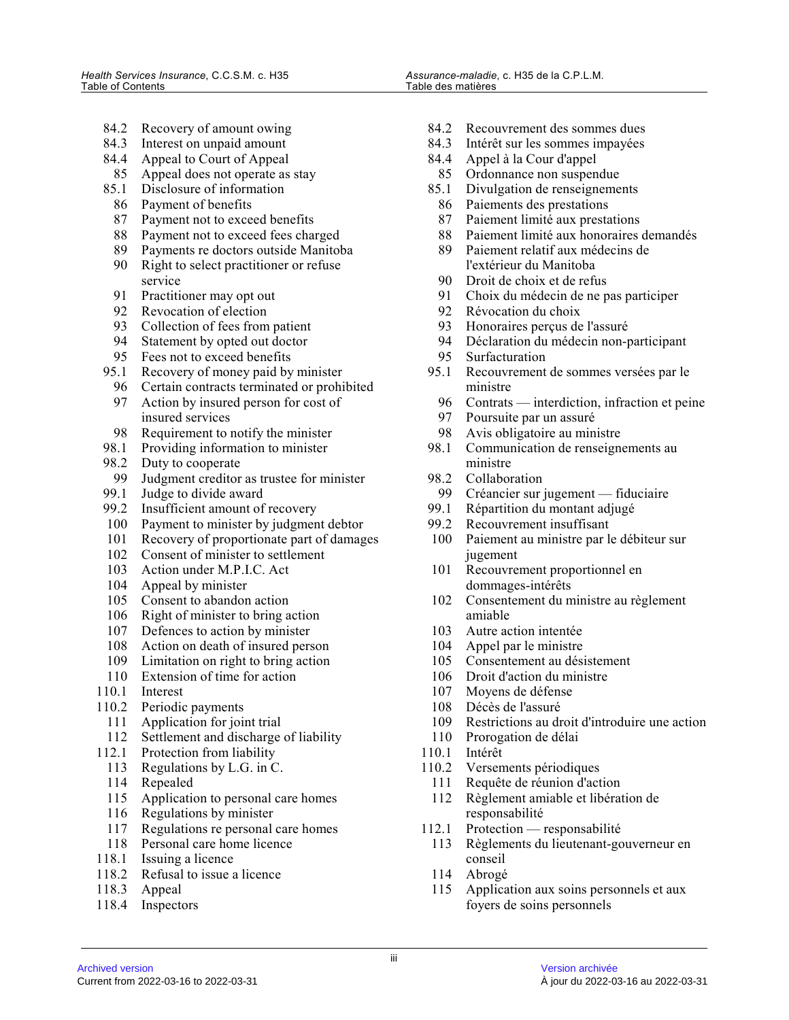- 84.2 Recovery of amount owing
- 84.3 Interest on unpaid amount
- 84.4 Appeal to Court of Appeal
- 85 Appeal does not operate as stay
- 85.1 Disclosure of information
- 86 Payment of benefits
- 87 Payment not to exceed benefits
- 88 Payment not to exceed fees charged
- 89 Payments re doctors outside Manitoba
- 90 Right to select practitioner or refuse service
- 91 Practitioner may opt out
- 92 Revocation of election
- 93 Collection of fees from patient
- 94 Statement by opted out doctor
- 95 Fees not to exceed benefits
- 95.1 Recovery of money paid by minister
	- 96 Certain contracts terminated or prohibited
	- 97 Action by insured person for cost of insured services
- 98 Requirement to notify the minister
- 98.1 Providing information to minister
- 98.2 Duty to cooperate
- 99 Judgment creditor as trustee for minister
- 99.1 Judge to divide award
- 99.2 Insufficient amount of recovery
- 100 Payment to minister by judgment debtor
- 101 Recovery of proportionate part of damages
- 102 Consent of minister to settlement
- 103 Action under M.P.I.C. Act
- 104 Appeal by minister
- 105 Consent to abandon action
- 106 Right of minister to bring action
- 107 Defences to action by minister
- 108 Action on death of insured person
- 109 Limitation on right to bring action
- 110 Extension of time for action
- 110.1 Interest
- 110.2 Periodic payments
	- 111 Application for joint trial
	- 112 Settlement and discharge of liability
- 112.1 Protection from liability
- 113 Regulations by L.G. in C.
- 114 Repealed
- 115 Application to personal care homes
- 116 Regulations by minister
- 117 Regulations re personal care homes
- 118 Personal care home licence
- 118.1 Issuing a licence
- 118.2 Refusal to issue a licence
- 118.3 Appeal
- 118.4 Inspectors
- 84.2 Recouvrement des sommes dues
- 84.3 Intérêt sur les sommes impayées
- 84.4 Appel à la Cour d'appel
- 85 Ordonnance non suspendue
- 85.1 Divulgation de renseignements
- 86 Paiements des prestations<br>87 Paiement limité aux presta
- Paiement limité aux prestations
- 88 Paiement limité aux honoraires demandés<br>89 Paiement relatif aux médecins de
- Paiement relatif aux médecins de l'extérieur du Manitoba
- 90 Droit de choix et de refus
- 91 Choix du médecin de ne pas participer<br>92 Révocation du choix
- 92 Révocation du choix<br>93 Honoraires percus de
- 93 Honoraires perçus de l'assuré<br>94 Déclaration du médecin non-r
- 94 Déclaration du médecin non-participant<br>95 Surfacturation
- Surfacturation
- 95.1 Recouvrement de sommes versées par le ministre
- 96 Contrats interdiction, infraction et peine<br>97 Poursuite par un assuré
- Poursuite par un assuré
- 98 Avis obligatoire au ministre<br>98.1 Communication de renseign
- Communication de renseignements au ministre
- 98.2 Collaboration
- 99 Créancier sur jugement fiduciaire<br>99.1 Répartition du montant adjugé
- Répartition du montant adjugé
- 99.2 Recouvrement insuffisant
- 100 Paiement au ministre par le débiteur sur jugement
- 101 Recouvrement proportionnel en dommages-intérêts
- 102 Consentement du ministre au règlement amiable
- 103 Autre action intentée
- 104 Appel par le ministre
- 105 Consentement au désistement
- 106 Droit d'action du ministre
- 107 Moyens de défense
- 108 Décès de l'assuré
- 109 Restrictions au droit d'introduire une action
- 110 Prorogation de délai
- 110.1 Intérêt
- 110.2 Versements périodiques
- 111 Requête de réunion d'action
- 112 Règlement amiable et libération de responsabilité
- 112.1 Protection responsabilité
- 113 Règlements du lieutenant-gouverneur en conseil
- 114 Abrogé
- 115 Application aux soins personnels et aux foyers de soins personnels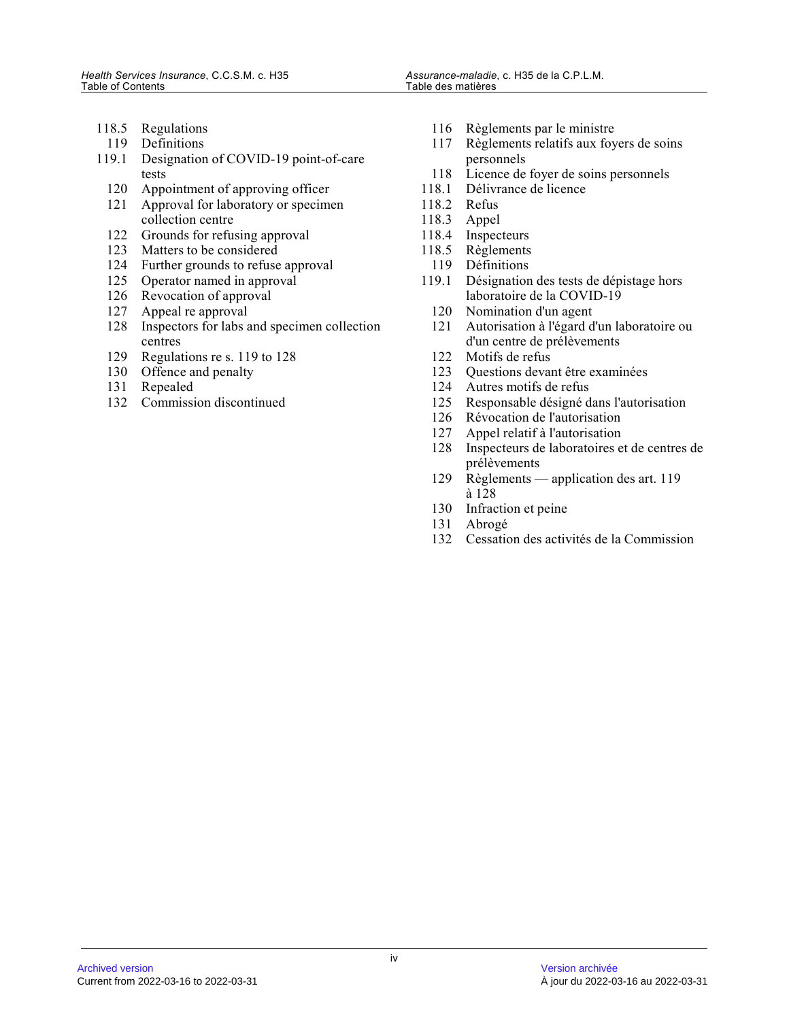- 118.5 Regulations
- 119 Definitions
- 119.1 Designation of COVID-19 point-of-care tests
	- 120 Appointment of approving officer
	- 121 Approval for laboratory or specimen collection centre
	- 122 Grounds for refusing approval
	- 123 Matters to be considered
	- 124 Further grounds to refuse approval
	- 125 Operator named in approval
	- 126 Revocation of approval
	- 127 Appeal re approval
	- 128 Inspectors for labs and specimen collection centres
	- 129 Regulations re s. 119 to 128
	- 130 Offence and penalty<br>131 Repealed
	- Repealed
	- 132 Commission discontinued
- 116 Règlements par le ministre
- 117 Règlements relatifs aux foyers de soins personnels
- 118 Licence de foyer de soins personnels
- 118.1 Délivrance de licence
- 118.2 Refus
- 118.3 Appel
- 118.4 Inspecteurs<br>118.5 Règlements
- Règlements
- 119 Définitions
- 119.1 Désignation des tests de dépistage hors laboratoire de la COVID-19
	- 120 Nomination d'un agent<br>121 Autorisation à l'égard d
	- Autorisation à l'égard d'un laboratoire ou d'un centre de prélèvements
	- 122 Motifs de refus
	- 123 Questions devant être examinées<br>124 Autres motifs de refus
	- Autres motifs de refus
	- 125 Responsable désigné dans l'autorisation
	- 126 Révocation de l'autorisation
	- 127 Appel relatif à l'autorisation<br>128 Inspecteurs de laboratoires e
	- 128 Inspecteurs de laboratoires et de centres de prélèvements
	- 129 Règlements application des art. 119 à 128
	- 130 Infraction et peine
	- 131 Abrogé
	- 132 Cessation des activités de la Commission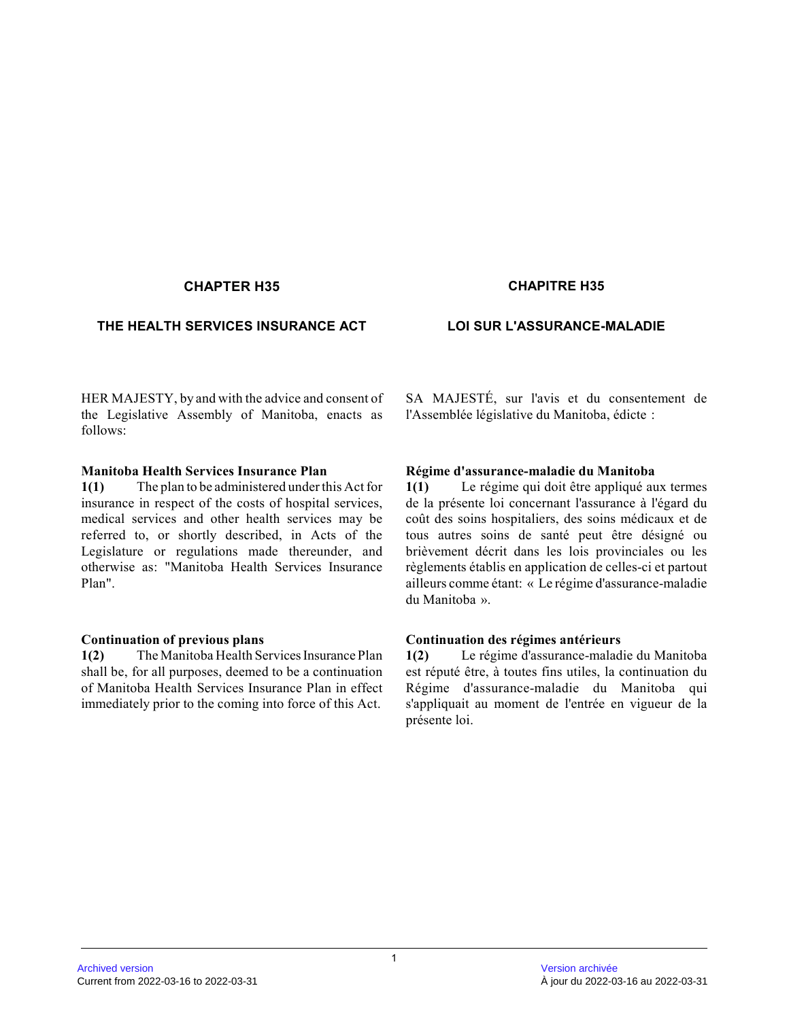# **CHAPTER H35 CHAPITRE H35**

### **THE HEALTH SERVICES INSURANCE ACT LOI SUR L'ASSURANCE-MALADIE**

HER MAJESTY, by and with the advice and consent of the Legislative Assembly of Manitoba, enacts as follows:

#### **Manitoba Health Services Insurance Plan**

**1(1)** The plan to be administered under this Act for insurance in respect of the costs of hospital services, medical services and other health services may be referred to, or shortly described, in Acts of the Legislature or regulations made thereunder, and otherwise as: "Manitoba Health Services Insurance Plan".

#### **Continuation of previous plans**

**1(2)** The Manitoba Health Services Insurance Plan shall be, for all purposes, deemed to be a continuation of Manitoba Health Services Insurance Plan in effect immediately prior to the coming into force of this Act.

SA MAJESTÉ, sur l'avis et du consentement de l'Assemblée législative du Manitoba, édicte :

#### **Régime d'assurance-maladie du Manitoba**

**1(1)** Le régime qui doit être appliqué aux termes de la présente loi concernant l'assurance à l'égard du coût des soins hospitaliers, des soins médicaux et de tous autres soins de santé peut être désigné ou brièvement décrit dans les lois provinciales ou les règlements établis en application de celles-ci et partout ailleurs comme étant: « Le régime d'assurance-maladie du Manitoba ».

#### **Continuation des régimes antérieurs**

**1(2)** Le régime d'assurance-maladie du Manitoba est réputé être, à toutes fins utiles, la continuation du Régime d'assurance-maladie du Manitoba qui s'appliquait au moment de l'entrée en vigueur de la présente loi.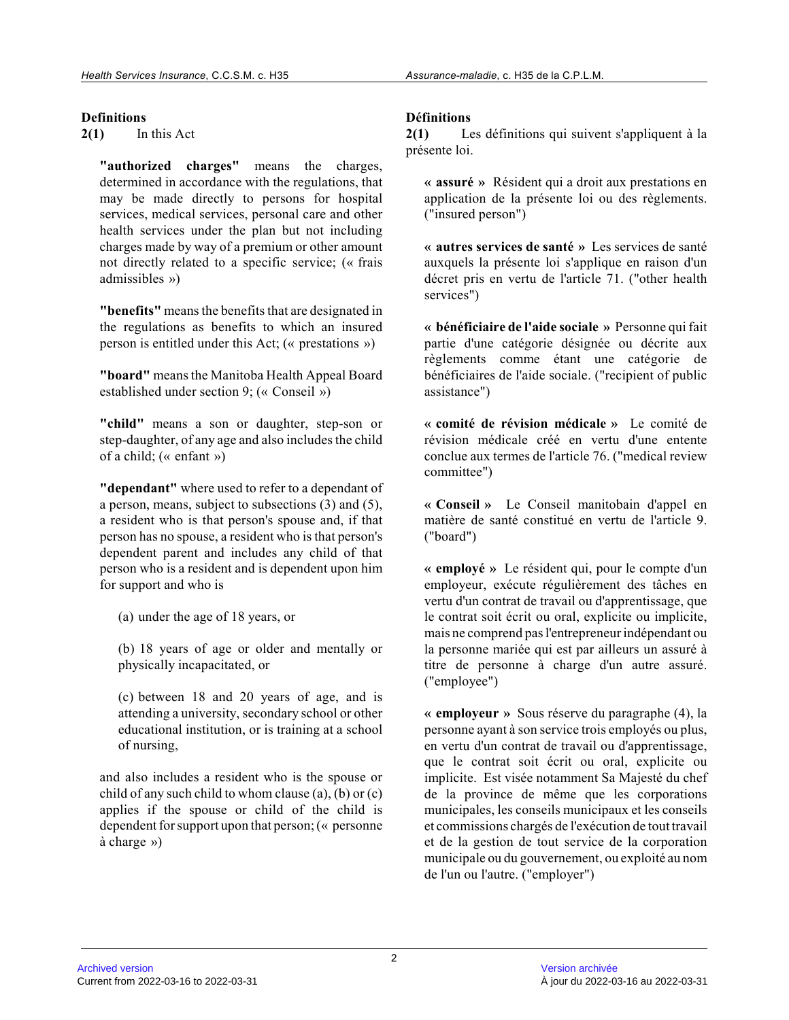# **Definitions**

**2(1)** In this Act

**"authorized charges"** means the charges, determined in accordance with the regulations, that may be made directly to persons for hospital services, medical services, personal care and other health services under the plan but not including charges made by way of a premium or other amount not directly related to a specific service; (« frais admissibles »)

**"benefits"** means the benefits that are designated in the regulations as benefits to which an insured person is entitled under this Act; (« prestations »)

**"board"** means the Manitoba Health Appeal Board established under section 9; (« Conseil »)

**"child"** means a son or daughter, step-son or step-daughter, of any age and also includes the child of a child; (« enfant »)

**"dependant"** where used to refer to a dependant of a person, means, subject to subsections (3) and (5), a resident who is that person's spouse and, if that person has no spouse, a resident who is that person's dependent parent and includes any child of that person who is a resident and is dependent upon him for support and who is

(a) under the age of 18 years, or

(b) 18 years of age or older and mentally or physically incapacitated, or

(c) between 18 and 20 years of age, and is attending a university, secondary school or other educational institution, or is training at a school of nursing,

and also includes a resident who is the spouse or child of any such child to whom clause (a), (b) or (c) applies if the spouse or child of the child is dependent for support upon that person; (« personne à charge »)

# **Définitions**

**2(1)** Les définitions qui suivent s'appliquent à la présente loi.

**« assuré »** Résident qui a droit aux prestations en application de la présente loi ou des règlements. ("insured person")

**« autres services de santé »** Les services de santé auxquels la présente loi s'applique en raison d'un décret pris en vertu de l'article 71. ("other health services")

**« bénéficiaire de l'aide sociale »** Personne qui fait partie d'une catégorie désignée ou décrite aux règlements comme étant une catégorie de bénéficiaires de l'aide sociale. ("recipient of public assistance")

**« comité de révision médicale »** Le comité de révision médicale créé en vertu d'une entente conclue aux termes de l'article 76. ("medical review committee")

**« Conseil »** Le Conseil manitobain d'appel en matière de santé constitué en vertu de l'article 9. ("board")

**« employé »** Le résident qui, pour le compte d'un employeur, exécute régulièrement des tâches en vertu d'un contrat de travail ou d'apprentissage, que le contrat soit écrit ou oral, explicite ou implicite, mais ne comprend pas l'entrepreneur indépendant ou la personne mariée qui est par ailleurs un assuré à titre de personne à charge d'un autre assuré. ("employee")

**« employeur »** Sous réserve du paragraphe (4), la personne ayant à son service trois employés ou plus, en vertu d'un contrat de travail ou d'apprentissage, que le contrat soit écrit ou oral, explicite ou implicite. Est visée notamment Sa Majesté du chef de la province de même que les corporations municipales, les conseils municipaux et les conseil s et commissions chargés de l'exécution de tout travai l et de la gestion de tout service de la corporation municipale ou du gouvernement, ou exploité au nom de l'un ou l'autre. ("employer")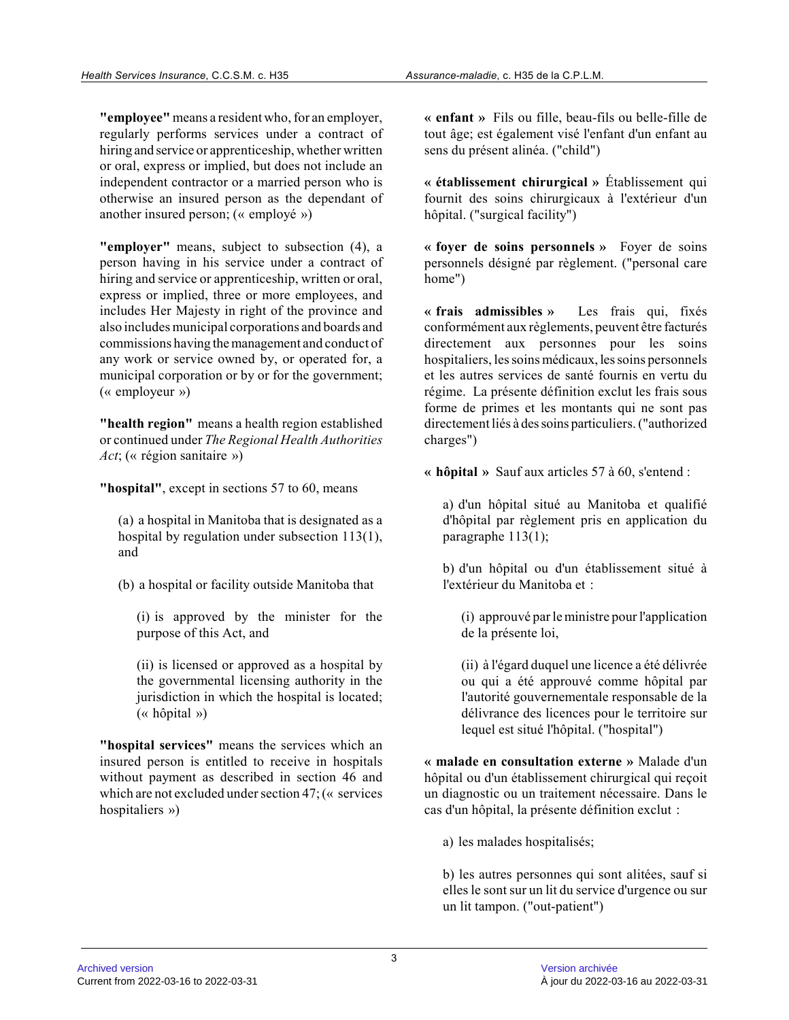**"employee"** means a resident who, for an employer, regularly performs services under a contract of hiring and service or apprenticeship, whether written or oral, express or implied, but does not include an independent contractor or a married person who is otherwise an insured person as the dependant of another insured person; (« employé »)

**"employer"** means, subject to subsection (4), a person having in his service under a contract of hiring and service or apprenticeship, written or oral, express or implied, three or more employees, and includes Her Majesty in right of the province and also includes municipal corporations and boards and commissions having the management and conduct of any work or service owned by, or operated for, a municipal corporation or by or for the government; (« employeur »)

**"health region"** means a health region established or continued under *The Regional Health Authorities Act*; (« région sanitaire »)

**"hospital"**, except in sections 57 to 60, means

(a) a hospital in Manitoba that is designated as a hospital by regulation under subsection 113(1), and

(b) a hospital or facility outside Manitoba that

(i) is approved by the minister for the purpose of this Act, and

(ii) is licensed or approved as a hospital by the governmental licensing authority in the jurisdiction in which the hospital is located; (« hôpital »)

**"hospital services"** means the services which an insured person is entitled to receive in hospitals without payment as described in section 46 and which are not excluded under section 47; (« services hospitaliers »)

**« enfant »** Fils ou fille, beau-fils ou belle-fille de tout âge; est également visé l'enfant d'un enfant au sens du présent alinéa. ("child")

**« établissement chirurgical »** Établissement qui fournit des soins chirurgicaux à l'extérieur d'un hôpital. ("surgical facility")

**« foyer de soins personnels »** Foyer de soins personnels désigné par règlement. ("personal care home")

**« frais admissibles »** Les frais qui, fixés conformément aux règlements, peuvent être facturés directement aux personnes pour les soins hospitaliers, les soins médicaux, les soins personnels et les autres services de santé fournis en vertu du régime. La présente définition exclut les frais sous forme de primes et les montants qui ne sont pas directement liés à des soins particuliers. ("authorize d charges")

**« hôpital »** Sauf aux articles 57 à 60, s'entend :

a) d'un hôpital situé au Manitoba et qualifié d'hôpital par règlement pris en application du paragraphe 113(1);

b) d'un hôpital ou d'un établissement situé à l'extérieur du Manitoba et :

(i) approuvé par le ministre pour l'application de la présente loi,

(ii) à l'égard duquel une licence a été délivrée ou qui a été approuvé comme hôpital par l'autorité gouvernementale responsable de la délivrance des licences pour le territoire sur lequel est situé l'hôpital. ("hospital")

**« malade en consultation externe »** Malade d'un hôpital ou d'un établissement chirurgical qui reçoi t un diagnostic ou un traitement nécessaire. Dans le cas d'un hôpital, la présente définition exclut :

a) les malades hospitalisés;

b) les autres personnes qui sont alitées, sauf si elles le sont sur un lit du service d'urgence ou sur un lit tampon. ("out-patient")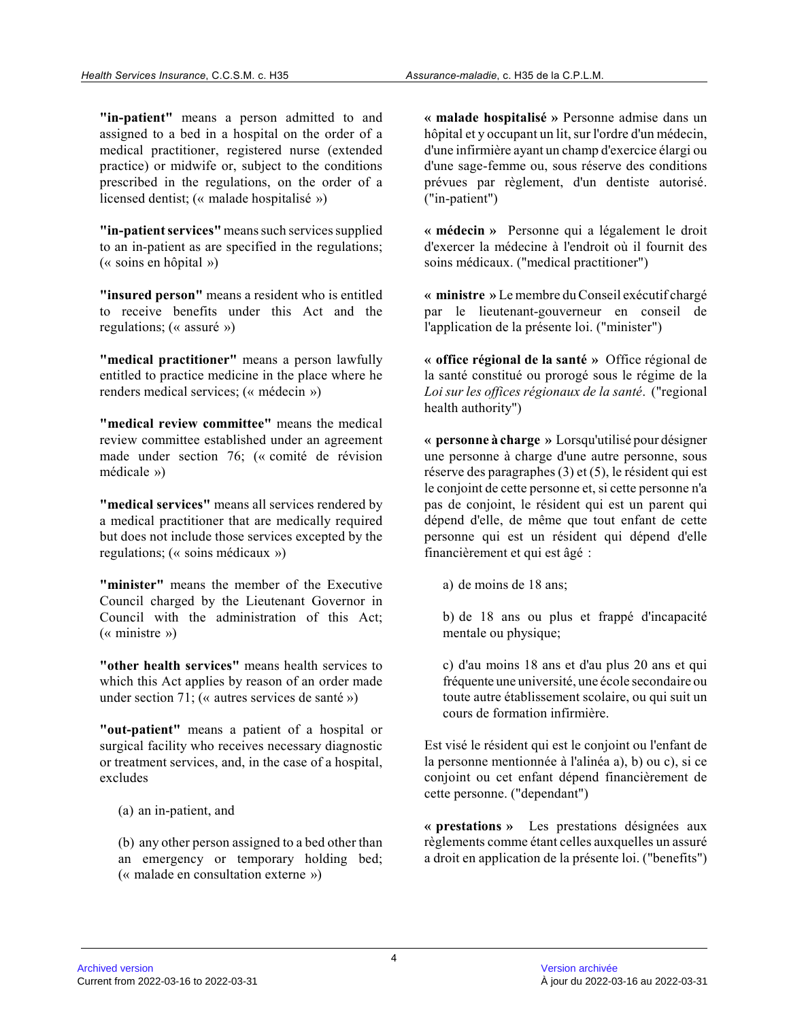**"in-patient"** means a person admitted to and assigned to a bed in a hospital on the order of a medical practitioner, registered nurse (extended practice) or midwife or, subject to the conditions prescribed in the regulations, on the order of a licensed dentist; (« malade hospitalisé »)

**"in-patient services"** means such services supplied to an in-patient as are specified in the regulations; (« soins en hôpital »)

**"insured person"** means a resident who is entitled to receive benefits under this Act and the regulations; (« assuré »)

**"medical practitioner"** means a person lawfully entitled to practice medicine in the place where he renders medical services; (« médecin »)

**"medical review committee"** means the medical review committee established under an agreement made under section 76; (« comité de révision médicale »)

**"medical services"** means all services rendered by a medical practitioner that are medically required but does not include those services excepted by the regulations; (« soins médicaux »)

**"minister"** means the member of the Executive Council charged by the Lieutenant Governor in Council with the administration of this Act; (« ministre »)

**"other health services"** means health services to which this Act applies by reason of an order made under section 71; (« autres services de santé »)

**"out-patient"** means a patient of a hospital or surgical facility who receives necessary diagnostic or treatment services, and, in the case of a hospital, excludes

(a) an in-patient, and

(b) any other person assigned to a bed other than an emergency or temporary holding bed; (« malade en consultation externe »)

**« malade hospitalisé »** Personne admise dans un hôpital et y occupant un lit, sur l'ordre d'un médecin, d'une infirmière ayant un champ d'exercice élargi o u d'une sage-femme ou, sous réserve des conditions prévues par règlement, d'un dentiste autorisé. ("in-patient")

**« médecin »** Personne qui a légalement le droit d'exercer la médecine à l'endroit où il fournit des soins médicaux. ("medical practitioner")

**« ministre »** Le membre du Conseil exécutif chargé par le lieutenant-gouverneur en conseil de l'application de la présente loi. ("minister")

**« office régional de la santé »** Office régional de la santé constitué ou prorogé sous le régime de la *Loi sur les offices régionaux de la santé*. ("regional health authority")

**« personne à charge »** Lorsqu'utilisé pour désigner une personne à charge d'une autre personne, sous réserve des paragraphes (3) et (5), le résident qui est le conjoint de cette personne et, si cette personne n'a pas de conjoint, le résident qui est un parent qui dépend d'elle, de même que tout enfant de cette personne qui est un résident qui dépend d'elle financièrement et qui est âgé :

a) de moins de 18 ans;

b) de 18 ans ou plus et frappé d'incapacité mentale ou physique;

c) d'au moins 18 ans et d'au plus 20 ans et qui fréquente une université, une école secondaire ou toute autre établissement scolaire, ou qui suit un cours de formation infirmière.

Est visé le résident qui est le conjoint ou l'enfant de la personne mentionnée à l'alinéa a), b) ou c), si ce conjoint ou cet enfant dépend financièrement de cette personne. ("dependant")

**« prestations »** Les prestations désignées aux règlements comme étant celles auxquelles un assuré a droit en application de la présente loi. ("benefits")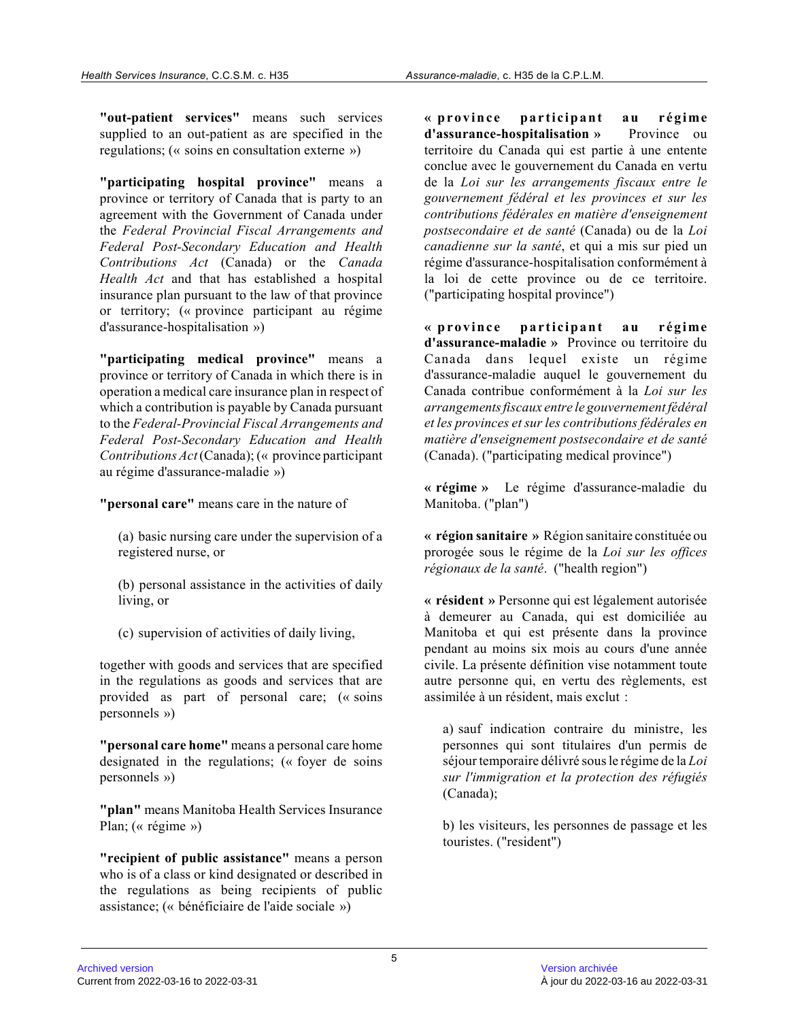**"out-patient services"** means such services supplied to an out-patient as are specified in the regulations; (« soins en consultation externe »)

**"participating hospital province"** means a province or territory of Canada that is party to an agreement with the Government of Canada under the *Federal Provincial Fiscal Arrangements and Federal Post-Secondary Education and Health Contributions Act* (Canada) or the *Canada Health Act* and that has established a hospital insurance plan pursuant to the law of that province or territory; (« province participant au régime d'assurance-hospitalisation »)

**"participating medical province"** means a province or territory of Canada in which there is in operation a medical care insurance plan in respect of which a contribution is payable by Canada pursuant to the *Federal-Provincial Fiscal Arrangements and Federal Post-Secondary Education and Health Contributions Act* (Canada); (« province participant au régime d'assurance-maladie »)

**"personal care"** means care in the nature of

(a) basic nursing care under the supervision of a registered nurse, or

(b) personal assistance in the activities of daily living, or

(c) supervision of activities of daily living,

together with goods and services that are specified in the regulations as goods and services that are provided as part of personal care; (« soins personnels »)

**"personal care home"** means a personal care home designated in the regulations; (« foyer de soins personnels »)

**"plan"** means Manitoba Health Services Insurance Plan; (« régime »)

**"recipient of public assistance"** means a person who is of a class or kind designated or described in the regulations as being recipients of public assistance; (« bénéficiaire de l'aide sociale »)

**« p ro v in ce p a rticip a n t a u r ég ime d'assurance-hospitalisation »** Province ou territoire du Canada qui est partie à une entente conclue avec le gouvernement du Canada en vertu de la *Loi sur les arrangements fiscaux entre le gouvernement fédéral et les provinces et sur les contributions fédérales en matière d'enseignement postsecondaire et de santé* (Canada) ou de la *Loi canadienne sur la santé*, et qui a mis sur pied un régime d'assurance-hospitalisation conformément à la loi de cette province ou de ce territoire. ("participating hospital province")

« province participant au régime **d'assurance-maladie »** Province ou territoire du Canada dans lequel existe un régime d'assurance-maladie auquel le gouvernement du Canada contribue conformément à la *Loi sur les arrangements fiscaux entre le gouvernement fédéral et les provinces et sur les contributions fédérales en matière d'enseignement postsecondaire et de santé* (Canada). ("participating medical province")

**« régime »** Le régime d'assurance-maladie du Manitoba. ("plan")

**« région sanitaire »** Région sanitaire constituée ou prorogée sous le régime de la *Loi sur les offices régionaux de la santé*. ("health region")

**« résident »** Personne qui est légalement autorisée à demeurer au Canada, qui est domiciliée au Manitoba et qui est présente dans la province pendant au moins six mois au cours d'une année civile. La présente définition vise notamment toute autre personne qui, en vertu des règlements, est assimilée à un résident, mais exclut :

a) sauf indication contraire du ministre, les personnes qui sont titulaires d'un permis de séjour temporaire délivré sous le régime de la *Loi sur l'immigration et la protection des réfugiés* (Canada);

b) les visiteurs, les personnes de passage et les touristes. ("resident")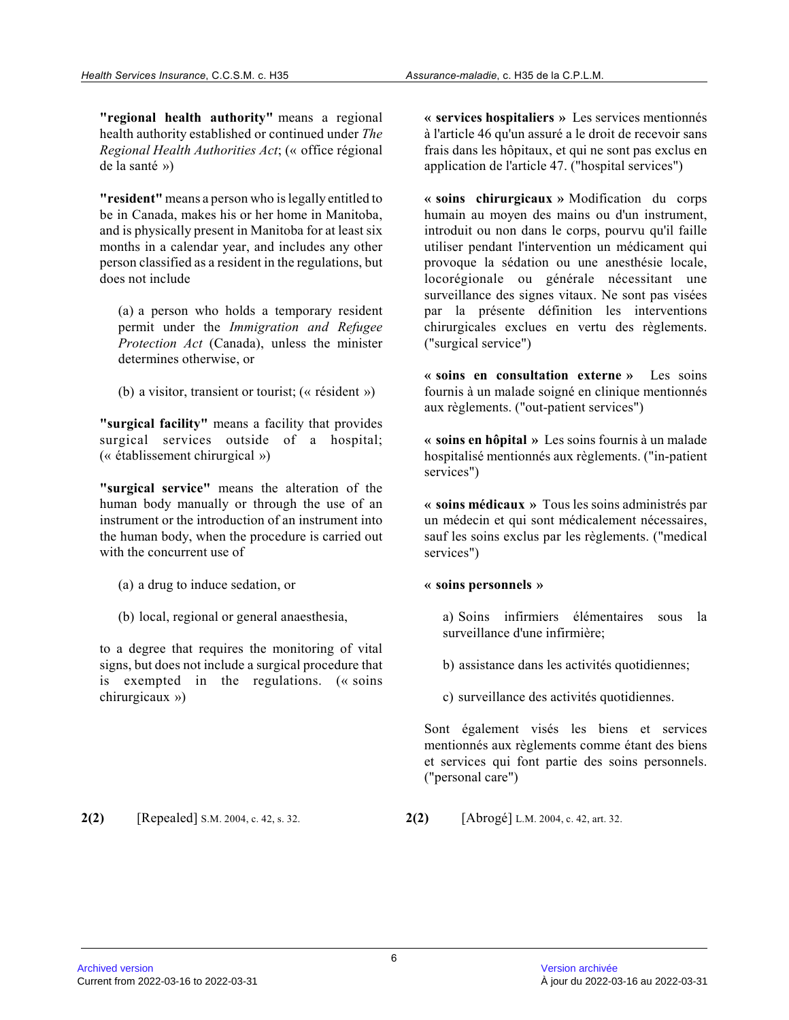**"regional health authority"** means a regional health authority established or continued under *The Regional Health Authorities Act*; (« office régional de la santé »)

**"resident"** means a person who is legally entitled to be in Canada, makes his or her home in Manitoba, and is physically present in Manitoba for at least six months in a calendar year, and includes any other person classified as a resident in the regulations, but does not include

(a) a person who holds a temporary resident permit under the *Immigration and Refugee Protection Act* (Canada), unless the minister determines otherwise, or

(b) a visitor, transient or tourist; (« résident »)

**"surgical facility"** means a facility that provides surgical services outside of a hospital; (« établissement chirurgical »)

**"surgical service"** means the alteration of the human body manually or through the use of an instrument or the introduction of an instrument into the human body, when the procedure is carried out with the concurrent use of

- (a) a drug to induce sedation, or
- (b) local, regional or general anaesthesia,

to a degree that requires the monitoring of vital signs, but does not include a surgical procedure that is exempted in the regulations. (« soins chirurgicaux »)

**« services hospitaliers »** Les services mentionnés à l'article 46 qu'un assuré a le droit de recevoir sans frais dans les hôpitaux, et qui ne sont pas exclus en application de l'article 47. ("hospital services")

**« soins chirurgicaux »** Modification du corps humain au moyen des mains ou d'un instrument, introduit ou non dans le corps, pourvu qu'il faille utiliser pendant l'intervention un médicament qui provoque la sédation ou une anesthésie locale, locorégionale ou générale nécessitant une surveillance des signes vitaux. Ne sont pas visées par la présente définition les interventions chirurgicales exclues en vertu des règlements. ("surgical service")

**« soins en consultation externe »** Les soins fournis à un malade soigné en clinique mentionnés aux règlements. ("out-patient services")

**« soins en hôpital »** Les soins fournis à un malade hospitalisé mentionnés aux règlements. ("in-patient services")

**« soins médicaux »** Tous les soins administrés par un médecin et qui sont médicalement nécessaires, sauf les soins exclus par les règlements. ("medical services")

# **« soins personnels »**

a) Soins infirmiers élémentaires sous la surveillance d'une infirmière;

b) assistance dans les activités quotidiennes;

c) surveillance des activités quotidiennes.

Sont également visés les biens et services mentionnés aux règlements comme étant des biens et services qui font partie des soins personnels. ("personal care")

**2(2)** [Repealed] S.M. 2004, c. 42, s. 32. **2(2)** [Abrogé] L.M. 2004, c. 42, art. 32.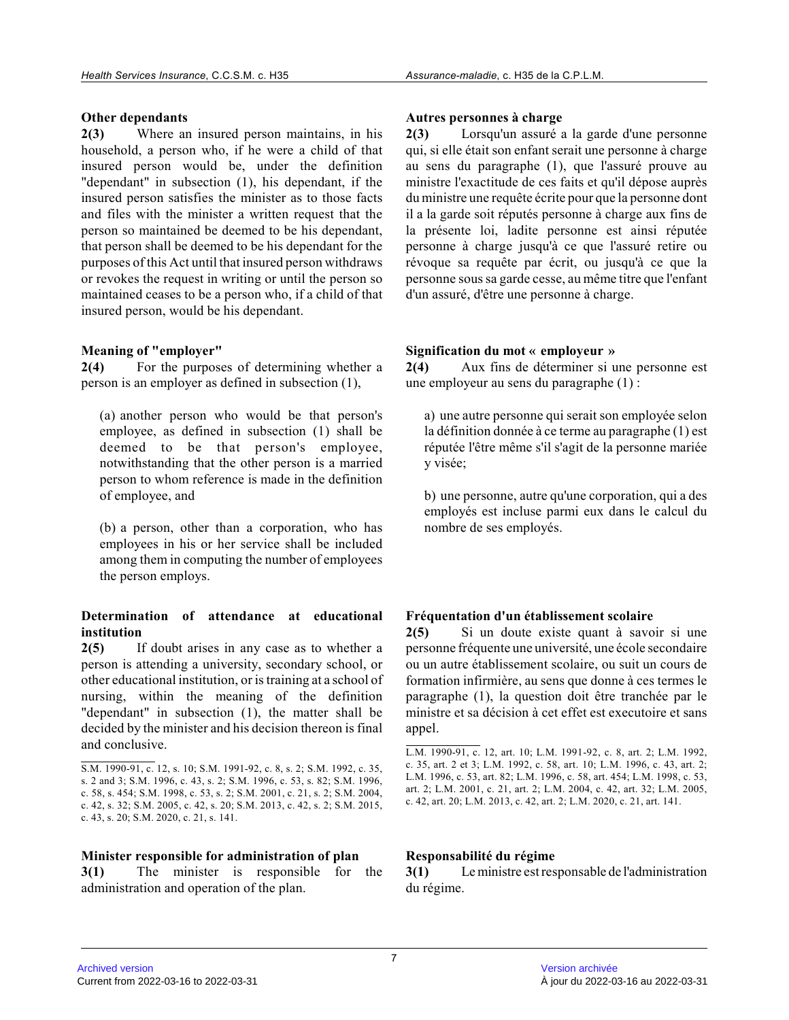#### **Other dependants**

**2(3)** Where an insured person maintains, in his household, a person who, if he were a child of that insured person would be, under the definition "dependant" in subsection (1), his dependant, if th e insured person satisfies the minister as to those facts and files with the minister a written request that the person so maintained be deemed to be his dependant, that person shall be deemed to be his dependant for the purposes of this Act until that insured person withdraws or revokes the request in writing or until the person s o maintained ceases to be a person who, if a child of that insured person, would be his dependant.

### **Meaning of "employer"**

**2(4)** For the purposes of determining whether a person is an employer as defined in subsection (1),

(a) another person who would be that person's employee, as defined in subsection (1) shall be deemed to be that person's employee, notwithstanding that the other person is a married person to whom reference is made in the definition of employee, and

(b) a person, other than a corporation, who has employees in his or her service shall be included among them in computing the number of employees the person employs.

#### **Determination of attendance at educational institution**

**2(5)** If doubt arises in any case as to whether a person is attending a university, secondary school, or other educational institution, or is training at a school of nursing, within the meaning of the definition "dependant" in subsection (1), the matter shall be decided by the minister and his decision thereon is final and conclusive.

#### **Minister responsible for administration of plan**

**3(1)** The minister is responsible for the administration and operation of the plan.

#### **Autres personnes à charge**

**2(3)** Lorsqu'un assuré a la garde d'une personne qui, si elle était son enfant serait une personne à charge au sens du paragraphe (1), que l'assuré prouve au ministre l'exactitude de ces faits et qu'il dépose auprès du ministre une requête écrite pour que la personne dont il a la garde soit réputés personne à charge aux fins de la présente loi, ladite personne est ainsi réputée personne à charge jusqu'à ce que l'assuré retire ou révoque sa requête par écrit, ou jusqu'à ce que la personne sous sa garde cesse, au même titre que l'enfant d'un assuré, d'être une personne à charge.

#### **Signification du mot « employeur »**

**2(4)** Aux fins de déterminer si une personne est une employeur au sens du paragraphe (1) :

a) une autre personne qui serait son employée selon la définition donnée à ce terme au paragraphe (1) est réputée l'être même s'il s'agit de la personne mariée y visée;

b) une personne, autre qu'une corporation, qui a des employés est incluse parmi eux dans le calcul du nombre de ses employés.

#### **Fréquentation d'un établissement scolaire**

**2(5)** Si un doute existe quant à savoir si une personne fréquente une université, une école secondaire ou un autre établissement scolaire, ou suit un cours de formation infirmière, au sens que donne à ces termes le paragraphe (1), la question doit être tranchée par le ministre et sa décision à cet effet est executoire et sans appel.

#### **Responsabilité du régime**

**3(1)** Le ministre est responsable de l'administration du régime.

S.M. 1990-91, c. 12, s. 10; S.M. 1991-92, c. 8, s. 2; S.M. 1992, c. 35, s. 2 and 3; S.M. 1996, c. 43, s. 2; S.M. 1996, c. 53, s. 82; S.M. 1996, c. 58, s. 454; S.M. 1998, c. 53, s. 2; S.M. 2001, c. 21, s. 2; S.M. 2004, c. 42, s. 32; S.M. 2005, c. 42, s. 20; S.M. 2013, c. 42, s. 2; S.M. 2015, c. 43, s. 20; S.M. 2020, c. 21, s. 141.

L.M. 1990-91, c. 12, art. 10; L.M. 1991-92, c. 8, art. 2; L.M. 1992, c. 35, art. 2 et 3; L.M. 1992, c. 58, art. 10; L.M. 1996, c. 43, art. 2; L.M. 1996, c. 53, art. 82; L.M. 1996, c. 58, art. 454; L.M. 1998, c. 53, art. 2; L.M. 2001, c. 21, art. 2; L.M. 2004, c. 42, art. 32; L.M. 2005, c. 42, art. 20; L.M. 2013, c. 42, art. 2; L.M. 2020, c. 21, art. 141.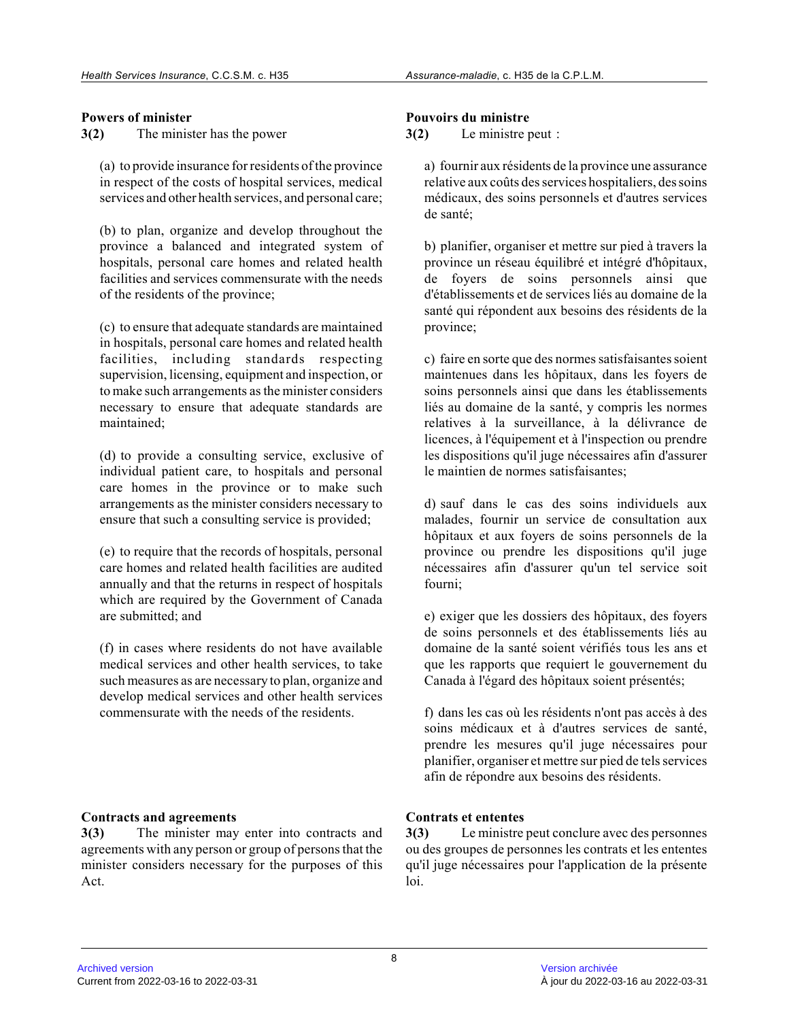# **Powers of minister**

**3(2)** The minister has the power

(a) to provide insurance for residents of the province in respect of the costs of hospital services, medica l services and other health services, and personal care;

(b) to plan, organize and develop throughout the province a balanced and integrated system of hospitals, personal care homes and related health facilities and services commensurate with the needs of the residents of the province;

(c) to ensure that adequate standards are maintained in hospitals, personal care homes and related healt h facilities, including standards respecting supervision, licensing, equipment and inspection, or to make such arrangements as the minister considers necessary to ensure that adequate standards are maintained;

(d) to provide a consulting service, exclusive of individual patient care, to hospitals and personal care homes in the province or to make such arrangements as the minister considers necessary to ensure that such a consulting service is provided;

(e) to require that the records of hospitals, personal care homes and related health facilities are audite d annually and that the returns in respect of hospitals which are required by the Government of Canada are submitted; and

(f) in cases where residents do not have available medical services and other health services, to take such measures as are necessary to plan, organize an d develop medical services and other health services commensurate with the needs of the residents.

# **Contracts and agreements**

**3(3)** The minister may enter into contracts and agreements with any person or group of persons that the minister considers necessary for the purposes of this Act.

### **Pouvoirs du ministre**

**3(2)** Le ministre peut :

a) fournir aux résidents de la province une assurance relative aux coûts des services hospitaliers, des soins médicaux, des soins personnels et d'autres services de santé;

b) planifier, organiser et mettre sur pied à travers la province un réseau équilibré et intégré d'hôpitaux, de foyers de soins personnels ainsi que d'établissements et de services liés au domaine de l a santé qui répondent aux besoins des résidents de la province;

c) faire en sorte que des normes satisfaisantes soient maintenues dans les hôpitaux, dans les foyers de soins personnels ainsi que dans les établissements liés au domaine de la santé, y compris les normes relatives à la surveillance, à la délivrance de licences, à l'équipement et à l'inspection ou prendre les dispositions qu'il juge nécessaires afin d'assurer le maintien de normes satisfaisantes;

d) sauf dans le cas des soins individuels aux malades, fournir un service de consultation aux hôpitaux et aux foyers de soins personnels de la province ou prendre les dispositions qu'il juge nécessaires afin d'assurer qu'un tel service soit fourni;

e) exiger que les dossiers des hôpitaux, des foyers de soins personnels et des établissements liés au domaine de la santé soient vérifiés tous les ans et que les rapports que requiert le gouvernement du Canada à l'égard des hôpitaux soient présentés;

f) dans les cas où les résidents n'ont pas accès à des soins médicaux et à d'autres services de santé, prendre les mesures qu'il juge nécessaires pour planifier, organiser et mettre sur pied de tels services afin de répondre aux besoins des résidents.

# **Contrats et ententes**

**3(3)** Le ministre peut conclure avec des personnes ou des groupes de personnes les contrats et les ententes qu'il juge nécessaires pour l'application de la présente loi.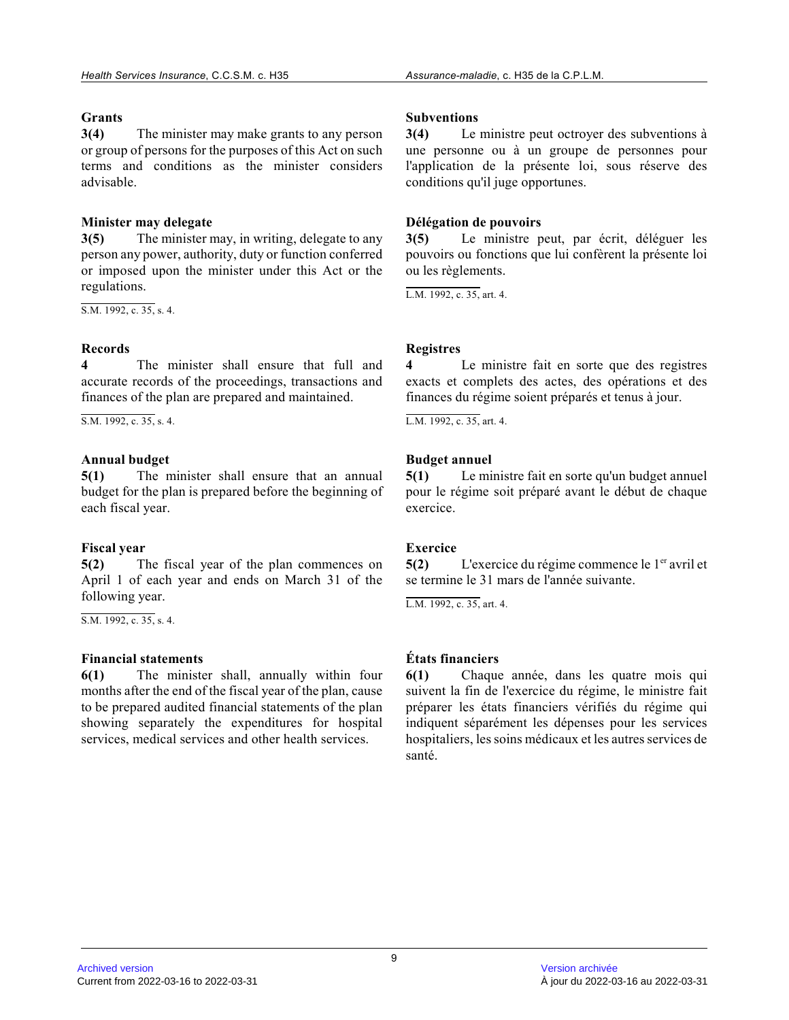# **Grants**

**3(4)** The minister may make grants to any person or group of persons for the purposes of this Act on such terms and conditions as the minister considers advisable.

# **Minister may delegate**

**3(5)** The minister may, in writing, delegate to any person any power, authority, duty or function conferred or imposed upon the minister under this Act or the regulations.

 $\overline{S.M. 1992, c. 35, s. 4.}$ 

# **Records**

**4** The minister shall ensure that full and accurate records of the proceedings, transactions and finances of the plan are prepared and maintained.

 $\overline{S.M. 1992, c. 35, s. 4.}$ 

# **Annual budget**

**5(1)** The minister shall ensure that an annual budget for the plan is prepared before the beginning of each fiscal year.

# **Fiscal year**

**5(2)** The fiscal year of the plan commences on April 1 of each year and ends on March 31 of the following year.

S.M. 1992, c. 35, s. 4.

# **Financial statements**

**6(1)** The minister shall, annually within four months after the end of the fiscal year of the plan, cause to be prepared audited financial statements of the plan showing separately the expenditures for hospital services, medical services and other health services.

# **Subventions**

**3(4)** Le ministre peut octroyer des subventions à une personne ou à un groupe de personnes pour l'application de la présente loi, sous réserve des conditions qu'il juge opportunes.

# **Délégation de pouvoirs**

**3(5)** Le ministre peut, par écrit, déléguer les pouvoirs ou fonctions que lui confèrent la présente loi ou les règlements.

L.M. 1992, c. 35, art. 4.

# **Registres**

**4** Le ministre fait en sorte que des registres exacts et complets des actes, des opérations et des finances du régime soient préparés et tenus à jour.

 $L.M. 1992, c. 35, art. 4.$ 

# **Budget annuel**

**5(1)** Le ministre fait en sorte qu'un budget annuel pour le régime soit préparé avant le début de chaque exercice.

# **Exercice**

**5(2)** L'exercice du régime commence le 1<sup>er</sup> avril et se termine le 31 mars de l'année suivante.

L.M. 1992, c. 35, art. 4.

# **États financiers**

**6(1)** Chaque année, dans les quatre mois qui suivent la fin de l'exercice du régime, le ministre fait préparer les états financiers vérifiés du régime qui indiquent séparément les dépenses pour les services hospitaliers, les soins médicaux et les autres services de santé.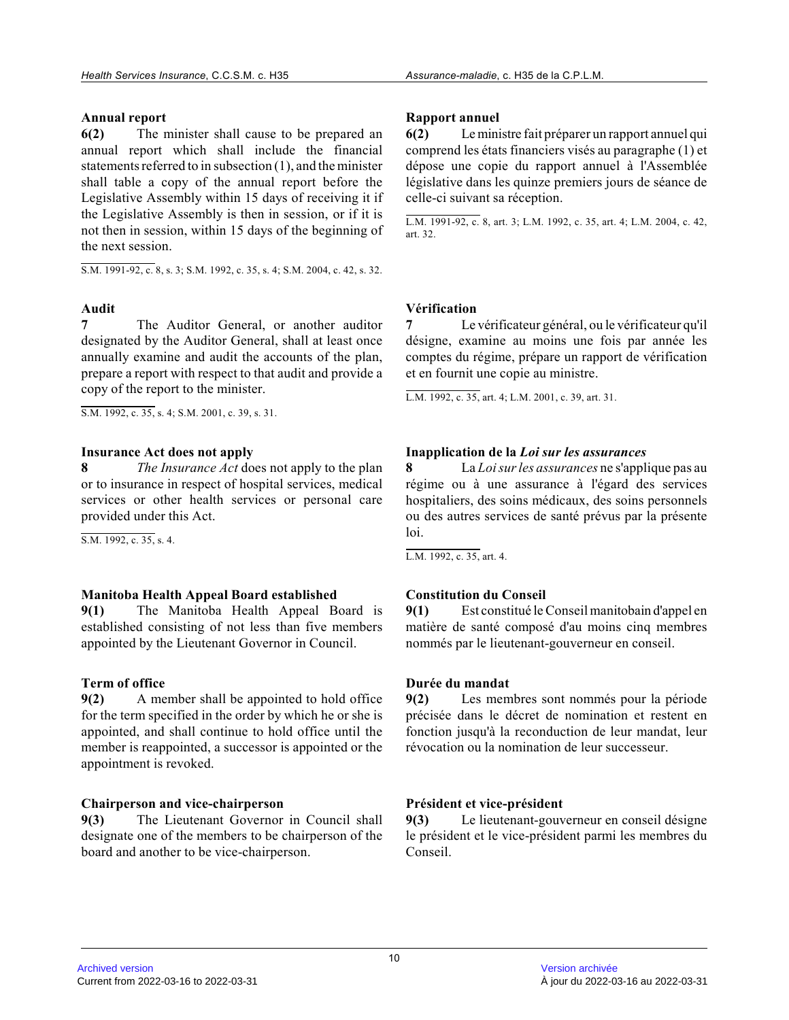# **Annual report**

**6(2)** The minister shall cause to be prepared an annual report which shall include the financial statements referred to in subsection (1), and the minister shall table a copy of the annual report before the Legislative Assembly within 15 days of receiving it i f the Legislative Assembly is then in session, or if it is not then in session, within 15 days of the beginning of the next session.

S.M. 1991-92, c. 8, s. 3; S.M. 1992, c. 35, s. 4; S.M. 2004, c. 42, s. 32.

# **Audit**

**7** The Auditor General, or another auditor designated by the Auditor General, shall at least once annually examine and audit the accounts of the plan , prepare a report with respect to that audit and provide a copy of the report to the minister.

S.M. 1992, c. 35, s. 4; S.M. 2001, c. 39, s. 31.

# **Insurance Act does not apply**

**8** *The Insurance Act* does not apply to the plan or to insurance in respect of hospital services, medical services or other health services or personal care provided under this Act.

S.M. 1992, c. 35, s. 4.

# **Manitoba Health Appeal Board established**

**9(1)** The Manitoba Health Appeal Board is established consisting of not less than five members appointed by the Lieutenant Governor in Council.

# **Term of office**

**9(2)** A member shall be appointed to hold office for the term specified in the order by which he or she is appointed, and shall continue to hold office until the member is reappointed, a successor is appointed or the appointment is revoked.

# **Chairperson and vice-chairperson**

**9(3)** The Lieutenant Governor in Council shall designate one of the members to be chairperson of the board and another to be vice-chairperson.

# **Rapport annuel**

**6(2)** Le ministre fait préparer un rapport annuel qui comprend les états financiers visés au paragraphe (1) et dépose une copie du rapport annuel à l'Assemblée législative dans les quinze premiers jours de séance de celle-ci suivant sa réception.

L.M. 1991-92, c. 8, art. 3; L.M. 1992, c. 35, art. 4; L.M. 2004, c. 42, art. 32.

# **Vérification**

**7** Le vérificateur général, ou le vérificateur qu'il désigne, examine au moins une fois par année les comptes du régime, prépare un rapport de vérificatio n et en fournit une copie au ministre.

L.M. 1992, c. 35, art. 4; L.M. 2001, c. 39, art. 31 .

# **Inapplication de la** *Loi sur les assurances*

**8** La *Loi sur les assurances* ne s'applique pas au régime ou à une assurance à l'égard des services hospitaliers, des soins médicaux, des soins personnels ou des autres services de santé prévus par la présent e loi.

L.M. 1992, c. 35, art. 4.

# **Constitution du Conseil**

**9(1)** Est constitué le Conseil manitobain d'appel en matière de santé composé d'au moins cinq membres nommés par le lieutenant-gouverneur en conseil.

# **Durée du mandat**

**9(2)** Les membres sont nommés pour la période précisée dans le décret de nomination et restent en fonction jusqu'à la reconduction de leur mandat, leur révocation ou la nomination de leur successeur.

# **Président et vice-président**

**9(3)** Le lieutenant-gouverneur en conseil désigne le président et le vice-président parmi les membres du Conseil.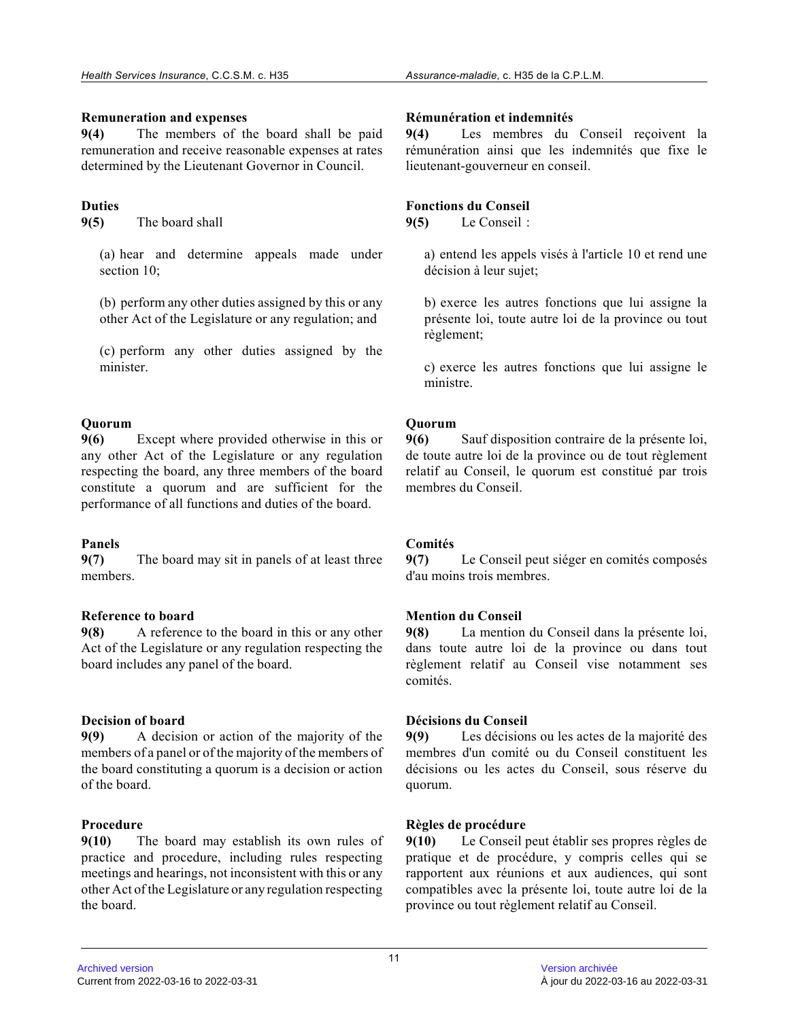### **Remuneration and expenses**

**9(4)** The members of the board shall be paid remuneration and receive reasonable expenses at rate s determined by the Lieutenant Governor in Council.

# **Duties**

**9(5)** The board shall

(a) hear and determine appeals made under section 10;

(b) perform any other duties assigned by this or any other Act of the Legislature or any regulation; and

(c) perform any other duties assigned by the minister.

# **Quorum**

**9(6)** Except where provided otherwise in this or any other Act of the Legislature or any regulation respecting the board, any three members of the boar d constitute a quorum and are sufficient for the performance of all functions and duties of the board.

# **Panels**

**9(7)** The board may sit in panels of at least three members.

# **Reference to board**

**9(8)** A reference to the board in this or any other Act of the Legislature or any regulation respecting the board includes any panel of the board.

# **Decision of board**

**9(9)** A decision or action of the majority of the members of a panel or of the majority of the members of the board constituting a quorum is a decision or action of the board.

# **Procedure**

**9(10)** The board may establish its own rules of practice and procedure, including rules respecting meetings and hearings, not inconsistent with this or any other Act of the Legislature or any regulation respecting the board.

# **Rémunération et indemnités**

**9(4)** Les membres du Conseil reçoivent la rémunération ainsi que les indemnités que fixe le lieutenant-gouverneur en conseil.

# **Fonctions du Conseil**

**9(5)** Le Conseil :

a) entend les appels visés à l'article 10 et rend une décision à leur sujet;

b) exerce les autres fonctions que lui assigne la présente loi, toute autre loi de la province ou tout règlement;

c) exerce les autres fonctions que lui assigne le ministre.

# **Quorum**

**9(6)** Sauf disposition contraire de la présente loi, de toute autre loi de la province ou de tout règlement relatif au Conseil, le quorum est constitué par trois membres du Conseil.

# **Comités**

**9(7)** Le Conseil peut siéger en comités composés d'au moins trois membres.

# **Mention du Conseil**

**9(8)** La mention du Conseil dans la présente loi, dans toute autre loi de la province ou dans tout règlement relatif au Conseil vise notamment ses comités.

# **Décisions du Conseil**

**9(9)** Les décisions ou les actes de la majorité des membres d'un comité ou du Conseil constituent les décisions ou les actes du Conseil, sous réserve du quorum.

# **Règles de procédure**

**9(10)** Le Conseil peut établir ses propres règles de pratique et de procédure, y compris celles qui se rapportent aux réunions et aux audiences, qui sont compatibles avec la présente loi, toute autre loi de la province ou tout règlement relatif au Conseil.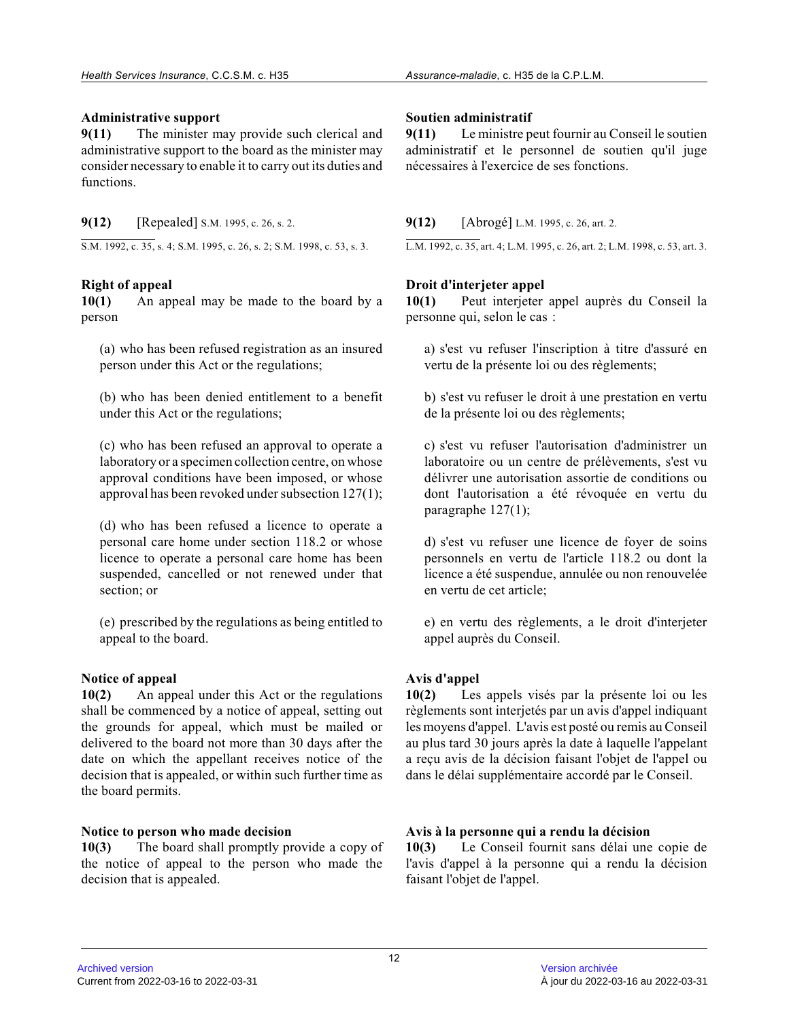#### **Administrative support**

**9(11)** The minister may provide such clerical and administrative support to the board as the minister may consider necessary to enable it to carry out its duties and functions.

**9(12)** [Repealed] S.M. 1995, c. 26, s. 2.

S.M. 1992, c. 35, s. 4; S.M. 1995, c. 26, s. 2; S.M. 1998, c. 53, s. 3.

### **Right of appeal**

**10(1)** An appeal may be made to the board by a person

(a) who has been refused registration as an insured person under this Act or the regulations;

(b) who has been denied entitlement to a benefit under this Act or the regulations;

(c) who has been refused an approval to operate a laboratory or a specimen collection centre, on whos e approval conditions have been imposed, or whose approval has been revoked under subsection 127(1);

(d) who has been refused a licence to operate a personal care home under section 118.2 or whose licence to operate a personal care home has been suspended, cancelled or not renewed under that section; or

(e) prescribed by the regulations as being entitled to appeal to the board.

#### **Notice of appeal**

**10(2)** An appeal under this Act or the regulations shall be commenced by a notice of appeal, setting out the grounds for appeal, which must be mailed or delivered to the board not more than 30 days after the date on which the appellant receives notice of the decision that is appealed, or within such further time as the board permits.

#### **Notice to person who made decision**

**10(3)** The board shall promptly provide a copy of the notice of appeal to the person who made the decision that is appealed.

### **Soutien administratif**

**9(11)** Le ministre peut fournir au Conseil le soutien administratif et le personnel de soutien qu'il juge nécessaires à l'exercice de ses fonctions.

**9(12)** [Abrogé] L.M. 1995, c. 26, art. 2.

L.M. 1992, c. 35, art. 4; L.M. 1995, c. 26, art. 2; L.M. 1998, c. 53, art. 3.

# **Droit d'interjeter appel**

**10(1)** Peut interjeter appel auprès du Conseil la personne qui, selon le cas :

a) s'est vu refuser l'inscription à titre d'assuré en vertu de la présente loi ou des règlements;

b) s'est vu refuser le droit à une prestation en vertu de la présente loi ou des règlements;

c) s'est vu refuser l'autorisation d'administrer un laboratoire ou un centre de prélèvements, s'est vu délivrer une autorisation assortie de conditions ou dont l'autorisation a été révoquée en vertu du paragraphe 127(1);

d) s'est vu refuser une licence de foyer de soins personnels en vertu de l'article 118.2 ou dont la licence a été suspendue, annulée ou non renouvelée en vertu de cet article;

e) en vertu des règlements, a le droit d'interjeter appel auprès du Conseil.

# **Avis d'appel**

**10(2)** Les appels visés par la présente loi ou les règlements sont interjetés par un avis d'appel indiquant les moyens d'appel. L'avis est posté ou remis au Conseil au plus tard 30 jours après la date à laquelle l'appelant a reçu avis de la décision faisant l'objet de l'appel ou dans le délai supplémentaire accordé par le Conseil .

# **Avis à la personne qui a rendu la décision**

**10(3)** Le Conseil fournit sans délai une copie de l'avis d'appel à la personne qui a rendu la décision faisant l'objet de l'appel.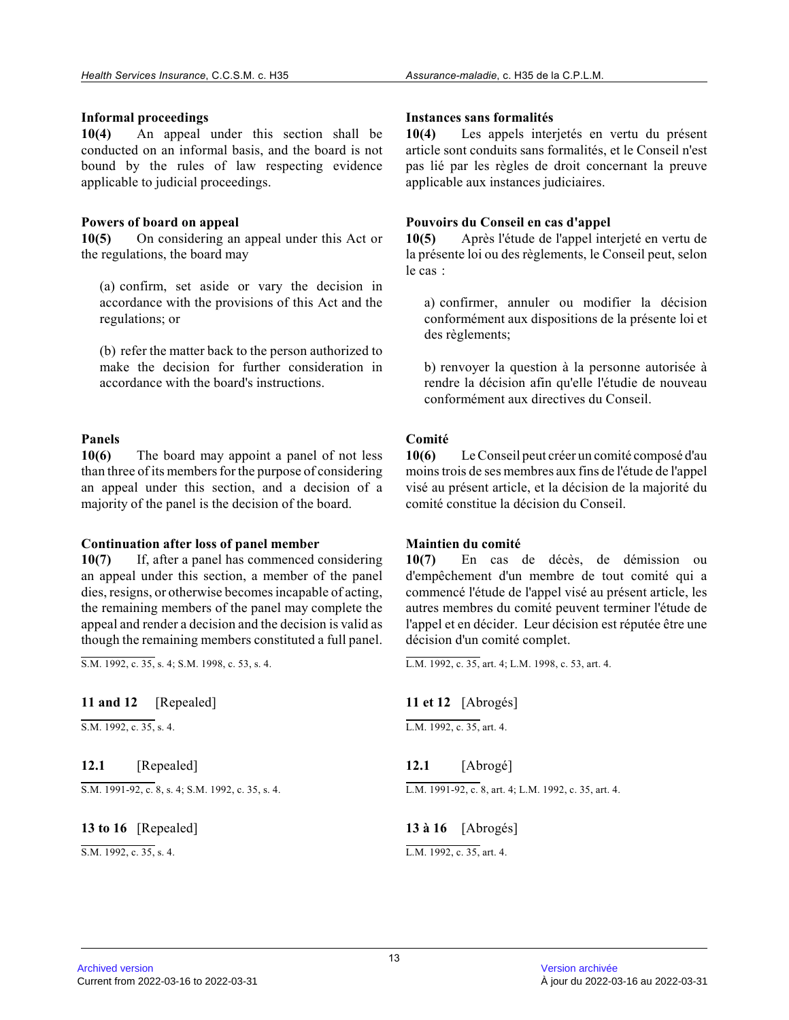#### **Informal proceedings**

**10(4)** An appeal under this section shall be conducted on an informal basis, and the board is no t bound by the rules of law respecting evidence applicable to judicial proceedings.

# **Powers of board on appeal**

**10(5)** On considering an appeal under this Act or the regulations, the board may

(a) confirm, set aside or vary the decision in accordance with the provisions of this Act and the regulations; or

(b) refer the matter back to the person authorized t o make the decision for further consideration in accordance with the board's instructions.

# **Panels**

**10(6)** The board may appoint a panel of not less than three of its members for the purpose of considering an appeal under this section, and a decision of a majority of the panel is the decision of the board.

#### **Continuation after loss of panel member**

**10(7)** If, after a panel has commenced considering an appeal under this section, a member of the panel dies, resigns, or otherwise becomes incapable of acting, the remaining members of the panel may complete the appeal and render a decision and the decision is valid as though the remaining members constituted a full panel.

 $\overline{S.M. 1992, c. 35, s. 4; S.M. 1998, c. 53, s. 4.}$ 

# **11 and 12** [Repealed]

S.M. 1992, c. 35, s. 4.

**12.1** [Repealed]

 $S.M. 1991-92, c. 8, s. 4; S.M. 1992, c. 35, s. 4.$ 

**13 to 16** [Repealed]

S.M. 1992, c. 35, s. 4.

#### **Instances sans formalités**

**10(4)** Les appels interjetés en vertu du présent article sont conduits sans formalités, et le Conseil n'est pas lié par les règles de droit concernant la preuve applicable aux instances judiciaires.

### **Pouvoirs du Conseil en cas d'appel**

**10(5)** Après l'étude de l'appel interjeté en vertu de la présente loi ou des règlements, le Conseil peut, selon le cas :

a) confirmer, annuler ou modifier la décision conformément aux dispositions de la présente loi et des règlements;

b) renvoyer la question à la personne autorisée à rendre la décision afin qu'elle l'étudie de nouveau conformément aux directives du Conseil.

# **Comité**

**10(6)** Le Conseil peut créer un comité composé d'au moins trois de ses membres aux fins de l'étude de l'appel visé au présent article, et la décision de la majorité du comité constitue la décision du Conseil.

#### **Maintien du comité**

**10(7)** En cas de décès, de démission ou d'empêchement d'un membre de tout comité qui a commencé l'étude de l'appel visé au présent article, les autres membres du comité peuvent terminer l'étude de l'appel et en décider. Leur décision est réputée être une décision d'un comité complet.

L.M. 1992, c. 35, art. 4; L.M. 1998, c. 53, art. 4.

**11 et 12** [Abrogés]

 $L.M. 1992$ , c. 35, art. 4.

**12.1** [Abrogé] L.M. 1991-92, c. 8, art. 4; L.M. 1992, c. 35, art. 4.

**13 à 16** [Abrogés] L.M. 1992, c. 35, art. 4.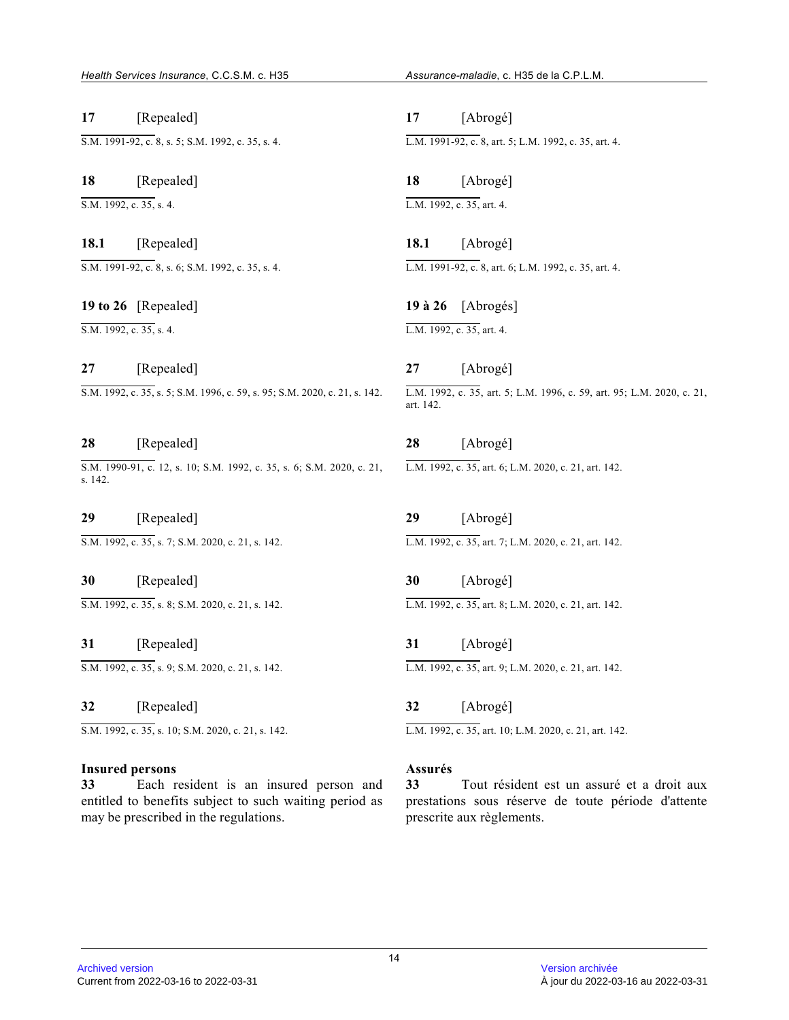**17** [Repealed] S.M. 1991-92, c. 8, s. 5; S.M. 1992, c. 35, s. 4.

**18** [Repealed]  $\overline{S.M. 1992, c. 35, s. 4.}$ 

**18.1** [Repealed] S.M. 1991-92, c. 8, s. 6; S.M. 1992, c. 35, s. 4.

**19 to 26** [Repealed]  $\overline{SM. 1992. c. 35. s. 4.}$ 

**27** [Repealed] S.M. 1992, c. 35, s. 5; S.M. 1996, c. 59, s. 95; S.M. 2020, c. 21, s. 142.

# **28** [Repealed]

S.M. 1990-91, c. 12, s. 10; S.M. 1992, c. 35, s. 6; S.M. 2020, c. 21, s. 142.

**29** [Repealed] S.M. 1992, c. 35, s. 7; S.M. 2020, c. 21, s. 142.

**30** [Repealed] S.M. 1992, c. 35, s. 8; S.M. 2020, c. 21, s. 142.

**31** [Repealed] S.M. 1992, c. 35, s. 9; S.M. 2020, c. 21, s. 142.

**32** [Repealed] S.M. 1992, c. 35, s. 10; S.M. 2020, c. 21, s. 142.

# **Insured persons**

**33** Each resident is an insured person and entitled to benefits subject to such waiting period as may be prescribed in the regulations.

**17** [Abrogé] L.M. 1991-92, c. 8, art. 5; L.M. 1992, c. 35, art. 4.

**18** [Abrogé] L.M. 1992, c. 35, art. 4.

**18.1** [Abrogé] L.M. 1991-92, c. 8, art. 6; L.M. 1992, c. 35, art. 4.

**19 à 26** [Abrogés] L.M. 1992, c. 35, art. 4.

**27** [Abrogé] L.M. 1992, c. 35, art. 5; L.M. 1996, c. 59, art. 95; L.M. 2020, c. 21, art. 142.

**28** [Abrogé] L.M. 1992, c. 35, art. 6; L.M. 2020, c. 21, art. 142.

**29** [Abrogé] L.M. 1992, c. 35, art. 7; L.M. 2020, c. 21, art. 142.

**30** [Abrogé] L.M. 1992, c. 35, art. 8; L.M. 2020, c. 21, art. 142.

**31** [Abrogé] L.M. 1992, c. 35, art. 9; L.M. 2020, c. 21, art. 142.

**32** [Abrogé]

L.M. 1992, c. 35, art. 10; L.M. 2020, c. 21, art. 142.

# **Assurés**

**33** Tout résident est un assuré et a droit aux prestations sous réserve de toute période d'attente prescrite aux règlements.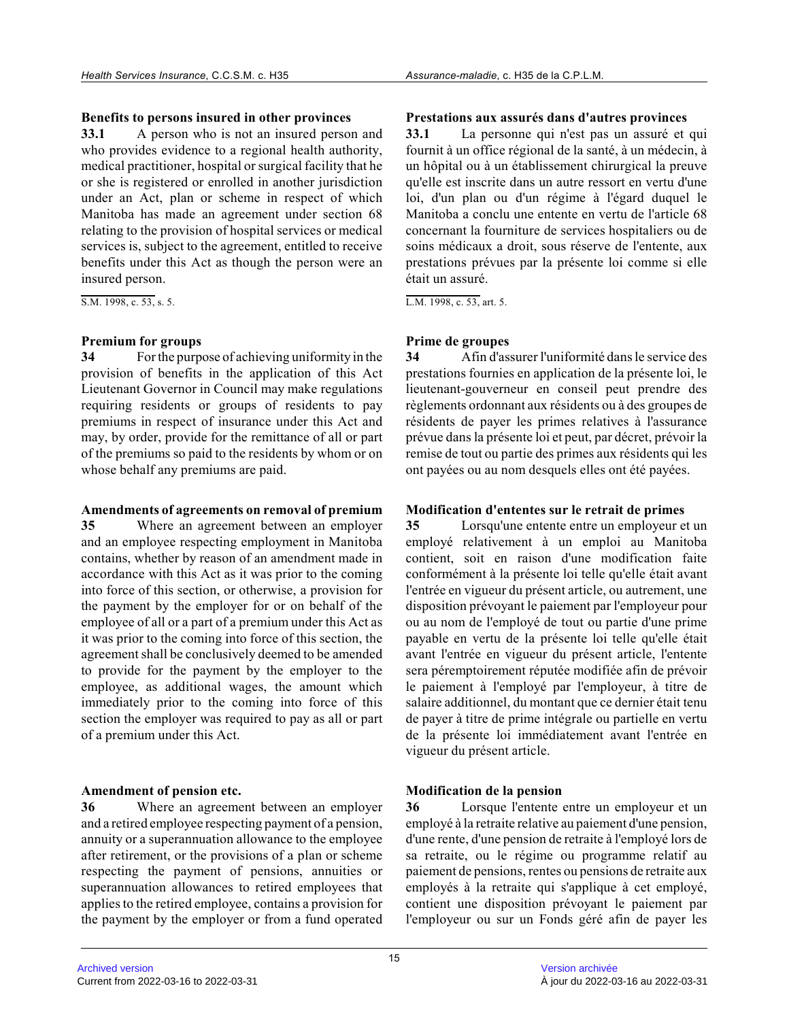#### **Benefits to persons insured in other provinces**

**33.1** A person who is not an insured person and who provides evidence to a regional health authority, medical practitioner, hospital or surgical facility that he or she is registered or enrolled in another jurisdiction under an Act, plan or scheme in respect of which Manitoba has made an agreement under section 68 relating to the provision of hospital services or medical services is, subject to the agreement, entitled to receive benefits under this Act as though the person were a n insured person.

S.M. 1998, c. 53, s. 5.

### **Premium for groups**

**34** For the purpose of achieving uniformity in the provision of benefits in the application of this Act Lieutenant Governor in Council may make regulations requiring residents or groups of residents to pay premiums in respect of insurance under this Act and may, by order, provide for the remittance of all or part of the premiums so paid to the residents by whom or on whose behalf any premiums are paid.

#### **Amendments of agreements on removal of premium**

**35** Where an agreement between an employer and an employee respecting employment in Manitoba contains, whether by reason of an amendment made in accordance with this Act as it was prior to the coming into force of this section, or otherwise, a provision for the payment by the employer for or on behalf of the employee of all or a part of a premium under this Act as it was prior to the coming into force of this section, the agreement shall be conclusively deemed to be amended to provide for the payment by the employer to the employee, as additional wages, the amount which immediately prior to the coming into force of this section the employer was required to pay as all or part of a premium under this Act.

# **Amendment of pension etc.**

**36** Where an agreement between an employer and a retired employee respecting payment of a pension, annuity or a superannuation allowance to the employee after retirement, or the provisions of a plan or scheme respecting the payment of pensions, annuities or superannuation allowances to retired employees that applies to the retired employee, contains a provision for the payment by the employer or from a fund operated

### **Prestations aux assurés dans d'autres provinces**

**33.1** La personne qui n'est pas un assuré et qui fournit à un office régional de la santé, à un médecin, à un hôpital ou à un établissement chirurgical la preuve qu'elle est inscrite dans un autre ressort en vertu d'une loi, d'un plan ou d'un régime à l'égard duquel le Manitoba a conclu une entente en vertu de l'article 68 concernant la fourniture de services hospitaliers ou de soins médicaux a droit, sous réserve de l'entente, aux prestations prévues par la présente loi comme si ell e était un assuré.

L.M. 1998, c. 53, art. 5.

# **Prime de groupes**

**34** Afin d'assurer l'uniformité dans le service des prestations fournies en application de la présente loi, le lieutenant-gouverneur en conseil peut prendre des règlements ordonnant aux résidents ou à des groupes de résidents de payer les primes relatives à l'assuranc e prévue dans la présente loi et peut, par décret, prévoir la remise de tout ou partie des primes aux résidents qui les ont payées ou au nom desquels elles ont été payées.

# **Modification d'ententes sur le retrait de primes**

**35** Lorsqu'une entente entre un employeur et un employé relativement à un emploi au Manitoba contient, soit en raison d'une modification faite conformément à la présente loi telle qu'elle était avant l'entrée en vigueur du présent article, ou autrement, une disposition prévoyant le paiement par l'employeur pour ou au nom de l'employé de tout ou partie d'une prim e payable en vertu de la présente loi telle qu'elle était avant l'entrée en vigueur du présent article, l'entente sera péremptoirement réputée modifiée afin de prévoir le paiement à l'employé par l'employeur, à titre de salaire additionnel, du montant que ce dernier était tenu de payer à titre de prime intégrale ou partielle en vertu de la présente loi immédiatement avant l'entrée en vigueur du présent article.

# **Modification de la pension**

**36** Lorsque l'entente entre un employeur et un employé à la retraite relative au paiement d'une pension, d'une rente, d'une pension de retraite à l'employé lors de sa retraite, ou le régime ou programme relatif au paiement de pensions, rentes ou pensions de retraite aux employés à la retraite qui s'applique à cet employé , contient une disposition prévoyant le paiement par l'employeur ou sur un Fonds géré afin de payer les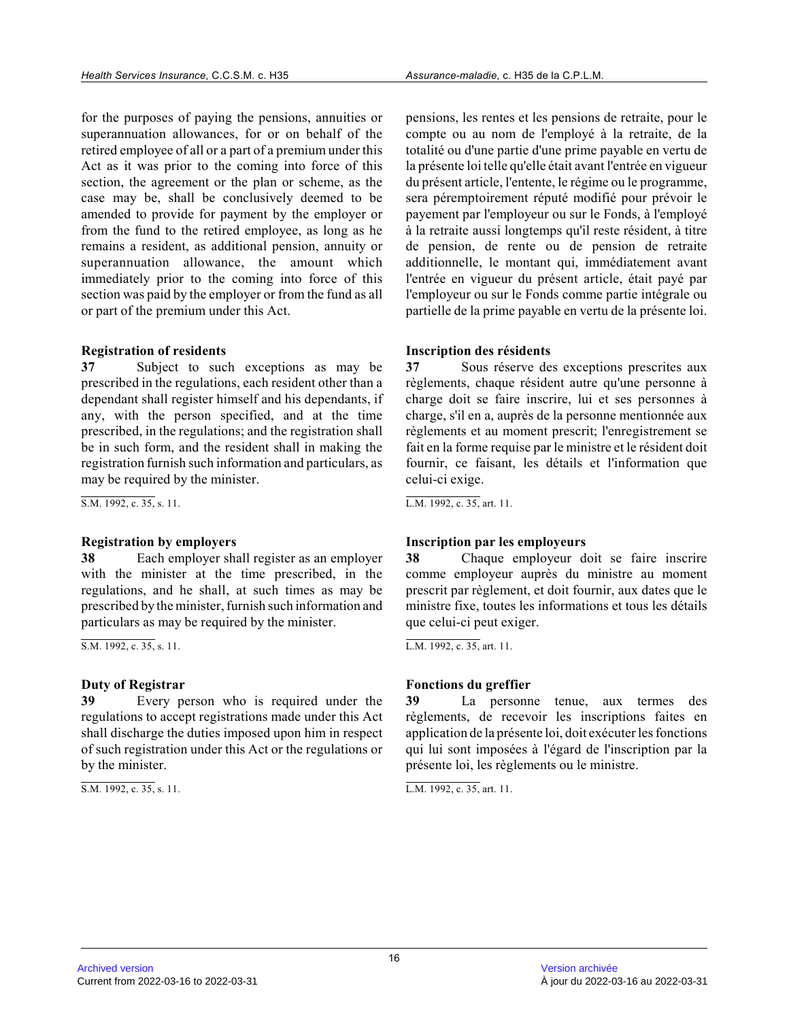for the purposes of paying the pensions, annuities or superannuation allowances, for or on behalf of the retired employee of all or a part of a premium under this Act as it was prior to the coming into force of thi s section, the agreement or the plan or scheme, as th e case may be, shall be conclusively deemed to be amended to provide for payment by the employer or from the fund to the retired employee, as long as h e remains a resident, as additional pension, annuity or superannuation allowance, the amount which immediately prior to the coming into force of this section was paid by the employer or from the fund as all or part of the premium under this Act.

#### **Registration of residents**

**37** Subject to such exceptions as may be prescribed in the regulations, each resident other than a dependant shall register himself and his dependants, if any, with the person specified, and at the time prescribed, in the regulations; and the registration shall be in such form, and the resident shall in making the registration furnish such information and particulars, as may be required by the minister.

S.M. 1992, c. 35, s. 11.

#### **Registration by employers**

**38** Each employer shall register as an employer with the minister at the time prescribed, in the regulations, and he shall, at such times as may be prescribed by the minister, furnish such information and particulars as may be required by the minister.

S.M. 1992, c. 35, s. 11.

#### **Duty of Registrar**

**39** Every person who is required under the regulations to accept registrations made under this Act shall discharge the duties imposed upon him in respect of such registration under this Act or the regulations or by the minister.

S.M. 1992, c. 35, s. 11.

pensions, les rentes et les pensions de retraite, pour le compte ou au nom de l'employé à la retraite, de la totalité ou d'une partie d'une prime payable en vertu de la présente loi telle qu'elle était avant l'entrée en vigueur du présent article, l'entente, le régime ou le programme, sera péremptoirement réputé modifié pour prévoir le payement par l'employeur ou sur le Fonds, à l'employé à la retraite aussi longtemps qu'il reste résident, à titre de pension, de rente ou de pension de retraite additionnelle, le montant qui, immédiatement avant l'entrée en vigueur du présent article, était payé par l'employeur ou sur le Fonds comme partie intégrale ou partielle de la prime payable en vertu de la présente loi.

#### **Inscription des résidents**

**37** Sous réserve des exceptions prescrites aux règlements, chaque résident autre qu'une personne à charge doit se faire inscrire, lui et ses personnes à charge, s'il en a, auprès de la personne mentionnée aux règlements et au moment prescrit; l'enregistrement se fait en la forme requise par le ministre et le résident doit fournir, ce faisant, les détails et l'information que celui-ci exige.

L.M. 1992, c. 35, art. 11.

#### **Inscription par les employeurs**

**38** Chaque employeur doit se faire inscrire comme employeur auprès du ministre au moment prescrit par règlement, et doit fournir, aux dates que le ministre fixe, toutes les informations et tous les détails que celui-ci peut exiger.

L.M. 1992, c. 35, art. 11.

#### **Fonctions du greffier**

**39** La personne tenue, aux termes des règlements, de recevoir les inscriptions faites en application de la présente loi, doit exécuter les fonctions qui lui sont imposées à l'égard de l'inscription par la présente loi, les règlements ou le ministre.

L.M. 1992, c. 35, art. 11.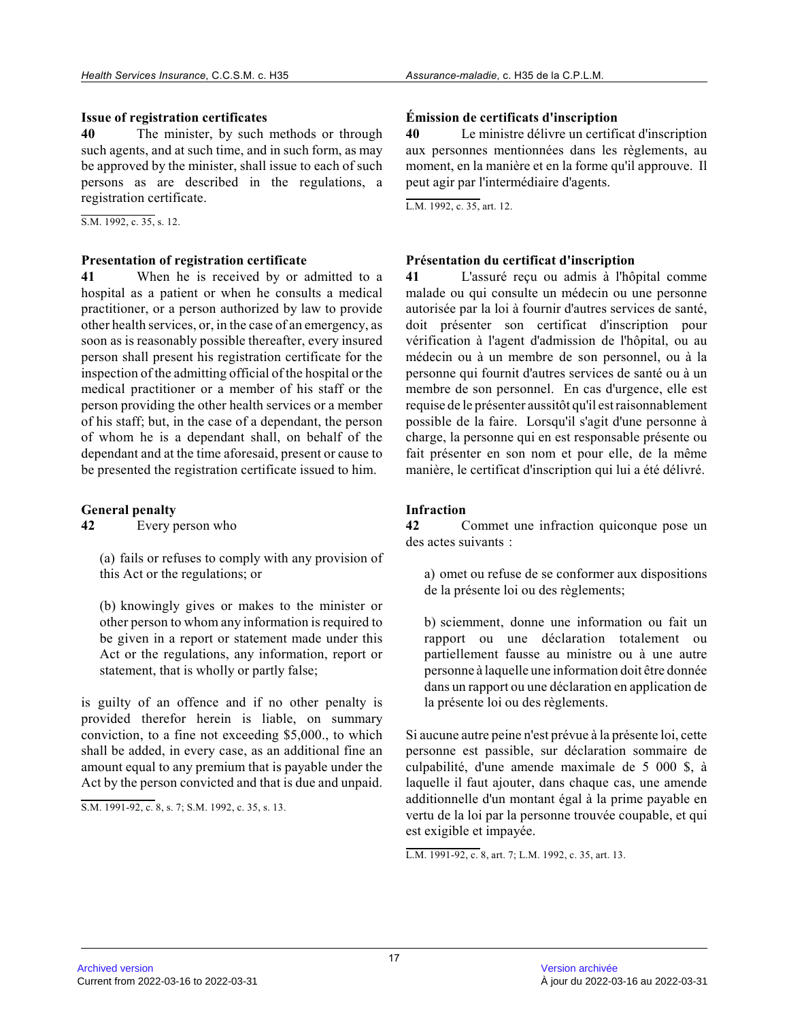# **Issue of registration certificates**

**40** The minister, by such methods or through such agents, and at such time, and in such form, as may be approved by the minister, shall issue to each of such persons as are described in the regulations, a registration certificate.

S.M. 1992, c. 35, s. 12.

### **Presentation of registration certificate**

**41** When he is received by or admitted to a hospital as a patient or when he consults a medical practitioner, or a person authorized by law to provide other health services, or, in the case of an emergency, as soon as is reasonably possible thereafter, every insured person shall present his registration certificate for the inspection of the admitting official of the hospital or the medical practitioner or a member of his staff or th e person providing the other health services or a membe r of his staff; but, in the case of a dependant, the person of whom he is a dependant shall, on behalf of the dependant and at the time aforesaid, present or cause to be presented the registration certificate issued to him.

# **General penalty**

**42** Every person who

(a) fails or refuses to comply with any provision of this Act or the regulations; or

(b) knowingly gives or makes to the minister or other person to whom any information is required to be given in a report or statement made under this Act or the regulations, any information, report or statement, that is wholly or partly false;

is guilty of an offence and if no other penalty is provided therefor herein is liable, on summary conviction, to a fine not exceeding \$5,000., to whic h shall be added, in every case, as an additional fine an amount equal to any premium that is payable under the Act by the person convicted and that is due and unpaid.

S.M. 1991-92, c. 8, s. 7; S.M. 1992, c. 35, s. 13.

# **Émission de certificats d'inscription**

**40** Le ministre délivre un certificat d'inscription aux personnes mentionnées dans les règlements, au moment, en la manière et en la forme qu'il approuve. Il peut agir par l'intermédiaire d'agents.

L.M. 1992, c. 35, art. 12.

# **Présentation du certificat d'inscription**

**41** L'assuré reçu ou admis à l'hôpital comme malade ou qui consulte un médecin ou une personne autorisée par la loi à fournir d'autres services de santé, doit présenter son certificat d'inscription pour vérification à l'agent d'admission de l'hôpital, ou au médecin ou à un membre de son personnel, ou à la personne qui fournit d'autres services de santé ou à un membre de son personnel. En cas d'urgence, elle es t requise de le présenter aussitôt qu'il est raisonnablement possible de la faire. Lorsqu'il s'agit d'une personne à charge, la personne qui en est responsable présente o u fait présenter en son nom et pour elle, de la même manière, le certificat d'inscription qui lui a été délivré.

# **Infraction**

**42** Commet une infraction quiconque pose un des actes suivants :

a) omet ou refuse de se conformer aux dispositions de la présente loi ou des règlements;

b) sciemment, donne une information ou fait un rapport ou une déclaration totalement ou partiellement fausse au ministre ou à une autre personne à laquelle une information doit être donné e dans un rapport ou une déclaration en application d e la présente loi ou des règlements.

Si aucune autre peine n'est prévue à la présente loi, cette personne est passible, sur déclaration sommaire de culpabilité, d'une amende maximale de 5 000 \$, à laquelle il faut ajouter, dans chaque cas, une amende additionnelle d'un montant égal à la prime payable en vertu de la loi par la personne trouvée coupable, et qui est exigible et impayée.

L.M. 1991-92, c. 8, art. 7; L.M. 1992, c. 35, art. 13.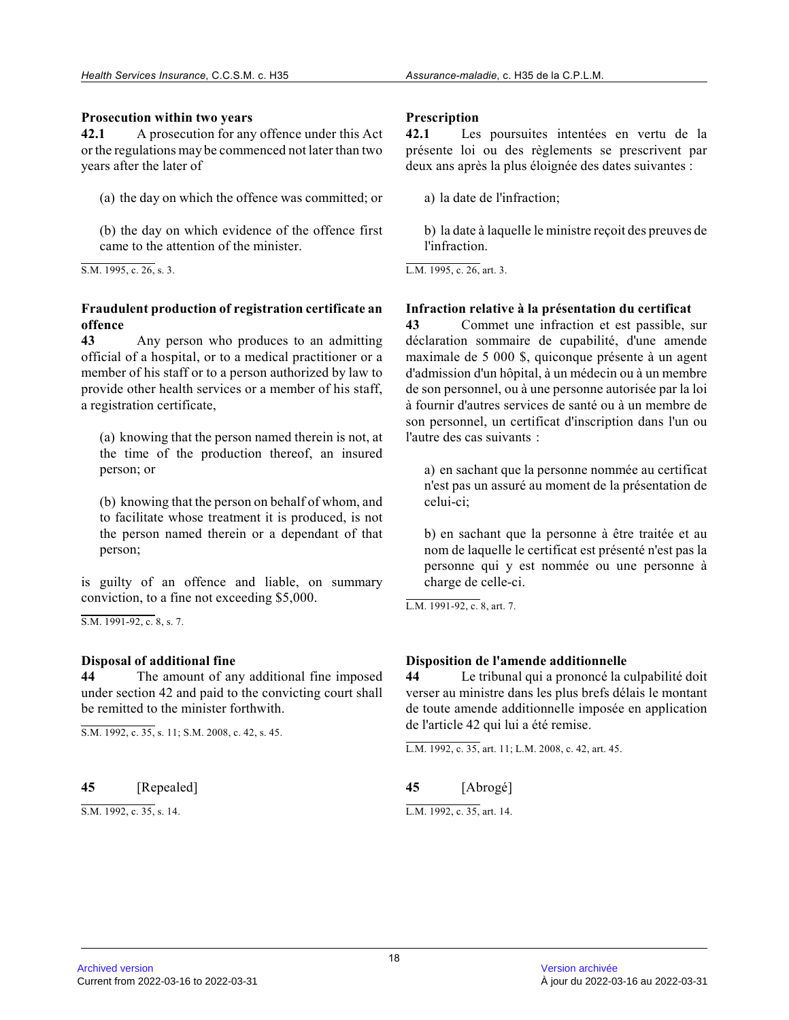#### **Prosecution within two years**

**42.1** A prosecution for any offence under this Act or the regulations may be commenced not later than two years after the later of

(a) the day on which the offence was committed; or

(b) the day on which evidence of the offence first came to the attention of the minister.

S.M. 1995, c. 26, s. 3.

# **Fraudulent production of registration certificate a n offence**

**43** Any person who produces to an admitting official of a hospital, or to a medical practitioner or a member of his staff or to a person authorized by law to provide other health services or a member of his staff, a registration certificate,

(a) knowing that the person named therein is not, at the time of the production thereof, an insured person; or

(b) knowing that the person on behalf of whom, and to facilitate whose treatment it is produced, is no t the person named therein or a dependant of that person;

is guilty of an offence and liable, on summary conviction, to a fine not exceeding \$5,000.

S.M. 1991-92, c. 8, s. 7.

# **Disposal of additional fine**

**44** The amount of any additional fine imposed under section 42 and paid to the convicting court shall be remitted to the minister forthwith.

S.M. 1992, c. 35, s. 11; S.M. 2008, c. 42, s. 45.

| 45 | [Repealed] |
|----|------------|
|    |            |

S.M. 1992, c. 35, s. 14.

#### **Prescription**

**42.1** Les poursuites intentées en vertu de la présente loi ou des règlements se prescrivent par deux ans après la plus éloignée des dates suivantes :

a) la date de l'infraction;

b) la date à laquelle le ministre reçoit des preuves de l'infraction.

L.M. 1995, c. 26, art. 3.

### **Infraction relative à la présentation du certificat**

**43** Commet une infraction et est passible, sur déclaration sommaire de cupabilité, d'une amende maximale de 5 000 \$, quiconque présente à un agent d'admission d'un hôpital, à un médecin ou à un membre de son personnel, ou à une personne autorisée par la loi à fournir d'autres services de santé ou à un membre de son personnel, un certificat d'inscription dans l'un ou l'autre des cas suivants :

a) en sachant que la personne nommée au certificat n'est pas un assuré au moment de la présentation de celui-ci;

b) en sachant que la personne à être traitée et au nom de laquelle le certificat est présenté n'est pas la personne qui y est nommée ou une personne à charge de celle-ci.

L.M. 1991-92, c. 8, art. 7.

# **Disposition de l'amende additionnelle**

**44** Le tribunal qui a prononcé la culpabilité doit verser au ministre dans les plus brefs délais le montant de toute amende additionnelle imposée en applicatio n de l'article 42 qui lui a été remise.

L.M. 1992, c. 35, art. 11; L.M. 2008, c. 42, art. 45.

**45** [Abrogé]

L.M. 1992, c. 35, art. 14.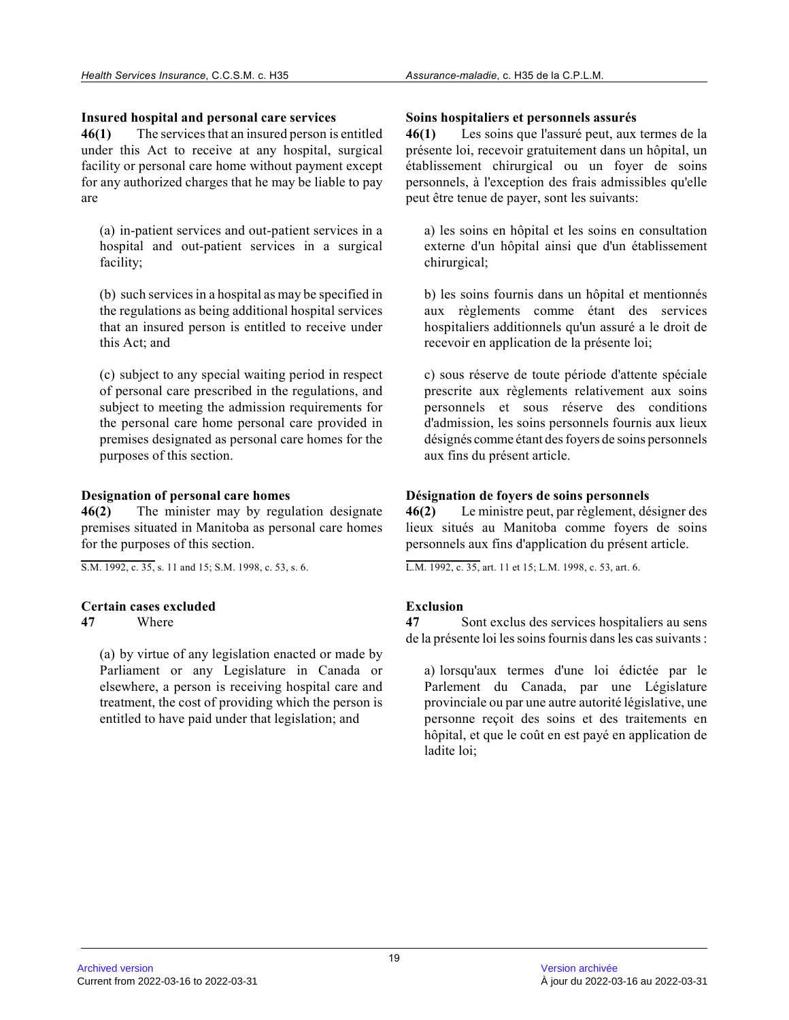# **Insured hospital and personal care services**

**46(1)** The services that an insured person is entitled under this Act to receive at any hospital, surgical facility or personal care home without payment except for any authorized charges that he may be liable to pay are

(a) in-patient services and out-patient services in a hospital and out-patient services in a surgical facility;

(b) such services in a hospital as may be specified i n the regulations as being additional hospital service s that an insured person is entitled to receive under this Act; and

(c) subject to any special waiting period in respect of personal care prescribed in the regulations, and subject to meeting the admission requirements for the personal care home personal care provided in premises designated as personal care homes for the purposes of this section.

# **Designation of personal care homes**

**46(2)** The minister may by regulation designate premises situated in Manitoba as personal care home s for the purposes of this section.

S.M. 1992, c. 35, s. 11 and 15; S.M. 1998, c. 53, s. 6.

# **Certain cases excluded**

**47** Where

(a) by virtue of any legislation enacted or made by Parliament or any Legislature in Canada or elsewhere, a person is receiving hospital care and treatment, the cost of providing which the person is entitled to have paid under that legislation; and

# **Soins hospitaliers et personnels assurés**

**46(1)** Les soins que l'assuré peut, aux termes de la présente loi, recevoir gratuitement dans un hôpital, un établissement chirurgical ou un foyer de soins personnels, à l'exception des frais admissibles qu'elle peut être tenue de payer, sont les suivants:

a) les soins en hôpital et les soins en consultation externe d'un hôpital ainsi que d'un établissement chirurgical;

b) les soins fournis dans un hôpital et mentionnés aux règlements comme étant des services hospitaliers additionnels qu'un assuré a le droit d e recevoir en application de la présente loi;

c) sous réserve de toute période d'attente spéciale prescrite aux règlements relativement aux soins personnels et sous réserve des conditions d'admission, les soins personnels fournis aux lieux désignés comme étant des foyers de soins personnels aux fins du présent article.

# **Désignation de foyers de soins personnels**

**46(2)** Le ministre peut, par règlement, désigner des lieux situés au Manitoba comme foyers de soins personnels aux fins d'application du présent article.

L.M. 1992, c. 35, art. 11 et 15; L.M. 1998, c. 53, art. 6.

# **Exclusion**

**47** Sont exclus des services hospitaliers au sens de la présente loi les soins fournis dans les cas suivants :

a) lorsqu'aux termes d'une loi édictée par le Parlement du Canada, par une Législature provinciale ou par une autre autorité législative, un e personne reçoit des soins et des traitements en hôpital, et que le coût en est payé en application de ladite loi;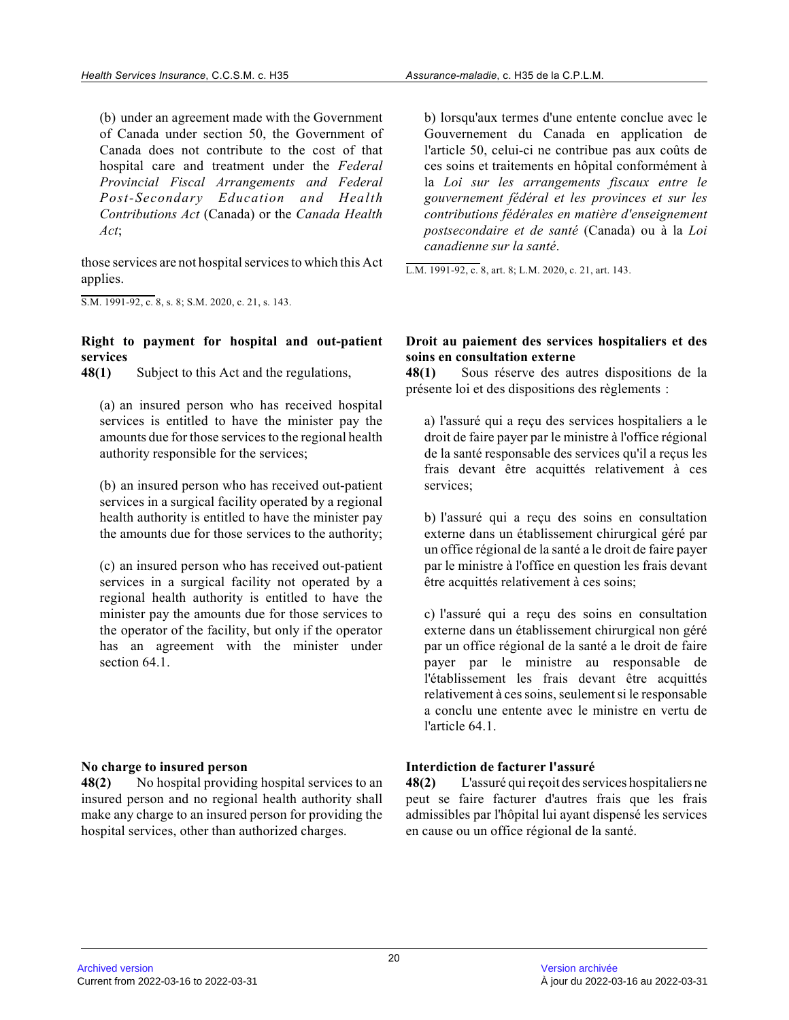(b) under an agreement made with the Government of Canada under section 50, the Government of Canada does not contribute to the cost of that hospital care and treatment under the *Federal Provincial Fiscal Arrangements and Federal Post-Secondary Education and Health Contributions Act* (Canada) or the *Canada Health Act* ;

those services are not hospital services to which this Act applies.

S.M. 1991-92, c. 8, s. 8; S.M. 2020, c. 21, s. 143.

### **Right to payment for hospital and out-patient services**

**48(1)** Subject to this Act and the regulations,

(a) an insured person who has received hospital services is entitled to have the minister pay the amounts due for those services to the regional healt h authority responsible for the services;

(b) an insured person who has received out-patient services in a surgical facility operated by a regional health authority is entitled to have the minister pa y the amounts due for those services to the authority;

(c) an insured person who has received out-patient services in a surgical facility not operated by a regional health authority is entitled to have the minister pay the amounts due for those services to the operator of the facility, but only if the operator has an agreement with the minister under section 64.1.

# **No charge to insured person**

**48(2)** No hospital providing hospital services to an insured person and no regional health authority shall make any charge to an insured person for providing the hospital services, other than authorized charges.

b) lorsqu'aux termes d'une entente conclue avec le Gouvernement du Canada en application de l'article 50, celui-ci ne contribue pas aux coûts d e ces soins et traitements en hôpital conformément à la *Loi sur les arrangements fiscaux entre le gouvernement fédéral et les provinces et sur les contributions fédérales en matière d'enseignement postsecondaire et de santé* (Canada) ou à la *Loi canadienne sur la santé* .

L.M. 1991-92, c. 8, art. 8; L.M. 2020, c. 21, art. 143.

### **Droit au paiement des services hospitaliers et des soins en consultation externe**

**48(1)** Sous réserve des autres dispositions de la présente loi et des dispositions des règlements :

a) l'assuré qui a reçu des services hospitaliers a le droit de faire payer par le ministre à l'office régional de la santé responsable des services qu'il a reçus les frais devant être acquittés relativement à ces services;

b) l'assuré qui a reçu des soins en consultation externe dans un établissement chirurgical géré par un office régional de la santé a le droit de faire payer par le ministre à l'office en question les frais devant être acquittés relativement à ces soins;

c) l'assuré qui a reçu des soins en consultation externe dans un établissement chirurgical non géré par un office régional de la santé a le droit de faire payer par le ministre au responsable de l'établissement les frais devant être acquittés relativement à ces soins, seulement si le responsabl e a conclu une entente avec le ministre en vertu de l'article 64.1.

# **Interdiction de facturer l'assuré**

**48(2)** L'assuré qui reçoit des services hospitaliers ne peut se faire facturer d'autres frais que les frais admissibles par l'hôpital lui ayant dispensé les services en cause ou un office régional de la santé.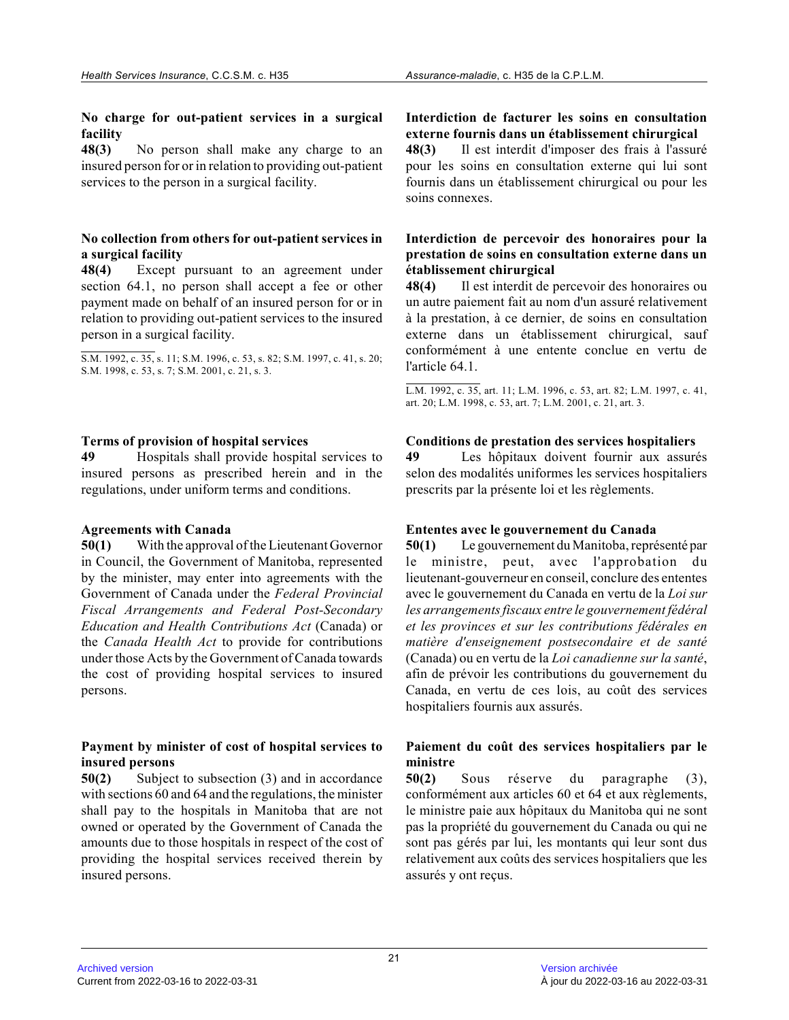**No charge for out-patient services in a surgical facility**

**48(3)** No person shall make any charge to an insured person for or in relation to providing out-patient services to the person in a surgical facility.

# **No collection from others for out-patient services in a surgical facility**

**48(4)** Except pursuant to an agreement under section 64.1, no person shall accept a fee or other payment made on behalf of an insured person for or in relation to providing out-patient services to the insured person in a surgical facility.

S.M. 1992, c. 35, s. 11; S.M. 1996, c. 53, s. 82; S.M. 1997, c. 41, s. 20; S.M. 1998, c. 53, s. 7; S.M. 2001, c. 21, s. 3.

### **Terms of provision of hospital services**

**49** Hospitals shall provide hospital services to insured persons as prescribed herein and in the regulations, under uniform terms and conditions.

# **Agreements with Canada**

**50(1)** With the approval of the Lieutenant Governor in Council, the Government of Manitoba, represented by the minister, may enter into agreements with the Government of Canada under the *Federal Provincial Fiscal Arrangements and Federal Post-Secondary Education and Health Contributions Act* (Canada) or the *Canada Health Act* to provide for contributions under those Acts by the Government of Canada towards the cost of providing hospital services to insured persons.

### **Payment by minister of cost of hospital services to insured persons**

**50(2)** Subject to subsection (3) and in accordance with sections 60 and 64 and the regulations, the minister shall pay to the hospitals in Manitoba that are not owned or operated by the Government of Canada the amounts due to those hospitals in respect of the cost of providing the hospital services received therein by insured persons.

# **Interdiction de facturer les soins en consultation externe fournis dans un établissement chirurgical**

**48(3)** Il est interdit d'imposer des frais à l'assuré pour les soins en consultation externe qui lui sont fournis dans un établissement chirurgical ou pour les soins connexes.

# **Interdiction de percevoir des honoraires pour la prestation de soins en consultation externe dans un établissement chirurgical**

**48(4)** Il est interdit de percevoir des honoraires ou un autre paiement fait au nom d'un assuré relativement à la prestation, à ce dernier, de soins en consultation externe dans un établissement chirurgical, sauf conformément à une entente conclue en vertu de l'article 64.1.

L.M. 1992, c. 35, art. 11; L.M. 1996, c. 53, art. 82; L.M. 1997, c. 41, art. 20; L.M. 1998, c. 53, art. 7; L.M. 2001, c. 21, art. 3.

# **Conditions de prestation des services hospitaliers**

**49** Les hôpitaux doivent fournir aux assurés selon des modalités uniformes les services hospitaliers prescrits par la présente loi et les règlements.

# **Ententes avec le gouvernement du Canada**

**50(1)** Le gouvernement du Manitoba, représenté par le ministre, peut, avec l'approbation du lieutenant-gouverneur en conseil, conclure des ententes avec le gouvernement du Canada en vertu de la *Loi sur les arrangements fiscaux entre le gouvernement fédéral et les provinces et sur les contributions fédérales en matière d'enseignement postsecondaire et de santé* (Canada) ou en vertu de la *Loi canadienne sur la santé* , afin de prévoir les contributions du gouvernement du Canada, en vertu de ces lois, au coût des services hospitaliers fournis aux assurés.

# **Paiement du coût des services hospitaliers par le ministre**

**50(2)** Sous réserve du paragraphe (3), conformément aux articles 60 et 64 et aux règlements , le ministre paie aux hôpitaux du Manitoba qui ne sont pas la propriété du gouvernement du Canada ou qui ne sont pas gérés par lui, les montants qui leur sont dus relativement aux coûts des services hospitaliers que les assurés y ont reçus.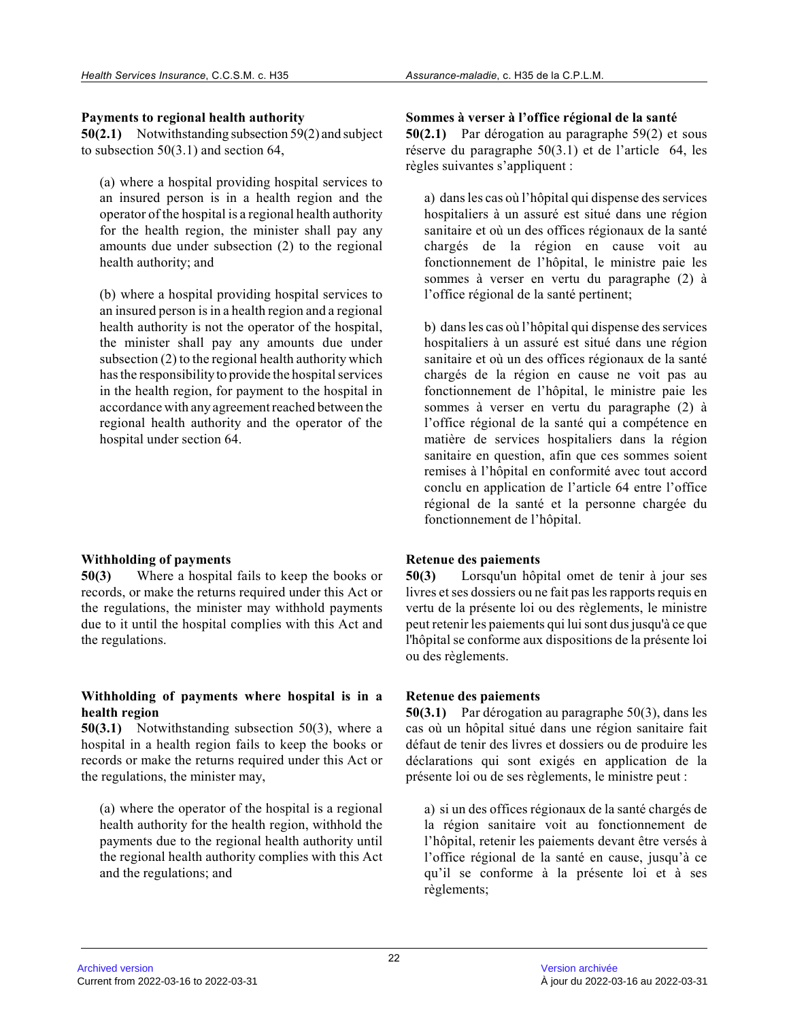# **Payments to regional health authority**

**50(2.1)** Notwithstanding subsection 59(2) and subject to subsection 50(3.1) and section 64,

(a) where a hospital providing hospital services to an insured person is in a health region and the operator of the hospital is a regional health authority for the health region, the minister shall pay any amounts due under subsection (2) to the regional health authority; and

(b) where a hospital providing hospital services to an insured person is in a health region and a regional health authority is not the operator of the hospital, the minister shall pay any amounts due under subsection (2) to the regional health authority which has the responsibility to provide the hospital services in the health region, for payment to the hospital i n accordance with any agreement reached between the regional health authority and the operator of the hospital under section 64.

# **Withholding of payments**

**50(3)** Where a hospital fails to keep the books or records, or make the returns required under this Act or the regulations, the minister may withhold payments due to it until the hospital complies with this Act and the regulations.

# **Withholding of payments where hospital is in a health region**

**50(3.1)** Notwithstanding subsection 50(3), where a hospital in a health region fails to keep the books or records or make the returns required under this Act or the regulations, the minister may,

(a) where the operator of the hospital is a regional health authority for the health region, withhold th e payments due to the regional health authority until the regional health authority complies with this Ac t and the regulations; and

# **Sommes à verser à l'office régional de la santé**

**50(2.1)** Par dérogation au paragraphe 59(2) et sous réserve du paragraphe 50(3.1) et de l'article 64, les règles suivantes s'appliquent :

a) dans les cas où l'hôpital qui dispense des service s hospitaliers à un assuré est situé dans une région sanitaire et où un des offices régionaux de la sant é chargés de la région en cause voit au fonctionnement de l'hôpital, le ministre paie les sommes à verser en vertu du paragraphe (2) à l'office régional de la santé pertinent;

b) dans les cas où l'hôpital qui dispense des service s hospitaliers à un assuré est situé dans une région sanitaire et où un des offices régionaux de la sant é chargés de la région en cause ne voit pas au fonctionnement de l'hôpital, le ministre paie les sommes à verser en vertu du paragraphe (2) à l'office régional de la santé qui a compétence en matière de services hospitaliers dans la région sanitaire en question, afin que ces sommes soient remises à l'hôpital en conformité avec tout accord conclu en application de l'article 64 entre l'offic e régional de la santé et la personne chargée du fonctionnement de l'hôpital.

# **Retenue des paiements**

**50(3)** Lorsqu'un hôpital omet de tenir à jour ses livres et ses dossiers ou ne fait pas les rapports requis en vertu de la présente loi ou des règlements, le ministre peut retenir les paiements qui lui sont dus jusqu'à ce que l'hôpital se conforme aux dispositions de la présente loi ou des règlements.

# **Retenue des paiements**

**50(3.1)** Par dérogation au paragraphe 50(3), dans les cas où un hôpital situé dans une région sanitaire fait défaut de tenir des livres et dossiers ou de produire les déclarations qui sont exigés en application de la présente loi ou de ses règlements, le ministre peut :

a) si un des offices régionaux de la santé chargés d e la région sanitaire voit au fonctionnement de l'hôpital, retenir les paiements devant être versés à l'office régional de la santé en cause, jusqu'à ce qu'il se conforme à la présente loi et à ses règlements;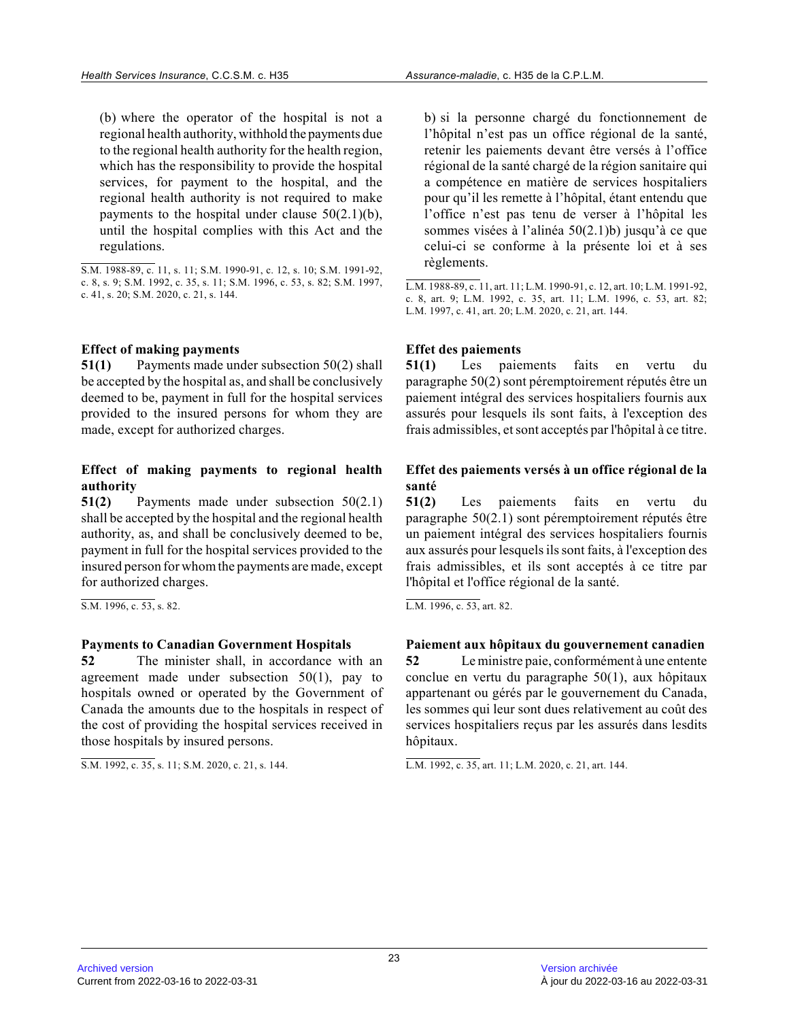(b) where the operator of the hospital is not a regional health authority, withhold the payments due to the regional health authority for the health region, which has the responsibility to provide the hospital services, for payment to the hospital, and the regional health authority is not required to make payments to the hospital under clause  $50(2.1)(b)$ , until the hospital complies with this Act and the regulations.

#### **Effect of making payments**

**51(1)** Payments made under subsection 50(2) shall be accepted by the hospital as, and shall be conclusively deemed to be, payment in full for the hospital services provided to the insured persons for whom they are made, except for authorized charges.

### **Effect of making payments to regional health authority**

**51(2)** Payments made under subsection 50(2.1) shall be accepted by the hospital and the regional health authority, as, and shall be conclusively deemed to be, payment in full for the hospital services provided to the insured person for whom the payments are made, except for authorized charges.

S.M. 1996, c. 53, s. 82.

#### **Payments to Canadian Government Hospitals**

**52** The minister shall, in accordance with an agreement made under subsection  $50(1)$ , pay to hospitals owned or operated by the Government of Canada the amounts due to the hospitals in respect of the cost of providing the hospital services received i n those hospitals by insured persons.

S.M. 1992, c. 35, s. 11; S.M. 2020, c. 21, s. 144.

b) si la personne chargé du fonctionnement de l'hôpital n'est pas un office régional de la santé, retenir les paiements devant être versés à l'office régional de la santé chargé de la région sanitaire qui a compétence en matière de services hospitaliers pour qu'il les remette à l'hôpital, étant entendu qu e l'office n'est pas tenu de verser à l'hôpital les sommes visées à l'alinéa 50(2.1)b) jusqu'à ce que celui-ci se conforme à la présente loi et à ses règlements.

L.M. 1988-89, c. 11, art. 11; L.M. 1990-91, c. 12, art. 10; L.M. 1991-92, c. 8, art. 9; L.M. 1992, c. 35, art. 11; L.M. 1996, c. 53, art. 82; L.M. 1997, c. 41, art. 20; L.M. 2020, c. 21, art. 144.

# **Effet des paiements**

**51(1)** Les paiements faits en vertu du paragraphe 50(2) sont péremptoirement réputés être un paiement intégral des services hospitaliers fournis aux assurés pour lesquels ils sont faits, à l'exception des frais admissibles, et sont acceptés par l'hôpital à ce titre.

# **Effet des paiements versés à un office régional de la santé**

**51(2)** Les paiements faits en vertu du paragraphe 50(2.1) sont péremptoirement réputés être un paiement intégral des services hospitaliers fournis aux assurés pour lesquels ils sont faits, à l'exception des frais admissibles, et ils sont acceptés à ce titre par l'hôpital et l'office régional de la santé.

L.M. 1996, c. 53, art. 82.

# **Paiement aux hôpitaux du gouvernement canadien**

**52** Le ministre paie, conformément à une entente conclue en vertu du paragraphe 50(1), aux hôpitaux appartenant ou gérés par le gouvernement du Canada, les sommes qui leur sont dues relativement au coût des services hospitaliers reçus par les assurés dans lesdits hôpitaux.

L.M. 1992, c. 35, art. 11; L.M. 2020, c. 21, art. 144.

S.M. 1988-89, c. 11, s. 11; S.M. 1990-91, c. 12, s. 10; S.M. 1991-92, c. 8, s. 9; S.M. 1992, c. 35, s. 11; S.M. 1996, c. 53, s. 82; S.M. 1997, c. 41, s. 20; S.M. 2020, c. 21, s. 144.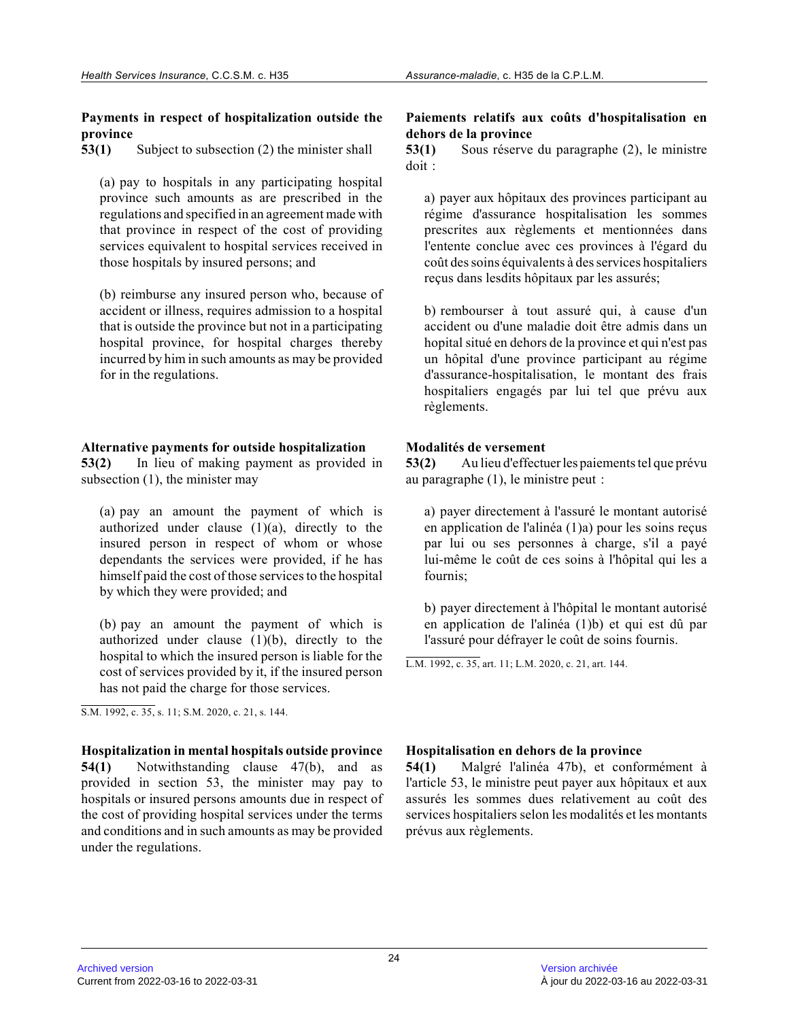#### **Payments in respect of hospitalization outside the province**

**53(1)** Subject to subsection (2) the minister shall

(a) pay to hospitals in any participating hospital province such amounts as are prescribed in the regulations and specified in an agreement made with that province in respect of the cost of providing services equivalent to hospital services received in those hospitals by insured persons; and

(b) reimburse any insured person who, because of accident or illness, requires admission to a hospital that is outside the province but not in a participating hospital province, for hospital charges thereby incurred by him in such amounts as may be provided for in the regulations.

### **Alternative payments for outside hospitalization**

**53(2)** In lieu of making payment as provided in subsection (1), the minister may

(a) pay an amount the payment of which is authorized under clause  $(1)(a)$ , directly to the insured person in respect of whom or whose dependants the services were provided, if he has himself paid the cost of those services to the hospital by which they were provided; and

(b) pay an amount the payment of which is authorized under clause  $(1)(b)$ , directly to the hospital to which the insured person is liable for the cost of services provided by it, if the insured perso n has not paid the charge for those services.

S.M. 1992, c. 35, s. 11; S.M. 2020, c. 21, s. 144.

**Hospitalization in mental hospitals outside provinc e 54(1)** Notwithstanding clause 47(b), and as provided in section 53, the minister may pay to hospitals or insured persons amounts due in respect of the cost of providing hospital services under the terms and conditions and in such amounts as may be provide d under the regulations.

# **Paiements relatifs aux coûts d'hospitalisation en dehors de la province**

**53(1)** Sous réserve du paragraphe (2), le ministre doit :

a) payer aux hôpitaux des provinces participant au régime d'assurance hospitalisation les sommes prescrites aux règlements et mentionnées dans l'entente conclue avec ces provinces à l'égard du coût des soins équivalents à des services hospitalier s reçus dans lesdits hôpitaux par les assurés;

b) rembourser à tout assuré qui, à cause d'un accident ou d'une maladie doit être admis dans un hopital situé en dehors de la province et qui n'est pas un hôpital d'une province participant au régime d'assurance-hospitalisation, le montant des frais hospitaliers engagés par lui tel que prévu aux règlements.

# **Modalités de versement**

**53(2)** Au lieu d'effectuer les paiements tel que prévu au paragraphe (1), le ministre peut :

a) payer directement à l'assuré le montant autorisé en application de l'alinéa (1)a) pour les soins reçus par lui ou ses personnes à charge, s'il a payé lui-même le coût de ces soins à l'hôpital qui les a fournis;

b) payer directement à l'hôpital le montant autorisé en application de l'alinéa (1)b) et qui est dû par l'assuré pour défrayer le coût de soins fournis.

L.M. 1992, c. 35, art. 11; L.M. 2020, c. 21, art. 144.

# **Hospitalisation en dehors de la province**

**54(1)** Malgré l'alinéa 47b), et conformément à l'article 53, le ministre peut payer aux hôpitaux et aux assurés les sommes dues relativement au coût des services hospitaliers selon les modalités et les montants prévus aux règlements.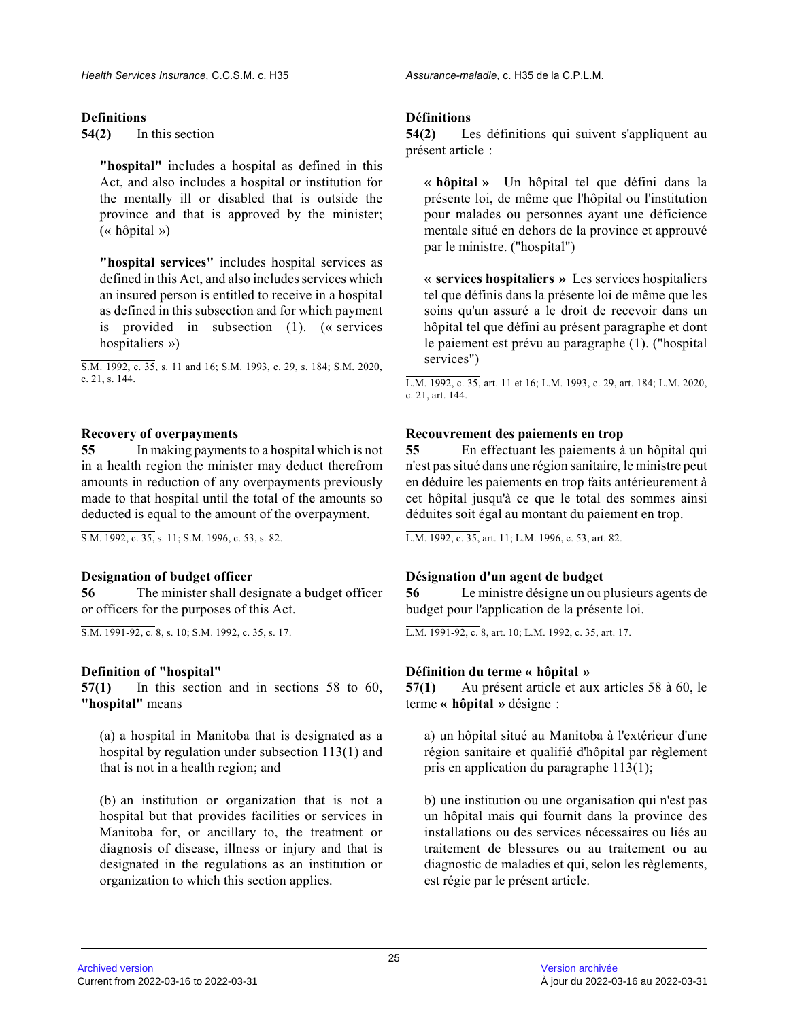# **Definitions**

**54(2)** In this section

**"hospital"** includes a hospital as defined in this Act, and also includes a hospital or institution fo r the mentally ill or disabled that is outside the province and that is approved by the minister; (« hôpital »)

**"hospital services"** includes hospital services as defined in this Act, and also includes services whic h an insured person is entitled to receive in a hospital as defined in this subsection and for which payment is provided in subsection (1). (« services hospitaliers »)

S.M. 1992, c. 35, s. 11 and 16; S.M. 1993, c. 29, s. 184; S.M. 2020, c. 21, s. 144.

### **Recovery of overpayments**

**55** In making payments to a hospital which is not in a health region the minister may deduct therefrom amounts in reduction of any overpayments previously made to that hospital until the total of the amounts so deducted is equal to the amount of the overpayment.

S.M. 1992, c. 35, s. 11; S.M. 1996, c. 53, s. 82.

# **Designation of budget officer**

**56** The minister shall designate a budget officer or officers for the purposes of this Act.

S.M. 1991-92, c. 8, s. 10; S.M. 1992, c. 35, s. 17.

# **Definition of "hospital"**

**57(1)** In this section and in sections 58 to 60, **"hospital"** means

(a) a hospital in Manitoba that is designated as a hospital by regulation under subsection 113(1) and that is not in a health region; and

(b) an institution or organization that is not a hospital but that provides facilities or services in Manitoba for, or ancillary to, the treatment or diagnosis of disease, illness or injury and that is designated in the regulations as an institution or organization to which this section applies.

# **Définitions**

**54(2)** Les définitions qui suivent s'appliquent au présent article :

**« hôpital »** Un hôpital tel que défini dans la présente loi, de même que l'hôpital ou l'institutio n pour malades ou personnes ayant une déficience mentale situé en dehors de la province et approuvé par le ministre. ("hospital")

**« services hospitaliers »** Les services hospitaliers tel que définis dans la présente loi de même que le s soins qu'un assuré a le droit de recevoir dans un hôpital tel que défini au présent paragraphe et dont le paiement est prévu au paragraphe (1). ("hospital services")

L.M. 1992, c. 35, art. 11 et 16; L.M. 1993, c. 29, art. 184; L.M. 2020, c. 21, art. 144.

# **Recouvrement des paiements en trop**

**55** En effectuant les paiements à un hôpital qui n'est pas situé dans une région sanitaire, le ministre peut en déduire les paiements en trop faits antérieurement à cet hôpital jusqu'à ce que le total des sommes ains i déduites soit égal au montant du paiement en trop.

L.M. 1992, c. 35, art. 11; L.M. 1996, c. 53, art. 82.

# **Désignation d'un agent de budget**

**56** Le ministre désigne un ou plusieurs agents de budget pour l'application de la présente loi.

L.M. 1991-92, c. 8, art. 10; L.M. 1992, c. 35, art. 17.

# **Définition du terme « hôpital »**

**57(1)** Au présent article et aux articles 58 à 60, le terme **« hôpital »** désigne :

a) un hôpital situé au Manitoba à l'extérieur d'une région sanitaire et qualifié d'hôpital par règlemen t pris en application du paragraphe 113(1);

b) une institution ou une organisation qui n'est pas un hôpital mais qui fournit dans la province des installations ou des services nécessaires ou liés au traitement de blessures ou au traitement ou au diagnostic de maladies et qui, selon les règlements, est régie par le présent article.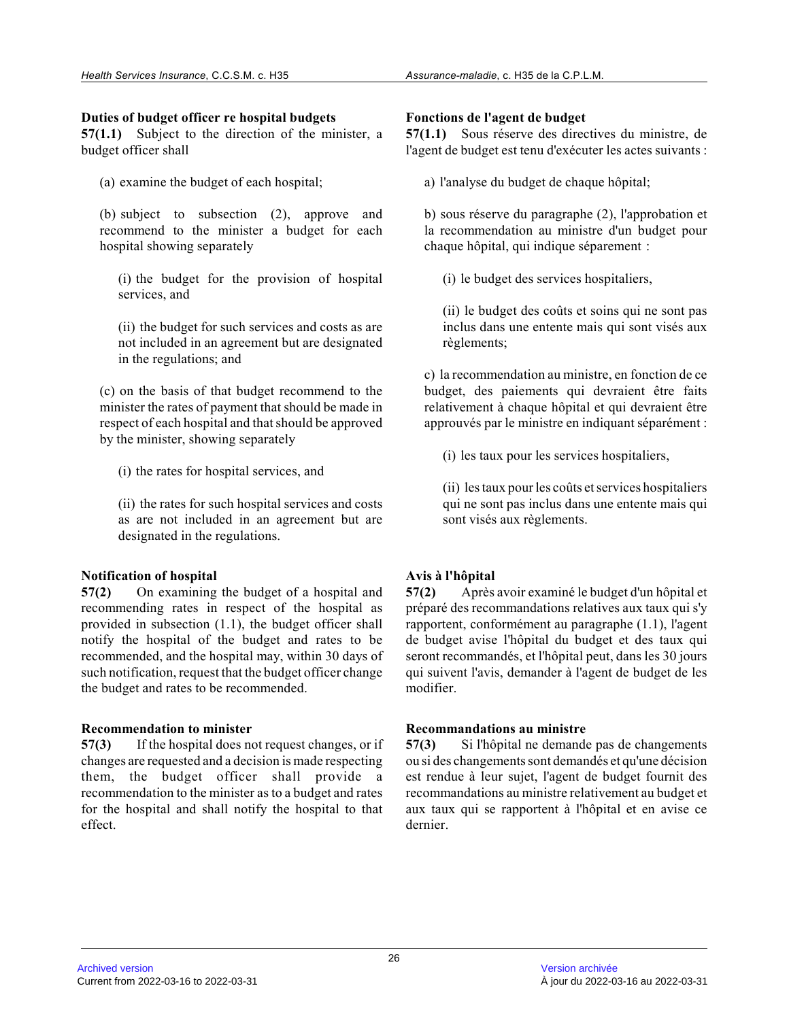# **Duties of budget officer re hospital budgets**

**57(1.1)** Subject to the direction of the minister, a budget officer shall

(a) examine the budget of each hospital;

(b) subject to subsection (2), approve and recommend to the minister a budget for each hospital showing separately

(i) the budget for the provision of hospital services, and

(ii) the budget for such services and costs as are not included in an agreement but are designated in the regulations; and

(c) on the basis of that budget recommend to the minister the rates of payment that should be made i n respect of each hospital and that should be approved by the minister, showing separately

- (i) the rates for hospital services, and
- (ii) the rates for such hospital services and costs as are not included in an agreement but are designated in the regulations.

# **Notification of hospital**

**57(2)** On examining the budget of a hospital and recommending rates in respect of the hospital as provided in subsection (1.1), the budget officer shall notify the hospital of the budget and rates to be recommended, and the hospital may, within 30 days o f such notification, request that the budget officer change the budget and rates to be recommended.

# **Recommendation to minister**

**57(3)** If the hospital does not request changes, or if changes are requested and a decision is made respecting them, the budget officer shall provide a recommendation to the minister as to a budget and rates for the hospital and shall notify the hospital to that effect.

### **Fonctions de l'agent de budget**

**57(1.1)** Sous réserve des directives du ministre, de l'agent de budget est tenu d'exécuter les actes suivants :

a) l'analyse du budget de chaque hôpital;

b) sous réserve du paragraphe (2), l'approbation et la recommendation au ministre d'un budget pour chaque hôpital, qui indique séparement :

(i) le budget des services hospitaliers,

(ii) le budget des coûts et soins qui ne sont pas inclus dans une entente mais qui sont visés aux règlements;

c) la recommendation au ministre, en fonction de ce budget, des paiements qui devraient être faits relativement à chaque hôpital et qui devraient être approuvés par le ministre en indiquant séparément :

(i) les taux pour les services hospitaliers,

(ii) les taux pour les coûts et services hospitaliers qui ne sont pas inclus dans une entente mais qui sont visés aux règlements.

# **Avis à l'hôpital**

**57(2)** Après avoir examiné le budget d'un hôpital et préparé des recommandations relatives aux taux qui s'y rapportent, conformément au paragraphe (1.1), l'agent de budget avise l'hôpital du budget et des taux qui seront recommandés, et l'hôpital peut, dans les 30 jours qui suivent l'avis, demander à l'agent de budget de les modifier.

# **Recommandations au ministre**

**57(3)** Si l'hôpital ne demande pas de changements ou si des changements sont demandés et qu'une décision est rendue à leur sujet, l'agent de budget fournit des recommandations au ministre relativement au budget e t aux taux qui se rapportent à l'hôpital et en avise c e dernier.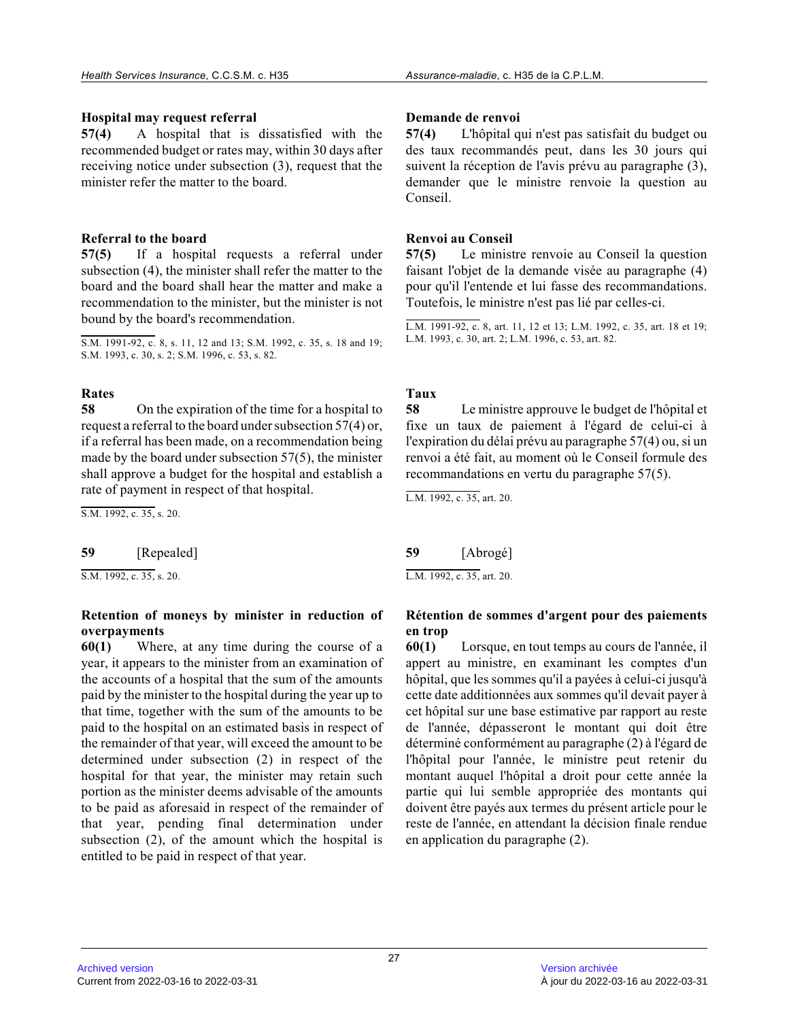# **Hospital may request referral**

**57(4)** A hospital that is dissatisfied with the recommended budget or rates may, within 30 days after receiving notice under subsection (3), request that the minister refer the matter to the board.

# **Referral to the board**

**57(5)** If a hospital requests a referral under subsection (4), the minister shall refer the matter to the board and the board shall hear the matter and make a recommendation to the minister, but the minister is not bound by the board's recommendation.

S.M. 1991-92, c. 8, s. 11, 12 and 13; S.M. 1992, c. 35, s. 18 and 19; S.M. 1993, c. 30, s. 2; S.M. 1996, c. 53, s. 82.

# **Rates**

**58** On the expiration of the time for a hospital to request a referral to the board under subsection 57(4) or, if a referral has been made, on a recommendation being made by the board under subsection  $57(5)$ , the minister shall approve a budget for the hospital and establish a rate of payment in respect of that hospital.

S.M. 1992, c. 35, s. 20.

### **59** [Repealed]

 $\overline{S.M. 1992, c. 35, s. 20}.$ 

### **Retention of moneys by minister in reduction of overpayments**

**60(1)** Where, at any time during the course of a year, it appears to the minister from an examination of the accounts of a hospital that the sum of the amounts paid by the minister to the hospital during the year up to that time, together with the sum of the amounts to be paid to the hospital on an estimated basis in respect of the remainder of that year, will exceed the amount to be determined under subsection (2) in respect of the hospital for that year, the minister may retain suc h portion as the minister deems advisable of the amounts to be paid as aforesaid in respect of the remainder of that year, pending final determination under subsection (2), of the amount which the hospital is entitled to be paid in respect of that year.

# **Demande de renvoi**

**57(4)** L'hôpital qui n'est pas satisfait du budget ou des taux recommandés peut, dans les 30 jours qui suivent la réception de l'avis prévu au paragraphe (3) , demander que le ministre renvoie la question au Conseil.

# **Renvoi au Conseil**

**57(5)** Le ministre renvoie au Conseil la question faisant l'objet de la demande visée au paragraphe (4 ) pour qu'il l'entende et lui fasse des recommandations. Toutefois, le ministre n'est pas lié par celles-ci.

L.M. 1991-92, c. 8, art. 11, 12 et 13; L.M. 1992, c. 35, art. 18 et 19; L.M. 1993, c. 30, art. 2; L.M. 1996, c. 53, art. 82 .

# **Taux**

**58** Le ministre approuve le budget de l'hôpital et fixe un taux de paiement à l'égard de celui-ci à l'expiration du délai prévu au paragraphe 57(4) ou, si un renvoi a été fait, au moment où le Conseil formule des recommandations en vertu du paragraphe 57(5).

L.M. 1992, c. 35, art. 20.

**59** [Abrogé] L.M. 1992, c. 35, art. 20.

# **Rétention de sommes d'argent pour des paiements en trop**

**60(1)** Lorsque, en tout temps au cours de l'année, il appert au ministre, en examinant les comptes d'un hôpital, que les sommes qu'il a payées à celui-ci jusqu'à cette date additionnées aux sommes qu'il devait payer à cet hôpital sur une base estimative par rapport au reste de l'année, dépasseront le montant qui doit être déterminé conformément au paragraphe (2) à l'égard de l'hôpital pour l'année, le ministre peut retenir du montant auquel l'hôpital a droit pour cette année l a partie qui lui semble appropriée des montants qui doivent être payés aux termes du présent article pour le reste de l'année, en attendant la décision finale rendue en application du paragraphe (2).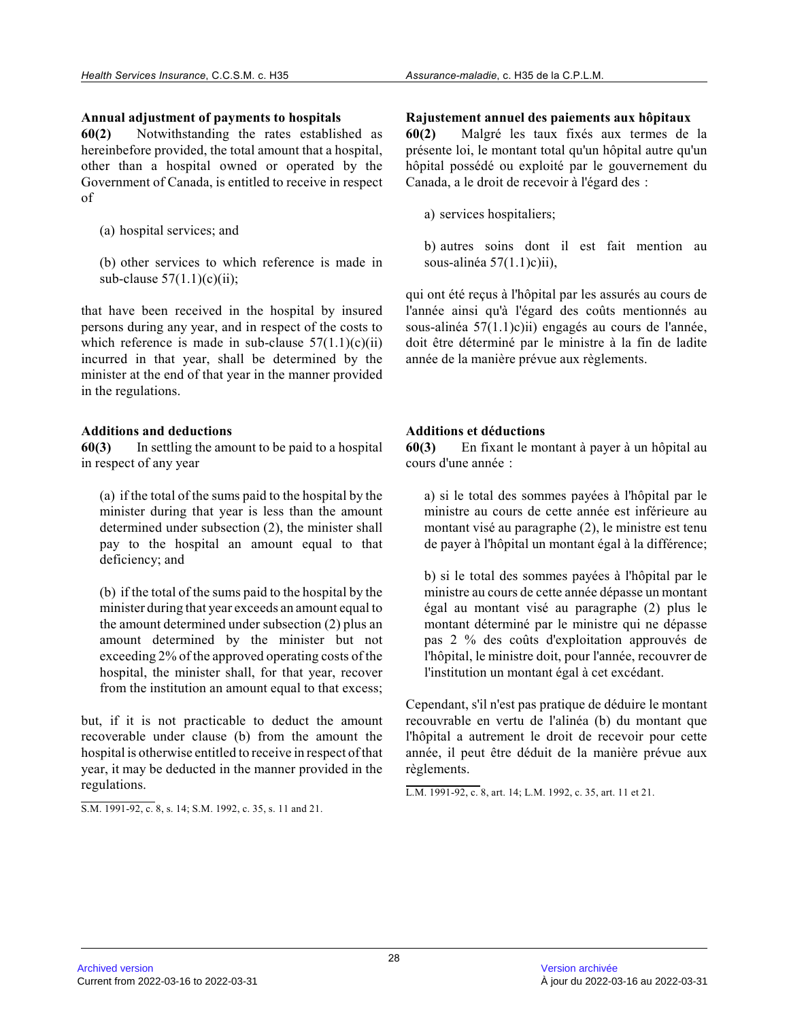### **Annual adjustment of payments to hospitals**

**60(2)** Notwithstanding the rates established as hereinbefore provided, the total amount that a hospital, other than a hospital owned or operated by the Government of Canada, is entitled to receive in respect of

- (a) hospital services; and
- (b) other services to which reference is made in sub-clause  $57(1.1)(c)(ii)$ ;

that have been received in the hospital by insured persons during any year, and in respect of the costs to which reference is made in sub-clause  $57(1.1)(c)(ii)$ incurred in that year, shall be determined by the minister at the end of that year in the manner provided in the regulations.

# **Additions and deductions**

**60(3)** In settling the amount to be paid to a hospital in respect of any year

(a) if the total of the sums paid to the hospital by the minister during that year is less than the amount determined under subsection (2), the minister shall pay to the hospital an amount equal to that deficiency; and

(b) if the total of the sums paid to the hospital by the minister during that year exceeds an amount equal t o the amount determined under subsection (2) plus an amount determined by the minister but not exceeding 2% of the approved operating costs of the hospital, the minister shall, for that year, recover from the institution an amount equal to that excess;

but, if it is not practicable to deduct the amount recoverable under clause (b) from the amount the hospital is otherwise entitled to receive in respect of that year, it may be deducted in the manner provided in the regulations.

S.M. 1991-92, c. 8, s. 14; S.M. 1992, c. 35, s. 11 and 21.

#### **Rajustement annuel des paiements aux hôpitaux**

**60(2)** Malgré les taux fixés aux termes de la présente loi, le montant total qu'un hôpital autre qu'un hôpital possédé ou exploité par le gouvernement du Canada, a le droit de recevoir à l'égard des :

a) services hospitaliers;

b) autres soins dont il est fait mention au sous-alinéa 57(1.1)c)ii),

qui ont été reçus à l'hôpital par les assurés au cours de l'année ainsi qu'à l'égard des coûts mentionnés au sous-alinéa 57(1.1)c)ii) engagés au cours de l'année, doit être déterminé par le ministre à la fin de ladite année de la manière prévue aux règlements.

# **Additions et déductions**

**60(3)** En fixant le montant à payer à un hôpital au cours d'une année :

a) si le total des sommes payées à l'hôpital par le ministre au cours de cette année est inférieure au montant visé au paragraphe (2), le ministre est tenu de payer à l'hôpital un montant égal à la différence;

b) si le total des sommes payées à l'hôpital par le ministre au cours de cette année dépasse un montant égal au montant visé au paragraphe (2) plus le montant déterminé par le ministre qui ne dépasse pas 2 % des coûts d'exploitation approuvés de l'hôpital, le ministre doit, pour l'année, recouvrer de l'institution un montant égal à cet excédant.

Cependant, s'il n'est pas pratique de déduire le montant recouvrable en vertu de l'alinéa (b) du montant que l'hôpital a autrement le droit de recevoir pour cett e année, il peut être déduit de la manière prévue aux règlements.

L.M. 1991-92, c. 8, art. 14; L.M. 1992, c. 35, art. 11 et 21.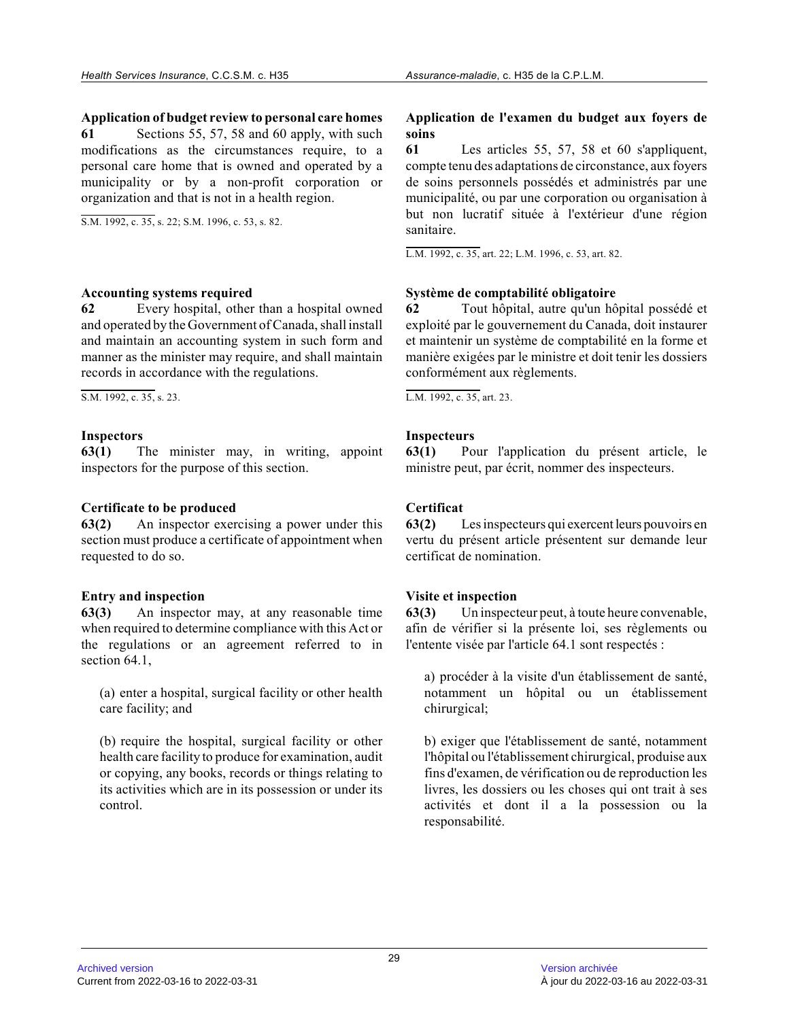**Application of budget review to personal care homes**

**61** Sections 55, 57, 58 and 60 apply, with such modifications as the circumstances require, to a personal care home that is owned and operated by a municipality or by a non-profit corporation or organization and that is not in a health region.

S.M. 1992, c. 35, s. 22; S.M. 1996, c. 53, s. 82.

#### **Accounting systems required**

**62** Every hospital, other than a hospital owned and operated by the Government of Canada, shall install and maintain an accounting system in such form and manner as the minister may require, and shall maintain records in accordance with the regulations.

S.M. 1992, c. 35, s. 23.

# **Inspectors**

**63(1)** The minister may, in writing, appoint inspectors for the purpose of this section.

## **Certificate to be produced**

**63(2)** An inspector exercising a power under this section must produce a certificate of appointment when requested to do so.

# **Entry and inspection**

**63(3)** An inspector may, at any reasonable time when required to determine compliance with this Act or the regulations or an agreement referred to in section 64.1.

(a) enter a hospital, surgical facility or other health care facility; and

(b) require the hospital, surgical facility or other health care facility to produce for examination, audit or copying, any books, records or things relating to its activities which are in its possession or under its control.

# **Application de l'examen du budget aux foyers de soins**

**61** Les articles 55, 57, 58 et 60 s'appliquent, compte tenu des adaptations de circonstance, aux foyers de soins personnels possédés et administrés par une municipalité, ou par une corporation ou organisation à but non lucratif située à l'extérieur d'une région sanitaire.

L.M. 1992, c. 35, art. 22; L.M. 1996, c. 53, art. 82.

# **Système de comptabilité obligatoire**

**62** Tout hôpital, autre qu'un hôpital possédé et exploité par le gouvernement du Canada, doit instaurer et maintenir un système de comptabilité en la forme e t manière exigées par le ministre et doit tenir les dossiers conformément aux règlements.

L.M. 1992, c. 35, art. 23.

# **Inspecteurs**

**63(1)** Pour l'application du présent article, le ministre peut, par écrit, nommer des inspecteurs.

# **Certificat**

**63(2)** Les inspecteurs qui exercent leurs pouvoirs en vertu du présent article présentent sur demande leur certificat de nomination.

# **Visite et inspection**

**63(3)** Un inspecteur peut, à toute heure convenable, afin de vérifier si la présente loi, ses règlements ou l'entente visée par l'article 64.1 sont respectés :

a) procéder à la visite d'un établissement de santé, notamment un hôpital ou un établissement chirurgical;

b) exiger que l'établissement de santé, notamment l'hôpital ou l'établissement chirurgical, produise aux fins d'examen, de vérification ou de reproduction le s livres, les dossiers ou les choses qui ont trait à ses activités et dont il a la possession ou la responsabilité.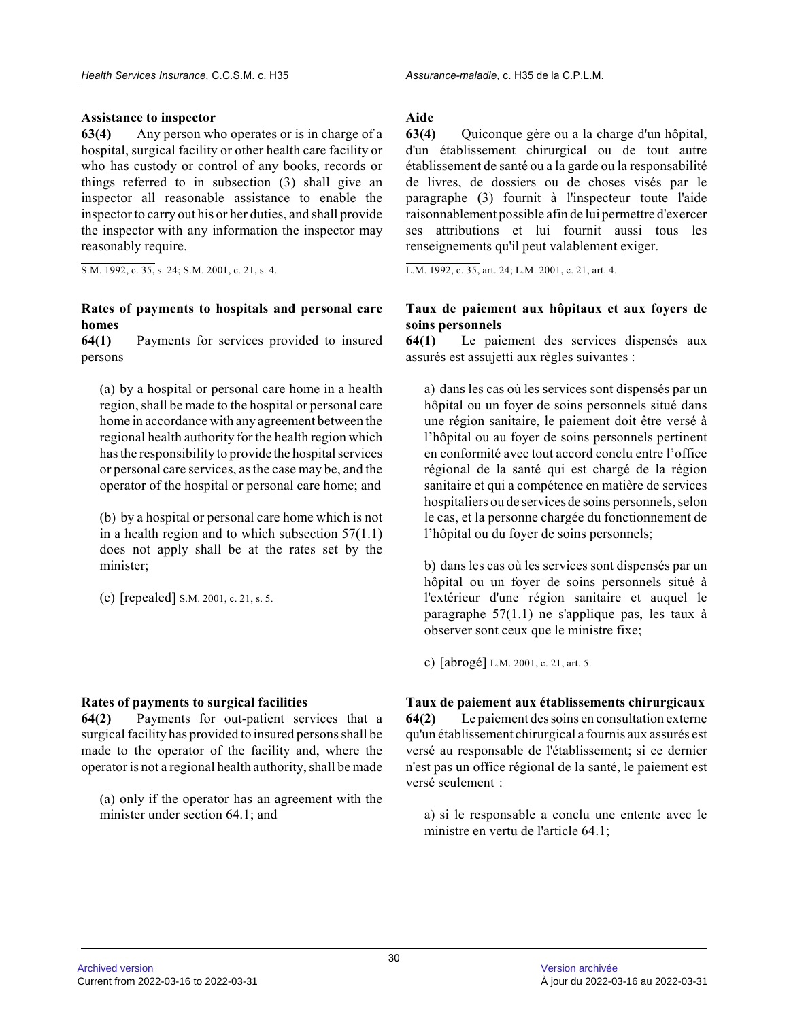## **Assistance to inspector**

**63(4)** Any person who operates or is in charge of a hospital, surgical facility or other health care facility or who has custody or control of any books, records or things referred to in subsection (3) shall give an inspector all reasonable assistance to enable the inspector to carry out his or her duties, and shall provide the inspector with any information the inspector may reasonably require.

S.M. 1992, c. 35, s. 24; S.M. 2001, c. 21, s. 4.

# **Rates of payments to hospitals and personal care homes**

**64(1)** Payments for services provided to insured persons

(a) by a hospital or personal care home in a health region, shall be made to the hospital or personal care home in accordance with any agreement between the regional health authority for the health region which has the responsibility to provide the hospital services or personal care services, as the case may be, and the operator of the hospital or personal care home; and

(b) by a hospital or personal care home which is not in a health region and to which subsection  $57(1.1)$ does not apply shall be at the rates set by the minister;

(c) [repealed] S.M. 2001, c. 21, s. 5.

#### **Rates of payments to surgical facilities**

**64(2)** Payments for out-patient services that a surgical facility has provided to insured persons shall be made to the operator of the facility and, where the operator is not a regional health authority, shall be made

(a) only if the operator has an agreement with the minister under section 64.1; and

# **Aide**

**63(4)** Quiconque gère ou a la charge d'un hôpital, d'un établissement chirurgical ou de tout autre établissement de santé ou a la garde ou la responsabilité de livres, de dossiers ou de choses visés par le paragraphe (3) fournit à l'inspecteur toute l'aide raisonnablement possible afin de lui permettre d'exercer ses attributions et lui fournit aussi tous les renseignements qu'il peut valablement exiger.

L.M. 1992, c. 35, art. 24; L.M. 2001, c. 21, art. 4 .

# **Taux de paiement aux hôpitaux et aux foyers de soins personnels**

**64(1)** Le paiement des services dispensés aux assurés est assujetti aux règles suivantes :

a) dans les cas où les services sont dispensés par un hôpital ou un foyer de soins personnels situé dans une région sanitaire, le paiement doit être versé à l'hôpital ou au foyer de soins personnels pertinent en conformité avec tout accord conclu entre l'office régional de la santé qui est chargé de la région sanitaire et qui a compétence en matière de services hospitaliers ou de services de soins personnels, selon le cas, et la personne chargée du fonctionnement de l'hôpital ou du foyer de soins personnels;

b) dans les cas où les services sont dispensés par un hôpital ou un foyer de soins personnels situé à l'extérieur d'une région sanitaire et auquel le paragraphe 57(1.1) ne s'applique pas, les taux à observer sont ceux que le ministre fixe;

c) [abrogé] L.M. 2001, c. 21, art. 5.

**Taux de paiement aux établissements chirurgicaux 64(2)** Le paiement des soins en consultation externe qu'un établissement chirurgical a fournis aux assurés est versé au responsable de l'établissement; si ce dernier n'est pas un office régional de la santé, le paiement es t versé seulement :

a) si le responsable a conclu une entente avec le ministre en vertu de l'article 64.1;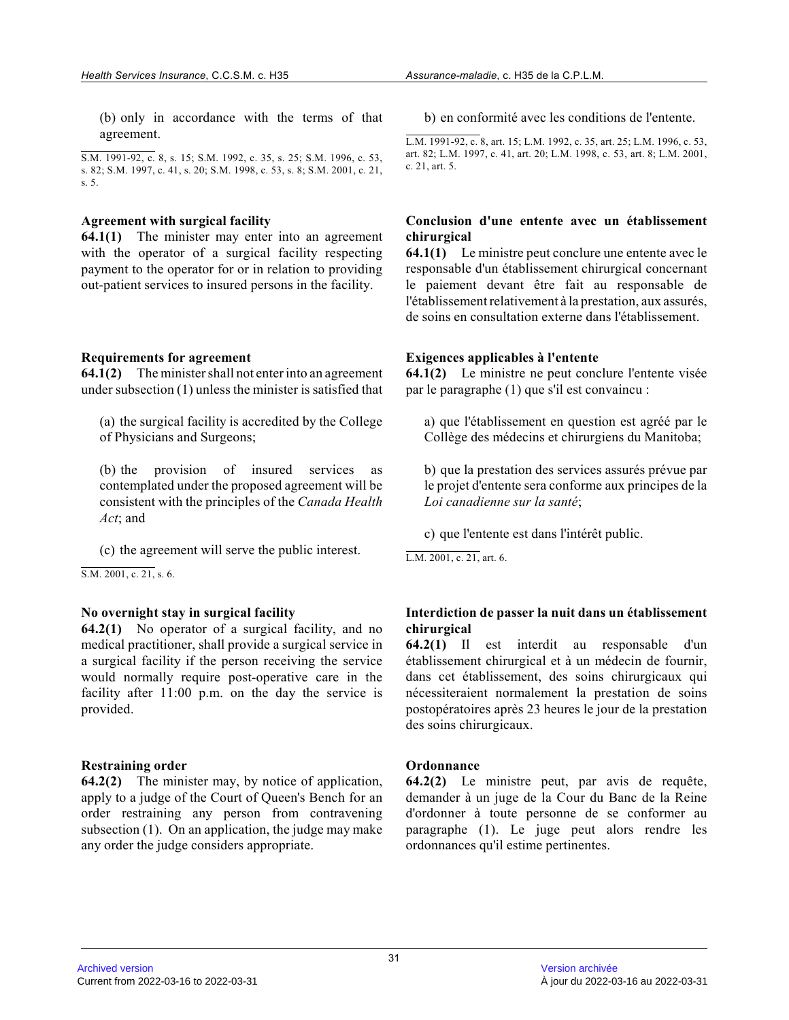(b) only in accordance with the terms of that agreement.

S.M. 1991-92, c. 8, s. 15; S.M. 1992, c. 35, s. 25; S.M. 1996, c. 53, s. 82; S.M. 1997, c. 41, s. 20; S.M. 1998, c. 53, s. 8; S.M. 2001, c. 21, s. 5.

#### **Agreement with surgical facility**

**64.1(1)** The minister may enter into an agreement with the operator of a surgical facility respecting payment to the operator for or in relation to providing out-patient services to insured persons in the facility.

#### **Requirements for agreement**

**64.1(2)** The minister shall not enter into an agreement under subsection (1) unless the minister is satisfied that

(a) the surgical facility is accredited by the College of Physicians and Surgeons;

(b) the provision of insured services as contemplated under the proposed agreement will be consistent with the principles of the *Canada Health Act*; and

(c) the agreement will serve the public interest.

S.M. 2001, c. 21, s. 6.

#### **No overnight stay in surgical facility**

**64.2(1)** No operator of a surgical facility, and no medical practitioner, shall provide a surgical service in a surgical facility if the person receiving the service would normally require post-operative care in the facility after 11:00 p.m. on the day the service is provided.

#### **Restraining order**

**64.2(2)** The minister may, by notice of application, apply to a judge of the Court of Queen's Bench for an order restraining any person from contravening subsection (1). On an application, the judge may make any order the judge considers appropriate.

b) en conformité avec les conditions de l'entente.

L.M. 1991-92, c. 8, art. 15; L.M. 1992, c. 35, art. 25; L.M. 1996, c. 53, art. 82; L.M. 1997, c. 41, art. 20; L.M. 1998, c. 53, art. 8; L.M. 2001, c. 21, art. 5.

## **Conclusion d'une entente avec un établissement chirurgical**

**64.1(1)** Le ministre peut conclure une entente avec le responsable d'un établissement chirurgical concernant le paiement devant être fait au responsable de l'établissement relativement à la prestation, aux assurés, de soins en consultation externe dans l'établissement.

#### **Exigences applicables à l'entente**

**64.1(2)** Le ministre ne peut conclure l'entente visée par le paragraphe (1) que s'il est convaincu :

a) que l'établissement en question est agréé par le Collège des médecins et chirurgiens du Manitoba;

b) que la prestation des services assurés prévue par le projet d'entente sera conforme aux principes de la *Loi canadienne sur la santé* ;

c) que l'entente est dans l'intérêt public.

L.M. 2001, c. 21, art. 6.

## **Interdiction de passer la nuit dans un établissemen t chirurgical**

**64.2(1)** Il est interdit au responsable d'un établissement chirurgical et à un médecin de fournir, dans cet établissement, des soins chirurgicaux qui nécessiteraient normalement la prestation de soins postopératoires après 23 heures le jour de la prestation des soins chirurgicaux.

## **Ordonnance**

**64.2(2)** Le ministre peut, par avis de requête, demander à un juge de la Cour du Banc de la Reine d'ordonner à toute personne de se conformer au paragraphe (1). Le juge peut alors rendre les ordonnances qu'il estime pertinentes.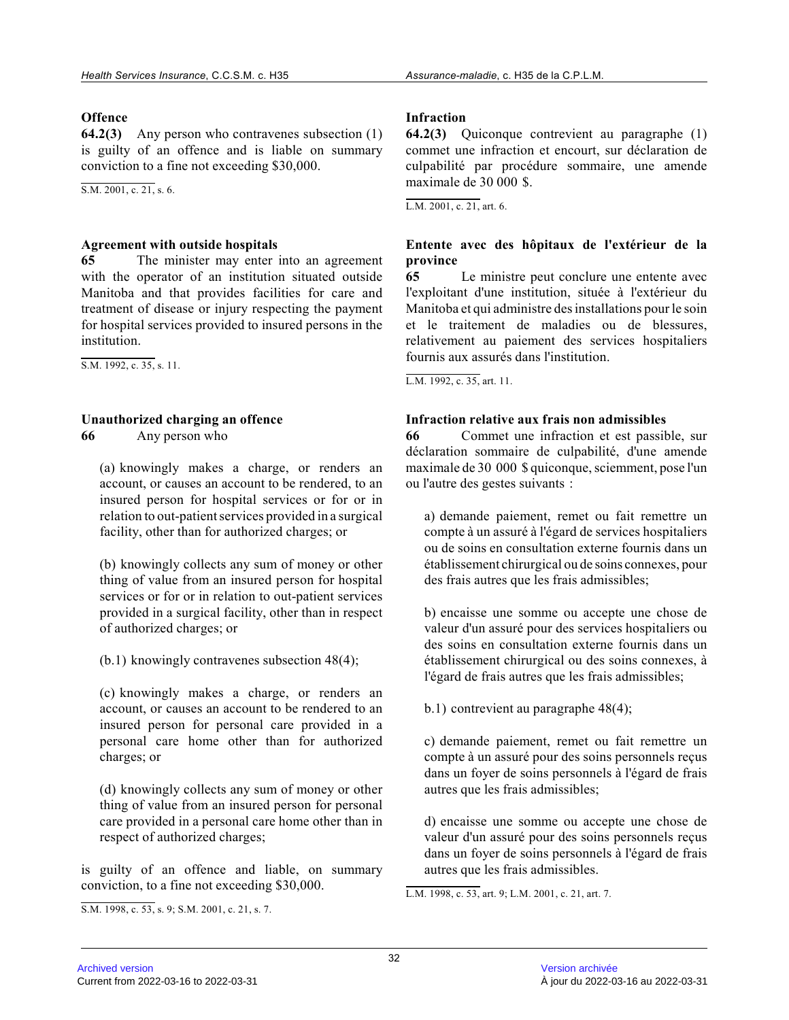## **Offence**

**64.2(3)** Any person who contravenes subsection (1) is guilty of an offence and is liable on summary conviction to a fine not exceeding \$30,000.

 $\overline{S.M. 2001, c. 21, s. 6}.$ 

## **Agreement with outside hospitals**

**65** The minister may enter into an agreement with the operator of an institution situated outsid e Manitoba and that provides facilities for care and treatment of disease or injury respecting the payment for hospital services provided to insured persons in the institution.

S.M. 1992, c. 35, s. 11.

# **Unauthorized charging an offence**

**66** Any person who

(a) knowingly makes a charge, or renders an account, or causes an account to be rendered, to an insured person for hospital services or for or in relation to out-patient services provided in a surgical facility, other than for authorized charges; or

(b) knowingly collects any sum of money or other thing of value from an insured person for hospital services or for or in relation to out-patient service s provided in a surgical facility, other than in respect of authorized charges; or

(b.1) knowingly contravenes subsection 48(4);

(c) knowingly makes a charge, or renders an account, or causes an account to be rendered to an insured person for personal care provided in a personal care home other than for authorized charges; or

(d) knowingly collects any sum of money or other thing of value from an insured person for personal care provided in a personal care home other than in respect of authorized charges;

is guilty of an offence and liable, on summary conviction, to a fine not exceeding \$30,000.

## **Infraction**

**64.2(3)** Quiconque contrevient au paragraphe (1) commet une infraction et encourt, sur déclaration d e culpabilité par procédure sommaire, une amende maximale de 30 000 \$.

 $L.M. 2001$ , c. 21, art. 6.

# **Entente avec des hôpitaux de l'extérieur de la province**

**65** Le ministre peut conclure une entente avec l'exploitant d'une institution, située à l'extérieur du Manitoba et qui administre des installations pour le soin et le traitement de maladies ou de blessures, relativement au paiement des services hospitaliers fournis aux assurés dans l'institution.

L.M. 1992, c. 35, art. 11.

# **Infraction relative aux frais non admissibles**

**66** Commet une infraction et est passible, sur déclaration sommaire de culpabilité, d'une amende maximale de 30 000 \$ quiconque, sciemment, pose l'un ou l'autre des gestes suivants :

a) demande paiement, remet ou fait remettre un compte à un assuré à l'égard de services hospitalier s ou de soins en consultation externe fournis dans un établissement chirurgical ou de soins connexes, pour des frais autres que les frais admissibles;

b) encaisse une somme ou accepte une chose de valeur d'un assuré pour des services hospitaliers ou des soins en consultation externe fournis dans un établissement chirurgical ou des soins connexes, à l'égard de frais autres que les frais admissibles;

b.1) contrevient au paragraphe 48(4);

c) demande paiement, remet ou fait remettre un compte à un assuré pour des soins personnels reçus dans un foyer de soins personnels à l'égard de frai s autres que les frais admissibles;

d) encaisse une somme ou accepte une chose de valeur d'un assuré pour des soins personnels reçus dans un foyer de soins personnels à l'égard de frai s autres que les frais admissibles.

L.M. 1998, c. 53, art. 9; L.M. 2001, c. 21, art. 7.

S.M. 1998, c. 53, s. 9; S.M. 2001, c. 21, s. 7.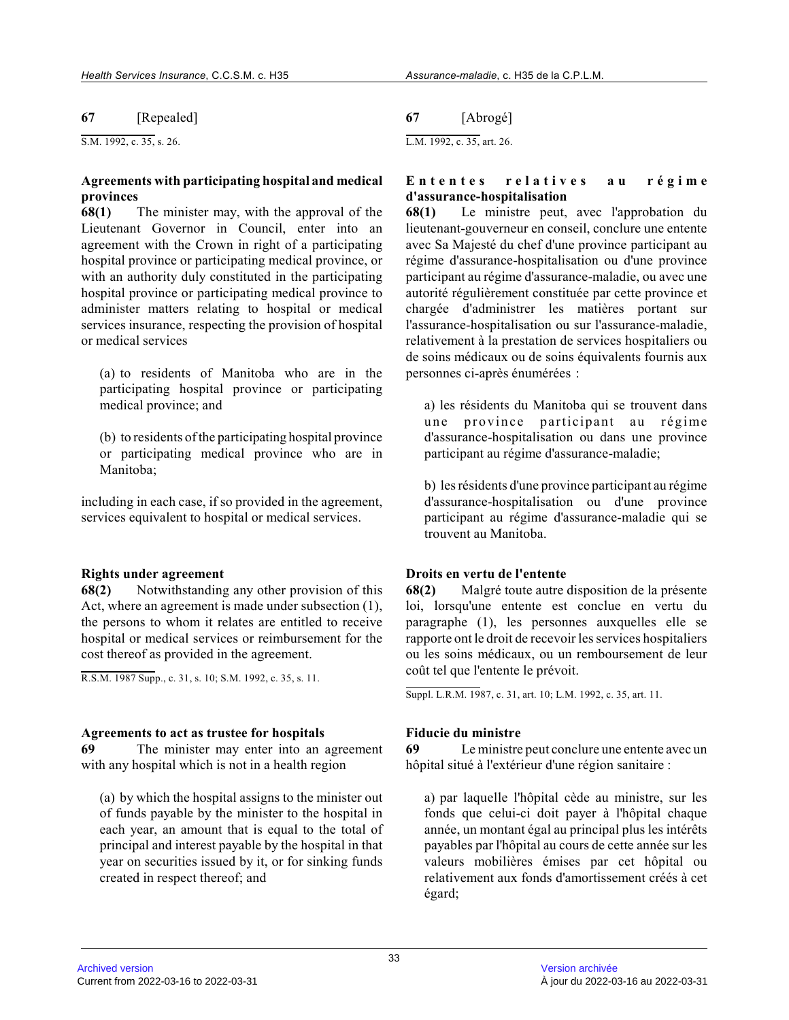**67** [Repealed]

S.M. 1992, c. 35, s. 26.

## **Agreements with participating hospital and medical provinces**

**68(1)** The minister may, with the approval of the Lieutenant Governor in Council, enter into an agreement with the Crown in right of a participatin g hospital province or participating medical province, or with an authority duly constituted in the participating hospital province or participating medical province t o administer matters relating to hospital or medical services insurance, respecting the provision of hospital or medical services

(a) to residents of Manitoba who are in the participating hospital province or participating medical province; and

(b) to residents of the participating hospital province or participating medical province who are in Manitoba;

including in each case, if so provided in the agreement, services equivalent to hospital or medical services.

#### **Rights under agreement**

**68(2)** Notwithstanding any other provision of this Act, where an agreement is made under subsection (1), the persons to whom it relates are entitled to receive hospital or medical services or reimbursement for th e cost thereof as provided in the agreement.

R.S.M. 1987 Supp., c. 31, s. 10; S.M. 1992, c. 35, s. 11.

#### **Agreements to act as trustee for hospitals**

**69** The minister may enter into an agreement with any hospital which is not in a health region

(a) by which the hospital assigns to the minister ou t of funds payable by the minister to the hospital in each year, an amount that is equal to the total of principal and interest payable by the hospital in that year on securities issued by it, or for sinking funds created in respect thereof; and

## **67** [Abrogé]

L.M. 1992, c. 35, art. 26.

## **E n t e n t e s r e l a t i v e s a u r é g i m e d'assurance-hospitalisation**

**68(1)** Le ministre peut, avec l'approbation du lieutenant-gouverneur en conseil, conclure une entente avec Sa Majesté du chef d'une province participant au régime d'assurance-hospitalisation ou d'une province participant au régime d'assurance-maladie, ou avec une autorité régulièrement constituée par cette province et chargée d'administrer les matières portant sur l'assurance-hospitalisation ou sur l'assurance-maladie, relativement à la prestation de services hospitaliers ou de soins médicaux ou de soins équivalents fournis aux personnes ci-après énumérées :

a) les résidents du Manitoba qui se trouvent dans une province participant au régime d'assurance-hospitalisation ou dans une province participant au régime d'assurance-maladie;

b) les résidents d'une province participant au régime d'assurance-hospitalisation ou d'une province participant au régime d'assurance-maladie qui se trouvent au Manitoba.

#### **Droits en vertu de l'entente**

**68(2)** Malgré toute autre disposition de la présente loi, lorsqu'une entente est conclue en vertu du paragraphe (1), les personnes auxquelles elle se rapporte ont le droit de recevoir les services hospitaliers ou les soins médicaux, ou un remboursement de leur coût tel que l'entente le prévoit.

Suppl. L.R.M. 1987, c. 31, art. 10; L.M. 1992, c. 35, art. 11.

#### **Fiducie du ministre**

**69** Le ministre peut conclure une entente avec un hôpital situé à l'extérieur d'une région sanitaire :

a) par laquelle l'hôpital cède au ministre, sur les fonds que celui-ci doit payer à l'hôpital chaque année, un montant égal au principal plus les intérêts payables par l'hôpital au cours de cette année sur les valeurs mobilières émises par cet hôpital ou relativement aux fonds d'amortissement créés à cet égard;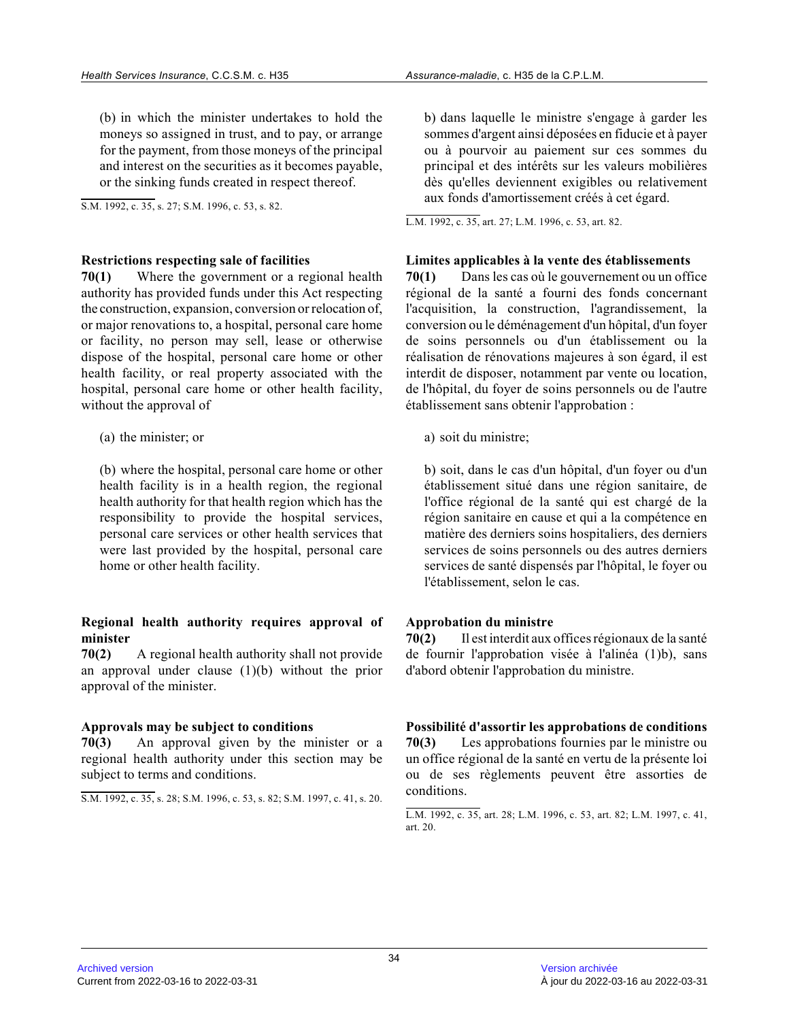(b) in which the minister undertakes to hold the moneys so assigned in trust, and to pay, or arrange for the payment, from those moneys of the principal and interest on the securities as it becomes payable, or the sinking funds created in respect thereof.

S.M. 1992, c. 35, s. 27; S.M. 1996, c. 53, s. 82.

#### **Restrictions respecting sale of facilities**

**70(1)** Where the government or a regional health authority has provided funds under this Act respecting the construction, expansion, conversion or relocation of, or major renovations to, a hospital, personal care home or facility, no person may sell, lease or otherwise dispose of the hospital, personal care home or othe r health facility, or real property associated with the hospital, personal care home or other health facility, without the approval of

(a) the minister; or

(b) where the hospital, personal care home or other health facility is in a health region, the regional health authority for that health region which has the responsibility to provide the hospital services, personal care services or other health services that were last provided by the hospital, personal care home or other health facility.

## **Regional health authority requires approval of minister**

**70(2)** A regional health authority shall not provide an approval under clause  $(1)(b)$  without the prior approval of the minister.

#### **Approvals may be subject to conditions**

**70(3)** An approval given by the minister or a regional health authority under this section may be subject to terms and conditions.

```
S.M. 1992, c. 35, s. 28; S.M. 1996, c. 53, s. 82; S.M. 1997, c. 41, s. 20.
```
b) dans laquelle le ministre s'engage à garder les sommes d'argent ainsi déposées en fiducie et à paye r ou à pourvoir au paiement sur ces sommes du principal et des intérêts sur les valeurs mobilières dès qu'elles deviennent exigibles ou relativement aux fonds d'amortissement créés à cet égard.

L.M. 1992, c. 35, art. 27; L.M. 1996, c. 53, art. 82.

#### **Limites applicables à la vente des établissements**

**70(1)** Dans les cas où le gouvernement ou un office régional de la santé a fourni des fonds concernant l'acquisition, la construction, l'agrandissement, l a conversion ou le déménagement d'un hôpital, d'un foyer de soins personnels ou d'un établissement ou la réalisation de rénovations majeures à son égard, il est interdit de disposer, notamment par vente ou location, de l'hôpital, du foyer de soins personnels ou de l'autre établissement sans obtenir l'approbation :

a) soit du ministre;

b) soit, dans le cas d'un hôpital, d'un foyer ou d'u n établissement situé dans une région sanitaire, de l'office régional de la santé qui est chargé de la région sanitaire en cause et qui a la compétence en matière des derniers soins hospitaliers, des derniers services de soins personnels ou des autres derniers services de santé dispensés par l'hôpital, le foyer ou l'établissement, selon le cas.

#### **Approbation du ministre**

**70(2)** Il est interdit aux offices régionaux de la santé de fournir l'approbation visée à l'alinéa (1)b), san s d'abord obtenir l'approbation du ministre.

**Possibilité d'assortir les approbations de conditions 70(3)** Les approbations fournies par le ministre ou un office régional de la santé en vertu de la présente loi ou de ses règlements peuvent être assorties de conditions.

L.M. 1992, c. 35, art. 28; L.M. 1996, c. 53, art. 82; L.M. 1997, c. 41, art. 20.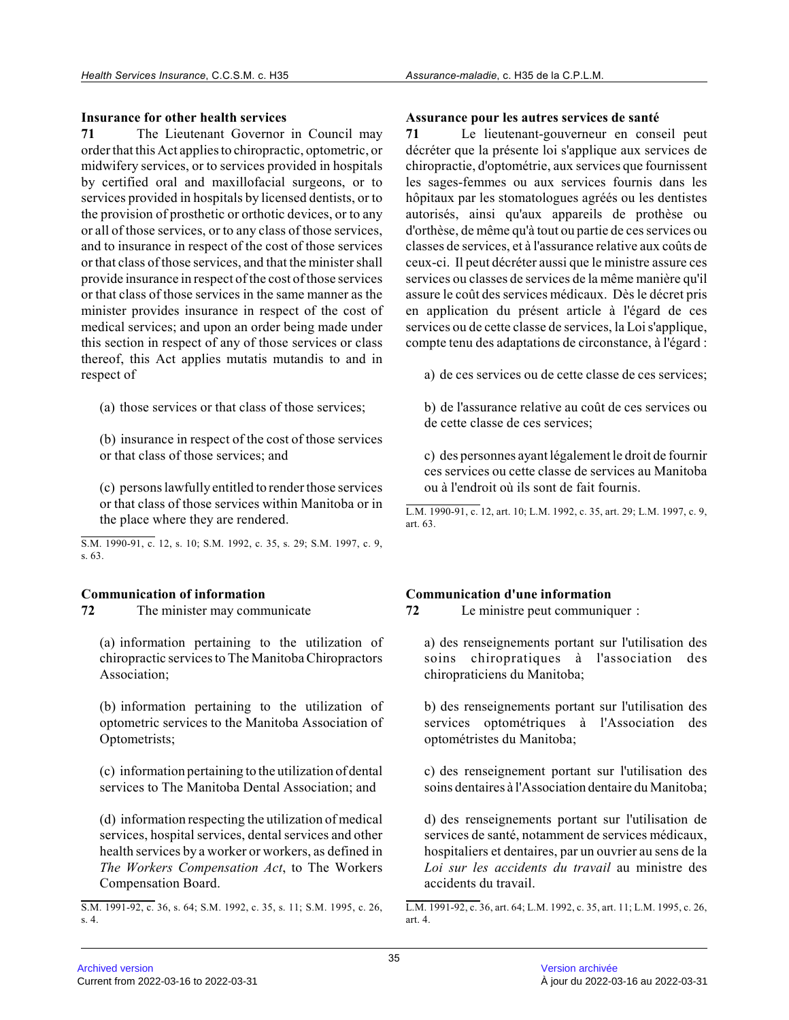# **Insurance for other health services**

**71** The Lieutenant Governor in Council may order that this Act applies to chiropractic, optometric, or midwifery services, or to services provided in hospitals by certified oral and maxillofacial surgeons, or to services provided in hospitals by licensed dentists, or to the provision of prosthetic or orthotic devices, or to any or all of those services, or to any class of those services, and to insurance in respect of the cost of those services or that class of those services, and that the minister shall provide insurance in respect of the cost of those services or that class of those services in the same manner as the minister provides insurance in respect of the cost o f medical services; and upon an order being made under this section in respect of any of those services or class thereof, this Act applies mutatis mutandis to and i n respect of

(a) those services or that class of those services;

(b) insurance in respect of the cost of those service s or that class of those services; and

(c) persons lawfully entitled to render those service s or that class of those services within Manitoba or i n the place where they are rendered.

S.M. 1990-91, c. 12, s. 10; S.M. 1992, c. 35, s. 29; S.M. 1997, c. 9, s. 63.

# **Communication of information**

**72** The minister may communicate

(a) information pertaining to the utilization of chiropractic services to The Manitoba Chiropractors Association;

(b) information pertaining to the utilization of optometric services to the Manitoba Association of Optometrists;

(c) information pertaining to the utilization of dental services to The Manitoba Dental Association; and

(d) information respecting the utilization of medica l services, hospital services, dental services and other health services by a worker or workers, as defined i n *The Workers Compensation Act*, to The Workers Compensation Board.

## **Assurance pour les autres services de santé**

**71** Le lieutenant-gouverneur en conseil peut décréter que la présente loi s'applique aux services de chiropractie, d'optométrie, aux services que fournissent les sages-femmes ou aux services fournis dans les hôpitaux par les stomatologues agréés ou les dentistes autorisés, ainsi qu'aux appareils de prothèse ou d'orthèse, de même qu'à tout ou partie de ces services ou classes de services, et à l'assurance relative aux coûts de ceux-ci. Il peut décréter aussi que le ministre assure ces services ou classes de services de la même manière qu'il assure le coût des services médicaux. Dès le décret pris en application du présent article à l'égard de ces services ou de cette classe de services, la Loi s'applique, compte tenu des adaptations de circonstance, à l'égard :

a) de ces services ou de cette classe de ces services;

b) de l'assurance relative au coût de ces services ou de cette classe de ces services;

c) des personnes ayant légalement le droit de fourni r ces services ou cette classe de services au Manitoba ou à l'endroit où ils sont de fait fournis.

L.M. 1990-91, c. 12, art. 10; L.M. 1992, c. 35, art. 29; L.M. 1997, c. 9, art. 63.

# **Communication d'une information**

**72** Le ministre peut communiquer :

a) des renseignements portant sur l'utilisation des soins chiropratiques à l'association des chiropraticiens du Manitoba;

b) des renseignements portant sur l'utilisation des services optométriques à l'Association des optométristes du Manitoba;

c) des renseignement portant sur l'utilisation des soins dentaires à l'Association dentaire du Manitoba;

d) des renseignements portant sur l'utilisation de services de santé, notamment de services médicaux, hospitaliers et dentaires, par un ouvrier au sens de la *Loi sur les accidents du travail* au ministre des accidents du travail.

S.M. 1991-92, c. 36, s. 64; S.M. 1992, c. 35, s. 11; S.M. 1995, c. 26, s. 4.

L.M. 1991-92, c. 36, art. 64; L.M. 1992, c. 35, art. 11; L.M. 1995, c. 26, art. 4.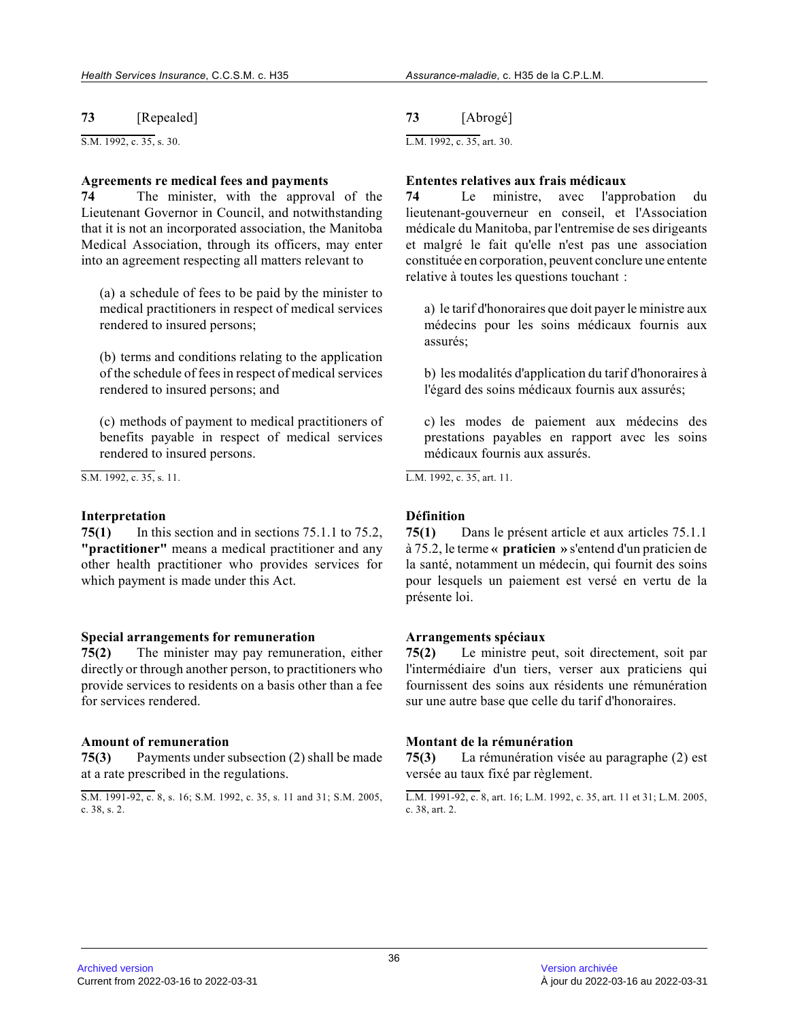**73** [Repealed]

S.M. 1992, c. 35, s. 30.

#### **Agreements re medical fees and payments**

**74** The minister, with the approval of the Lieutenant Governor in Council, and notwithstanding that it is not an incorporated association, the Manitoba Medical Association, through its officers, may ente r into an agreement respecting all matters relevant to

(a) a schedule of fees to be paid by the minister to medical practitioners in respect of medical services rendered to insured persons;

(b) terms and conditions relating to the application of the schedule of fees in respect of medical services rendered to insured persons; and

(c) methods of payment to medical practitioners of benefits payable in respect of medical services rendered to insured persons.

 $\overline{SM. 1992. c. 35. s. 11.}$ 

## **Interpretation**

**75(1)** In this section and in sections 75.1.1 to 75.2, **"practitioner"** means a medical practitioner and any other health practitioner who provides services for which payment is made under this Act.

#### **Special arrangements for remuneration**

**75(2)** The minister may pay remuneration, either directly or through another person, to practitioners who provide services to residents on a basis other than a fee for services rendered.

# **Amount of remuneration**

**75(3)** Payments under subsection (2) shall be made at a rate prescribed in the regulations.

# **73** [Abrogé]

L.M. 1992, c. 35, art. 30.

## **Ententes relatives aux frais médicaux**

**74** Le ministre, avec l'approbation du lieutenant-gouverneur en conseil, et l'Association médicale du Manitoba, par l'entremise de ses dirigeants et malgré le fait qu'elle n'est pas une association constituée en corporation, peuvent conclure une entente relative à toutes les questions touchant :

a) le tarif d'honoraires que doit payer le ministre aux médecins pour les soins médicaux fournis aux assurés;

b) les modalités d'application du tarif d'honoraires à l'égard des soins médicaux fournis aux assurés;

c) les modes de paiement aux médecins des prestations payables en rapport avec les soins médicaux fournis aux assurés.

L.M. 1992, c. 35, art. 11.

# **Définition**

**75(1)** Dans le présent article et aux articles 75.1.1 à 75.2, le terme **« praticien »** s'entend d'un praticien de la santé, notamment un médecin, qui fournit des soins pour lesquels un paiement est versé en vertu de la présente loi.

# **Arrangements spéciaux**

**75(2)** Le ministre peut, soit directement, soit par l'intermédiaire d'un tiers, verser aux praticiens qu i fournissent des soins aux résidents une rémunératio n sur une autre base que celle du tarif d'honoraires.

#### **Montant de la rémunération**

**75(3)** La rémunération visée au paragraphe (2) est versée au taux fixé par règlement.

S.M. 1991-92, c. 8, s. 16; S.M. 1992, c. 35, s. 11 and 31; S.M. 2005, c. 38, s. 2.

L.M. 1991-92, c. 8, art. 16; L.M. 1992, c. 35, art. 11 et 31; L.M. 2005, c. 38, art. 2.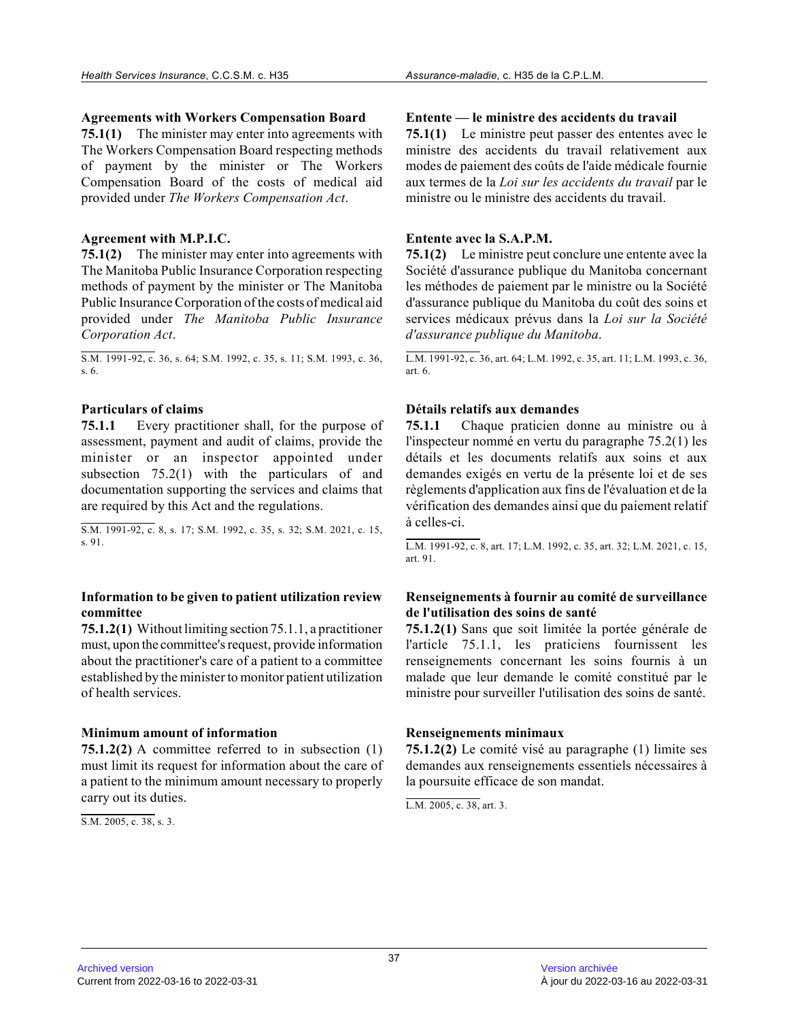## **Agreements with Workers Compensation Board**

**75.1(1)** The minister may enter into agreements with The Workers Compensation Board respecting methods of payment by the minister or The Workers Compensation Board of the costs of medical aid provided under *The Workers Compensation Act* .

## **Agreement with M.P.I.C.**

**75.1(2)** The minister may enter into agreements with The Manitoba Public Insurance Corporation respectin g methods of payment by the minister or The Manitoba Public Insurance Corporation of the costs of medical aid provided under *The Manitoba Public Insurance Corporation Act* .

S.M. 1991-92, c. 36, s. 64; S.M. 1992, c. 35, s. 11; S.M. 1993, c. 36, s. 6.

# **Particulars of claims**

**75.1.1** Every practitioner shall, for the purpose of assessment, payment and audit of claims, provide the minister or an inspector appointed under subsection 75.2(1) with the particulars of and documentation supporting the services and claims that are required by this Act and the regulations.

S.M. 1991-92, c. 8, s. 17; S.M. 1992, c. 35, s. 32; S.M. 2021, c. 15, s. 91.

## **Information to be given to patient utilization review committee**

**75.1.2(1)** Without limiting section 75.1.1, a practitioner must, upon the committee's request, provide information about the practitioner's care of a patient to a committee established by the minister to monitor patient utilization of health services.

#### **Minimum amount of information**

**75.1.2(2)** A committee referred to in subsection (1) must limit its request for information about the care of a patient to the minimum amount necessary to properly carry out its duties.

S.M. 2005, c. 38, s. 3.

## **Entente — le ministre des accidents du travail**

**75.1(1)** Le ministre peut passer des ententes avec le ministre des accidents du travail relativement aux modes de paiement des coûts de l'aide médicale fournie aux termes de la *Loi sur les accidents du travail* par le ministre ou le ministre des accidents du travail.

## **Entente avec la S.A.P.M.**

**75.1(2)** Le ministre peut conclure une entente avec la Société d'assurance publique du Manitoba concernant les méthodes de paiement par le ministre ou la Société d'assurance publique du Manitoba du coût des soins et services médicaux prévus dans la *Loi sur la Société d'assurance publique du Manitoba* .

L.M. 1991-92, c. 36, art. 64; L.M. 1992, c. 35, art. 11; L.M. 1993, c. 36, art. 6.

# **Détails relatifs aux demandes**

**75.1.1** Chaque praticien donne au ministre ou à l'inspecteur nommé en vertu du paragraphe 75.2(1) les détails et les documents relatifs aux soins et aux demandes exigés en vertu de la présente loi et de se s règlements d'application aux fins de l'évaluation et de la vérification des demandes ainsi que du paiement relatif à celles-ci.

L.M. 1991-92, c. 8, art. 17; L.M. 1992, c. 35, art. 32; L.M. 2021, c. 15, art. 91.

## **Renseignements à fournir au comité de surveillance de l'utilisation des soins de santé**

**75.1.2(1)** Sans que soit limitée la portée générale de l'article 75.1.1, les praticiens fournissent les renseignements concernant les soins fournis à un malade que leur demande le comité constitué par le ministre pour surveiller l'utilisation des soins de santé.

# **Renseignements minimaux**

**75.1.2(2)** Le comité visé au paragraphe (1) limite ses demandes aux renseignements essentiels nécessaires à la poursuite efficace de son mandat.

L.M. 2005, c. 38, art. 3.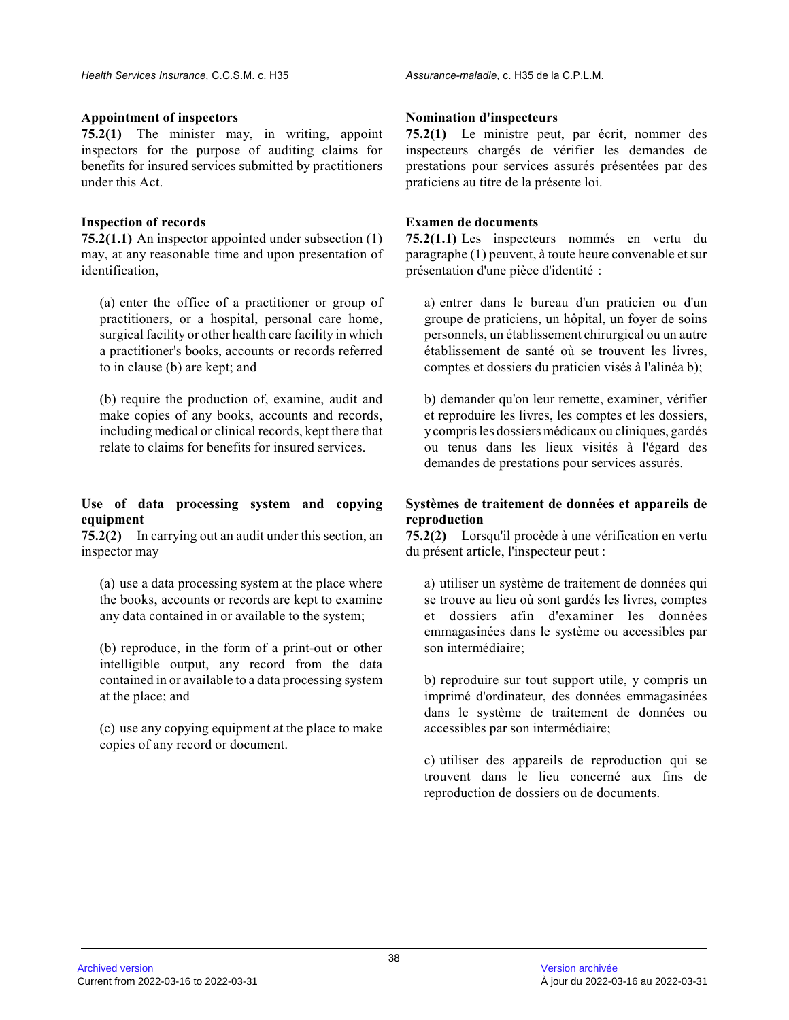## **Appointment of inspectors**

**75.2(1)** The minister may, in writing, appoint inspectors for the purpose of auditing claims for benefits for insured services submitted by practitioners under this Act.

# **Inspection of records**

**75.2(1.1)** An inspector appointed under subsection (1) may, at any reasonable time and upon presentation o f identification,

(a) enter the office of a practitioner or group of practitioners, or a hospital, personal care home, surgical facility or other health care facility in which a practitioner's books, accounts or records referre d to in clause (b) are kept; and

(b) require the production of, examine, audit and make copies of any books, accounts and records, including medical or clinical records, kept there that relate to claims for benefits for insured services.

# **Use of data processing system and copying equipment**

**75.2(2)** In carrying out an audit under this section, an inspector may

(a) use a data processing system at the place where the books, accounts or records are kept to examine any data contained in or available to the system;

(b) reproduce, in the form of a print-out or other intelligible output, any record from the data contained in or available to a data processing syste m at the place; and

(c) use any copying equipment at the place to make copies of any record or document.

## **Nomination d'inspecteurs**

**75.2(1)** Le ministre peut, par écrit, nommer des inspecteurs chargés de vérifier les demandes de prestations pour services assurés présentées par des praticiens au titre de la présente loi.

# **Examen de documents**

**75.2(1.1)** Les inspecteurs nommés en vertu du paragraphe (1) peuvent, à toute heure convenable et sur présentation d'une pièce d'identité :

a) entrer dans le bureau d'un praticien ou d'un groupe de praticiens, un hôpital, un foyer de soins personnels, un établissement chirurgical ou un autr e établissement de santé où se trouvent les livres, comptes et dossiers du praticien visés à l'alinéa b) ;

b) demander qu'on leur remette, examiner, vérifier et reproduire les livres, les comptes et les dossiers, y compris les dossiers médicaux ou cliniques, gardés ou tenus dans les lieux visités à l'égard des demandes de prestations pour services assurés.

# **Systèmes de traitement de données et appareils de reproduction**

**75.2(2)** Lorsqu'il procède à une vérification en vertu du présent article, l'inspecteur peut :

a) utiliser un système de traitement de données qui se trouve au lieu où sont gardés les livres, comptes et dossiers afin d'examiner les données emmagasinées dans le système ou accessibles par son intermédiaire;

b) reproduire sur tout support utile, y compris un imprimé d'ordinateur, des données emmagasinées dans le système de traitement de données ou accessibles par son intermédiaire;

c) utiliser des appareils de reproduction qui se trouvent dans le lieu concerné aux fins de reproduction de dossiers ou de documents.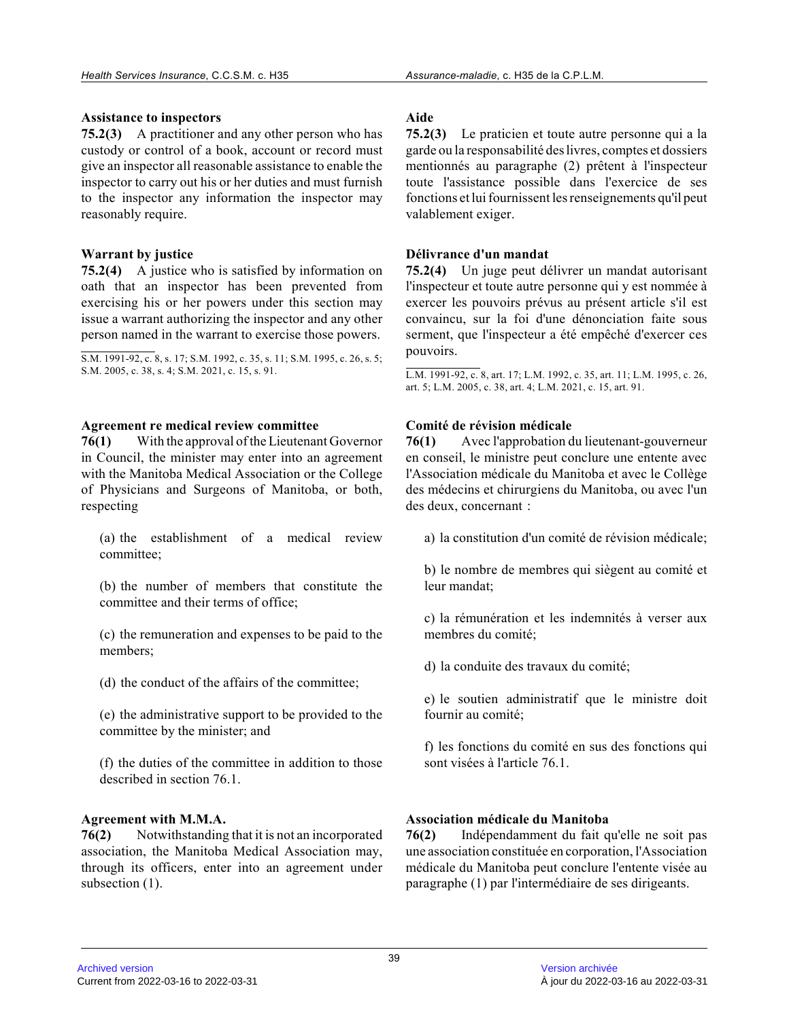## **Assistance to inspectors**

**75.2(3)** A practitioner and any other person who has custody or control of a book, account or record mus t give an inspector all reasonable assistance to enable the inspector to carry out his or her duties and must furnish to the inspector any information the inspector may reasonably require.

# **Warrant by justice**

**75.2(4)** A justice who is satisfied by information on oath that an inspector has been prevented from exercising his or her powers under this section may issue a warrant authorizing the inspector and any other person named in the warrant to exercise those powers.

S.M. 1991-92, c. 8, s. 17; S.M. 1992, c. 35, s. 11; S.M. 1995, c. 26, s. 5; S.M. 2005, c. 38, s. 4; S.M. 2021, c. 15, s. 91.

## **Agreement re medical review committee**

**76(1)** With the approval of the Lieutenant Governor in Council, the minister may enter into an agreemen t with the Manitoba Medical Association or the College of Physicians and Surgeons of Manitoba, or both, respecting

(a) the establishment of a medical review committee;

(b) the number of members that constitute the committee and their terms of office;

(c) the remuneration and expenses to be paid to the members;

(d) the conduct of the affairs of the committee;

(e) the administrative support to be provided to the committee by the minister; and

(f) the duties of the committee in addition to those described in section 76.1.

# **Agreement with M.M.A.**

**76(2)** Notwithstanding that it is not an incorporated association, the Manitoba Medical Association may, through its officers, enter into an agreement under subsection (1).

# **Aide**

**75.2(3)** Le praticien et toute autre personne qui a la garde ou la responsabilité des livres, comptes et dossiers mentionnés au paragraphe (2) prêtent à l'inspecteur toute l'assistance possible dans l'exercice de ses fonctions et lui fournissent les renseignements qu'il peut valablement exiger.

# **Délivrance d'un mandat**

**75.2(4)** Un juge peut délivrer un mandat autorisant l'inspecteur et toute autre personne qui y est nommée à exercer les pouvoirs prévus au présent article s'il est convaincu, sur la foi d'une dénonciation faite sous serment, que l'inspecteur a été empêché d'exercer ces pouvoirs.

L.M. 1991-92, c. 8, art. 17; L.M. 1992, c. 35, art. 11; L.M. 1995, c. 26, art. 5; L.M. 2005, c. 38, art. 4; L.M. 2021, c. 15, art. 91.

# **Comité de révision médicale**

**76(1)** Avec l'approbation du lieutenant-gouverneur en conseil, le ministre peut conclure une entente avec l'Association médicale du Manitoba et avec le Collège des médecins et chirurgiens du Manitoba, ou avec l'un des deux, concernant :

a) la constitution d'un comité de révision médicale;

b) le nombre de membres qui siègent au comité et leur mandat;

c) la rémunération et les indemnités à verser aux membres du comité;

d) la conduite des travaux du comité;

e) le soutien administratif que le ministre doit fournir au comité;

f) les fonctions du comité en sus des fonctions qui sont visées à l'article 76.1.

# **Association médicale du Manitoba**

**76(2)** Indépendamment du fait qu'elle ne soit pas une association constituée en corporation, l'Association médicale du Manitoba peut conclure l'entente visée au paragraphe (1) par l'intermédiaire de ses dirigeants.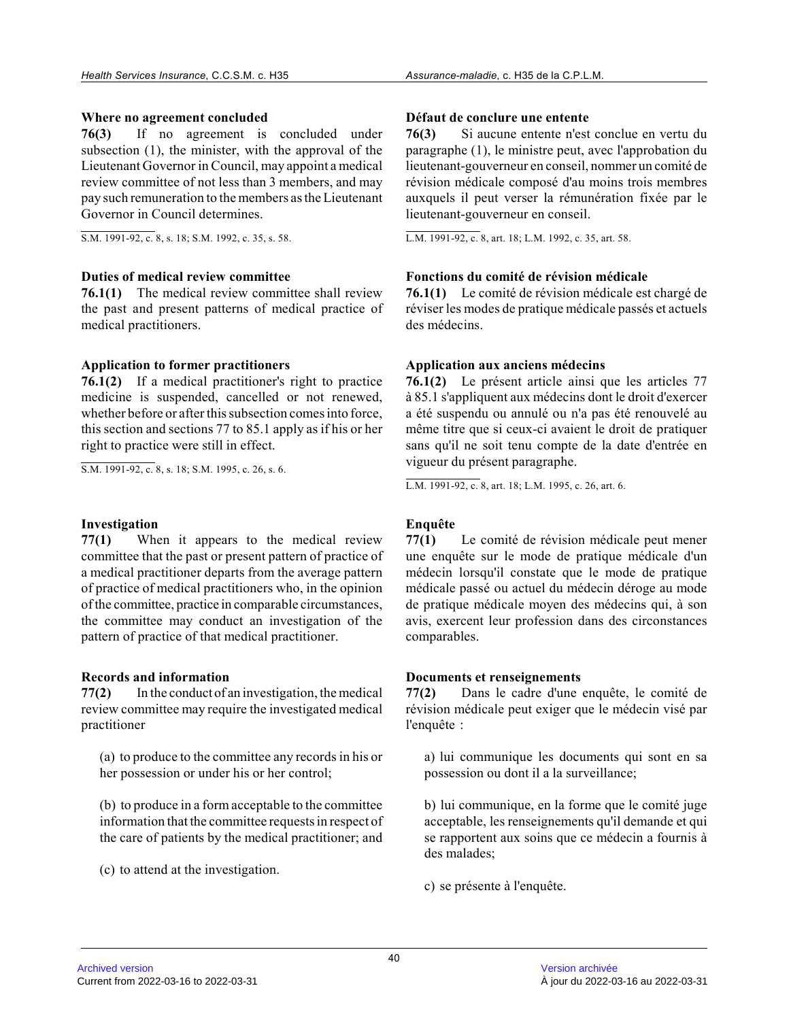## **Where no agreement concluded**

**76(3)** If no agreement is concluded under subsection (1), the minister, with the approval of the Lieutenant Governor in Council, may appoint a medica l review committee of not less than 3 members, and may pay such remuneration to the members as the Lieutenant Governor in Council determines.

S.M. 1991-92, c. 8, s. 18; S.M. 1992, c. 35, s. 58.

#### **Duties of medical review committee**

**76.1(1)** The medical review committee shall review the past and present patterns of medical practice o f medical practitioners.

## **Application to former practitioners**

**76.1(2)** If a medical practitioner's right to practice medicine is suspended, cancelled or not renewed, whether before or after this subsection comes into force, this section and sections 77 to 85.1 apply as if his or her right to practice were still in effect.

S.M. 1991-92, c. 8, s. 18; S.M. 1995, c. 26, s. 6.

#### **Investigation**

**77(1)** When it appears to the medical review committee that the past or present pattern of practice of a medical practitioner departs from the average pattern of practice of medical practitioners who, in the opinion of the committee, practice in comparable circumstances, the committee may conduct an investigation of the pattern of practice of that medical practitioner.

#### **Records and information**

**77(2)** In the conduct of an investigation, the medical review committee may require the investigated medical practitioner

(a) to produce to the committee any records in his o r her possession or under his or her control;

(b) to produce in a form acceptable to the committee information that the committee requests in respect of the care of patients by the medical practitioner; and

(c) to attend at the investigation.

#### **Défaut de conclure une entente**

**76(3)** Si aucune entente n'est conclue en vertu du paragraphe (1), le ministre peut, avec l'approbation du lieutenant-gouverneur en conseil, nommer un comité d e révision médicale composé d'au moins trois membres auxquels il peut verser la rémunération fixée par le lieutenant-gouverneur en conseil.

L.M. 1991-92, c. 8, art. 18; L.M. 1992, c. 35, art. 58.

# **Fonctions du comité de révision médicale**

**76.1(1)** Le comité de révision médicale est chargé de réviser les modes de pratique médicale passés et actuels des médecins.

## **Application aux anciens médecins**

**76.1(2)** Le présent article ainsi que les articles 77 à 85.1 s'appliquent aux médecins dont le droit d'exercer a été suspendu ou annulé ou n'a pas été renouvelé au même titre que si ceux-ci avaient le droit de pratiquer sans qu'il ne soit tenu compte de la date d'entrée en vigueur du présent paragraphe.

L.M. 1991-92, c. 8, art. 18; L.M. 1995, c. 26, art. 6.

# **Enquête**

**77(1)** Le comité de révision médicale peut mener une enquête sur le mode de pratique médicale d'un médecin lorsqu'il constate que le mode de pratique médicale passé ou actuel du médecin déroge au mode de pratique médicale moyen des médecins qui, à son avis, exercent leur profession dans des circonstance s comparables.

#### **Documents et renseignements**

**77(2)** Dans le cadre d'une enquête, le comité de révision médicale peut exiger que le médecin visé par l'enquête :

a) lui communique les documents qui sont en sa possession ou dont il a la surveillance;

b) lui communique, en la forme que le comité juge acceptable, les renseignements qu'il demande et qui se rapportent aux soins que ce médecin a fournis à des malades;

c) se présente à l'enquête.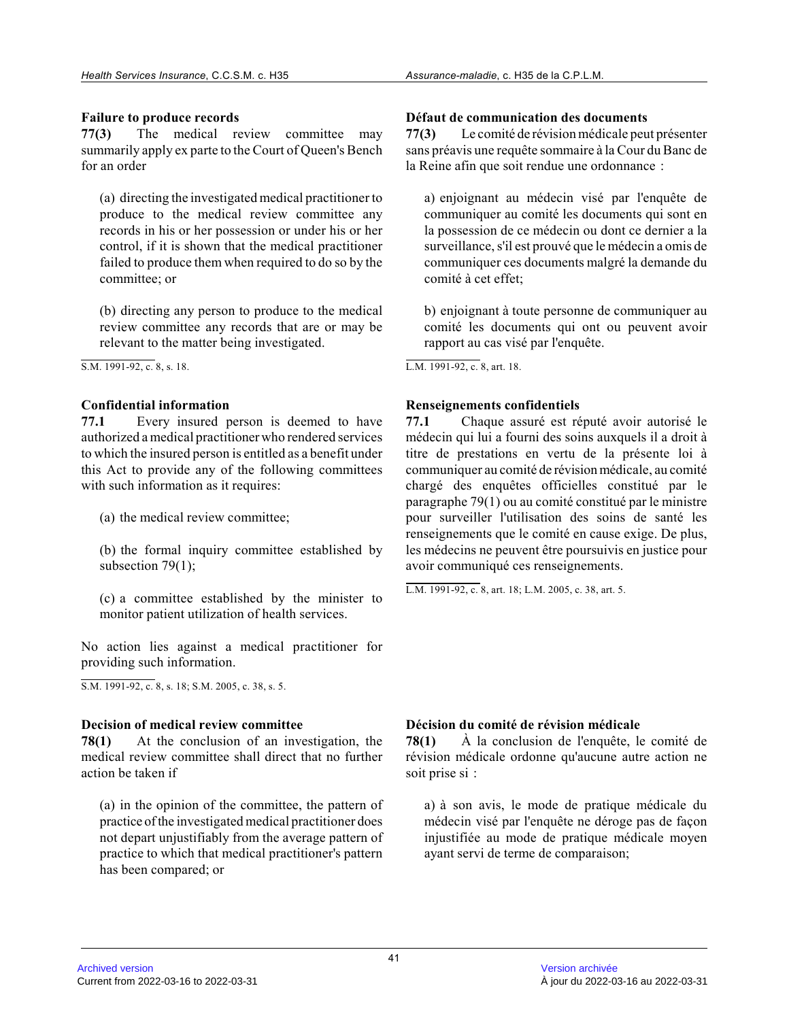## **Failure to produce records**

**77(3)** The medical review committee may summarily apply ex parte to the Court of Queen's Bench for an order

(a) directing the investigated medical practitioner t o produce to the medical review committee any records in his or her possession or under his or he r control, if it is shown that the medical practitioner failed to produce them when required to do so by th e committee; or

(b) directing any person to produce to the medical review committee any records that are or may be relevant to the matter being investigated.

S.M. 1991-92, c. 8, s. 18.

# **Confidential information**

**77.1** Every insured person is deemed to have authorized a medical practitioner who rendered services to which the insured person is entitled as a benefit under this Act to provide any of the following committees with such information as it requires:

(a) the medical review committee;

(b) the formal inquiry committee established by subsection 79(1);

(c) a committee established by the minister to monitor patient utilization of health services.

No action lies against a medical practitioner for providing such information.

S.M. 1991-92, c. 8, s. 18; S.M. 2005, c. 38, s. 5.

#### **Decision of medical review committee**

**78(1)** At the conclusion of an investigation, the medical review committee shall direct that no furthe r action be taken if

(a) in the opinion of the committee, the pattern of practice of the investigated medical practitioner does not depart unjustifiably from the average pattern of practice to which that medical practitioner's pattern has been compared; or

## **Défaut de communication des documents**

**77(3)** Le comité de révision médicale peut présenter sans préavis une requête sommaire à la Cour du Banc de la Reine afin que soit rendue une ordonnance :

a) enjoignant au médecin visé par l'enquête de communiquer au comité les documents qui sont en la possession de ce médecin ou dont ce dernier a la surveillance, s'il est prouvé que le médecin a omis d e communiquer ces documents malgré la demande du comité à cet effet;

b) enjoignant à toute personne de communiquer au comité les documents qui ont ou peuvent avoir rapport au cas visé par l'enquête.

L.M. 1991-92, c. 8, art. 18.

## **Renseignements confidentiels**

**77.1** Chaque assuré est réputé avoir autorisé le médecin qui lui a fourni des soins auxquels il a droit à titre de prestations en vertu de la présente loi à communiquer au comité de révision médicale, au comité chargé des enquêtes officielles constitué par le paragraphe 79(1) ou au comité constitué par le ministre pour surveiller l'utilisation des soins de santé les renseignements que le comité en cause exige. De plus, les médecins ne peuvent être poursuivis en justice pour avoir communiqué ces renseignements.

L.M. 1991-92, c. 8, art. 18; L.M. 2005, c. 38, art. 5.

# **Décision du comité de révision médicale**

**78(1)** À la conclusion de l'enquête, le comité de révision médicale ordonne qu'aucune autre action ne soit prise si :

a) à son avis, le mode de pratique médicale du médecin visé par l'enquête ne déroge pas de façon injustifiée au mode de pratique médicale moyen ayant servi de terme de comparaison;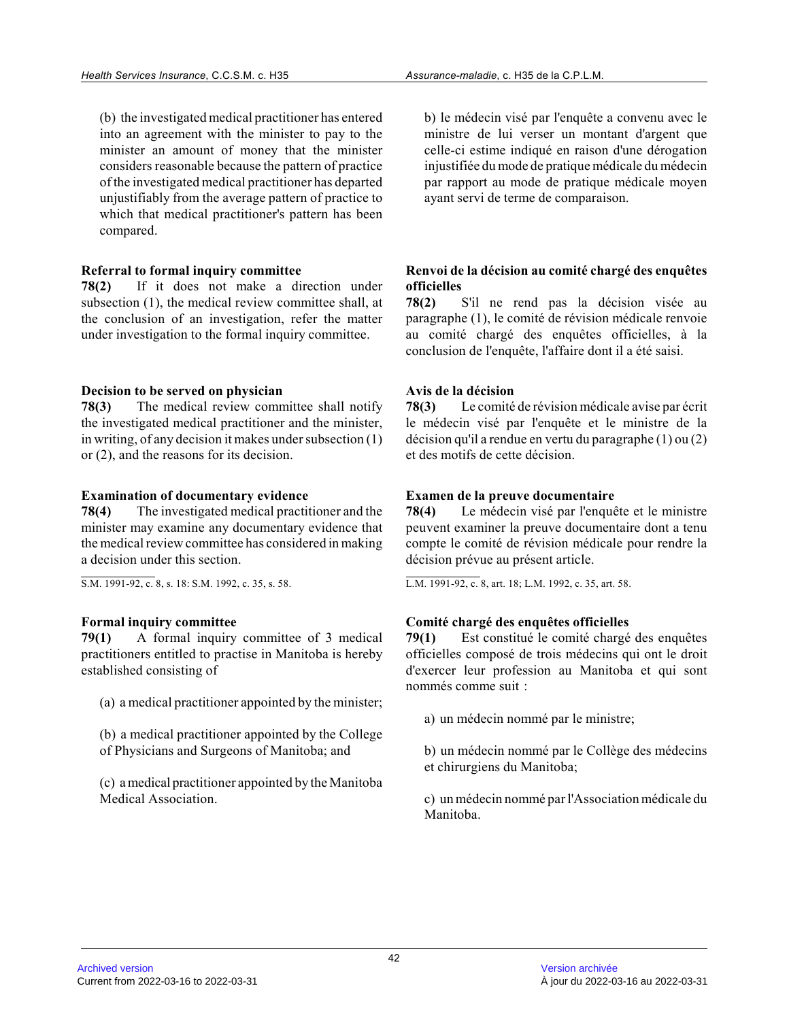(b) the investigated medical practitioner has entered into an agreement with the minister to pay to the minister an amount of money that the minister considers reasonable because the pattern of practic e of the investigated medical practitioner has departe d unjustifiably from the average pattern of practice t o which that medical practitioner's pattern has been compared.

# **Referral to formal inquiry committee**

**78(2)** If it does not make a direction under subsection (1), the medical review committee shall, at the conclusion of an investigation, refer the matter under investigation to the formal inquiry committee.

# **Decision to be served on physician**

**78(3)** The medical review committee shall notify the investigated medical practitioner and the minister, in writing, of any decision it makes under subsection (1) or (2), and the reasons for its decision.

# **Examination of documentary evidence**

**78(4)** The investigated medical practitioner and the minister may examine any documentary evidence that the medical review committee has considered in makin g a decision under this section.

 $\overline{S.M. 1991-92, c. 8, s. 18}$ : S.M. 1992, c. 35, s. 58.

# **Formal inquiry committee**

**79(1)** A formal inquiry committee of 3 medical practitioners entitled to practise in Manitoba is hereby established consisting of

(a) a medical practitioner appointed by the minister ;

(b) a medical practitioner appointed by the College of Physicians and Surgeons of Manitoba; and

(c) a medical practitioner appointed by the Manitoba Medical Association.

b) le médecin visé par l'enquête a convenu avec le ministre de lui verser un montant d'argent que celle-ci estime indiqué en raison d'une dérogation injustifiée du mode de pratique médicale du médecin par rapport au mode de pratique médicale moyen ayant servi de terme de comparaison.

# **Renvoi de la décision au comité chargé des enquêtes officielles**

**78(2)** S'il ne rend pas la décision visée au paragraphe (1), le comité de révision médicale renvoie au comité chargé des enquêtes officielles, à la conclusion de l'enquête, l'affaire dont il a été saisi.

# **Avis de la décision**

**78(3)** Le comité de révision médicale avise par écrit le médecin visé par l'enquête et le ministre de la décision qu'il a rendue en vertu du paragraphe (1) ou (2) et des motifs de cette décision.

# **Examen de la preuve documentaire**

**78(4)** Le médecin visé par l'enquête et le ministre peuvent examiner la preuve documentaire dont a tenu compte le comité de révision médicale pour rendre la décision prévue au présent article.

L.M. 1991-92, c. 8, art. 18; L.M. 1992, c. 35, art. 58.

# **Comité chargé des enquêtes officielles**

**79(1)** Est constitué le comité chargé des enquêtes officielles composé de trois médecins qui ont le droit d'exercer leur profession au Manitoba et qui sont nommés comme suit :

a) un médecin nommé par le ministre;

b) un médecin nommé par le Collège des médecins et chirurgiens du Manitoba;

c) un médecin nommé par l'Association médicale du Manitoba.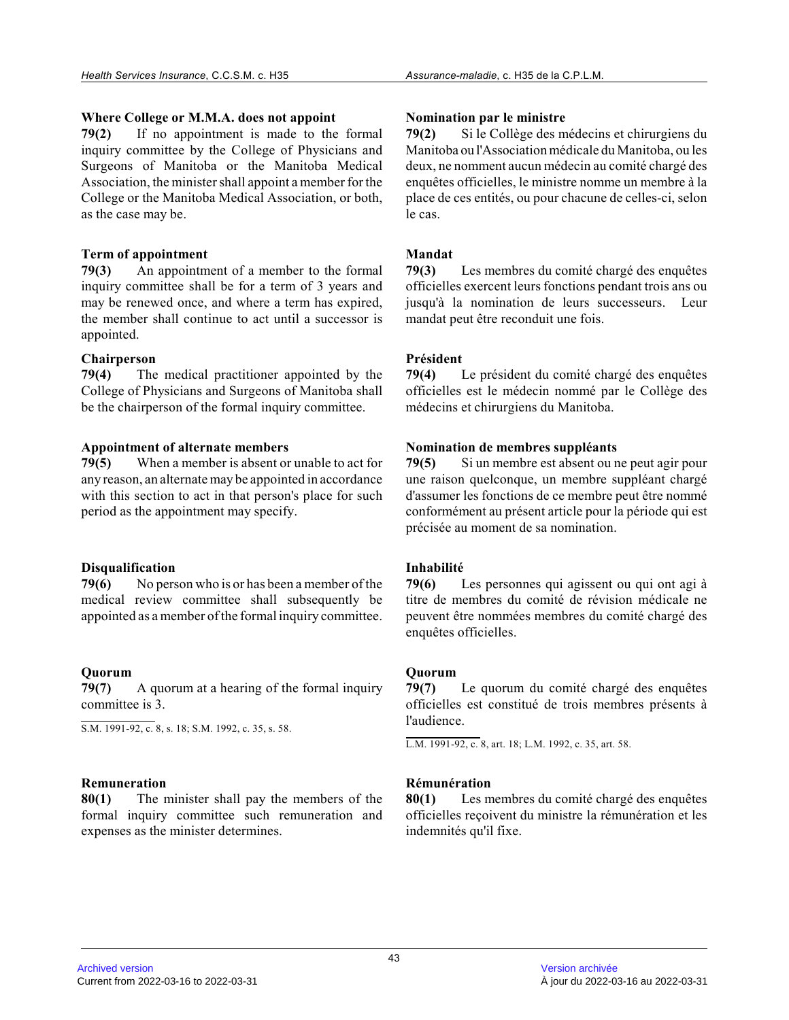## **Where College or M.M.A. does not appoint**

**79(2)** If no appointment is made to the formal inquiry committee by the College of Physicians and Surgeons of Manitoba or the Manitoba Medical Association, the minister shall appoint a member for the College or the Manitoba Medical Association, or both, as the case may be.

# **Term of appointment**

**79(3)** An appointment of a member to the formal inquiry committee shall be for a term of 3 years an d may be renewed once, and where a term has expired, the member shall continue to act until a successor is appointed.

# **Chairperson**

**79(4)** The medical practitioner appointed by the College of Physicians and Surgeons of Manitoba shall be the chairperson of the formal inquiry committee.

# **Appointment of alternate members**

**79(5)** When a member is absent or unable to act for any reason, an alternate may be appointed in accordance with this section to act in that person's place for such period as the appointment may specify.

# **Disqualification**

**79(6)** No person who is or has been a member of the medical review committee shall subsequently be appointed as a member of the formal inquiry committee.

# **Quorum**

**79(7)** A quorum at a hearing of the formal inquiry committee is 3.

S.M. 1991-92, c. 8, s. 18; S.M. 1992, c. 35, s. 58.

# **Remuneration**

**80(1)** The minister shall pay the members of the formal inquiry committee such remuneration and expenses as the minister determines.

## **Nomination par le ministre**

**79(2)** Si le Collège des médecins et chirurgiens du Manitoba ou l'Association médicale du Manitoba, ou les deux, ne nomment aucun médecin au comité chargé des enquêtes officielles, le ministre nomme un membre à la place de ces entités, ou pour chacune de celles-ci, selon le cas.

# **Mandat**

**79(3)** Les membres du comité chargé des enquêtes officielles exercent leurs fonctions pendant trois ans ou jusqu'à la nomination de leurs successeurs. Leur mandat peut être reconduit une fois.

# **Président**

**79(4)** Le président du comité chargé des enquêtes officielles est le médecin nommé par le Collège des médecins et chirurgiens du Manitoba.

# **Nomination de membres suppléants**

**79(5)** Si un membre est absent ou ne peut agir pour une raison quelconque, un membre suppléant chargé d'assumer les fonctions de ce membre peut être nomm é conformément au présent article pour la période qui est précisée au moment de sa nomination.

# **Inhabilité**

**79(6)** Les personnes qui agissent ou qui ont agi à titre de membres du comité de révision médicale ne peuvent être nommées membres du comité chargé des enquêtes officielles.

# **Quorum**

**79(7)** Le quorum du comité chargé des enquêtes officielles est constitué de trois membres présents à l'audience.

L.M. 1991-92, c. 8, art. 18; L.M. 1992, c. 35, art. 58.

# **Rémunération**

**80(1)** Les membres du comité chargé des enquêtes officielles reçoivent du ministre la rémunération et les indemnités qu'il fixe.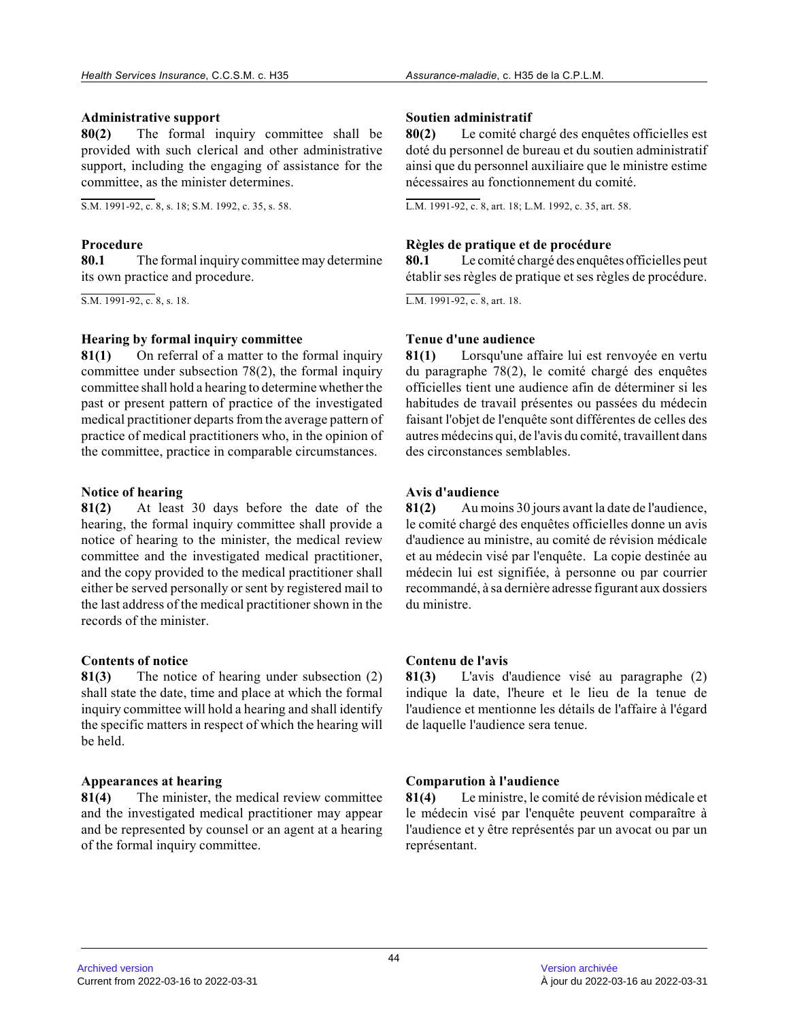#### **Administrative support**

**80(2)** The formal inquiry committee shall be provided with such clerical and other administrative support, including the engaging of assistance for the committee, as the minister determines.

S.M. 1991-92, c. 8, s. 18; S.M. 1992, c. 35, s. 58.

#### **Procedure**

**80.1** The formal inquiry committee may determine its own practice and procedure.

S.M. 1991-92, c. 8, s. 18.

#### **Hearing by formal inquiry committee**

**81(1)** On referral of a matter to the formal inquiry committee under subsection 78(2), the formal inquir y committee shall hold a hearing to determine whether the past or present pattern of practice of the investigated medical practitioner departs from the average pattern of practice of medical practitioners who, in the opinion of the committee, practice in comparable circumstances .

#### **Notice of hearing**

**81(2)** At least 30 days before the date of the hearing, the formal inquiry committee shall provide a notice of hearing to the minister, the medical revie w committee and the investigated medical practitioner, and the copy provided to the medical practitioner shal l either be served personally or sent by registered mail to the last address of the medical practitioner shown in the records of the minister.

#### **Contents of notice**

**81(3)** The notice of hearing under subsection (2) shall state the date, time and place at which the formal inquiry committee will hold a hearing and shall identify the specific matters in respect of which the hearing will be held.

#### **Appearances at hearing**

**81(4)** The minister, the medical review committee and the investigated medical practitioner may appear and be represented by counsel or an agent at a hearin g of the formal inquiry committee.

## **Soutien administratif**

**80(2)** Le comité chargé des enquêtes officielles est doté du personnel de bureau et du soutien administratif ainsi que du personnel auxiliaire que le ministre estime nécessaires au fonctionnement du comité.

L.M. 1991-92, c. 8, art. 18; L.M. 1992, c. 35, art. 58.

## **Règles de pratique et de procédure**

**80.1** Le comité chargé des enquêtes officielles peut établir ses règles de pratique et ses règles de procédure.

L.M. 1991-92, c. 8, art. 18.

# **Tenue d'une audience**

**81(1)** Lorsqu'une affaire lui est renvoyée en vertu du paragraphe 78(2), le comité chargé des enquêtes officielles tient une audience afin de déterminer si les habitudes de travail présentes ou passées du médecin faisant l'objet de l'enquête sont différentes de celles des autres médecins qui, de l'avis du comité, travaillent dans des circonstances semblables.

## **Avis d'audience**

**81(2)** Au moins 30 jours avant la date de l'audience, le comité chargé des enquêtes officielles donne un avis d'audience au ministre, au comité de révision médicale et au médecin visé par l'enquête. La copie destinée au médecin lui est signifiée, à personne ou par courrier recommandé, à sa dernière adresse figurant aux dossiers du ministre.

#### **Contenu de l'avis**

**81(3)** L'avis d'audience visé au paragraphe (2) indique la date, l'heure et le lieu de la tenue de l'audience et mentionne les détails de l'affaire à l'égard de laquelle l'audience sera tenue.

# **Comparution à l'audience**

**81(4)** Le ministre, le comité de révision médicale et le médecin visé par l'enquête peuvent comparaître à l'audience et y être représentés par un avocat ou par un représentant.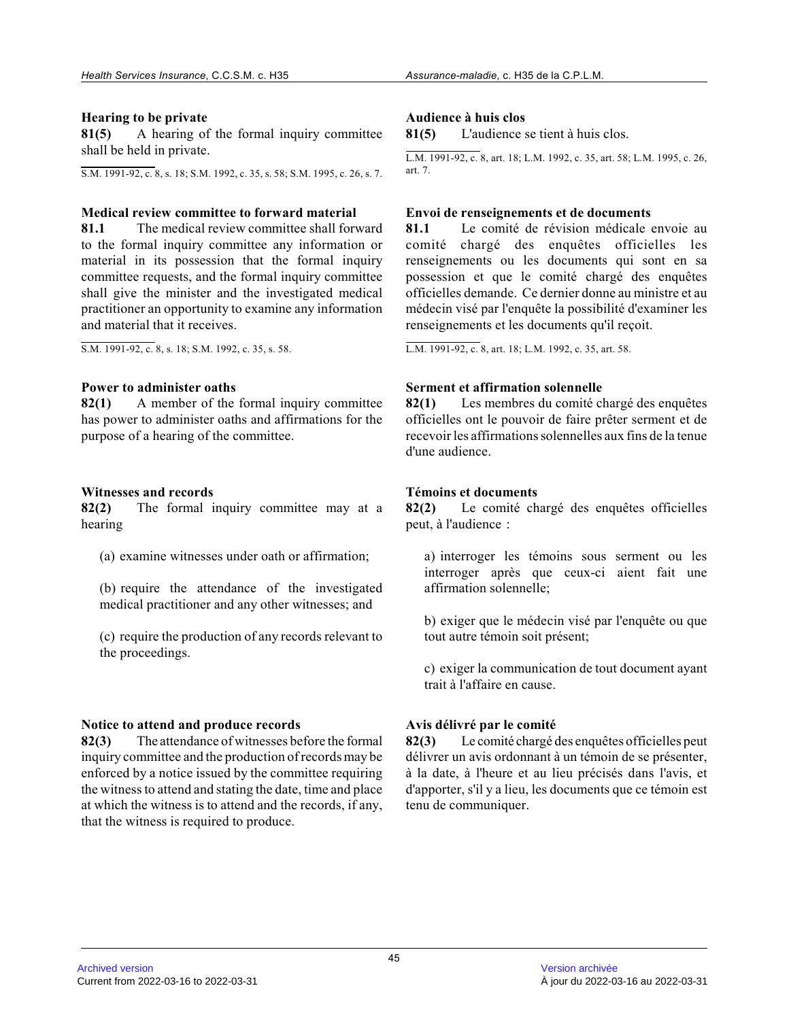## **Hearing to be private**

**81(5)** A hearing of the formal inquiry committee shall be held in private.

S.M. 1991-92, c. 8, s. 18; S.M. 1992, c. 35, s. 58; S.M. 1995, c. 26, s. 7.

## **Medical review committee to forward material**

**81.1** The medical review committee shall forward to the formal inquiry committee any information or material in its possession that the formal inquiry committee requests, and the formal inquiry committe e shall give the minister and the investigated medical practitioner an opportunity to examine any information and material that it receives.

S.M. 1991-92, c. 8, s. 18; S.M. 1992, c. 35, s. 58.

## **Power to administer oaths**

**82(1)** A member of the formal inquiry committee has power to administer oaths and affirmations for the purpose of a hearing of the committee.

## **Witnesses and records**

**82(2)** The formal inquiry committee may at a hearing

(a) examine witnesses under oath or affirmation;

(b) require the attendance of the investigated medical practitioner and any other witnesses; and

(c) require the production of any records relevant to the proceedings.

#### **Notice to attend and produce records**

**82(3)** The attendance of witnesses before the formal inquiry committee and the production of records may be enforced by a notice issued by the committee requiring the witness to attend and stating the date, time and place at which the witness is to attend and the records, if any, that the witness is required to produce.

## **Audience à huis clos**

**81(5)** L'audience se tient à huis clos.

L.M. 1991-92, c. 8, art. 18; L.M. 1992, c. 35, art. 58; L.M. 1995, c. 26, art. 7.

## **Envoi de renseignements et de documents**

**81.1** Le comité de révision médicale envoie au comité chargé des enquêtes officielles les renseignements ou les documents qui sont en sa possession et que le comité chargé des enquêtes officielles demande. Ce dernier donne au ministre et au médecin visé par l'enquête la possibilité d'examiner les renseignements et les documents qu'il reçoit.

L.M. 1991-92, c. 8, art. 18; L.M. 1992, c. 35, art. 58.

## **Serment et affirmation solennelle**

**82(1)** Les membres du comité chargé des enquêtes officielles ont le pouvoir de faire prêter serment et de recevoir les affirmations solennelles aux fins de la tenue d'une audience.

## **Témoins et documents**

**82(2)** Le comité chargé des enquêtes officielles peut, à l'audience :

a) interroger les témoins sous serment ou les interroger après que ceux-ci aient fait une affirmation solennelle;

b) exiger que le médecin visé par l'enquête ou que tout autre témoin soit présent;

c) exiger la communication de tout document ayant trait à l'affaire en cause.

# **Avis délivré par le comité**

**82(3)** Le comité chargé des enquêtes officielles peut délivrer un avis ordonnant à un témoin de se présenter, à la date, à l'heure et au lieu précisés dans l'avis, et d'apporter, s'il y a lieu, les documents que ce témoin est tenu de communiquer.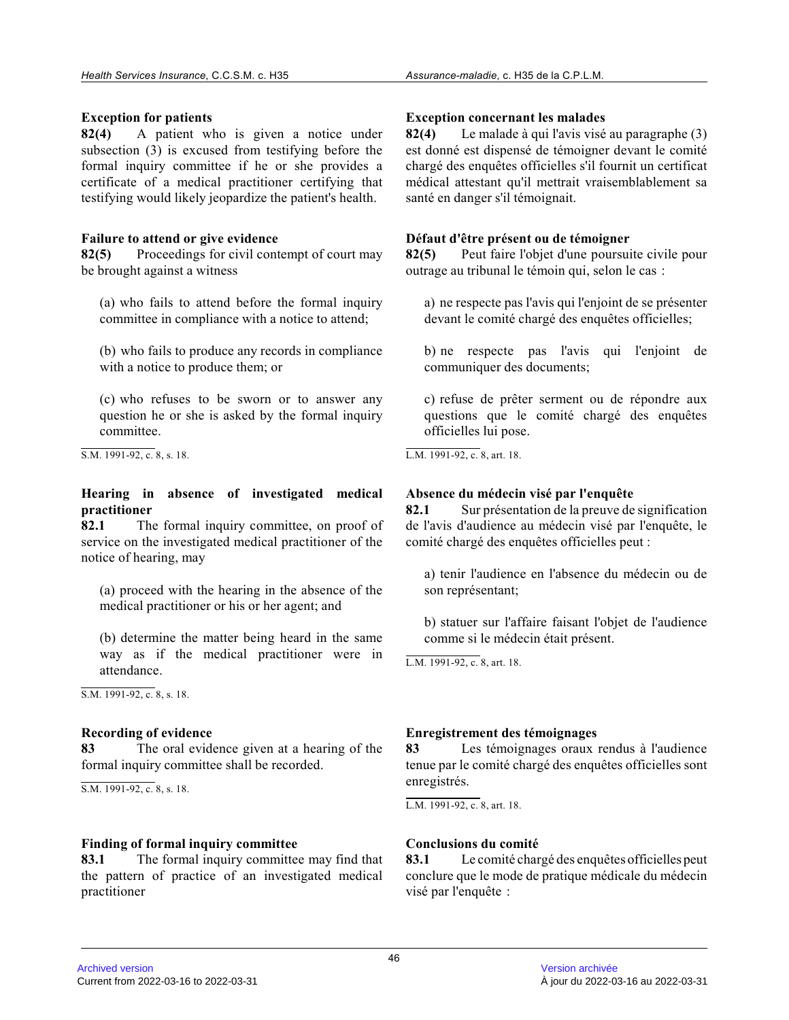## **Exception for patients**

**82(4)** A patient who is given a notice under subsection (3) is excused from testifying before th e formal inquiry committee if he or she provides a certificate of a medical practitioner certifying that testifying would likely jeopardize the patient's health.

## **Failure to attend or give evidence**

**82(5)** Proceedings for civil contempt of court may be brought against a witness

(a) who fails to attend before the formal inquiry committee in compliance with a notice to attend;

(b) who fails to produce any records in compliance with a notice to produce them; or

(c) who refuses to be sworn or to answer any question he or she is asked by the formal inquiry committee.

S.M. 1991-92, c. 8, s. 18.

## **Hearing in absence of investigated medical practitioner**

**82.1** The formal inquiry committee, on proof of service on the investigated medical practitioner of the notice of hearing, may

(a) proceed with the hearing in the absence of the medical practitioner or his or her agent; and

(b) determine the matter being heard in the same way as if the medical practitioner were in attendance.

S.M. 1991-92, c. 8, s. 18.

# **Recording of evidence**

**83** The oral evidence given at a hearing of the formal inquiry committee shall be recorded.

S.M. 1991-92, c. 8, s. 18.

#### **Finding of formal inquiry committee**

**83.1** The formal inquiry committee may find that the pattern of practice of an investigated medical practitioner

## **Exception concernant les malades**

**82(4)** Le malade à qui l'avis visé au paragraphe (3) est donné est dispensé de témoigner devant le comité chargé des enquêtes officielles s'il fournit un certificat médical attestant qu'il mettrait vraisemblablement s a santé en danger s'il témoignait.

#### **Défaut d'être présent ou de témoigner**

**82(5)** Peut faire l'objet d'une poursuite civile pour outrage au tribunal le témoin qui, selon le cas :

a) ne respecte pas l'avis qui l'enjoint de se présenter devant le comité chargé des enquêtes officielles;

b) ne respecte pas l'avis qui l'enjoint de communiquer des documents;

c) refuse de prêter serment ou de répondre aux questions que le comité chargé des enquêtes officielles lui pose.

L.M. 1991-92, c. 8, art. 18.

## **Absence du médecin visé par l'enquête**

**82.1** Sur présentation de la preuve de signification de l'avis d'audience au médecin visé par l'enquête, l e comité chargé des enquêtes officielles peut :

a) tenir l'audience en l'absence du médecin ou de son représentant;

b) statuer sur l'affaire faisant l'objet de l'audience comme si le médecin était présent.

L.M. 1991-92, c. 8, art. 18.

# **Enregistrement des témoignages**

**83** Les témoignages oraux rendus à l'audience tenue par le comité chargé des enquêtes officielles sont enregistrés.

L.M. 1991-92, c. 8, art. 18.

# **Conclusions du comité**

**83.1** Le comité chargé des enquêtes officielles peut conclure que le mode de pratique médicale du médeci n visé par l'enquête :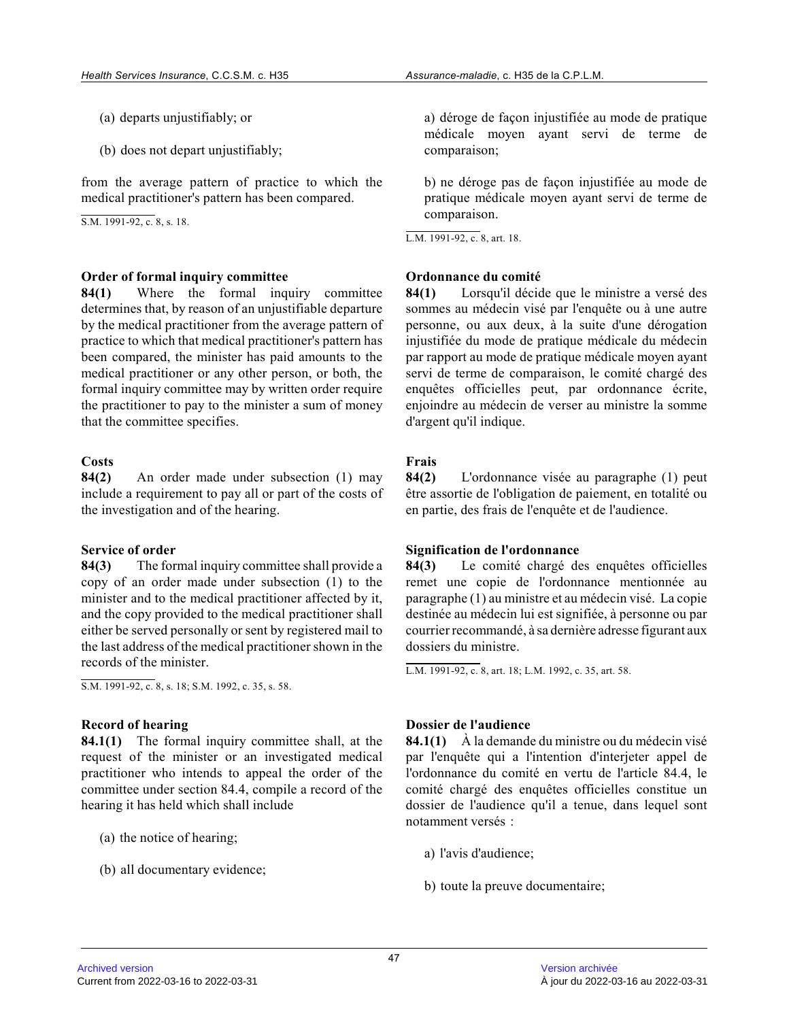- (a) departs unjustifiably; or
- (b) does not depart unjustifiably;

from the average pattern of practice to which the medical practitioner's pattern has been compared.

S.M. 1991-92, c. 8, s. 18.

#### **Order of formal inquiry committee**

**84(1)** Where the formal inquiry committee determines that, by reason of an unjustifiable departure by the medical practitioner from the average pattern of practice to which that medical practitioner's pattern has been compared, the minister has paid amounts to the medical practitioner or any other person, or both, the formal inquiry committee may by written order require the practitioner to pay to the minister a sum of money that the committee specifies.

#### **Costs**

**84(2)** An order made under subsection (1) may include a requirement to pay all or part of the costs of the investigation and of the hearing.

#### **Service of order**

**84(3)** The formal inquiry committee shall provide a copy of an order made under subsection (1) to the minister and to the medical practitioner affected by it, and the copy provided to the medical practitioner shall either be served personally or sent by registered mail to the last address of the medical practitioner shown in the records of the minister.

S.M. 1991-92, c. 8, s. 18; S.M. 1992, c. 35, s. 58.

#### **Record of hearing**

**84.1(1)** The formal inquiry committee shall, at the request of the minister or an investigated medical practitioner who intends to appeal the order of the committee under section 84.4, compile a record of the hearing it has held which shall include

- (a) the notice of hearing;
- (b) all documentary evidence;

a) déroge de façon injustifiée au mode de pratique médicale moyen ayant servi de terme de comparaison;

b) ne déroge pas de façon injustifiée au mode de pratique médicale moyen ayant servi de terme de comparaison.

L.M. 1991-92, c. 8, art. 18.

#### **Ordonnance du comité**

**84(1)** Lorsqu'il décide que le ministre a versé des sommes au médecin visé par l'enquête ou à une autre personne, ou aux deux, à la suite d'une dérogation injustifiée du mode de pratique médicale du médecin par rapport au mode de pratique médicale moyen ayan t servi de terme de comparaison, le comité chargé des enquêtes officielles peut, par ordonnance écrite, enjoindre au médecin de verser au ministre la somme d'argent qu'il indique.

#### **Frais**

**84(2)** L'ordonnance visée au paragraphe (1) peut être assortie de l'obligation de paiement, en totalité ou en partie, des frais de l'enquête et de l'audience.

#### **Signification de l'ordonnance**

**84(3)** Le comité chargé des enquêtes officielles remet une copie de l'ordonnance mentionnée au paragraphe (1) au ministre et au médecin visé. La copie destinée au médecin lui est signifiée, à personne ou par courrier recommandé, à sa dernière adresse figurant aux dossiers du ministre.

L.M. 1991-92, c. 8, art. 18; L.M. 1992, c. 35, art. 58.

#### **Dossier de l'audience**

**84.1(1)** À la demande du ministre ou du médecin visé par l'enquête qui a l'intention d'interjeter appel de l'ordonnance du comité en vertu de l'article 84.4, le comité chargé des enquêtes officielles constitue un dossier de l'audience qu'il a tenue, dans lequel sont notamment versés :

- a) l'avis d'audience;
- b) toute la preuve documentaire;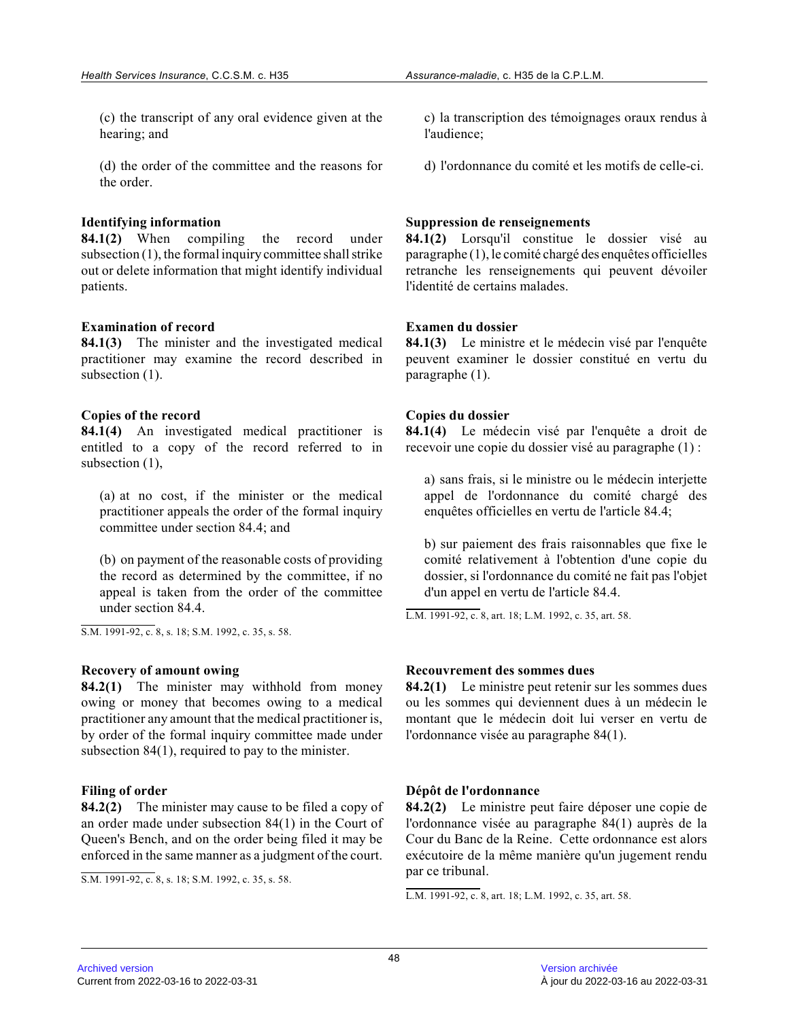(c) the transcript of any oral evidence given at the hearing; and

(d) the order of the committee and the reasons for the order.

#### **Identifying information**

**84.1(2)** When compiling the record under subsection (1), the formal inquiry committee shall strike out or delete information that might identify individual patients.

#### **Examination of record**

**84.1(3)** The minister and the investigated medical practitioner may examine the record described in subsection (1).

## **Copies of the record**

**84.1(4)** An investigated medical practitioner is entitled to a copy of the record referred to in subsection  $(1)$ ,

(a) at no cost, if the minister or the medical practitioner appeals the order of the formal inquir y committee under section 84.4; and

(b) on payment of the reasonable costs of providing the record as determined by the committee, if no appeal is taken from the order of the committee under section 84.4.

S.M. 1991-92, c. 8, s. 18; S.M. 1992, c. 35, s. 58.

#### **Recovery of amount owing**

**84.2(1)** The minister may withhold from money owing or money that becomes owing to a medical practitioner any amount that the medical practitioner is, by order of the formal inquiry committee made under subsection 84(1), required to pay to the minister.

#### **Filing of order**

**84.2(2)** The minister may cause to be filed a copy of an order made under subsection 84(1) in the Court o f Queen's Bench, and on the order being filed it may be enforced in the same manner as a judgment of the court.

S.M. 1991-92, c. 8, s. 18; S.M. 1992, c. 35, s. 58.

c) la transcription des témoignages oraux rendus à l'audience;

d) l'ordonnance du comité et les motifs de celle-ci.

#### **Suppression de renseignements**

**84.1(2)** Lorsqu'il constitue le dossier visé au paragraphe (1), le comité chargé des enquêtes officielle s retranche les renseignements qui peuvent dévoiler l'identité de certains malades.

#### **Examen du dossier**

**84.1(3)** Le ministre et le médecin visé par l'enquête peuvent examiner le dossier constitué en vertu du paragraphe (1).

#### **Copies du dossier**

**84.1(4)** Le médecin visé par l'enquête a droit de recevoir une copie du dossier visé au paragraphe (1) :

a) sans frais, si le ministre ou le médecin interjette appel de l'ordonnance du comité chargé des enquêtes officielles en vertu de l'article 84.4;

b) sur paiement des frais raisonnables que fixe le comité relativement à l'obtention d'une copie du dossier, si l'ordonnance du comité ne fait pas l'objet d'un appel en vertu de l'article 84.4.

L.M. 1991-92, c. 8, art. 18; L.M. 1992, c. 35, art. 58.

#### **Recouvrement des sommes dues**

**84.2(1)** Le ministre peut retenir sur les sommes dues ou les sommes qui deviennent dues à un médecin le montant que le médecin doit lui verser en vertu de l'ordonnance visée au paragraphe 84(1).

#### **Dépôt de l'ordonnance**

**84.2(2)** Le ministre peut faire déposer une copie de l'ordonnance visée au paragraphe 84(1) auprès de la Cour du Banc de la Reine. Cette ordonnance est alors exécutoire de la même manière qu'un jugement rendu par ce tribunal.

L.M. 1991-92, c. 8, art. 18; L.M. 1992, c. 35, art. 58.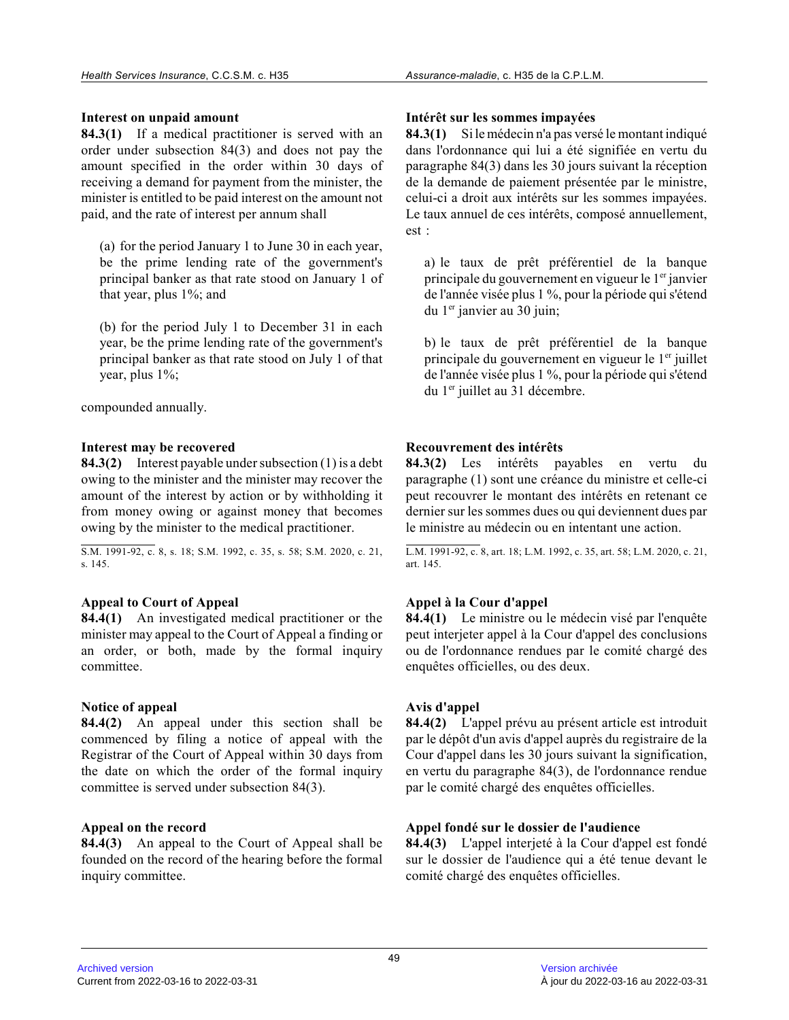## **Interest on unpaid amount**

**84.3(1)** If a medical practitioner is served with an order under subsection 84(3) and does not pay the amount specified in the order within 30 days of receiving a demand for payment from the minister, the minister is entitled to be paid interest on the amount not paid, and the rate of interest per annum shall

(a) for the period January 1 to June 30 in each year , be the prime lending rate of the government's principal banker as that rate stood on January 1 of that year, plus 1%; and

(b) for the period July 1 to December 31 in each year, be the prime lending rate of the government's principal banker as that rate stood on July 1 of that year, plus 1%;

compounded annually.

## **Interest may be recovered**

**84.3(2)** Interest payable under subsection (1) is a debt owing to the minister and the minister may recover th e amount of the interest by action or by withholding it from money owing or against money that becomes owing by the minister to the medical practitioner.

S.M. 1991-92, c. 8, s. 18; S.M. 1992, c. 35, s. 58; S.M. 2020, c. 21, s. 145.

# **Appeal to Court of Appeal**

**84.4(1)** An investigated medical practitioner or the minister may appeal to the Court of Appeal a finding or an order, or both, made by the formal inquiry committee.

# **Notice of appeal**

**84.4(2)** An appeal under this section shall be commenced by filing a notice of appeal with the Registrar of the Court of Appeal within 30 days fro m the date on which the order of the formal inquiry committee is served under subsection 84(3).

# **Appeal on the record**

**84.4(3)** An appeal to the Court of Appeal shall be founded on the record of the hearing before the formal inquiry committee.

## **Intérêt sur les sommes impayées**

**84.3(1)** Si le médecin n'a pas versé le montant indiqué dans l'ordonnance qui lui a été signifiée en vertu d u paragraphe 84(3) dans les 30 jours suivant la réception de la demande de paiement présentée par le ministre , celui-ci a droit aux intérêts sur les sommes impayées. Le taux annuel de ces intérêts, composé annuellement, est :

a) le taux de prêt préférentiel de la banque principale du gouvernement en vigueur le 1<sup>er</sup> janvier de l'année visée plus 1 %, pour la période qui s'étend du 1er janvier au 30 juin;

b) le taux de prêt préférentiel de la banque principale du gouvernement en vigueur le 1<sup>er</sup> juillet de l'année visée plus 1 %, pour la période qui s'étend du 1<sup>er</sup> juillet au 31 décembre.

# **Recouvrement des intérêts**

**84.3(2)** Les intérêts payables en vertu du paragraphe (1) sont une créance du ministre et celle-ci peut recouvrer le montant des intérêts en retenant c e dernier sur les sommes dues ou qui deviennent dues par le ministre au médecin ou en intentant une action.

L.M. 1991-92, c. 8, art. 18; L.M. 1992, c. 35, art. 58; L.M. 2020, c. 21, art. 145.

# **Appel à la Cour d'appel**

**84.4(1)** Le ministre ou le médecin visé par l'enquête peut interjeter appel à la Cour d'appel des conclusions ou de l'ordonnance rendues par le comité chargé des enquêtes officielles, ou des deux.

# **Avis d'appel**

**84.4(2)** L'appel prévu au présent article est introduit par le dépôt d'un avis d'appel auprès du registraire de la Cour d'appel dans les 30 jours suivant la signification, en vertu du paragraphe 84(3), de l'ordonnance rendue par le comité chargé des enquêtes officielles.

# **Appel fondé sur le dossier de l'audience**

**84.4(3)** L'appel interjeté à la Cour d'appel est fondé sur le dossier de l'audience qui a été tenue devant le comité chargé des enquêtes officielles.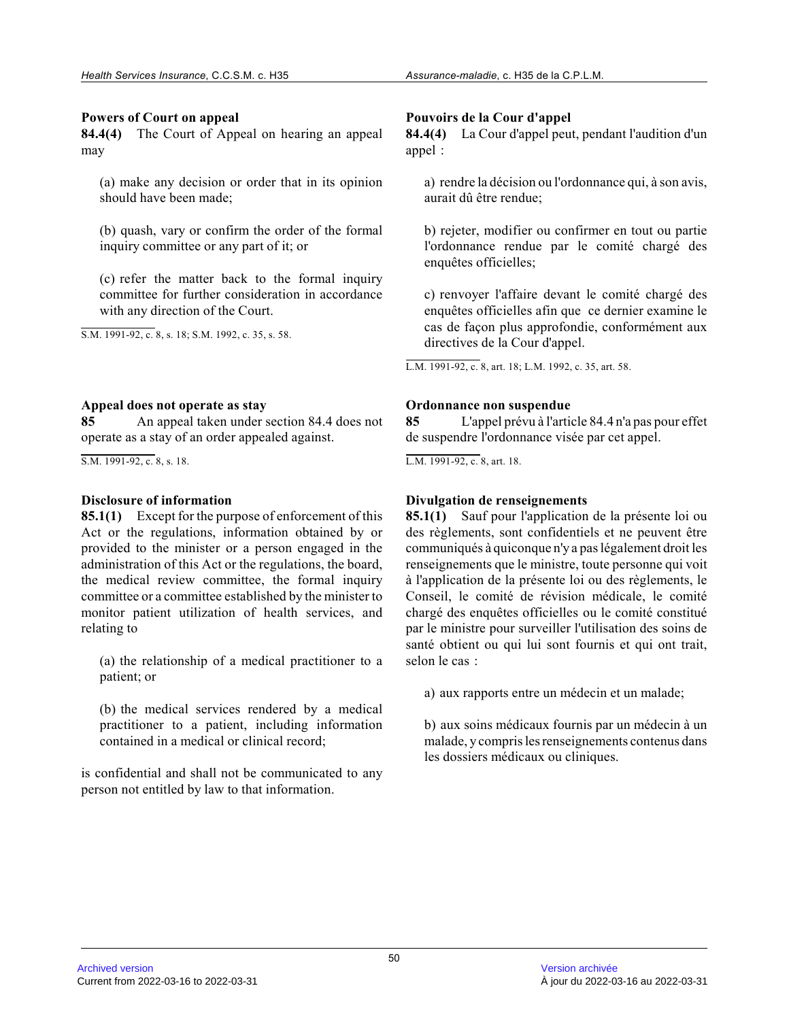## **Powers of Court on appeal**

**84.4(4)** The Court of Appeal on hearing an appeal may

(a) make any decision or order that in its opinion should have been made;

(b) quash, vary or confirm the order of the formal inquiry committee or any part of it; or

(c) refer the matter back to the formal inquiry committee for further consideration in accordance with any direction of the Court.

S.M. 1991-92, c. 8, s. 18; S.M. 1992, c. 35, s. 58.

## **Appeal does not operate as stay**

**85** An appeal taken under section 84.4 does not operate as a stay of an order appealed against.

S.M. 1991-92, c. 8, s. 18.

# **Disclosure of information**

**85.1(1)** Except for the purpose of enforcement of this Act or the regulations, information obtained by or provided to the minister or a person engaged in the administration of this Act or the regulations, the board, the medical review committee, the formal inquiry committee or a committee established by the minister to monitor patient utilization of health services, and relating to

(a) the relationship of a medical practitioner to a patient; or

(b) the medical services rendered by a medical practitioner to a patient, including information contained in a medical or clinical record;

is confidential and shall not be communicated to any person not entitled by law to that information.

# **Pouvoirs de la Cour d'appel**

**84.4(4)** La Cour d'appel peut, pendant l'audition d'un appel :

a) rendre la décision ou l'ordonnance qui, à son avis , aurait dû être rendue;

b) rejeter, modifier ou confirmer en tout ou partie l'ordonnance rendue par le comité chargé des enquêtes officielles;

c) renvoyer l'affaire devant le comité chargé des enquêtes officielles afin que ce dernier examine le cas de façon plus approfondie, conformément aux directives de la Cour d'appel.

L.M. 1991-92, c. 8, art. 18; L.M. 1992, c. 35, art. 58.

## **Ordonnance non suspendue**

**85** L'appel prévu à l'article 84.4 n'a pas pour effet de suspendre l'ordonnance visée par cet appel.

L.M. 1991-92, c. 8, art. 18.

# **Divulgation de renseignements**

**85.1(1)** Sauf pour l'application de la présente loi ou des règlements, sont confidentiels et ne peuvent êtr e communiqués à quiconque n'y a pas légalement droit les renseignements que le ministre, toute personne qui voit à l'application de la présente loi ou des règlements, le Conseil, le comité de révision médicale, le comité chargé des enquêtes officielles ou le comité constitué par le ministre pour surveiller l'utilisation des soins de santé obtient ou qui lui sont fournis et qui ont trait, selon le cas :

a) aux rapports entre un médecin et un malade;

b) aux soins médicaux fournis par un médecin à un malade, y compris les renseignements contenus dans les dossiers médicaux ou cliniques.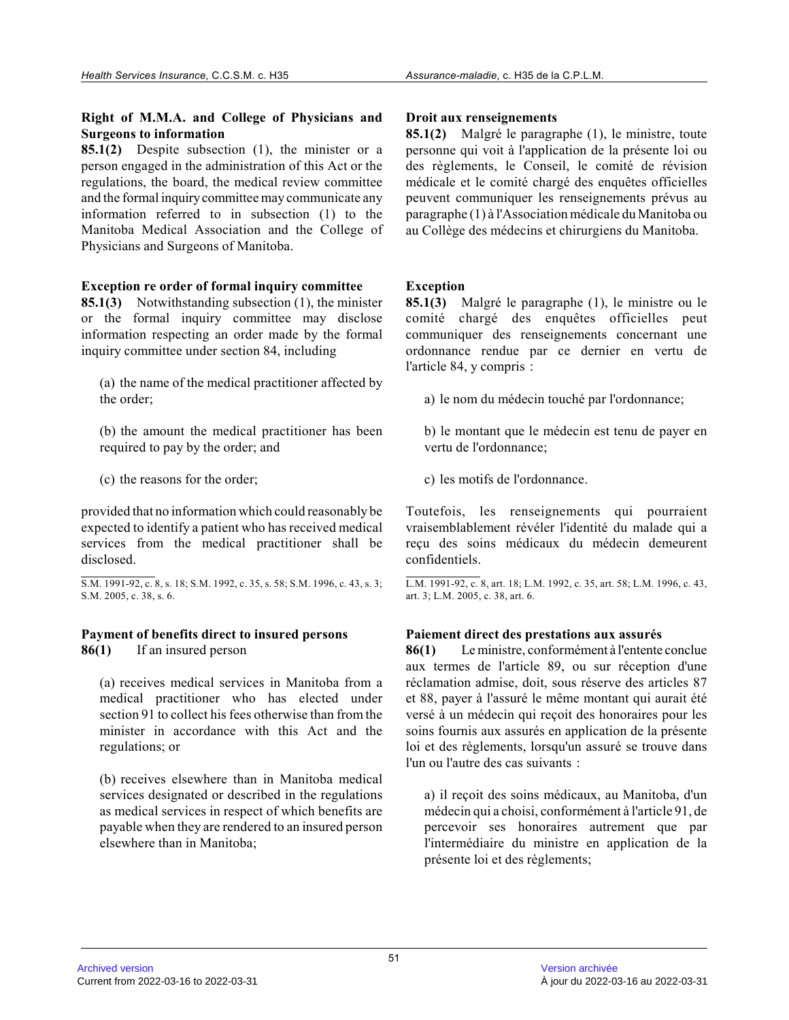# **Right of M.M.A. and College of Physicians and Surgeons to information**

**85.1(2)** Despite subsection (1), the minister or a person engaged in the administration of this Act or th e regulations, the board, the medical review committee and the formal inquiry committee may communicate any information referred to in subsection (1) to the Manitoba Medical Association and the College of Physicians and Surgeons of Manitoba.

# **Exception re order of formal inquiry committee**

**85.1(3)** Notwithstanding subsection (1), the minister or the formal inquiry committee may disclose information respecting an order made by the formal inquiry committee under section 84, including

(a) the name of the medical practitioner affected by the order;

(b) the amount the medical practitioner has been required to pay by the order; and

(c) the reasons for the order;

provided that no information which could reasonably be expected to identify a patient who has received medical services from the medical practitioner shall be disclosed.

S.M. 1991-92, c. 8, s. 18; S.M. 1992, c. 35, s. 58; S.M. 1996, c. 43, s. 3; S.M. 2005, c. 38, s. 6.

#### **Payment of benefits direct to insured persons 86(1)** If an insured person

(a) receives medical services in Manitoba from a medical practitioner who has elected under section 91 to collect his fees otherwise than from the minister in accordance with this Act and the regulations; or

(b) receives elsewhere than in Manitoba medical services designated or described in the regulations as medical services in respect of which benefits are payable when they are rendered to an insured person elsewhere than in Manitoba;

## **Droit aux renseignements**

**85.1(2)** Malgré le paragraphe (1), le ministre, toute personne qui voit à l'application de la présente loi ou des règlements, le Conseil, le comité de révision médicale et le comité chargé des enquêtes officielles peuvent communiquer les renseignements prévus au paragraphe (1) à l'Association médicale du Manitoba ou au Collège des médecins et chirurgiens du Manitoba.

# **Exception**

**85.1(3)** Malgré le paragraphe (1), le ministre ou le comité chargé des enquêtes officielles peut communiquer des renseignements concernant une ordonnance rendue par ce dernier en vertu de l'article 84, y compris :

a) le nom du médecin touché par l'ordonnance;

b) le montant que le médecin est tenu de payer en vertu de l'ordonnance;

c) les motifs de l'ordonnance.

Toutefois, les renseignements qui pourraient vraisemblablement révéler l'identité du malade qui a reçu des soins médicaux du médecin demeurent confidentiels.

L.M. 1991-92, c. 8, art. 18; L.M. 1992, c. 35, art. 58; L.M. 1996, c. 43, art. 3; L.M. 2005, c. 38, art. 6.

# **Paiement direct des prestations aux assurés**

**86(1)** Le ministre, conformément à l'entente conclue aux termes de l'article 89, ou sur réception d'une réclamation admise, doit, sous réserve des articles 87 et 88, payer à l'assuré le même montant qui aurait été versé à un médecin qui reçoit des honoraires pour le s soins fournis aux assurés en application de la présente loi et des règlements, lorsqu'un assuré se trouve dans l'un ou l'autre des cas suivants :

a) il reçoit des soins médicaux, au Manitoba, d'un médecin qui a choisi, conformément à l'article 91, de percevoir ses honoraires autrement que par l'intermédiaire du ministre en application de la présente loi et des règlements;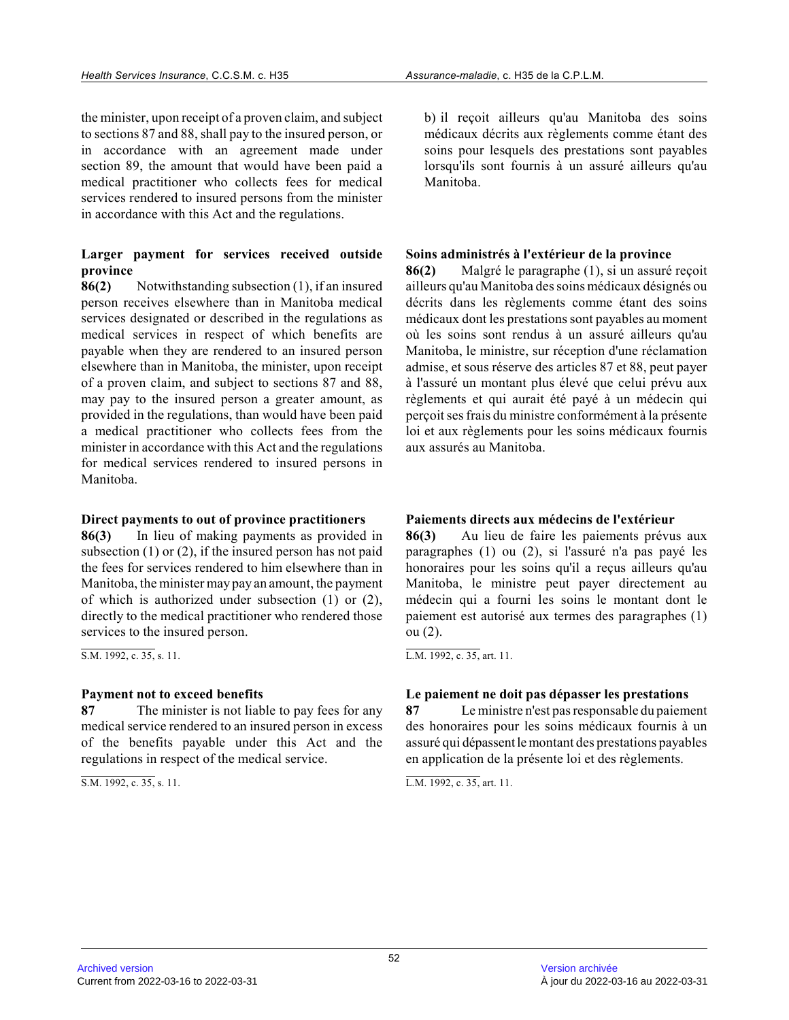the minister, upon receipt of a proven claim, and subject to sections 87 and 88, shall pay to the insured person, or in accordance with an agreement made under section 89, the amount that would have been paid a medical practitioner who collects fees for medical services rendered to insured persons from the minister in accordance with this Act and the regulations.

# **Larger payment for services received outside province**

**86(2)** Notwithstanding subsection (1), if an insured person receives elsewhere than in Manitoba medical services designated or described in the regulations as medical services in respect of which benefits are payable when they are rendered to an insured person elsewhere than in Manitoba, the minister, upon receipt of a proven claim, and subject to sections 87 and 88 , may pay to the insured person a greater amount, as provided in the regulations, than would have been pai d a medical practitioner who collects fees from the minister in accordance with this Act and the regulations for medical services rendered to insured persons in Manitoba.

# **Direct payments to out of province practitioners**

**86(3)** In lieu of making payments as provided in subsection (1) or (2), if the insured person has not paid the fees for services rendered to him elsewhere than in Manitoba, the minister may pay an amount, the payment of which is authorized under subsection (1) or (2), directly to the medical practitioner who rendered those services to the insured person.

 $\overline{S.M. 1992, c. 35, s. 11}.$ 

# **Payment not to exceed benefits**

**87** The minister is not liable to pay fees for any medical service rendered to an insured person in excess of the benefits payable under this Act and the regulations in respect of the medical service.

S.M. 1992, c. 35, s. 11.

b) il reçoit ailleurs qu'au Manitoba des soins médicaux décrits aux règlements comme étant des soins pour lesquels des prestations sont payables lorsqu'ils sont fournis à un assuré ailleurs qu'au Manitoba.

# **Soins administrés à l'extérieur de la province**

**86(2)** Malgré le paragraphe (1), si un assuré reçoit ailleurs qu'au Manitoba des soins médicaux désignés ou décrits dans les règlements comme étant des soins médicaux dont les prestations sont payables au moment où les soins sont rendus à un assuré ailleurs qu'au Manitoba, le ministre, sur réception d'une réclamation admise, et sous réserve des articles 87 et 88, peut payer à l'assuré un montant plus élevé que celui prévu aux règlements et qui aurait été payé à un médecin qui perçoit ses frais du ministre conformément à la présente loi et aux règlements pour les soins médicaux fournis aux assurés au Manitoba.

# **Paiements directs aux médecins de l'extérieur**

**86(3)** Au lieu de faire les paiements prévus aux paragraphes (1) ou (2), si l'assuré n'a pas payé le s honoraires pour les soins qu'il a reçus ailleurs qu'au Manitoba, le ministre peut payer directement au médecin qui a fourni les soins le montant dont le paiement est autorisé aux termes des paragraphes (1 ) ou (2).

L.M. 1992, c. 35, art. 11.

# **Le paiement ne doit pas dépasser les prestations**

**87** Le ministre n'est pas responsable du paiement des honoraires pour les soins médicaux fournis à un assuré qui dépassent le montant des prestations payables en application de la présente loi et des règlements .

L.M. 1992, c. 35, art. 11.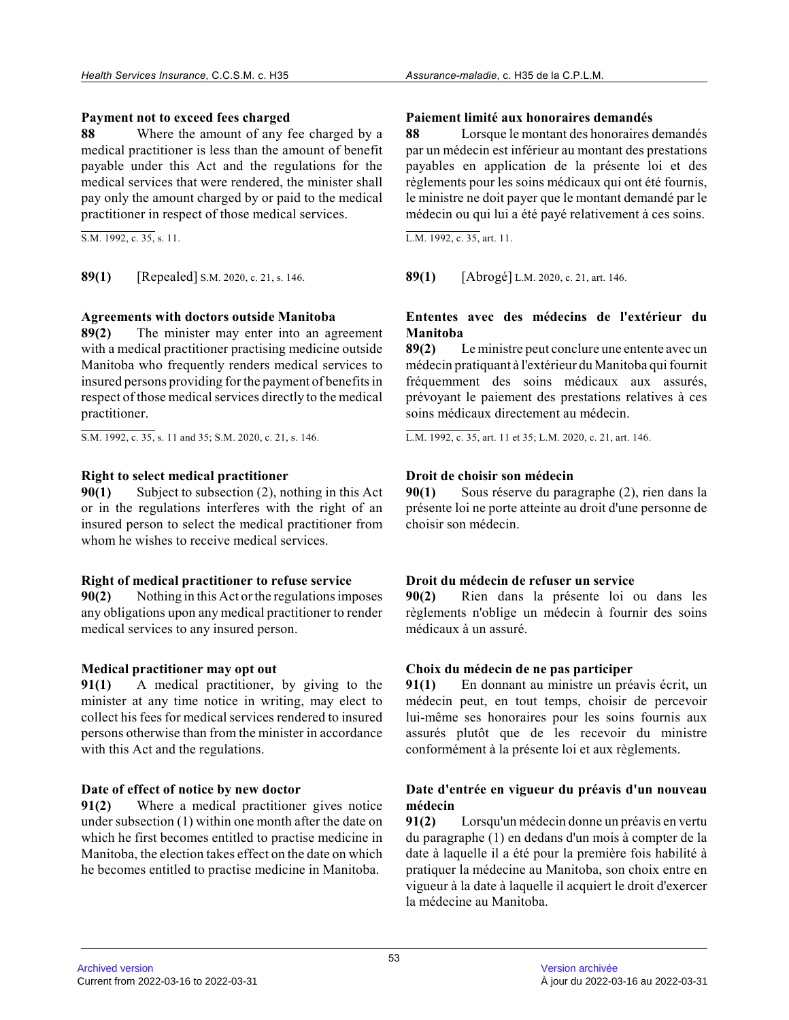## **Payment not to exceed fees charged**

**88** Where the amount of any fee charged by a medical practitioner is less than the amount of benefit payable under this Act and the regulations for the medical services that were rendered, the minister shall pay only the amount charged by or paid to the medical practitioner in respect of those medical services.

S.M. 1992, c. 35, s. 11.

**89(1)** [Repealed] S.M. 2020, c. 21, s. 146. **89(1)** [Abrogé] L.M. 2020, c. 21, art. 146.

# **Agreements with doctors outside Manitoba**

**89(2)** The minister may enter into an agreement with a medical practitioner practising medicine outside Manitoba who frequently renders medical services to insured persons providing for the payment of benefits in respect of those medical services directly to the medical practitioner.

S.M. 1992, c. 35, s. 11 and 35; S.M. 2020, c. 21, s. 146.

## **Right to select medical practitioner**

**90(1)** Subject to subsection (2), nothing in this Act or in the regulations interferes with the right of an insured person to select the medical practitioner from whom he wishes to receive medical services.

# **Right of medical practitioner to refuse service**

**90(2)** Nothing in this Act or the regulations imposes any obligations upon any medical practitioner to render medical services to any insured person.

# **Medical practitioner may opt out**

**91(1)** A medical practitioner, by giving to the minister at any time notice in writing, may elect t o collect his fees for medical services rendered to insured persons otherwise than from the minister in accordance with this Act and the regulations.

# **Date of effect of notice by new doctor**

**91(2)** Where a medical practitioner gives notice under subsection (1) within one month after the date on which he first becomes entitled to practise medicine in Manitoba, the election takes effect on the date on which he becomes entitled to practise medicine in Manitoba.

## **Paiement limité aux honoraires demandés**

**88** Lorsque le montant des honoraires demandés par un médecin est inférieur au montant des prestations payables en application de la présente loi et des règlements pour les soins médicaux qui ont été fournis, le ministre ne doit payer que le montant demandé par le médecin ou qui lui a été payé relativement à ces soins.

L.M. 1992, c. 35, art. 11.

# **Ententes avec des médecins de l'extérieur du Manitoba**

**89(2)** Le ministre peut conclure une entente avec un médecin pratiquant à l'extérieur du Manitoba qui fournit fréquemment des soins médicaux aux assurés, prévoyant le paiement des prestations relatives à ces soins médicaux directement au médecin.

L.M. 1992, c. 35, art. 11 et 35; L.M. 2020, c. 21, art. 146.

# **Droit de choisir son médecin**

**90(1)** Sous réserve du paragraphe (2), rien dans la présente loi ne porte atteinte au droit d'une personne de choisir son médecin.

# **Droit du médecin de refuser un service**

**90(2)** Rien dans la présente loi ou dans les règlements n'oblige un médecin à fournir des soins médicaux à un assuré.

# **Choix du médecin de ne pas participer**

**91(1)** En donnant au ministre un préavis écrit, un médecin peut, en tout temps, choisir de percevoir lui-même ses honoraires pour les soins fournis aux assurés plutôt que de les recevoir du ministre conformément à la présente loi et aux règlements.

# **Date d'entrée en vigueur du préavis d'un nouveau médecin**

**91(2)** Lorsqu'un médecin donne un préavis en vertu du paragraphe (1) en dedans d'un mois à compter de la date à laquelle il a été pour la première fois habilité à pratiquer la médecine au Manitoba, son choix entre en vigueur à la date à laquelle il acquiert le droit d'exercer la médecine au Manitoba.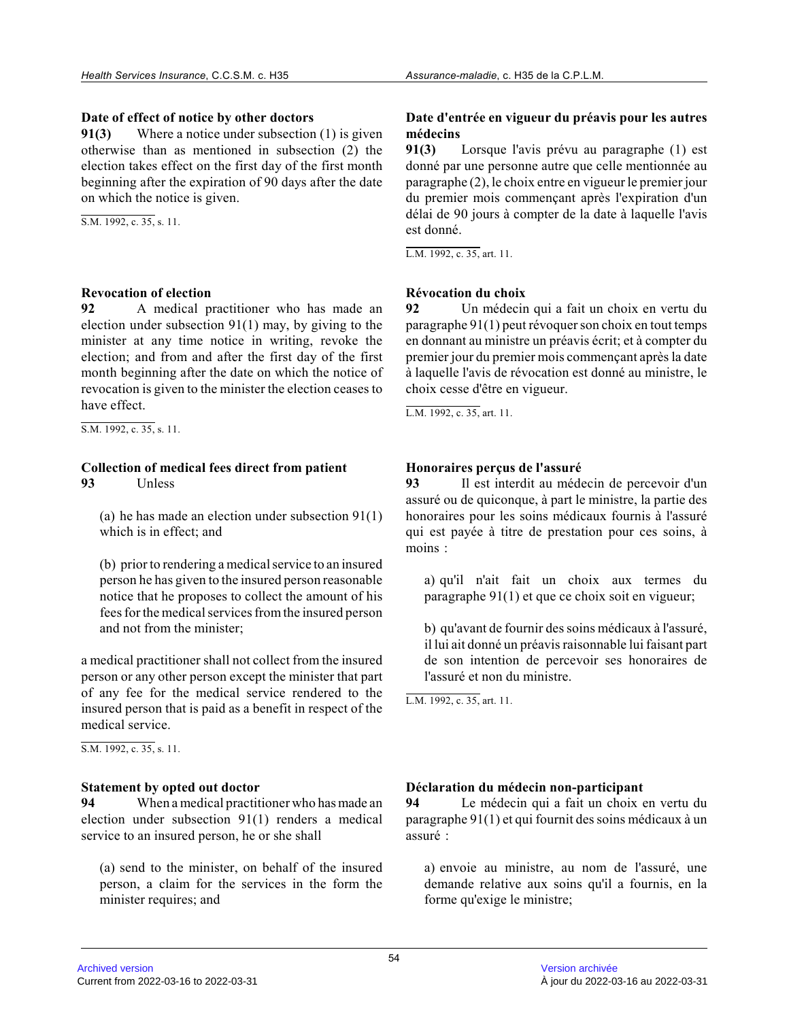## **Date of effect of notice by other doctors**

**91(3)** Where a notice under subsection (1) is given otherwise than as mentioned in subsection (2) the election takes effect on the first day of the first month beginning after the expiration of 90 days after the date on which the notice is given.

S.M. 1992, c. 35, s. 11.

# **Revocation of election**<br>92 A medical proposed A

**92** A medical practitioner who has made an election under subsection 91(1) may, by giving to th e minister at any time notice in writing, revoke the election; and from and after the first day of the first month beginning after the date on which the notice of revocation is given to the minister the election ceases to have effect.

S.M. 1992, c. 35, s. 11.

## **Collection of medical fees direct from patient 93** Unless

(a) he has made an election under subsection 91(1) which is in effect; and

(b) prior to rendering a medical service to an insure d person he has given to the insured person reasonable notice that he proposes to collect the amount of his fees for the medical services from the insured perso n and not from the minister;

a medical practitioner shall not collect from the insured person or any other person except the minister that part of any fee for the medical service rendered to the insured person that is paid as a benefit in respect of the medical service.

 $\overline{SM. 1992. c. 35. s. 11.}$ 

#### **Statement by opted out doctor**

**94** When a medical practitioner who has made an election under subsection 91(1) renders a medical service to an insured person, he or she shall

(a) send to the minister, on behalf of the insured person, a claim for the services in the form the minister requires; and

## **Date d'entrée en vigueur du préavis pour les autres médecins**

**91(3)** Lorsque l'avis prévu au paragraphe (1) est donné par une personne autre que celle mentionnée au paragraphe (2), le choix entre en vigueur le premier jour du premier mois commençant après l'expiration d'un délai de 90 jours à compter de la date à laquelle l'avis est donné.

L.M. 1992, c. 35, art. 11.

## **Révocation du choix**

**92** Un médecin qui a fait un choix en vertu du paragraphe 91(1) peut révoquer son choix en tout temps en donnant au ministre un préavis écrit; et à compter du premier jour du premier mois commençant après la date à laquelle l'avis de révocation est donné au ministre, le choix cesse d'être en vigueur.

L.M. 1992, c. 35, art. 11.

# **Honoraires perçus de l'assuré**

**93** Il est interdit au médecin de percevoir d'un assuré ou de quiconque, à part le ministre, la partie des honoraires pour les soins médicaux fournis à l'assuré qui est payée à titre de prestation pour ces soins, à moins :

a) qu'il n'ait fait un choix aux termes du paragraphe 91(1) et que ce choix soit en vigueur;

b) qu'avant de fournir des soins médicaux à l'assuré, il lui ait donné un préavis raisonnable lui faisant part de son intention de percevoir ses honoraires de l'assuré et non du ministre.

L.M. 1992, c. 35, art. 11.

#### **Déclaration du médecin non-participant**

**94** Le médecin qui a fait un choix en vertu du paragraphe 91(1) et qui fournit des soins médicaux à un assuré :

a) envoie au ministre, au nom de l'assuré, une demande relative aux soins qu'il a fournis, en la forme qu'exige le ministre;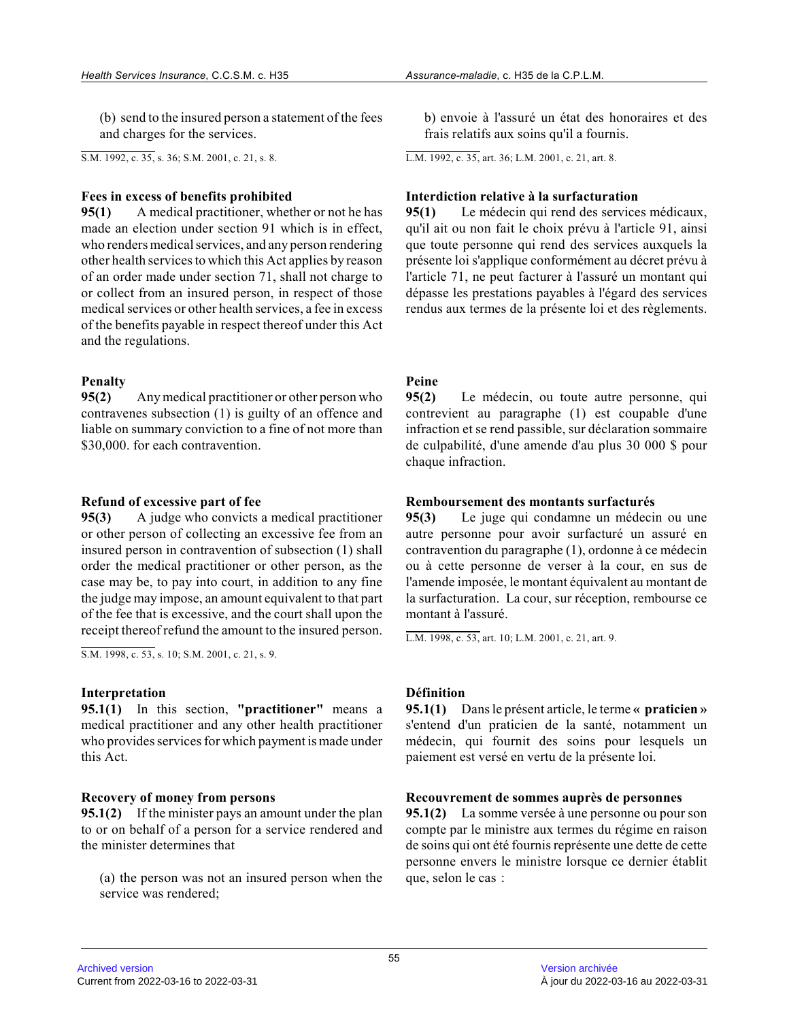(b) send to the insured person a statement of the fees and charges for the services.

S.M. 1992, c. 35, s. 36; S.M. 2001, c. 21, s. 8.

#### **Fees in excess of benefits prohibited**

**95(1)** A medical practitioner, whether or not he has made an election under section 91 which is in effect, who renders medical services, and any person rendering other health services to which this Act applies by reason of an order made under section 71, shall not charge to or collect from an insured person, in respect of those medical services or other health services, a fee in excess of the benefits payable in respect thereof under this Act and the regulations.

## **Penalty**

**95(2)** Any medical practitioner or other person who contravenes subsection (1) is guilty of an offence and liable on summary conviction to a fine of not more than \$30,000. for each contravention.

#### **Refund of excessive part of fee**

**95(3)** A judge who convicts a medical practitioner or other person of collecting an excessive fee from an insured person in contravention of subsection (1) shall order the medical practitioner or other person, as the case may be, to pay into court, in addition to any fine the judge may impose, an amount equivalent to that part of the fee that is excessive, and the court shall upon the receipt thereof refund the amount to the insured person.

S.M. 1998, c. 53, s. 10; S.M. 2001, c. 21, s. 9.

#### **Interpretation**

**95.1(1)** In this section, **"practitioner"** means a medical practitioner and any other health practitioner who provides services for which payment is made under this Act.

#### **Recovery of money from persons**

**95.1(2)** If the minister pays an amount under the plan to or on behalf of a person for a service rendered and the minister determines that

(a) the person was not an insured person when the service was rendered;

b) envoie à l'assuré un état des honoraires et des frais relatifs aux soins qu'il a fournis.

L.M. 1992, c. 35, art. 36; L.M. 2001, c. 21, art. 8 .

#### **Interdiction relative à la surfacturation**

**95(1)** Le médecin qui rend des services médicaux, qu'il ait ou non fait le choix prévu à l'article 91, ainsi que toute personne qui rend des services auxquels la présente loi s'applique conformément au décret prévu à l'article 71, ne peut facturer à l'assuré un montant qui dépasse les prestations payables à l'égard des services rendus aux termes de la présente loi et des règlements.

## **Peine**

**95(2)** Le médecin, ou toute autre personne, qui contrevient au paragraphe (1) est coupable d'une infraction et se rend passible, sur déclaration sommaire de culpabilité, d'une amende d'au plus 30 000 \$ pour chaque infraction.

#### **Remboursement des montants surfacturés**

**95(3)** Le juge qui condamne un médecin ou une autre personne pour avoir surfacturé un assuré en contravention du paragraphe (1), ordonne à ce médeci n ou à cette personne de verser à la cour, en sus de l'amende imposée, le montant équivalent au montant d e la surfacturation. La cour, sur réception, rembourse ce montant à l'assuré.

L.M. 1998, c. 53, art. 10; L.M. 2001, c. 21, art. 9 .

#### **Définition**

**95.1(1)** Dans le présent article, le terme **« praticien »** s'entend d'un praticien de la santé, notamment un médecin, qui fournit des soins pour lesquels un paiement est versé en vertu de la présente loi.

#### **Recouvrement de sommes auprès de personnes**

**95.1(2)** La somme versée à une personne ou pour son compte par le ministre aux termes du régime en raison de soins qui ont été fournis représente une dette de cette personne envers le ministre lorsque ce dernier établit que, selon le cas :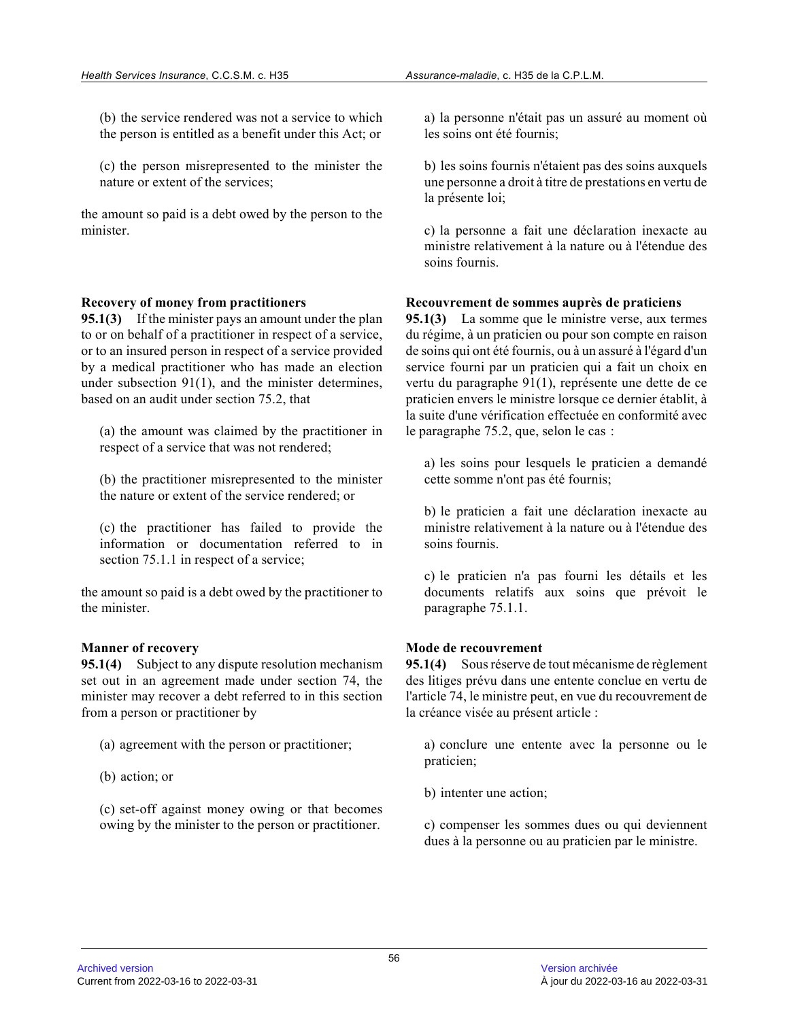(b) the service rendered was not a service to which the person is entitled as a benefit under this Act; or

(c) the person misrepresented to the minister the nature or extent of the services;

the amount so paid is a debt owed by the person to the minister.

#### **Recovery of money from practitioners**

**95.1(3)** If the minister pays an amount under the plan to or on behalf of a practitioner in respect of a service, or to an insured person in respect of a service provided by a medical practitioner who has made an election under subsection 91(1), and the minister determines , based on an audit under section 75.2, that

(a) the amount was claimed by the practitioner in respect of a service that was not rendered;

(b) the practitioner misrepresented to the minister the nature or extent of the service rendered; or

(c) the practitioner has failed to provide the information or documentation referred to in section 75.1.1 in respect of a service;

the amount so paid is a debt owed by the practitioner to the minister.

#### **Manner of recovery**

**95.1(4)** Subject to any dispute resolution mechanism set out in an agreement made under section 74, the minister may recover a debt referred to in this section from a person or practitioner by

(a) agreement with the person or practitioner;

(b) action; or

(c) set-off against money owing or that becomes owing by the minister to the person or practitioner .

a) la personne n'était pas un assuré au moment où les soins ont été fournis;

b) les soins fournis n'étaient pas des soins auxquel s une personne a droit à titre de prestations en vertu de la présente loi;

c) la personne a fait une déclaration inexacte au ministre relativement à la nature ou à l'étendue des soins fournis.

## **Recouvrement de sommes auprès de praticiens**

**95.1(3)** La somme que le ministre verse, aux termes du régime, à un praticien ou pour son compte en raison de soins qui ont été fournis, ou à un assuré à l'égard d'un service fourni par un praticien qui a fait un choix en vertu du paragraphe 91(1), représente une dette de c e praticien envers le ministre lorsque ce dernier établit, à la suite d'une vérification effectuée en conformité avec le paragraphe 75.2, que, selon le cas :

a) les soins pour lesquels le praticien a demandé cette somme n'ont pas été fournis;

b) le praticien a fait une déclaration inexacte au ministre relativement à la nature ou à l'étendue des soins fournis.

c) le praticien n'a pas fourni les détails et les documents relatifs aux soins que prévoit le paragraphe 75.1.1.

# **Mode de recouvrement**

**95.1(4)** Sous réserve de tout mécanisme de règlement des litiges prévu dans une entente conclue en vertu d e l'article 74, le ministre peut, en vue du recouvrement de la créance visée au présent article :

a) conclure une entente avec la personne ou le praticien;

b) intenter une action;

c) compenser les sommes dues ou qui deviennent dues à la personne ou au praticien par le ministre.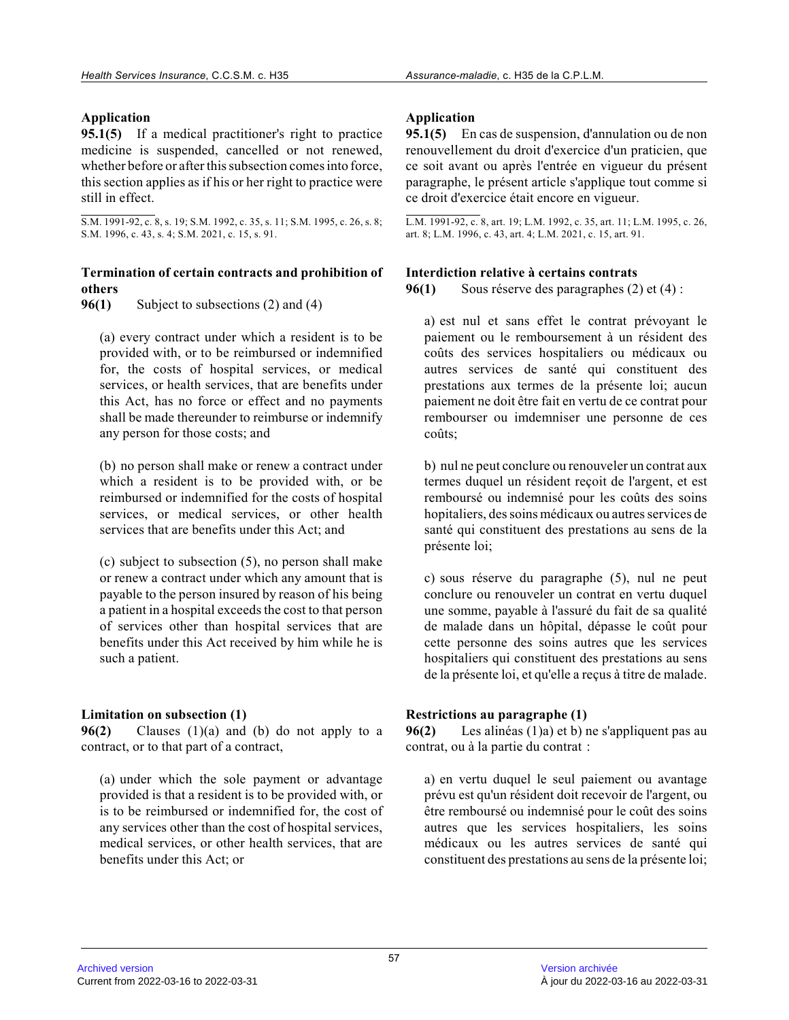# **Application**

**95.1(5)** If a medical practitioner's right to practice medicine is suspended, cancelled or not renewed, whether before or after this subsection comes into force, this section applies as if his or her right to practice were still in effect.

S.M. 1991-92, c. 8, s. 19; S.M. 1992, c. 35, s. 11; S.M. 1995, c. 26, s. 8; S.M. 1996, c. 43, s. 4; S.M. 2021, c. 15, s. 91.

# **Termination of certain contracts and prohibition of others**

**96(1)** Subject to subsections (2) and (4)

(a) every contract under which a resident is to be provided with, or to be reimbursed or indemnified for, the costs of hospital services, or medical services, or health services, that are benefits under this Act, has no force or effect and no payments shall be made thereunder to reimburse or indemnify any person for those costs; and

(b) no person shall make or renew a contract under which a resident is to be provided with, or be reimbursed or indemnified for the costs of hospital services, or medical services, or other health services that are benefits under this Act; and

(c) subject to subsection (5), no person shall make or renew a contract under which any amount that is payable to the person insured by reason of his bein g a patient in a hospital exceeds the cost to that person of services other than hospital services that are benefits under this Act received by him while he is such a patient.

# **Limitation on subsection (1)**

**96(2)** Clauses (1)(a) and (b) do not apply to a contract, or to that part of a contract,

(a) under which the sole payment or advantage provided is that a resident is to be provided with, o r is to be reimbursed or indemnified for, the cost of any services other than the cost of hospital services , medical services, or other health services, that are benefits under this Act; or

# **Application**

**95.1(5)** En cas de suspension, d'annulation ou de non renouvellement du droit d'exercice d'un praticien, que ce soit avant ou après l'entrée en vigueur du présent paragraphe, le présent article s'applique tout comme si ce droit d'exercice était encore en vigueur.

L.M. 1991-92, c. 8, art. 19; L.M. 1992, c. 35, art. 11; L.M. 1995, c. 26, art. 8; L.M. 1996, c. 43, art. 4; L.M. 2021, c. 15, art. 91.

# **Interdiction relative à certains contrats**

**96(1)** Sous réserve des paragraphes (2) et (4) :

a) est nul et sans effet le contrat prévoyant le paiement ou le remboursement à un résident des coûts des services hospitaliers ou médicaux ou autres services de santé qui constituent des prestations aux termes de la présente loi; aucun paiement ne doit être fait en vertu de ce contrat pour rembourser ou imdemniser une personne de ces coûts;

b) nul ne peut conclure ou renouveler un contrat aux termes duquel un résident reçoit de l'argent, et es t remboursé ou indemnisé pour les coûts des soins hopitaliers, des soins médicaux ou autres services d e santé qui constituent des prestations au sens de la présente loi;

c) sous réserve du paragraphe (5), nul ne peut conclure ou renouveler un contrat en vertu duquel une somme, payable à l'assuré du fait de sa qualité de malade dans un hôpital, dépasse le coût pour cette personne des soins autres que les services hospitaliers qui constituent des prestations au sen s de la présente loi, et qu'elle a reçus à titre de malade.

# **Restrictions au paragraphe (1)**

**96(2)** Les alinéas (1)a) et b) ne s'appliquent pas au contrat, ou à la partie du contrat :

a) en vertu duquel le seul paiement ou avantage prévu est qu'un résident doit recevoir de l'argent, o u être remboursé ou indemnisé pour le coût des soins autres que les services hospitaliers, les soins médicaux ou les autres services de santé qui constituent des prestations au sens de la présente loi;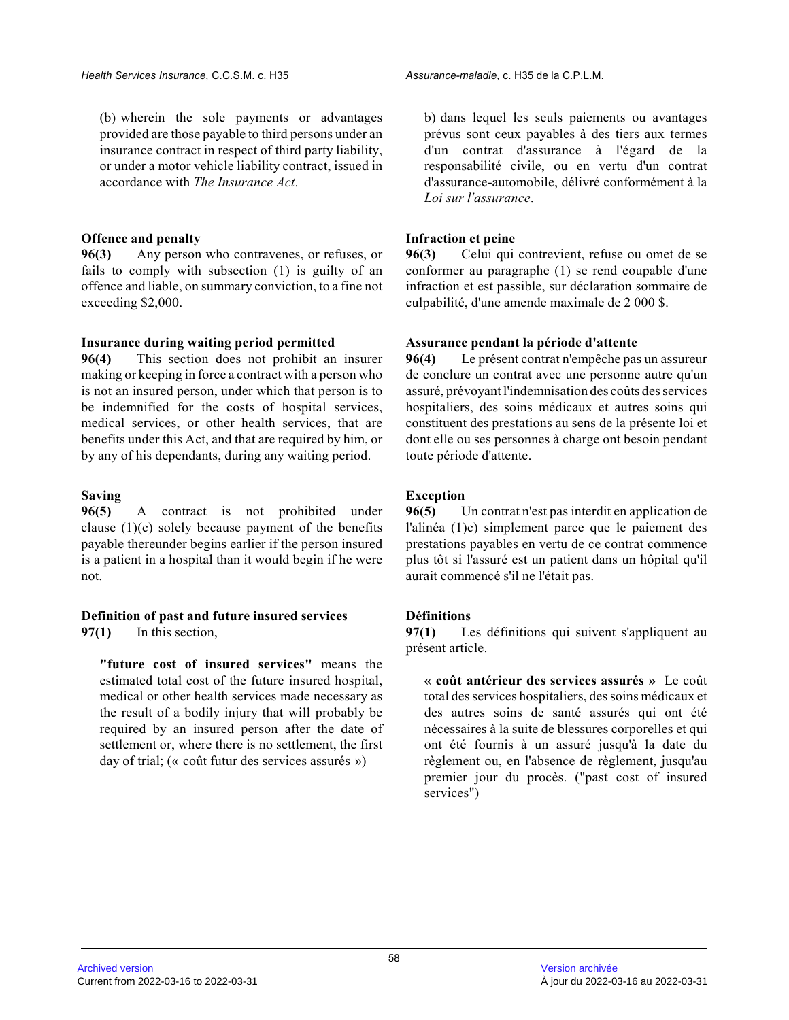(b) wherein the sole payments or advantages provided are those payable to third persons under an insurance contract in respect of third party liability, or under a motor vehicle liability contract, issued in accordance with *The Insurance Act* .

## **Offence and penalty**

**96(3)** Any person who contravenes, or refuses, or fails to comply with subsection (1) is guilty of an offence and liable, on summary conviction, to a fine not exceeding \$2,000.

#### **Insurance during waiting period permitted**

**96(4)** This section does not prohibit an insurer making or keeping in force a contract with a person who is not an insured person, under which that person is to be indemnified for the costs of hospital services, medical services, or other health services, that are benefits under this Act, and that are required by him, or by any of his dependants, during any waiting period .

#### **Saving**

**96(5)** A contract is not prohibited under clause (1)(c) solely because payment of the benefit s payable thereunder begins earlier if the person insured is a patient in a hospital than it would begin if he were not.

#### **Definition of past and future insured services 97(1)** In this section,

**"future cost of insured services"** means the estimated total cost of the future insured hospital , medical or other health services made necessary as the result of a bodily injury that will probably be required by an insured person after the date of settlement or, where there is no settlement, the first day of trial; (« coût futur des services assurés »)

b) dans lequel les seuls paiements ou avantages prévus sont ceux payables à des tiers aux termes d'un contrat d'assurance à l'égard de la responsabilité civile, ou en vertu d'un contrat d'assurance-automobile, délivré conformément à la *Loi sur l'assurance* .

## **Infraction et peine**

**96(3)** Celui qui contrevient, refuse ou omet de se conformer au paragraphe (1) se rend coupable d'une infraction et est passible, sur déclaration sommaire de culpabilité, d'une amende maximale de 2 000 \$.

## **Assurance pendant la période d'attente**

**96(4)** Le présent contrat n'empêche pas un assureur de conclure un contrat avec une personne autre qu'un assuré, prévoyant l'indemnisation des coûts des services hospitaliers, des soins médicaux et autres soins qu i constituent des prestations au sens de la présente loi e t dont elle ou ses personnes à charge ont besoin pendant toute période d'attente.

# **Exception**

**96(5)** Un contrat n'est pas interdit en application de l'alinéa (1)c) simplement parce que le paiement des prestations payables en vertu de ce contrat commence plus tôt si l'assuré est un patient dans un hôpital qu'il aurait commencé s'il ne l'était pas.

# **Définitions**

**97(1)** Les définitions qui suivent s'appliquent au présent article.

**« coût antérieur des services assurés »** Le coût total des services hospitaliers, des soins médicaux et des autres soins de santé assurés qui ont été nécessaires à la suite de blessures corporelles et qui ont été fournis à un assuré jusqu'à la date du règlement ou, en l'absence de règlement, jusqu'au premier jour du procès. ("past cost of insured services")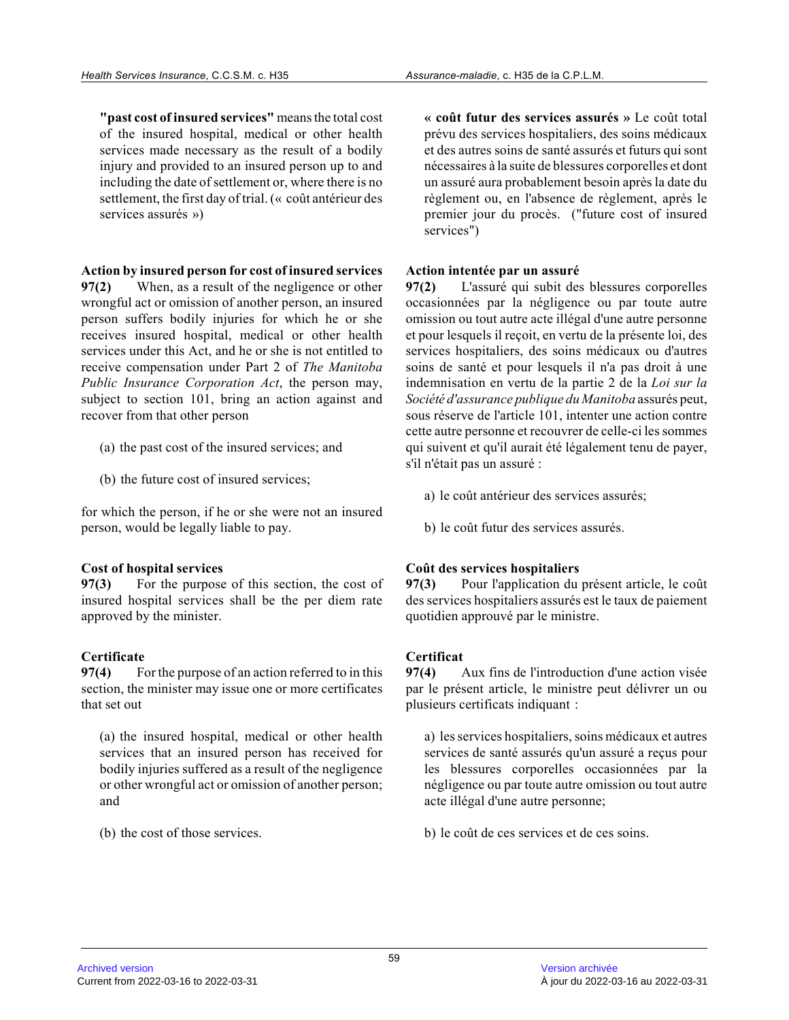**"past cost of insured services"** means the total cost of the insured hospital, medical or other health services made necessary as the result of a bodily injury and provided to an insured person up to and including the date of settlement or, where there is no settlement, the first day of trial. (« coût antérieur des services assurés »)

**Action by insured person for cost of insured services**

**97(2)** When, as a result of the negligence or other wrongful act or omission of another person, an insured person suffers bodily injuries for which he or she receives insured hospital, medical or other health services under this Act, and he or she is not entitled to receive compensation under Part 2 of *The Manitoba Public Insurance Corporation Act*, the person may, subject to section 101, bring an action against and recover from that other person

- (a) the past cost of the insured services; and
- (b) the future cost of insured services;

for which the person, if he or she were not an insured person, would be legally liable to pay.

# **Cost of hospital services**

**97(3)** For the purpose of this section, the cost of insured hospital services shall be the per diem rat e approved by the minister.

# **Certificate**

**97(4)** For the purpose of an action referred to in this section, the minister may issue one or more certificates that set out

(a) the insured hospital, medical or other health services that an insured person has received for bodily injuries suffered as a result of the negligence or other wrongful act or omission of another person ; and

(b) the cost of those services.

**« coût futur des services assurés »** Le coût total prévu des services hospitaliers, des soins médicaux et des autres soins de santé assurés et futurs qui sont nécessaires à la suite de blessures corporelles et dont un assuré aura probablement besoin après la date du règlement ou, en l'absence de règlement, après le premier jour du procès. ("future cost of insured services")

## **Action intentée par un assuré**

**97(2)** L'assuré qui subit des blessures corporelles occasionnées par la négligence ou par toute autre omission ou tout autre acte illégal d'une autre personne et pour lesquels il reçoit, en vertu de la présente loi, des services hospitaliers, des soins médicaux ou d'autre s soins de santé et pour lesquels il n'a pas droit à une indemnisation en vertu de la partie 2 de la *Loi sur la Société d'assurance publique du Manitoba* assurés peut, sous réserve de l'article 101, intenter une action contre cette autre personne et recouvrer de celle-ci les sommes qui suivent et qu'il aurait été légalement tenu de payer, s'il n'était pas un assuré :

- a) le coût antérieur des services assurés;
- b) le coût futur des services assurés.

# **Coût des services hospitaliers**

**97(3)** Pour l'application du présent article, le coût des services hospitaliers assurés est le taux de paiement quotidien approuvé par le ministre.

# **Certificat**

**97(4)** Aux fins de l'introduction d'une action visée par le présent article, le ministre peut délivrer un ou plusieurs certificats indiquant :

a) les services hospitaliers, soins médicaux et autre s services de santé assurés qu'un assuré a reçus pour les blessures corporelles occasionnées par la négligence ou par toute autre omission ou tout autr e acte illégal d'une autre personne;

b) le coût de ces services et de ces soins.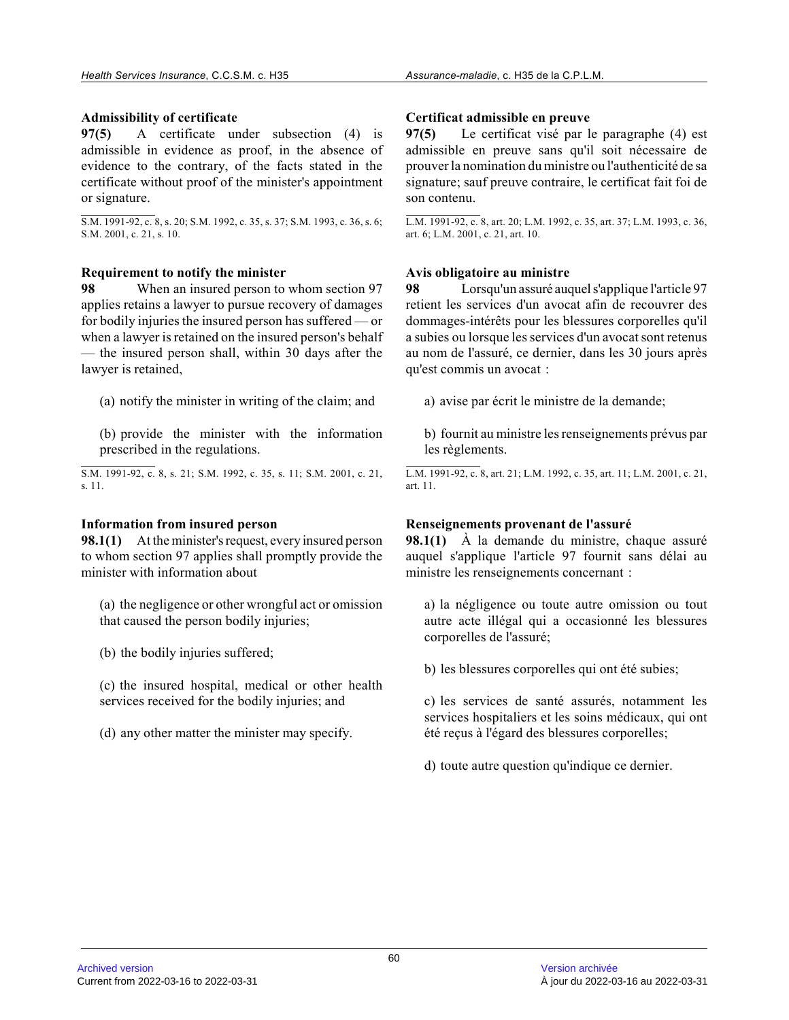# **Admissibility of certificate**

**97(5)** A certificate under subsection (4) is admissible in evidence as proof, in the absence of evidence to the contrary, of the facts stated in the certificate without proof of the minister's appointment or signature.

S.M. 1991-92, c. 8, s. 20; S.M. 1992, c. 35, s. 37; S.M. 1993, c. 36, s. 6; S.M. 2001, c. 21, s. 10.

## **Requirement to notify the minister**

**98** When an insured person to whom section 97 applies retains a lawyer to pursue recovery of damages for bodily injuries the insured person has suffered — or when a lawyer is retained on the insured person's behalf — the insured person shall, within 30 days after th e lawyer is retained,

(a) notify the minister in writing of the claim; and

(b) provide the minister with the information prescribed in the regulations.

S.M. 1991-92, c. 8, s. 21; S.M. 1992, c. 35, s. 11; S.M. 2001, c. 21, s. 11.

# **Information from insured person**

**98.1(1)** At the minister's request, every insured person to whom section 97 applies shall promptly provide the minister with information about

(a) the negligence or other wrongful act or omission that caused the person bodily injuries;

(b) the bodily injuries suffered;

(c) the insured hospital, medical or other health services received for the bodily injuries; and

(d) any other matter the minister may specify.

# **Certificat admissible en preuve**

**97(5)** Le certificat visé par le paragraphe (4) est admissible en preuve sans qu'il soit nécessaire de prouver la nomination du ministre ou l'authenticité de sa signature; sauf preuve contraire, le certificat fait foi de son contenu.

L.M. 1991-92, c. 8, art. 20; L.M. 1992, c. 35, art. 37; L.M. 1993, c. 36, art. 6; L.M. 2001, c. 21, art. 10.

## **Avis obligatoire au ministre**

**98** Lorsqu'un assuré auquel s'applique l'article 97 retient les services d'un avocat afin de recouvrer des dommages-intérêts pour les blessures corporelles qu'il a subies ou lorsque les services d'un avocat sont retenus au nom de l'assuré, ce dernier, dans les 30 jours après qu'est commis un avocat :

a) avise par écrit le ministre de la demande;

b) fournit au ministre les renseignements prévus par les règlements.

L.M. 1991-92, c. 8, art. 21; L.M. 1992, c. 35, art. 11; L.M. 2001, c. 21, art. 11.

# **Renseignements provenant de l'assuré**

**98.1(1)** À la demande du ministre, chaque assuré auquel s'applique l'article 97 fournit sans délai a u ministre les renseignements concernant :

a) la négligence ou toute autre omission ou tout autre acte illégal qui a occasionné les blessures corporelles de l'assuré;

b) les blessures corporelles qui ont été subies;

c) les services de santé assurés, notamment les services hospitaliers et les soins médicaux, qui ont été reçus à l'égard des blessures corporelles;

d) toute autre question qu'indique ce dernier.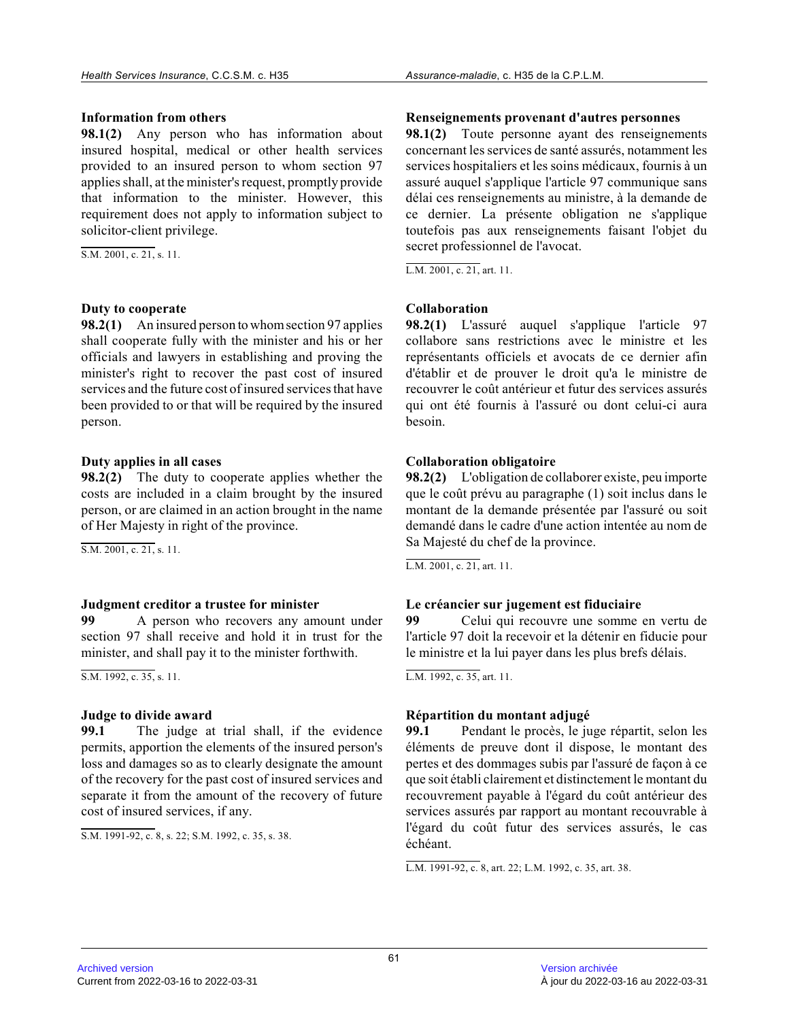#### **Information from others**

**98.1(2)** Any person who has information about insured hospital, medical or other health services provided to an insured person to whom section 97 applies shall, at the minister's request, promptly provide that information to the minister. However, this requirement does not apply to information subject t o solicitor-client privilege.

S.M. 2001, c. 21, s. 11.

#### **Duty to cooperate**

**98.2(1)** An insured person to whom section 97 applies shall cooperate fully with the minister and his or her officials and lawyers in establishing and proving th e minister's right to recover the past cost of insured services and the future cost of insured services that have been provided to or that will be required by the insured person.

#### **Duty applies in all cases**

**98.2(2)** The duty to cooperate applies whether the costs are included in a claim brought by the insure d person, or are claimed in an action brought in the name of Her Majesty in right of the province.

S.M. 2001, c. 21, s. 11.

#### **Judgment creditor a trustee for minister**

**99** A person who recovers any amount under section 97 shall receive and hold it in trust for th e minister, and shall pay it to the minister forthwith.

 $\overline{S.M. 1992, c. 35, s. 11}.$ 

#### **Judge to divide award**

**99.1** The judge at trial shall, if the evidence permits, apportion the elements of the insured person's loss and damages so as to clearly designate the amount of the recovery for the past cost of insured services and separate it from the amount of the recovery of futur e cost of insured services, if any.

S.M. 1991-92, c. 8, s. 22; S.M. 1992, c. 35, s. 38.

#### **Renseignements provenant d'autres personnes**

**98.1(2)** Toute personne ayant des renseignements concernant les services de santé assurés, notamment les services hospitaliers et les soins médicaux, fournis à un assuré auquel s'applique l'article 97 communique sans délai ces renseignements au ministre, à la demande de ce dernier. La présente obligation ne s'applique toutefois pas aux renseignements faisant l'objet du secret professionnel de l'avocat.

L.M. 2001, c. 21, art. 11.

# **Collaboration**

**98.2(1)** L'assuré auquel s'applique l'article 97 collabore sans restrictions avec le ministre et les représentants officiels et avocats de ce dernier afi n d'établir et de prouver le droit qu'a le ministre de recouvrer le coût antérieur et futur des services assurés qui ont été fournis à l'assuré ou dont celui-ci aur a besoin.

## **Collaboration obligatoire**

**98.2(2)** L'obligation de collaborer existe, peu importe que le coût prévu au paragraphe (1) soit inclus dans le montant de la demande présentée par l'assuré ou soi t demandé dans le cadre d'une action intentée au nom de Sa Majesté du chef de la province.

L.M. 2001, c. 21, art. 11.

# **Le créancier sur jugement est fiduciaire**

**99** Celui qui recouvre une somme en vertu de l'article 97 doit la recevoir et la détenir en fiducie pour le ministre et la lui payer dans les plus brefs délais.

L.M. 1992, c. 35, art. 11.

# **Répartition du montant adjugé**

**99.1** Pendant le procès, le juge répartit, selon les éléments de preuve dont il dispose, le montant des pertes et des dommages subis par l'assuré de façon à ce que soit établi clairement et distinctement le montant du recouvrement payable à l'égard du coût antérieur de s services assurés par rapport au montant recouvrable à l'égard du coût futur des services assurés, le cas échéant.

L.M. 1991-92, c. 8, art. 22; L.M. 1992, c. 35, art. 38.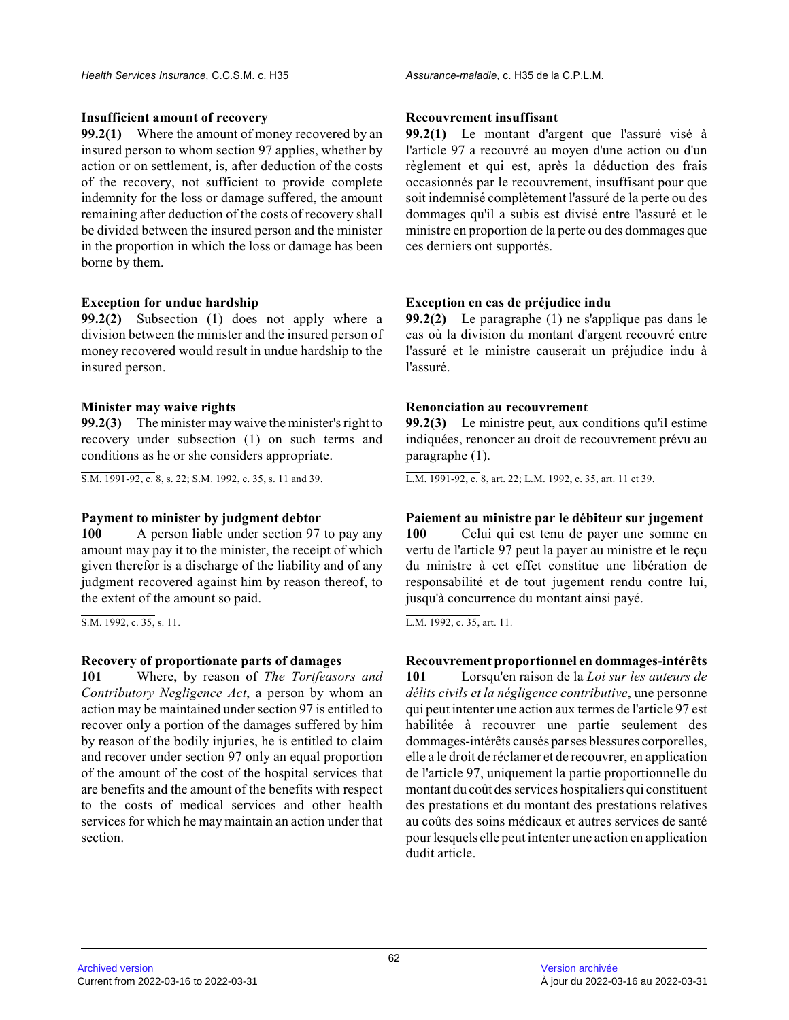## **Insufficient amount of recovery**

**99.2(1)** Where the amount of money recovered by an insured person to whom section 97 applies, whether by action or on settlement, is, after deduction of the costs of the recovery, not sufficient to provide complete indemnity for the loss or damage suffered, the amount remaining after deduction of the costs of recovery shall be divided between the insured person and the minister in the proportion in which the loss or damage has been borne by them.

## **Exception for undue hardship**

**99.2(2)** Subsection (1) does not apply where a division between the minister and the insured person of money recovered would result in undue hardship to th e insured person.

# **Minister may waive rights**

**99.2(3)** The minister may waive the minister's right to recovery under subsection (1) on such terms and conditions as he or she considers appropriate.

S.M. 1991-92, c. 8, s. 22; S.M. 1992, c. 35, s. 11 and 39.

# **Payment to minister by judgment debtor**

**100** A person liable under section 97 to pay any amount may pay it to the minister, the receipt of which given therefor is a discharge of the liability and of any judgment recovered against him by reason thereof, to the extent of the amount so paid.

S.M. 1992, c. 35, s. 11.

# **Recovery of proportionate parts of damages**

**101** Where, by reason of *The Tortfeasors and Contributory Negligence Act*, a person by whom an action may be maintained under section 97 is entitled to recover only a portion of the damages suffered by him by reason of the bodily injuries, he is entitled to claim and recover under section 97 only an equal proportion of the amount of the cost of the hospital services that are benefits and the amount of the benefits with respect to the costs of medical services and other health services for which he may maintain an action under that section.

## **Recouvrement insuffisant**

**99.2(1)** Le montant d'argent que l'assuré visé à l'article 97 a recouvré au moyen d'une action ou d'un règlement et qui est, après la déduction des frais occasionnés par le recouvrement, insuffisant pour qu e soit indemnisé complètement l'assuré de la perte ou des dommages qu'il a subis est divisé entre l'assuré et le ministre en proportion de la perte ou des dommages que ces derniers ont supportés.

# **Exception en cas de préjudice indu**

**99.2(2)** Le paragraphe (1) ne s'applique pas dans le cas où la division du montant d'argent recouvré entre l'assuré et le ministre causerait un préjudice indu à l'assuré.

## **Renonciation au recouvrement**

**99.2(3)** Le ministre peut, aux conditions qu'il estime indiquées, renoncer au droit de recouvrement prévu au paragraphe (1).

L.M. 1991-92, c. 8, art. 22; L.M. 1992, c. 35, art. 11 et 39.

## **Paiement au ministre par le débiteur sur jugement**

**100** Celui qui est tenu de payer une somme en vertu de l'article 97 peut la payer au ministre et le reçu du ministre à cet effet constitue une libération de responsabilité et de tout jugement rendu contre lui , jusqu'à concurrence du montant ainsi payé.

L.M. 1992, c. 35, art. 11.

# **Recouvrement proportionnel en dommages-intérêts**

**101** Lorsqu'en raison de la *Loi sur les auteurs de délits civils et la négligence contributive*, une personne qui peut intenter une action aux termes de l'article 97 est habilitée à recouvrer une partie seulement des dommages-intérêts causés par ses blessures corporelles, elle a le droit de réclamer et de recouvrer, en application de l'article 97, uniquement la partie proportionnelle du montant du coût des services hospitaliers qui constituent des prestations et du montant des prestations relatives au coûts des soins médicaux et autres services de santé pour lesquels elle peut intenter une action en application dudit article.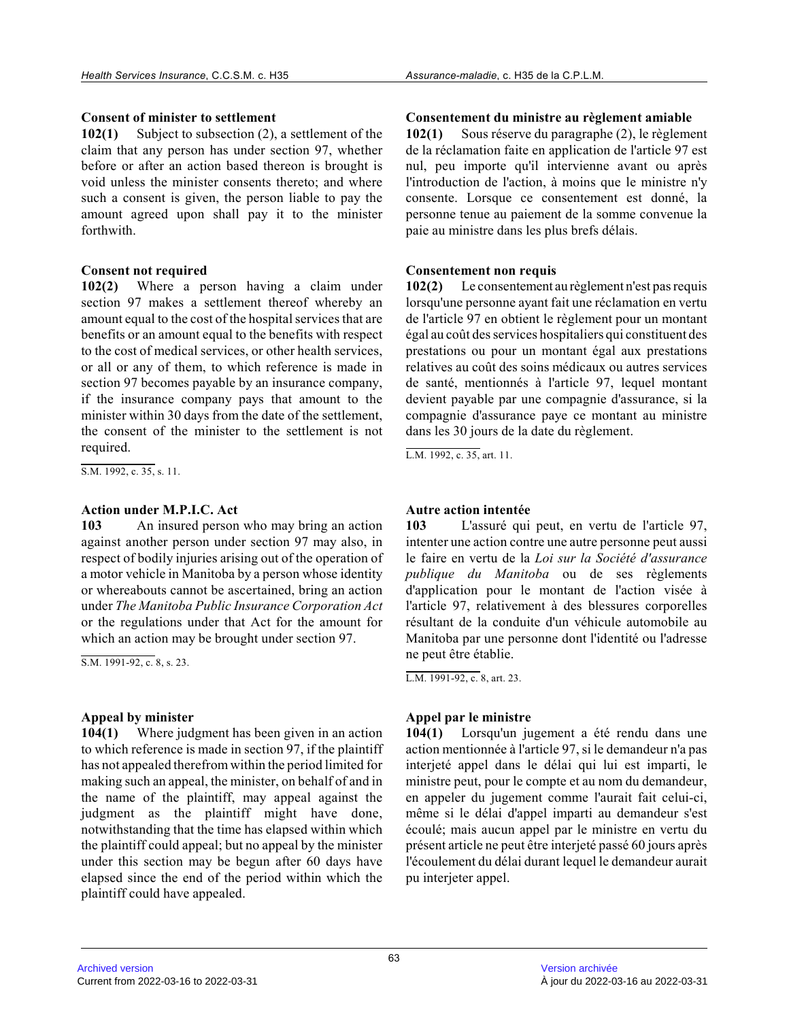# **Consent of minister to settlement**

**102(1)** Subject to subsection (2), a settlement of the claim that any person has under section 97, whether before or after an action based thereon is brought is void unless the minister consents thereto; and where such a consent is given, the person liable to pay th e amount agreed upon shall pay it to the minister forthwith.

## **Consent not required**

**102(2)** Where a person having a claim under section 97 makes a settlement thereof whereby an amount equal to the cost of the hospital services that are benefits or an amount equal to the benefits with respect to the cost of medical services, or other health services, or all or any of them, to which reference is made i n section 97 becomes payable by an insurance company, if the insurance company pays that amount to the minister within 30 days from the date of the settlement, the consent of the minister to the settlement is no t required.

S.M. 1992, c. 35, s. 11.

# **Action under M.P.I.C. Act**

**103** An insured person who may bring an action against another person under section 97 may also, i n respect of bodily injuries arising out of the operation of a motor vehicle in Manitoba by a person whose identity or whereabouts cannot be ascertained, bring an action under *The Manitoba Public Insurance Corporation Act* or the regulations under that Act for the amount fo r which an action may be brought under section 97.

S.M. 1991-92, c. 8, s. 23.

# **Appeal by minister**

**104(1)** Where judgment has been given in an action to which reference is made in section 97, if the plaintiff has not appealed therefrom within the period limited for making such an appeal, the minister, on behalf of and in the name of the plaintiff, may appeal against the judgment as the plaintiff might have done, notwithstanding that the time has elapsed within which the plaintiff could appeal; but no appeal by the minister under this section may be begun after 60 days have elapsed since the end of the period within which th e plaintiff could have appealed.

**Consentement du ministre au règlement amiable**

**102(1)** Sous réserve du paragraphe (2), le règlement de la réclamation faite en application de l'article 97 est nul, peu importe qu'il intervienne avant ou après l'introduction de l'action, à moins que le ministre n'y consente. Lorsque ce consentement est donné, la personne tenue au paiement de la somme convenue la paie au ministre dans les plus brefs délais.

# **Consentement non requis**

**102(2)** Le consentement au règlement n'est pas requis lorsqu'une personne ayant fait une réclamation en vertu de l'article 97 en obtient le règlement pour un montant égal au coût des services hospitaliers qui constituent des prestations ou pour un montant égal aux prestations relatives au coût des soins médicaux ou autres services de santé, mentionnés à l'article 97, lequel montant devient payable par une compagnie d'assurance, si la compagnie d'assurance paye ce montant au ministre dans les 30 jours de la date du règlement.

L.M. 1992, c. 35, art. 11.

# **Autre action intentée**

**103** L'assuré qui peut, en vertu de l'article 97, intenter une action contre une autre personne peut aussi le faire en vertu de la *Loi sur la Société d'assurance publique du Manitoba* ou de ses règlements d'application pour le montant de l'action visée à l'article 97, relativement à des blessures corporelles résultant de la conduite d'un véhicule automobile au Manitoba par une personne dont l'identité ou l'adresse ne peut être établie.

L.M. 1991-92, c. 8, art. 23.

# **Appel par le ministre**

**104(1)** Lorsqu'un jugement a été rendu dans une action mentionnée à l'article 97, si le demandeur n'a pas interjeté appel dans le délai qui lui est imparti, le ministre peut, pour le compte et au nom du demandeur, en appeler du jugement comme l'aurait fait celui-ci , même si le délai d'appel imparti au demandeur s'est écoulé; mais aucun appel par le ministre en vertu du présent article ne peut être interjeté passé 60 jours après l'écoulement du délai durant lequel le demandeur aurait pu interjeter appel.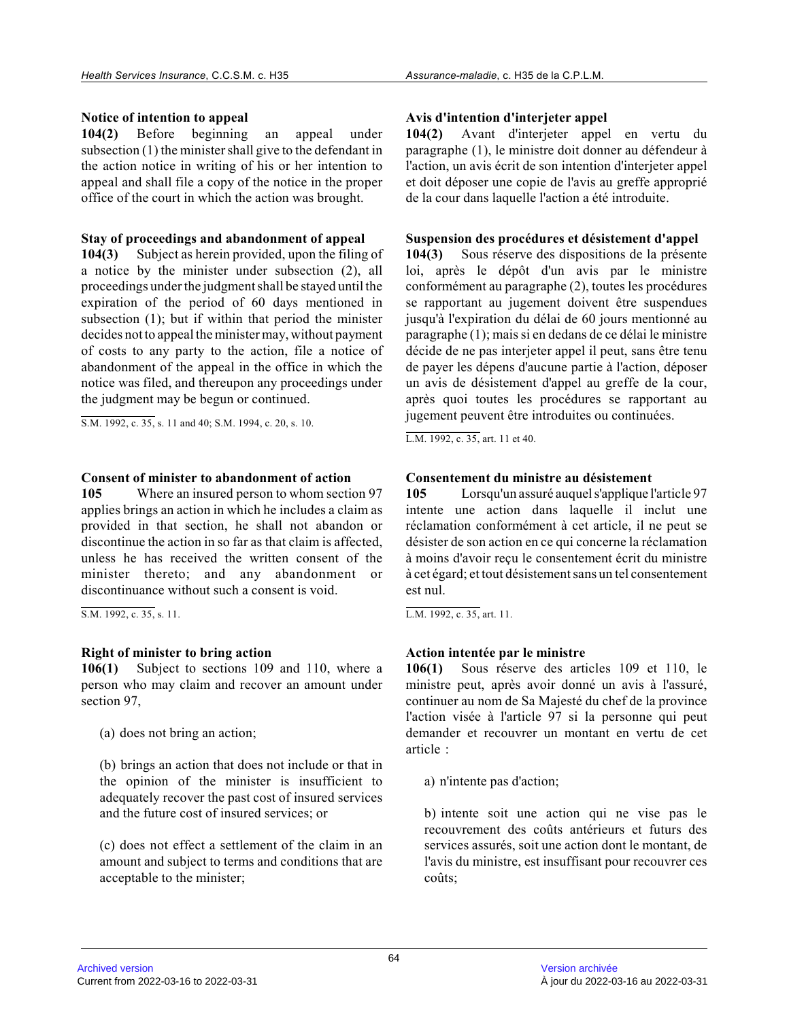# **Notice of intention to appeal**

**104(2)** Before beginning an appeal under subsection (1) the minister shall give to the defendant in the action notice in writing of his or her intention to appeal and shall file a copy of the notice in the proper office of the court in which the action was brought .

## **Stay of proceedings and abandonment of appeal**

**104(3)** Subject as herein provided, upon the filing of a notice by the minister under subsection (2), all proceedings under the judgment shall be stayed until the expiration of the period of 60 days mentioned in subsection (1); but if within that period the minister decides not to appeal the minister may, without payment of costs to any party to the action, file a notice o f abandonment of the appeal in the office in which th e notice was filed, and thereupon any proceedings under the judgment may be begun or continued.

S.M. 1992, c. 35, s. 11 and 40; S.M. 1994, c. 20, s. 10.

## **Consent of minister to abandonment of action**

**105** Where an insured person to whom section 97 applies brings an action in which he includes a claim as provided in that section, he shall not abandon or discontinue the action in so far as that claim is affected, unless he has received the written consent of the minister thereto; and any abandonment or discontinuance without such a consent is void.

S.M. 1992, c. 35, s. 11.

# **Right of minister to bring action**

**106(1)** Subject to sections 109 and 110, where a person who may claim and recover an amount under section 97,

(a) does not bring an action;

(b) brings an action that does not include or that in the opinion of the minister is insufficient to adequately recover the past cost of insured services and the future cost of insured services; or

(c) does not effect a settlement of the claim in an amount and subject to terms and conditions that are acceptable to the minister;

# **Avis d'intention d'interjeter appel**

**104(2)** Avant d'interjeter appel en vertu du paragraphe (1), le ministre doit donner au défendeur à l'action, un avis écrit de son intention d'interjeter appel et doit déposer une copie de l'avis au greffe approprié de la cour dans laquelle l'action a été introduite.

## **Suspension des procédures et désistement d'appel**

**104(3)** Sous réserve des dispositions de la présente loi, après le dépôt d'un avis par le ministre conformément au paragraphe (2), toutes les procédures se rapportant au jugement doivent être suspendues jusqu'à l'expiration du délai de 60 jours mentionné au paragraphe (1); mais si en dedans de ce délai le ministre décide de ne pas interjeter appel il peut, sans être tenu de payer les dépens d'aucune partie à l'action, déposer un avis de désistement d'appel au greffe de la cour, après quoi toutes les procédures se rapportant au jugement peuvent être introduites ou continuées.

L.M. 1992, c. 35, art. 11 et 40.

# **Consentement du ministre au désistement**

**105** Lorsqu'un assuré auquel s'applique l'article 97 intente une action dans laquelle il inclut une réclamation conformément à cet article, il ne peut se désister de son action en ce qui concerne la réclamation à moins d'avoir reçu le consentement écrit du ministre à cet égard; et tout désistement sans un tel consentement est nul.

L.M. 1992, c. 35, art. 11.

# **Action intentée par le ministre**

**106(1)** Sous réserve des articles 109 et 110, le ministre peut, après avoir donné un avis à l'assuré, continuer au nom de Sa Majesté du chef de la provinc e l'action visée à l'article 97 si la personne qui peut demander et recouvrer un montant en vertu de cet article :

a) n'intente pas d'action;

b) intente soit une action qui ne vise pas le recouvrement des coûts antérieurs et futurs des services assurés, soit une action dont le montant, d e l'avis du ministre, est insuffisant pour recouvrer ce s coûts;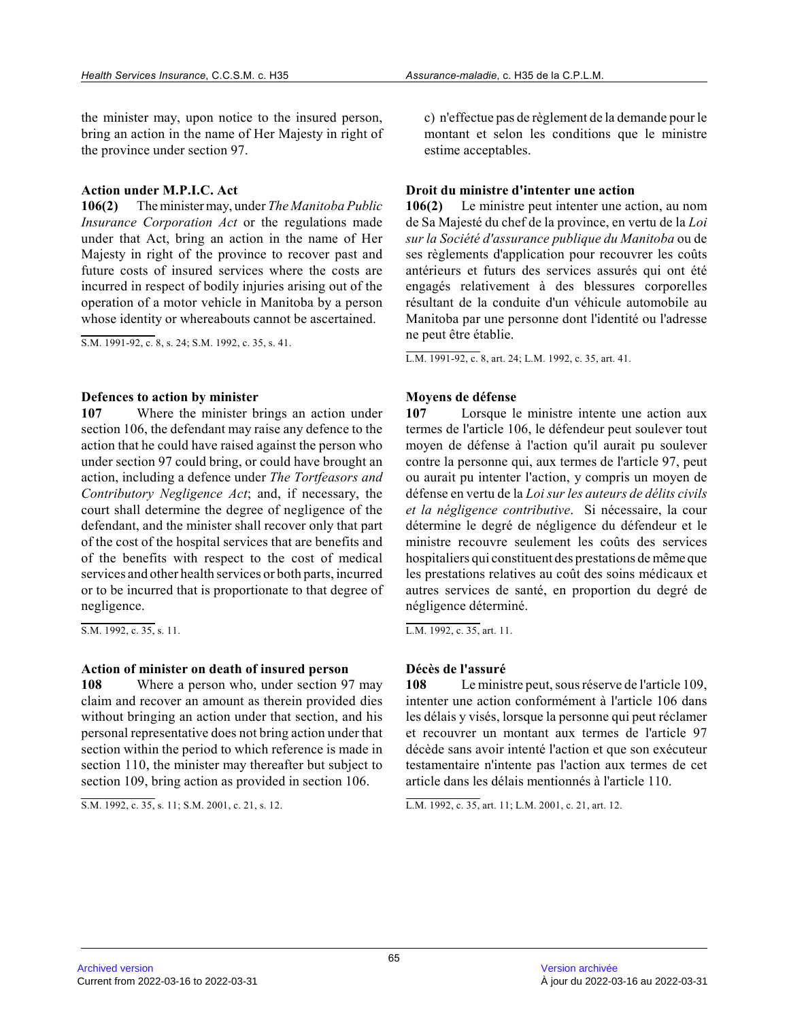the minister may, upon notice to the insured person , bring an action in the name of Her Majesty in right of the province under section 97.

#### **Action under M.P.I.C. Act**

**106(2)** The minister may, under *The Manitoba Public Insurance Corporation Act* or the regulations made under that Act, bring an action in the name of Her Majesty in right of the province to recover past and future costs of insured services where the costs are incurred in respect of bodily injuries arising out of the operation of a motor vehicle in Manitoba by a perso n whose identity or whereabouts cannot be ascertained .

S.M. 1991-92, c. 8, s. 24; S.M. 1992, c. 35, s. 41.

#### **Defences to action by minister**

**107** Where the minister brings an action under section 106, the defendant may raise any defence to the action that he could have raised against the person who under section 97 could bring, or could have brought an action, including a defence under *The Tortfeasors and Contributory Negligence Act*; and, if necessary, the court shall determine the degree of negligence of the defendant, and the minister shall recover only that part of the cost of the hospital services that are benefits and of the benefits with respect to the cost of medical services and other health services or both parts, incurred or to be incurred that is proportionate to that degree of negligence.

S.M. 1992, c. 35, s. 11.

## **Action of minister on death of insured person**

**108** Where a person who, under section 97 may claim and recover an amount as therein provided dies without bringing an action under that section, and his personal representative does not bring action under that section within the period to which reference is made in section 110, the minister may thereafter but subject to section 109, bring action as provided in section 106 .

S.M. 1992, c. 35, s. 11; S.M. 2001, c. 21, s. 12.

c) n'effectue pas de règlement de la demande pour le montant et selon les conditions que le ministre estime acceptables.

#### **Droit du ministre d'intenter une action**

**106(2)** Le ministre peut intenter une action, au nom de Sa Majesté du chef de la province, en vertu de la *Loi sur la Société d'assurance publique du Manitoba* ou de ses règlements d'application pour recouvrer les coût s antérieurs et futurs des services assurés qui ont ét é engagés relativement à des blessures corporelles résultant de la conduite d'un véhicule automobile au Manitoba par une personne dont l'identité ou l'adresse ne peut être établie.

L.M. 1991-92, c. 8, art. 24; L.M. 1992, c. 35, art. 41.

## **Moyens de défense**

**107** Lorsque le ministre intente une action aux termes de l'article 106, le défendeur peut soulever tou t moyen de défense à l'action qu'il aurait pu soulever contre la personne qui, aux termes de l'article 97, peut ou aurait pu intenter l'action, y compris un moyen de défense en vertu de la *Loi sur les auteurs de délits civils et la négligence contributive*. Si nécessaire, la cour détermine le degré de négligence du défendeur et le ministre recouvre seulement les coûts des services hospitaliers qui constituent des prestations de même que les prestations relatives au coût des soins médicaux et autres services de santé, en proportion du degré de négligence déterminé.

L.M. 1992, c. 35, art. 11.

## **Décès de l'assuré**

**108** Le ministre peut, sous réserve de l'article 109, intenter une action conformément à l'article 106 dans les délais y visés, lorsque la personne qui peut réclamer et recouvrer un montant aux termes de l'article 97 décède sans avoir intenté l'action et que son exécuteur testamentaire n'intente pas l'action aux termes de cet article dans les délais mentionnés à l'article 110.

L.M. 1992, c. 35, art. 11; L.M. 2001, c. 21, art. 12.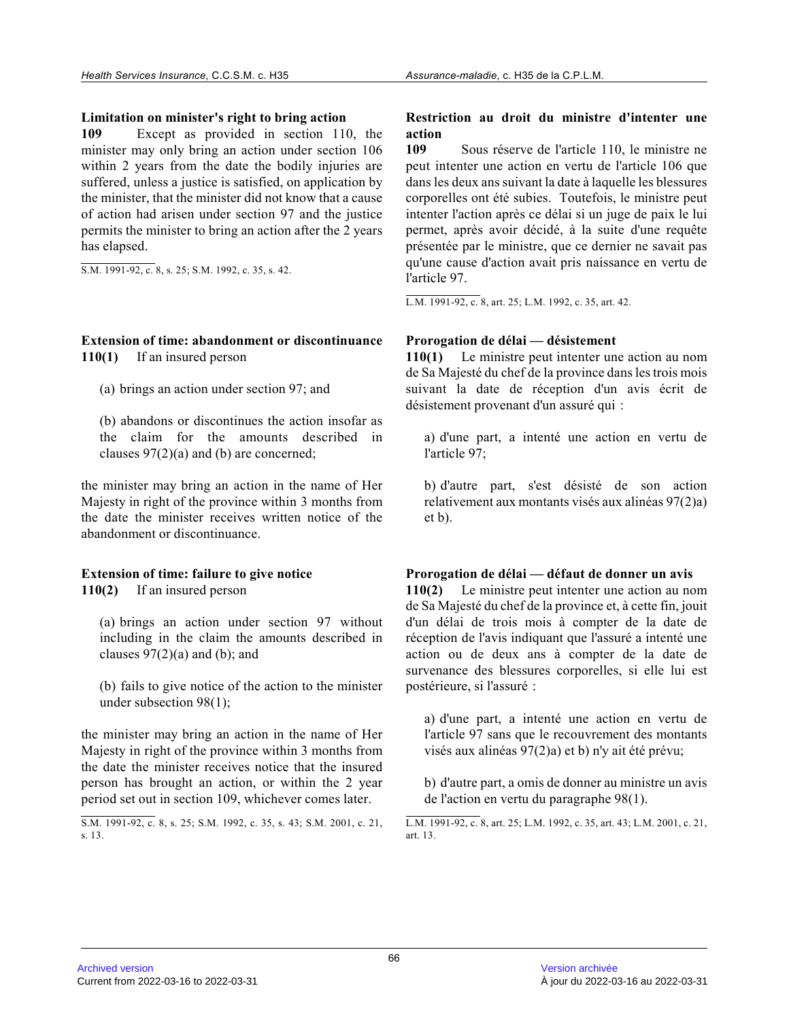#### **Limitation on minister's right to bring action**

**109** Except as provided in section 110, the minister may only bring an action under section 106 within 2 years from the date the bodily injuries ar e suffered, unless a justice is satisfied, on application by the minister, that the minister did not know that a cause of action had arisen under section 97 and the justice permits the minister to bring an action after the 2 years has elapsed.

S.M. 1991-92, c. 8, s. 25; S.M. 1992, c. 35, s. 42.

#### **Extension of time: abandonment or discontinuance 110(1)** If an insured person

(a) brings an action under section 97; and

(b) abandons or discontinues the action insofar as the claim for the amounts described in clauses 97(2)(a) and (b) are concerned;

the minister may bring an action in the name of Her Majesty in right of the province within 3 months fro m the date the minister receives written notice of the abandonment or discontinuance.

#### **Extension of time: failure to give notice 110(2)** If an insured person

(a) brings an action under section 97 without including in the claim the amounts described in clauses  $97(2)(a)$  and (b); and

(b) fails to give notice of the action to the ministe r under subsection 98(1);

the minister may bring an action in the name of Her Majesty in right of the province within 3 months from the date the minister receives notice that the insured person has brought an action, or within the 2 year period set out in section 109, whichever comes later .

# **Restriction au droit du ministre d'intenter une action**

**109** Sous réserve de l'article 110, le ministre ne peut intenter une action en vertu de l'article 106 que dans les deux ans suivant la date à laquelle les blessures corporelles ont été subies. Toutefois, le ministre peut intenter l'action après ce délai si un juge de paix le lui permet, après avoir décidé, à la suite d'une requête présentée par le ministre, que ce dernier ne savait pas qu'une cause d'action avait pris naissance en vertu d e l'article 97.

L.M. 1991-92, c. 8, art. 25; L.M. 1992, c. 35, art. 42.

## **Prorogation de délai — désistement**

**110(1)** Le ministre peut intenter une action au nom de Sa Majesté du chef de la province dans les trois mois suivant la date de réception d'un avis écrit de désistement provenant d'un assuré qui :

a) d'une part, a intenté une action en vertu de l'article 97;

b) d'autre part, s'est désisté de son action relativement aux montants visés aux alinéas 97(2)a) et b).

## **Prorogation de délai — défaut de donner un avis**

**110(2)** Le ministre peut intenter une action au nom de Sa Majesté du chef de la province et, à cette fin, jouit d'un délai de trois mois à compter de la date de réception de l'avis indiquant que l'assuré a intenté une action ou de deux ans à compter de la date de survenance des blessures corporelles, si elle lui es t postérieure, si l'assuré :

a) d'une part, a intenté une action en vertu de l'article 97 sans que le recouvrement des montants visés aux alinéas 97(2)a) et b) n'y ait été prévu;

b) d'autre part, a omis de donner au ministre un avis de l'action en vertu du paragraphe 98(1).

L.M. 1991-92, c. 8, art. 25; L.M. 1992, c. 35, art. 43; L.M. 2001, c. 21, art. 13.

S.M. 1991-92, c. 8, s. 25; S.M. 1992, c. 35, s. 43; S.M. 2001, c. 21, s. 13.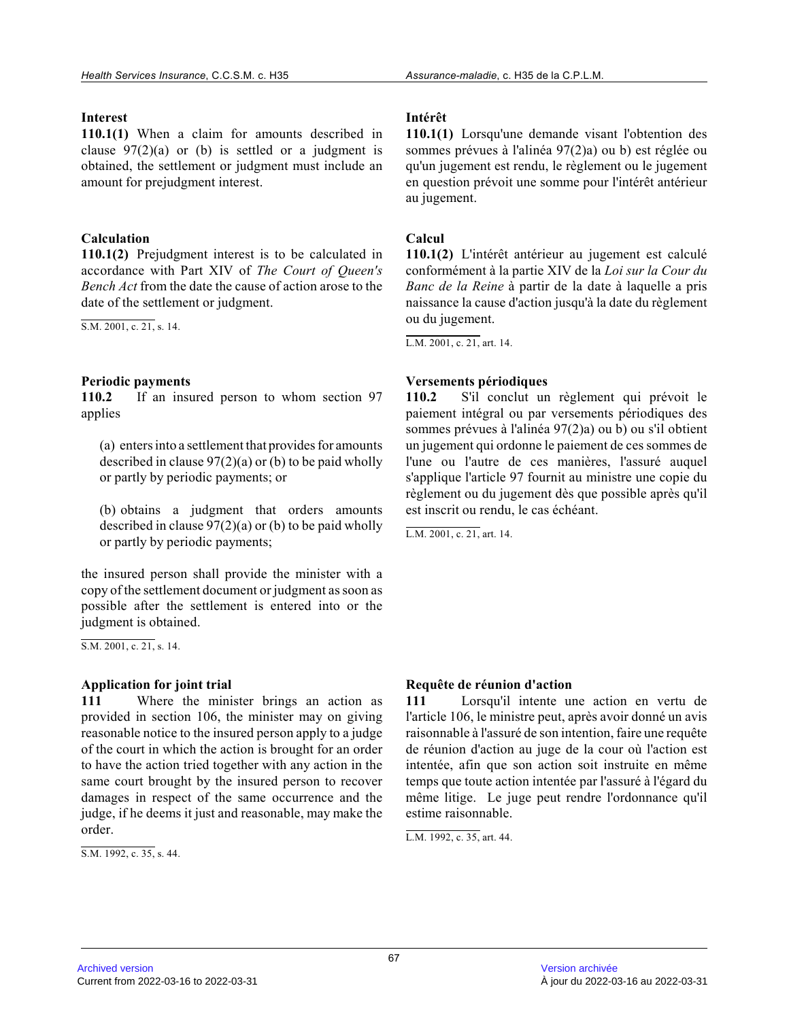## **Interest**

**110.1(1)** When a claim for amounts described in clause  $97(2)(a)$  or (b) is settled or a judgment is obtained, the settlement or judgment must include a n amount for prejudgment interest.

# **Calculation**

**110.1(2)** Prejudgment interest is to be calculated in accordance with Part XIV of *The Court of Queen's Bench Act* from the date the cause of action arose to the date of the settlement or judgment.

S.M. 2001, c. 21, s. 14.

# **Periodic payments**

**110.2** If an insured person to whom section 97 applies

(a) enters into a settlement that provides for amounts described in clause  $97(2)(a)$  or (b) to be paid wholly or partly by periodic payments; or

(b) obtains a judgment that orders amounts described in clause  $97(2)(a)$  or (b) to be paid wholly or partly by periodic payments;

the insured person shall provide the minister with a copy of the settlement document or judgment as soon as possible after the settlement is entered into or th e judgment is obtained.

S.M. 2001, c. 21, s. 14.

## **Application for joint trial**

**111** Where the minister brings an action as provided in section 106, the minister may on giving reasonable notice to the insured person apply to a judge of the court in which the action is brought for an order to have the action tried together with any action in the same court brought by the insured person to recover damages in respect of the same occurrence and the judge, if he deems it just and reasonable, may make the order.

 $\overline{S.M. 1992, c. 35, s. 44}.$ 

## **Intérêt**

**110.1(1)** Lorsqu'une demande visant l'obtention des sommes prévues à l'alinéa 97(2)a) ou b) est réglée o u qu'un jugement est rendu, le règlement ou le jugement en question prévoit une somme pour l'intérêt antérieur au jugement.

# **Calcul**

**110.1(2)** L'intérêt antérieur au jugement est calculé conformément à la partie XIV de la *Loi sur la Cour du Banc de la Reine* à partir de la date à laquelle a pris naissance la cause d'action jusqu'à la date du règlement ou du jugement.

L.M. 2001, c. 21, art. 14.

# **Versements périodiques**

**110.2** S'il conclut un règlement qui prévoit le paiement intégral ou par versements périodiques des sommes prévues à l'alinéa 97(2)a) ou b) ou s'il obtient un jugement qui ordonne le paiement de ces sommes d e l'une ou l'autre de ces manières, l'assuré auquel s'applique l'article 97 fournit au ministre une copie du règlement ou du jugement dès que possible après qu'il est inscrit ou rendu, le cas échéant.

L.M. 2001, c. 21, art. 14.

## **Requête de réunion d'action**

**111** Lorsqu'il intente une action en vertu de l'article 106, le ministre peut, après avoir donné un avis raisonnable à l'assuré de son intention, faire une requête de réunion d'action au juge de la cour où l'action est intentée, afin que son action soit instruite en mêm e temps que toute action intentée par l'assuré à l'égard du même litige. Le juge peut rendre l'ordonnance qu'i l estime raisonnable.

L.M. 1992, c. 35, art. 44.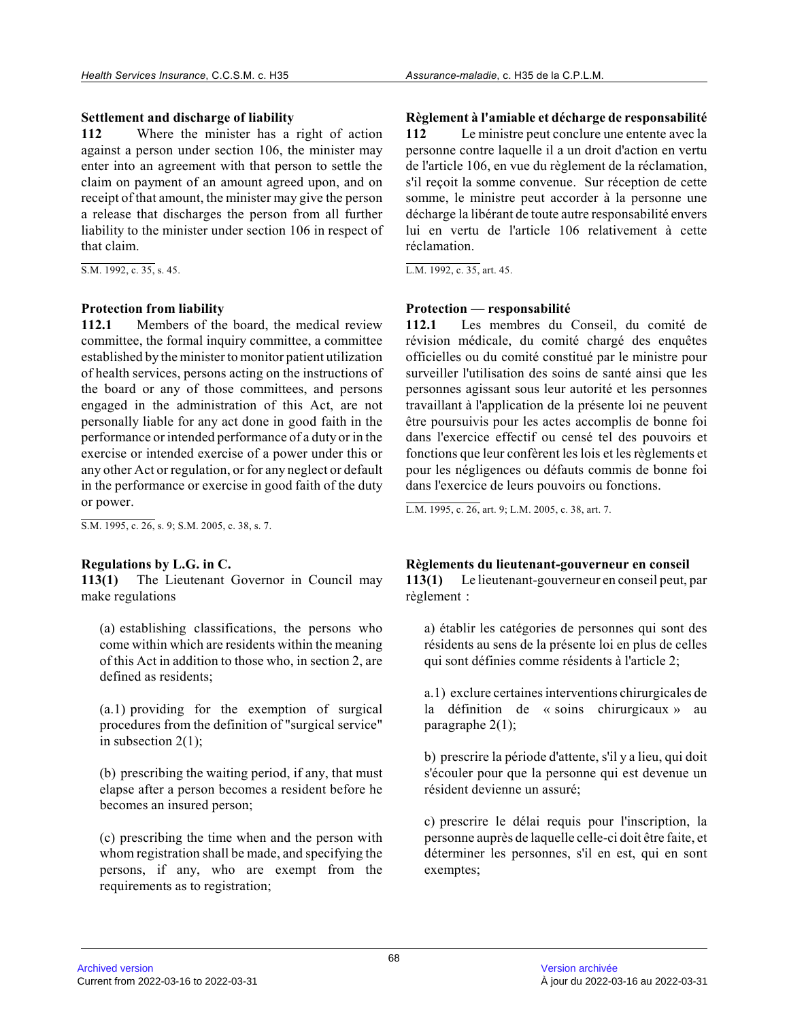## **Settlement and discharge of liability**

**112** Where the minister has a right of action against a person under section 106, the minister ma y enter into an agreement with that person to settle the claim on payment of an amount agreed upon, and on receipt of that amount, the minister may give the person a release that discharges the person from all further liability to the minister under section 106 in respect of that claim.

S.M. 1992, c. 35, s. 45.

#### **Protection from liability**

**112.1** Members of the board, the medical review committee, the formal inquiry committee, a committee established by the minister to monitor patient utilization of health services, persons acting on the instructions of the board or any of those committees, and persons engaged in the administration of this Act, are not personally liable for any act done in good faith in the performance or intended performance of a duty or in the exercise or intended exercise of a power under this or any other Act or regulation, or for any neglect or default in the performance or exercise in good faith of the duty or power.

S.M. 1995, c. 26, s. 9; S.M. 2005, c. 38, s. 7.

#### **Regulations by L.G. in C.**

**113(1)** The Lieutenant Governor in Council may make regulations

(a) establishing classifications, the persons who come within which are residents within the meaning of this Act in addition to those who, in section 2, are defined as residents;

(a.1) providing for the exemption of surgical procedures from the definition of "surgical service" in subsection 2(1);

(b) prescribing the waiting period, if any, that mus t elapse after a person becomes a resident before he becomes an insured person;

(c) prescribing the time when and the person with whom registration shall be made, and specifying the persons, if any, who are exempt from the requirements as to registration;

**Règlement à l'amiable et décharge de responsabilité 112** Le ministre peut conclure une entente avec la personne contre laquelle il a un droit d'action en vertu de l'article 106, en vue du règlement de la réclamation, s'il reçoit la somme convenue. Sur réception de cette somme, le ministre peut accorder à la personne une décharge la libérant de toute autre responsabilité envers lui en vertu de l'article 106 relativement à cette réclamation.

L.M. 1992, c. 35, art. 45.

#### **Protection — responsabilité**

**112.1** Les membres du Conseil, du comité de révision médicale, du comité chargé des enquêtes officielles ou du comité constitué par le ministre pour surveiller l'utilisation des soins de santé ainsi que les personnes agissant sous leur autorité et les personnes travaillant à l'application de la présente loi ne peuvent être poursuivis pour les actes accomplis de bonne foi dans l'exercice effectif ou censé tel des pouvoirs e t fonctions que leur confèrent les lois et les règlements et pour les négligences ou défauts commis de bonne foi dans l'exercice de leurs pouvoirs ou fonctions.

L.M. 1995, c. 26, art. 9; L.M. 2005, c. 38, art. 7.

## **Règlements du lieutenant-gouverneur en conseil**

**113(1)** Le lieutenant-gouverneur en conseil peut, par règlement :

a) établir les catégories de personnes qui sont des résidents au sens de la présente loi en plus de celles qui sont définies comme résidents à l'article 2;

a.1) exclure certaines interventions chirurgicales de la définition de « soins chirurgicaux » au paragraphe 2(1);

b) prescrire la période d'attente, s'il y a lieu, qui doit s'écouler pour que la personne qui est devenue un résident devienne un assuré;

c) prescrire le délai requis pour l'inscription, la personne auprès de laquelle celle-ci doit être faite, et déterminer les personnes, s'il en est, qui en sont exemptes;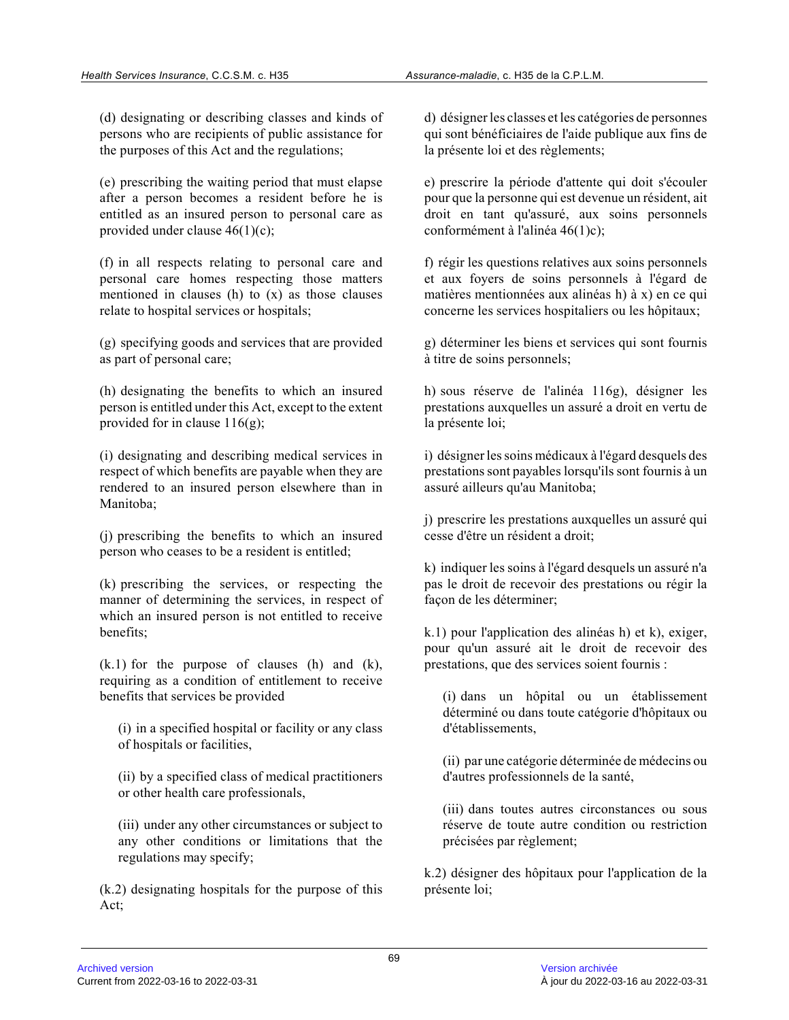(d) designating or describing classes and kinds of persons who are recipients of public assistance for the purposes of this Act and the regulations;

(e) prescribing the waiting period that must elapse after a person becomes a resident before he is entitled as an insured person to personal care as provided under clause 46(1)(c);

(f) in all respects relating to personal care and personal care homes respecting those matters mentioned in clauses (h) to  $(x)$  as those clauses relate to hospital services or hospitals;

(g) specifying goods and services that are provided as part of personal care;

(h) designating the benefits to which an insured person is entitled under this Act, except to the extent provided for in clause 116(g);

(i) designating and describing medical services in respect of which benefits are payable when they are rendered to an insured person elsewhere than in Manitoba;

(j) prescribing the benefits to which an insured person who ceases to be a resident is entitled;

(k) prescribing the services, or respecting the manner of determining the services, in respect of which an insured person is not entitled to receive benefits;

 $(k.1)$  for the purpose of clauses  $(h)$  and  $(k)$ , requiring as a condition of entitlement to receive benefits that services be provided

(i) in a specified hospital or facility or any class of hospitals or facilities,

(ii) by a specified class of medical practitioners or other health care professionals,

(iii) under any other circumstances or subject to any other conditions or limitations that the regulations may specify;

(k.2) designating hospitals for the purpose of this Act;

d) désigner les classes et les catégories de personnes qui sont bénéficiaires de l'aide publique aux fins de la présente loi et des règlements;

e) prescrire la période d'attente qui doit s'écouler pour que la personne qui est devenue un résident, ai t droit en tant qu'assuré, aux soins personnels conformément à l'alinéa 46(1)c);

f) régir les questions relatives aux soins personnels et aux foyers de soins personnels à l'égard de matières mentionnées aux alinéas h) à x) en ce qui concerne les services hospitaliers ou les hôpitaux;

g) déterminer les biens et services qui sont fournis à titre de soins personnels;

h) sous réserve de l'alinéa 116g), désigner les prestations auxquelles un assuré a droit en vertu de la présente loi;

i) désigner les soins médicaux à l'égard desquels de s prestations sont payables lorsqu'ils sont fournis à un assuré ailleurs qu'au Manitoba;

j) prescrire les prestations auxquelles un assuré qu i cesse d'être un résident a droit;

k) indiquer les soins à l'égard desquels un assuré n'a pas le droit de recevoir des prestations ou régir la façon de les déterminer;

k.1) pour l'application des alinéas h) et k), exiger , pour qu'un assuré ait le droit de recevoir des prestations, que des services soient fournis :

(i) dans un hôpital ou un établissement déterminé ou dans toute catégorie d'hôpitaux ou d'établissements,

(ii) par une catégorie déterminée de médecins ou d'autres professionnels de la santé,

(iii) dans toutes autres circonstances ou sous réserve de toute autre condition ou restriction précisées par règlement;

k.2) désigner des hôpitaux pour l'application de la présente loi;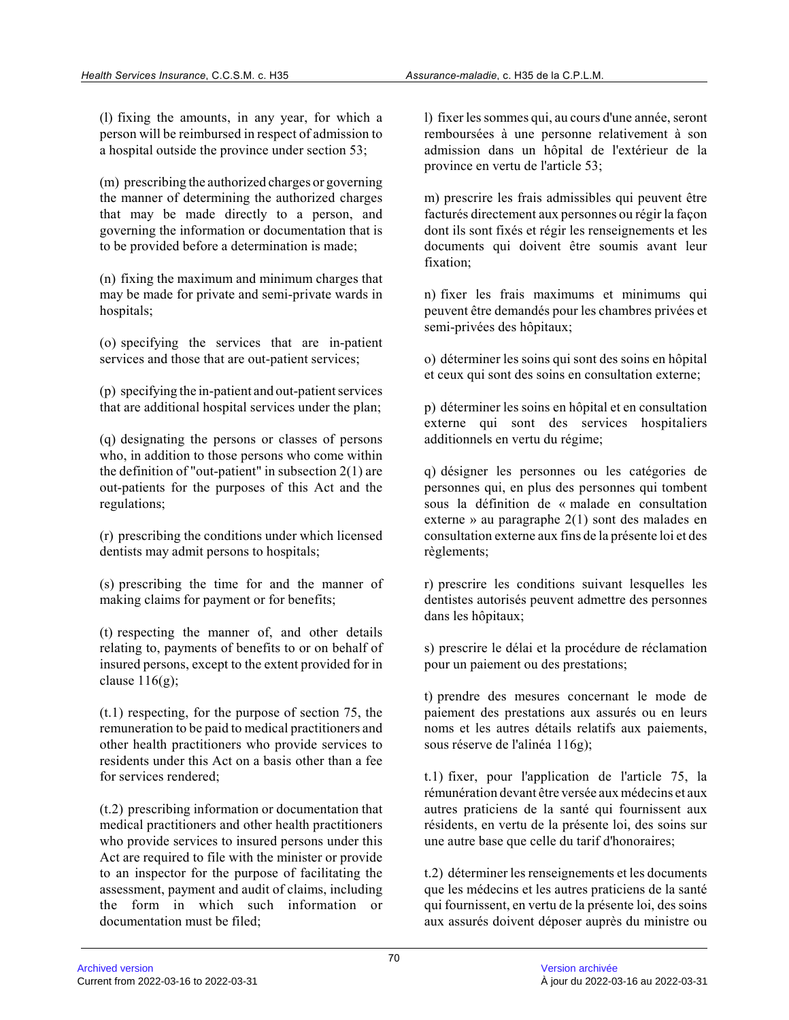(l) fixing the amounts, in any year, for which a person will be reimbursed in respect of admission t o a hospital outside the province under section 53;

(m) prescribing the authorized charges or governing the manner of determining the authorized charges that may be made directly to a person, and governing the information or documentation that is to be provided before a determination is made;

(n) fixing the maximum and minimum charges that may be made for private and semi-private wards in hospitals;

(o) specifying the services that are in-patient services and those that are out-patient services;

(p) specifying the in-patient and out-patient service s that are additional hospital services under the plan ;

(q) designating the persons or classes of persons who, in addition to those persons who come within the definition of "out-patient" in subsection 2(1) are out-patients for the purposes of this Act and the regulations;

(r) prescribing the conditions under which licensed dentists may admit persons to hospitals;

(s) prescribing the time for and the manner of making claims for payment or for benefits;

(t) respecting the manner of, and other details relating to, payments of benefits to or on behalf o f insured persons, except to the extent provided for i n clause  $116(g)$ ;

(t.1) respecting, for the purpose of section 75, the remuneration to be paid to medical practitioners an d other health practitioners who provide services to residents under this Act on a basis other than a fe e for services rendered;

(t.2) prescribing information or documentation that medical practitioners and other health practitioners who provide services to insured persons under this Act are required to file with the minister or provid e to an inspector for the purpose of facilitating the assessment, payment and audit of claims, including the form in which such information or documentation must be filed;

l) fixer les sommes qui, au cours d'une année, seron t remboursées à une personne relativement à son admission dans un hôpital de l'extérieur de la province en vertu de l'article 53;

m) prescrire les frais admissibles qui peuvent être facturés directement aux personnes ou régir la faço n dont ils sont fixés et régir les renseignements et les documents qui doivent être soumis avant leur fixation;

n) fixer les frais maximums et minimums qui peuvent être demandés pour les chambres privées et semi-privées des hôpitaux;

o) déterminer les soins qui sont des soins en hôpita l et ceux qui sont des soins en consultation externe;

p) déterminer les soins en hôpital et en consultatio n externe qui sont des services hospitaliers additionnels en vertu du régime;

q) désigner les personnes ou les catégories de personnes qui, en plus des personnes qui tombent sous la définition de « malade en consultation externe » au paragraphe 2(1) sont des malades en consultation externe aux fins de la présente loi et des règlements;

r) prescrire les conditions suivant lesquelles les dentistes autorisés peuvent admettre des personnes dans les hôpitaux;

s) prescrire le délai et la procédure de réclamation pour un paiement ou des prestations;

t) prendre des mesures concernant le mode de paiement des prestations aux assurés ou en leurs noms et les autres détails relatifs aux paiements, sous réserve de l'alinéa 116g);

t.1) fixer, pour l'application de l'article 75, la rémunération devant être versée aux médecins et aux autres praticiens de la santé qui fournissent aux résidents, en vertu de la présente loi, des soins su r une autre base que celle du tarif d'honoraires;

t.2) déterminer les renseignements et les documents que les médecins et les autres praticiens de la santé qui fournissent, en vertu de la présente loi, des soins aux assurés doivent déposer auprès du ministre ou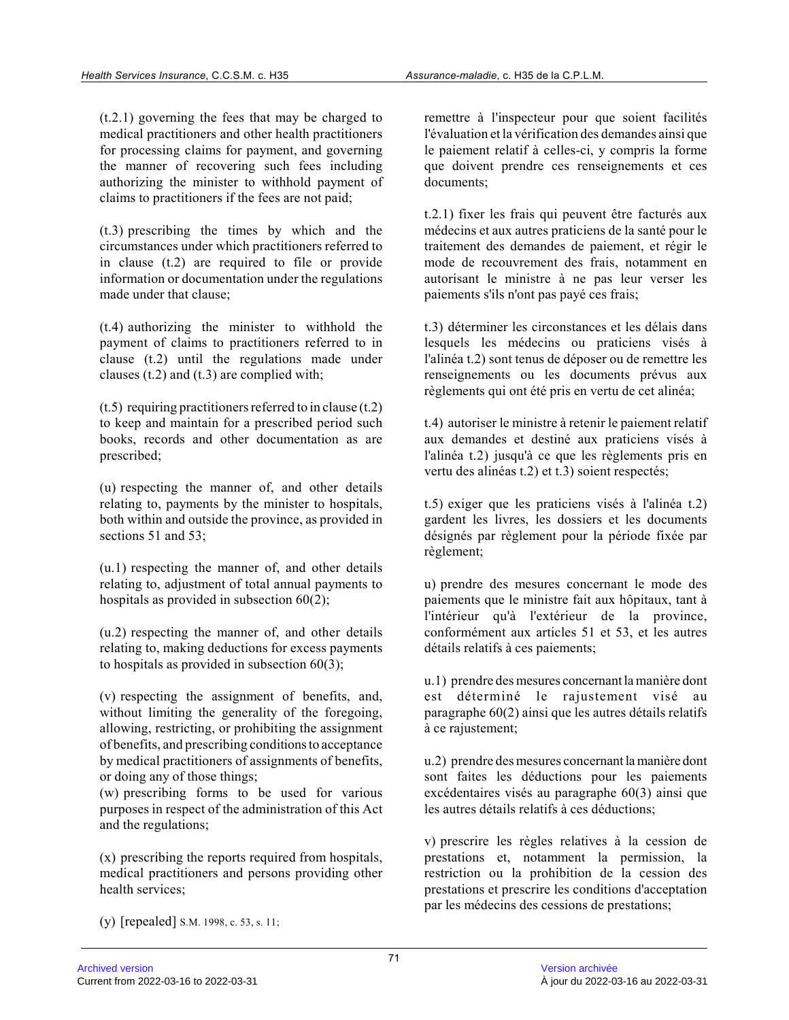(t.2.1) governing the fees that may be charged to medical practitioners and other health practitioners for processing claims for payment, and governing the manner of recovering such fees including authorizing the minister to withhold payment of claims to practitioners if the fees are not paid;

(t.3) prescribing the times by which and the circumstances under which practitioners referred to in clause (t.2) are required to file or provide information or documentation under the regulations made under that clause;

(t.4) authorizing the minister to withhold the payment of claims to practitioners referred to in clause (t.2) until the regulations made under clauses (t.2) and (t.3) are complied with;

 $(t.5)$  requiring practitioners referred to in clause  $(t.2)$ to keep and maintain for a prescribed period such books, records and other documentation as are prescribed;

(u) respecting the manner of, and other details relating to, payments by the minister to hospitals, both within and outside the province, as provided in sections 51 and 53;

(u.1) respecting the manner of, and other details relating to, adjustment of total annual payments to hospitals as provided in subsection  $60(2)$ ;

(u.2) respecting the manner of, and other details relating to, making deductions for excess payments to hospitals as provided in subsection 60(3);

(v) respecting the assignment of benefits, and, without limiting the generality of the foregoing, allowing, restricting, or prohibiting the assignmen t of benefits, and prescribing conditions to acceptance by medical practitioners of assignments of benefits , or doing any of those things;

(w) prescribing forms to be used for various purposes in respect of the administration of this Act and the regulations;

(x) prescribing the reports required from hospitals, medical practitioners and persons providing other health services;

remettre à l'inspecteur pour que soient facilités l'évaluation et la vérification des demandes ainsi que le paiement relatif à celles-ci, y compris la forme que doivent prendre ces renseignements et ces documents;

t.2.1) fixer les frais qui peuvent être facturés aux médecins et aux autres praticiens de la santé pour le traitement des demandes de paiement, et régir le mode de recouvrement des frais, notamment en autorisant le ministre à ne pas leur verser les paiements s'ils n'ont pas payé ces frais;

t.3) déterminer les circonstances et les délais dans lesquels les médecins ou praticiens visés à l'alinéa t.2) sont tenus de déposer ou de remettre les renseignements ou les documents prévus aux règlements qui ont été pris en vertu de cet alinéa;

t.4) autoriser le ministre à retenir le paiement relatif aux demandes et destiné aux praticiens visés à l'alinéa t.2) jusqu'à ce que les règlements pris en vertu des alinéas t.2) et t.3) soient respectés;

t.5) exiger que les praticiens visés à l'alinéa t.2) gardent les livres, les dossiers et les documents désignés par règlement pour la période fixée par règlement;

u) prendre des mesures concernant le mode des paiements que le ministre fait aux hôpitaux, tant à l'intérieur qu'à l'extérieur de la province, conformément aux articles 51 et 53, et les autres détails relatifs à ces paiements;

u.1) prendre des mesures concernant la manière dont est déterminé le rajustement visé au paragraphe 60(2) ainsi que les autres détails relatifs à ce rajustement;

u.2) prendre des mesures concernant la manière dont sont faites les déductions pour les paiements excédentaires visés au paragraphe 60(3) ainsi que les autres détails relatifs à ces déductions;

v) prescrire les règles relatives à la cession de prestations et, notamment la permission, la restriction ou la prohibition de la cession des prestations et prescrire les conditions d'acceptation par les médecins des cessions de prestations;

(y) [repealed] S.M. 1998, c. 53, s. 11;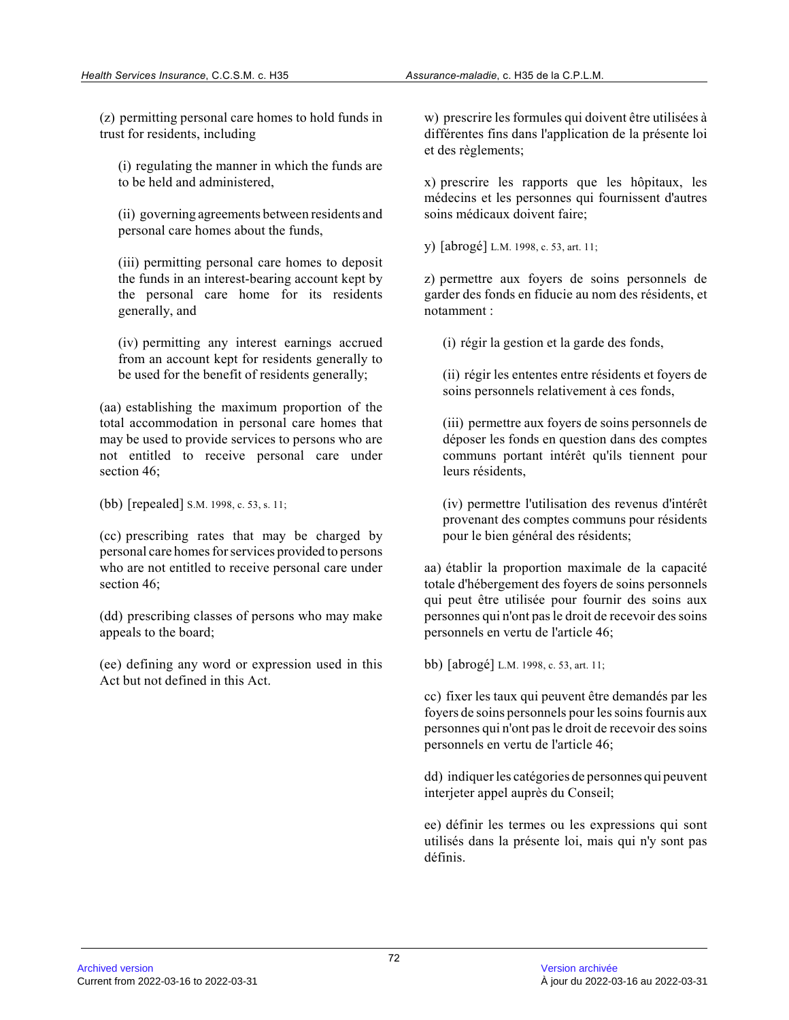(z) permitting personal care homes to hold funds in trust for residents, including

(i) regulating the manner in which the funds are to be held and administered,

(ii) governing agreements between residents and personal care homes about the funds,

(iii) permitting personal care homes to deposit the funds in an interest-bearing account kept by the personal care home for its residents generally, and

(iv) permitting any interest earnings accrued from an account kept for residents generally to be used for the benefit of residents generally;

(aa) establishing the maximum proportion of the total accommodation in personal care homes that may be used to provide services to persons who are not entitled to receive personal care under section 46;

(bb) [repealed] S.M. 1998, c. 53, s. 11;

(cc) prescribing rates that may be charged by personal care homes for services provided to persons who are not entitled to receive personal care under section 46;

(dd) prescribing classes of persons who may make appeals to the board;

(ee) defining any word or expression used in this Act but not defined in this Act.

w) prescrire les formules qui doivent être utilisées à différentes fins dans l'application de la présente loi et des règlements;

x) prescrire les rapports que les hôpitaux, les médecins et les personnes qui fournissent d'autres soins médicaux doivent faire;

y) [abrogé] L.M. 1998, c. 53, art. 11;

z) permettre aux foyers de soins personnels de garder des fonds en fiducie au nom des résidents, e t notamment :

(i) régir la gestion et la garde des fonds,

(ii) régir les ententes entre résidents et foyers de soins personnels relativement à ces fonds,

(iii) permettre aux foyers de soins personnels de déposer les fonds en question dans des comptes communs portant intérêt qu'ils tiennent pour leurs résidents,

(iv) permettre l'utilisation des revenus d'intérêt provenant des comptes communs pour résidents pour le bien général des résidents;

aa) établir la proportion maximale de la capacité totale d'hébergement des foyers de soins personnels qui peut être utilisée pour fournir des soins aux personnes qui n'ont pas le droit de recevoir des soins personnels en vertu de l'article 46;

bb) [abrogé] L.M. 1998, c. 53, art. 11;

cc) fixer les taux qui peuvent être demandés par les foyers de soins personnels pour les soins fournis aux personnes qui n'ont pas le droit de recevoir des soins personnels en vertu de l'article 46;

dd) indiquer les catégories de personnes qui peuvent interjeter appel auprès du Conseil;

ee) définir les termes ou les expressions qui sont utilisés dans la présente loi, mais qui n'y sont pa s définis.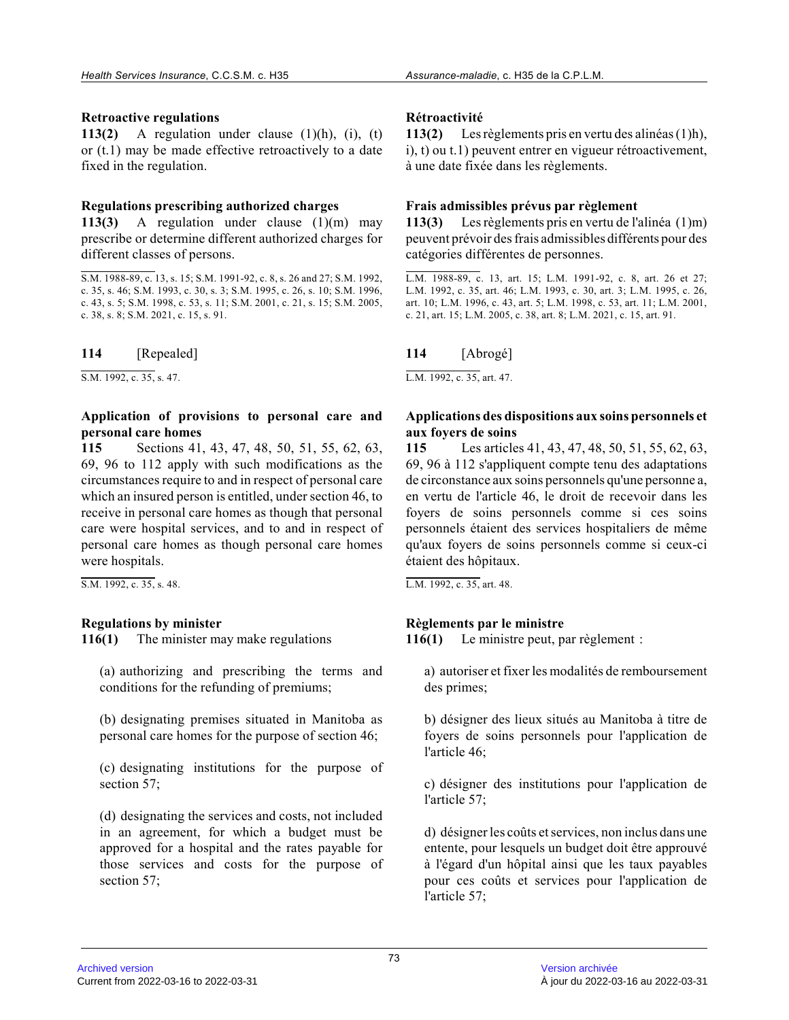#### **Retroactive regulations**

**113(2)** A regulation under clause (1)(h), (i), (t) or (t.1) may be made effective retroactively to a dat e fixed in the regulation.

#### **Regulations prescribing authorized charges**

**113(3)** A regulation under clause (1)(m) may prescribe or determine different authorized charges for different classes of persons.

**114** [Repealed]

S.M. 1992, c. 35, s. 47.

#### **Application of provisions to personal care and personal care homes**

**115** Sections 41, 43, 47, 48, 50, 51, 55, 62, 63, 69, 96 to 112 apply with such modifications as the circumstances require to and in respect of personal care which an insured person is entitled, under section 46, to receive in personal care homes as though that personal care were hospital services, and to and in respect o f personal care homes as though personal care homes were hospitals.

S.M. 1992, c. 35, s. 48.

## **Regulations by minister**

**116(1)** The minister may make regulations

(a) authorizing and prescribing the terms and conditions for the refunding of premiums;

(b) designating premises situated in Manitoba as personal care homes for the purpose of section 46;

(c) designating institutions for the purpose of section 57;

(d) designating the services and costs, not included in an agreement, for which a budget must be approved for a hospital and the rates payable for those services and costs for the purpose of section 57;

## **Rétroactivité**

**113(2)** Les règlements pris en vertu des alinéas (1)h), i), t) ou t.1) peuvent entrer en vigueur rétroactivement, à une date fixée dans les règlements.

## **Frais admissibles prévus par règlement**

**113(3)** Les règlements pris en vertu de l'alinéa (1)m) peuvent prévoir des frais admissibles différents pour des catégories différentes de personnes.

L.M. 1988-89, c. 13, art. 15; L.M. 1991-92, c. 8, art. 26 et 27; L.M. 1992, c. 35, art. 46; L.M. 1993, c. 30, art. 3; L.M. 1995, c. 26, art. 10; L.M. 1996, c. 43, art. 5; L.M. 1998, c. 53, art. 11; L.M. 2001, c. 21, art. 15; L.M. 2005, c. 38, art. 8; L.M. 2021, c. 15, art. 91.

# **114** [Abrogé]

L.M. 1992, c. 35, art. 47.

#### **Applications des dispositions aux soins personnels et aux foyers de soins**

**115** Les articles 41, 43, 47, 48, 50, 51, 55, 62, 63, 69, 96 à 112 s'appliquent compte tenu des adaptations de circonstance aux soins personnels qu'une personne a, en vertu de l'article 46, le droit de recevoir dans les foyers de soins personnels comme si ces soins personnels étaient des services hospitaliers de même qu'aux foyers de soins personnels comme si ceux-ci étaient des hôpitaux.

L.M. 1992, c. 35, art. 48.

# **Règlements par le ministre**

**116(1)** Le ministre peut, par règlement :

a) autoriser et fixer les modalités de remboursement des primes;

b) désigner des lieux situés au Manitoba à titre de foyers de soins personnels pour l'application de l'article 46;

c) désigner des institutions pour l'application de l'article 57;

d) désigner les coûts et services, non inclus dans un e entente, pour lesquels un budget doit être approuvé à l'égard d'un hôpital ainsi que les taux payables pour ces coûts et services pour l'application de l'article 57;

S.M. 1988-89, c. 13, s. 15; S.M. 1991-92, c. 8, s. 26 and 27; S.M. 1992, c. 35, s. 46; S.M. 1993, c. 30, s. 3; S.M. 1995, c. 26, s. 10; S.M. 1996, c. 43, s. 5; S.M. 1998, c. 53, s. 11; S.M. 2001, c. 21, s. 15; S.M. 2005, c. 38, s. 8; S.M. 2021, c. 15, s. 91.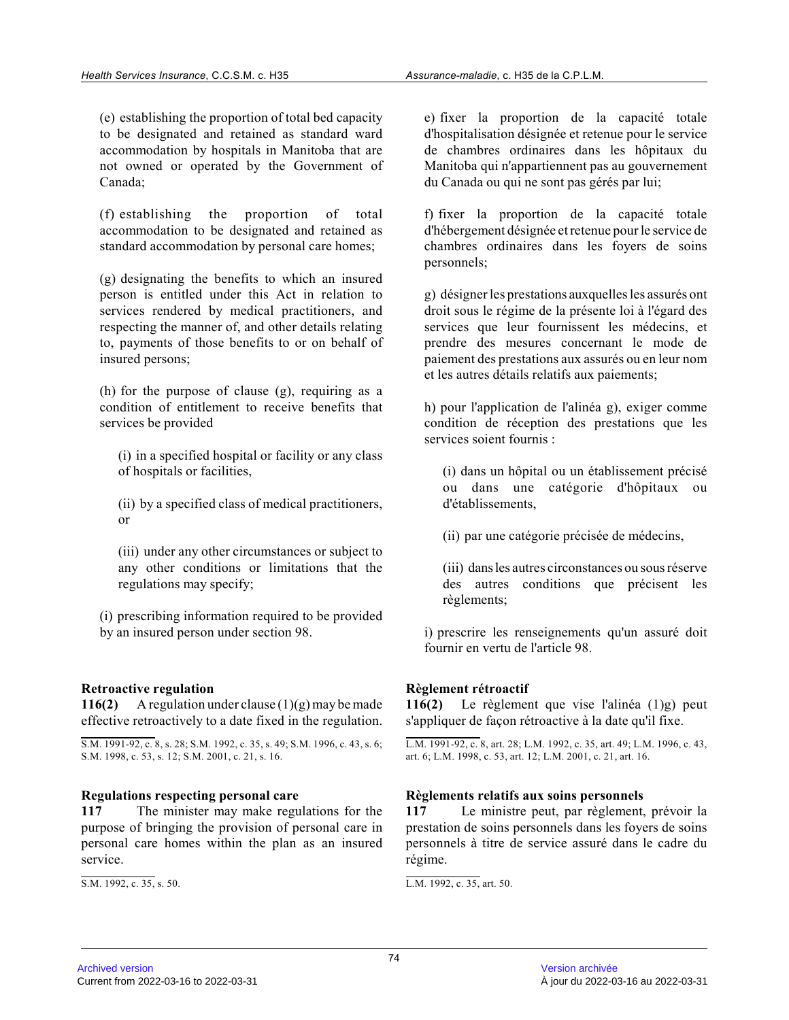(e) establishing the proportion of total bed capacit y to be designated and retained as standard ward accommodation by hospitals in Manitoba that are not owned or operated by the Government of Canada;

(f) establishing the proportion of total accommodation to be designated and retained as standard accommodation by personal care homes;

(g) designating the benefits to which an insured person is entitled under this Act in relation to services rendered by medical practitioners, and respecting the manner of, and other details relating to, payments of those benefits to or on behalf of insured persons;

(h) for the purpose of clause (g), requiring as a condition of entitlement to receive benefits that services be provided

(i) in a specified hospital or facility or any class of hospitals or facilities,

(ii) by a specified class of medical practitioners, or

(iii) under any other circumstances or subject to any other conditions or limitations that the regulations may specify;

(i) prescribing information required to be provided by an insured person under section 98.

## **Retroactive regulation**

**116(2)** A regulation under clause (1)(g) may be made effective retroactively to a date fixed in the regulation.

#### **Regulations respecting personal care**

**117** The minister may make regulations for the purpose of bringing the provision of personal care in personal care homes within the plan as an insured service.

 $\overline{S.M. 1992, c. 35, s. 50}.$ 

e) fixer la proportion de la capacité totale d'hospitalisation désignée et retenue pour le servic e de chambres ordinaires dans les hôpitaux du Manitoba qui n'appartiennent pas au gouvernement du Canada ou qui ne sont pas gérés par lui;

f) fixer la proportion de la capacité totale d'hébergement désignée et retenue pour le service de chambres ordinaires dans les foyers de soins personnels;

g) désigner les prestations auxquelles les assurés ont droit sous le régime de la présente loi à l'égard des services que leur fournissent les médecins, et prendre des mesures concernant le mode de paiement des prestations aux assurés ou en leur nom et les autres détails relatifs aux paiements;

h) pour l'application de l'alinéa g), exiger comme condition de réception des prestations que les services soient fournis :

(i) dans un hôpital ou un établissement précisé ou dans une catégorie d'hôpitaux ou d'établissements,

(ii) par une catégorie précisée de médecins,

(iii) dans les autres circonstances ou sous réserve des autres conditions que précisent les règlements;

i) prescrire les renseignements qu'un assuré doit fournir en vertu de l'article 98.

## **Règlement rétroactif**

**116(2)** Le règlement que vise l'alinéa (1)g) peut s'appliquer de façon rétroactive à la date qu'il fixe.

L.M. 1991-92, c. 8, art. 28; L.M. 1992, c. 35, art. 49; L.M. 1996, c. 43, art. 6; L.M. 1998, c. 53, art. 12; L.M. 2001, c. 21, art. 16.

## **Règlements relatifs aux soins personnels**

**117** Le ministre peut, par règlement, prévoir la prestation de soins personnels dans les foyers de soins personnels à titre de service assuré dans le cadre d u régime.

L.M. 1992, c. 35, art. 50.

S.M. 1991-92, c. 8, s. 28; S.M. 1992, c. 35, s. 49; S.M. 1996, c. 43, s. 6; S.M. 1998, c. 53, s. 12; S.M. 2001, c. 21, s. 16.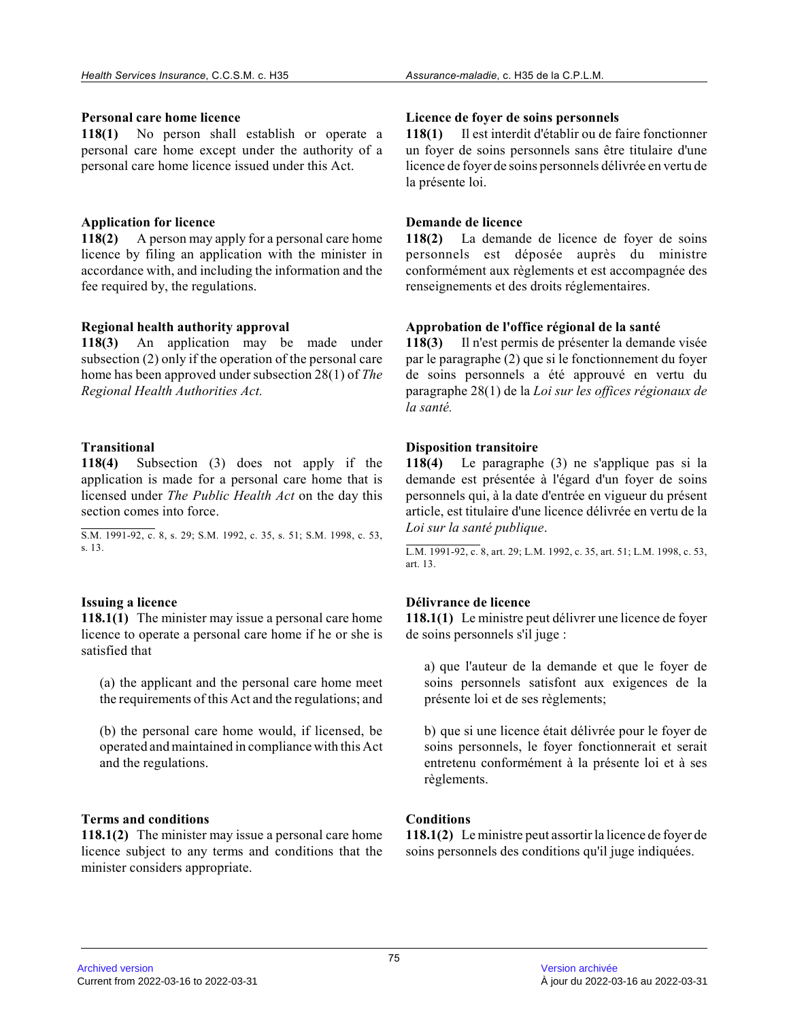#### **Personal care home licence**

**118(1)** No person shall establish or operate a personal care home except under the authority of a personal care home licence issued under this Act.

## **Application for licence**

**118(2)** A person may apply for a personal care home licence by filing an application with the minister in accordance with, and including the information and the fee required by, the regulations.

## **Regional health authority approval**

**118(3)** An application may be made under subsection (2) only if the operation of the personal care home has been approved under subsection 28(1) of *The Regional Health Authorities Act.*

# **Transitional**

**118(4)** Subsection (3) does not apply if the application is made for a personal care home that i s licensed under *The Public Health Act* on the day this section comes into force.

S.M. 1991-92, c. 8, s. 29; S.M. 1992, c. 35, s. 51; S.M. 1998, c. 53, s. 13.

## **Issuing a licence**

**118.1(1)** The minister may issue a personal care home licence to operate a personal care home if he or she is satisfied that

(a) the applicant and the personal care home meet the requirements of this Act and the regulations; and

(b) the personal care home would, if licensed, be operated and maintained in compliance with this Act and the regulations.

## **Terms and conditions**

**118.1(2)** The minister may issue a personal care home licence subject to any terms and conditions that th e minister considers appropriate.

#### **Licence de foyer de soins personnels**

**118(1)** Il est interdit d'établir ou de faire fonctionner un foyer de soins personnels sans être titulaire d'une licence de foyer de soins personnels délivrée en vertu de la présente loi.

# **Demande de licence**

**118(2)** La demande de licence de foyer de soins personnels est déposée auprès du ministre conformément aux règlements et est accompagnée des renseignements et des droits réglementaires.

# **Approbation de l'office régional de la santé**

**118(3)** Il n'est permis de présenter la demande visée par le paragraphe (2) que si le fonctionnement du foyer de soins personnels a été approuvé en vertu du paragraphe 28(1) de la *Loi sur les offices régionaux de la santé.*

# **Disposition transitoire**

**118(4)** Le paragraphe (3) ne s'applique pas si la demande est présentée à l'égard d'un foyer de soins personnels qui, à la date d'entrée en vigueur du présent article, est titulaire d'une licence délivrée en vertu de la *Loi sur la santé publique* .

L.M. 1991-92, c. 8, art. 29; L.M. 1992, c. 35, art. 51; L.M. 1998, c. 53, art. 13.

# **Délivrance de licence**

**118.1(1)** Le ministre peut délivrer une licence de foyer de soins personnels s'il juge :

a) que l'auteur de la demande et que le foyer de soins personnels satisfont aux exigences de la présente loi et de ses règlements;

b) que si une licence était délivrée pour le foyer de soins personnels, le foyer fonctionnerait et serait entretenu conformément à la présente loi et à ses règlements.

## **Conditions**

**118.1(2)** Le ministre peut assortir la licence de foyer de soins personnels des conditions qu'il juge indiquées.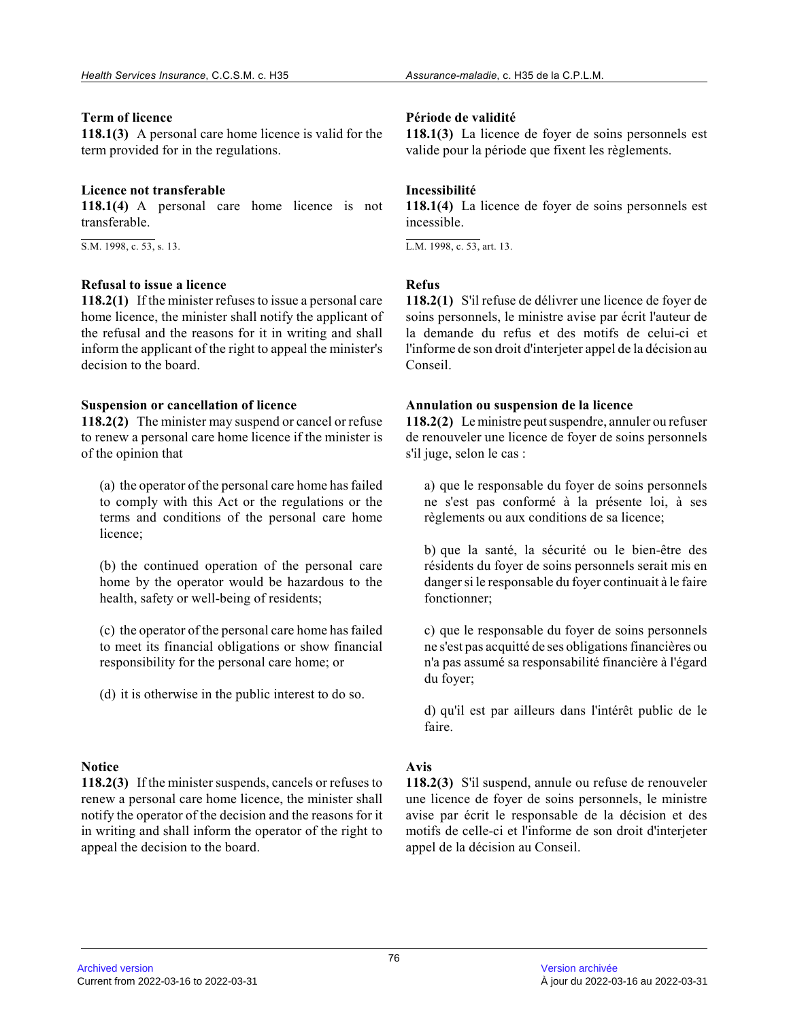#### **Term of licence**

**118.1(3)** A personal care home licence is valid for the term provided for in the regulations.

#### **Licence not transferable**

**118.1(4)** A personal care home licence is not transferable.

S.M. 1998, c. 53, s. 13.

#### **Refusal to issue a licence**

**118.2(1)** If the minister refuses to issue a personal care home licence, the minister shall notify the applicant of the refusal and the reasons for it in writing and shall inform the applicant of the right to appeal the minister's decision to the board.

#### **Suspension or cancellation of licence**

**118.2(2)** The minister may suspend or cancel or refuse to renew a personal care home licence if the minister is of the opinion that

(a) the operator of the personal care home has faile d to comply with this Act or the regulations or the terms and conditions of the personal care home licence;

(b) the continued operation of the personal care home by the operator would be hazardous to the health, safety or well-being of residents;

(c) the operator of the personal care home has faile d to meet its financial obligations or show financial responsibility for the personal care home; or

(d) it is otherwise in the public interest to do so.

# **Notice**

**118.2(3)** If the minister suspends, cancels or refuses to renew a personal care home licence, the minister shall notify the operator of the decision and the reasons for it in writing and shall inform the operator of the right to appeal the decision to the board.

#### **Période de validité**

**118.1(3)** La licence de foyer de soins personnels est valide pour la période que fixent les règlements.

#### **Incessibilité**

**118.1(4)** La licence de foyer de soins personnels est incessible.

L.M. 1998, c. 53, art. 13.

#### **Refus**

**118.2(1)** S'il refuse de délivrer une licence de foyer de soins personnels, le ministre avise par écrit l'auteur de la demande du refus et des motifs de celui-ci et l'informe de son droit d'interjeter appel de la décision au Conseil.

#### **Annulation ou suspension de la licence**

**118.2(2)** Le ministre peut suspendre, annuler ou refuser de renouveler une licence de foyer de soins personnels s'il juge, selon le cas :

a) que le responsable du foyer de soins personnels ne s'est pas conformé à la présente loi, à ses règlements ou aux conditions de sa licence;

b) que la santé, la sécurité ou le bien-être des résidents du foyer de soins personnels serait mis en danger si le responsable du foyer continuait à le faire fonctionner;

c) que le responsable du foyer de soins personnels ne s'est pas acquitté de ses obligations financières ou n'a pas assumé sa responsabilité financière à l'égard du foyer;

d) qu'il est par ailleurs dans l'intérêt public de l e faire.

## **Avis**

**118.2(3)** S'il suspend, annule ou refuse de renouveler une licence de foyer de soins personnels, le ministre avise par écrit le responsable de la décision et des motifs de celle-ci et l'informe de son droit d'interjeter appel de la décision au Conseil.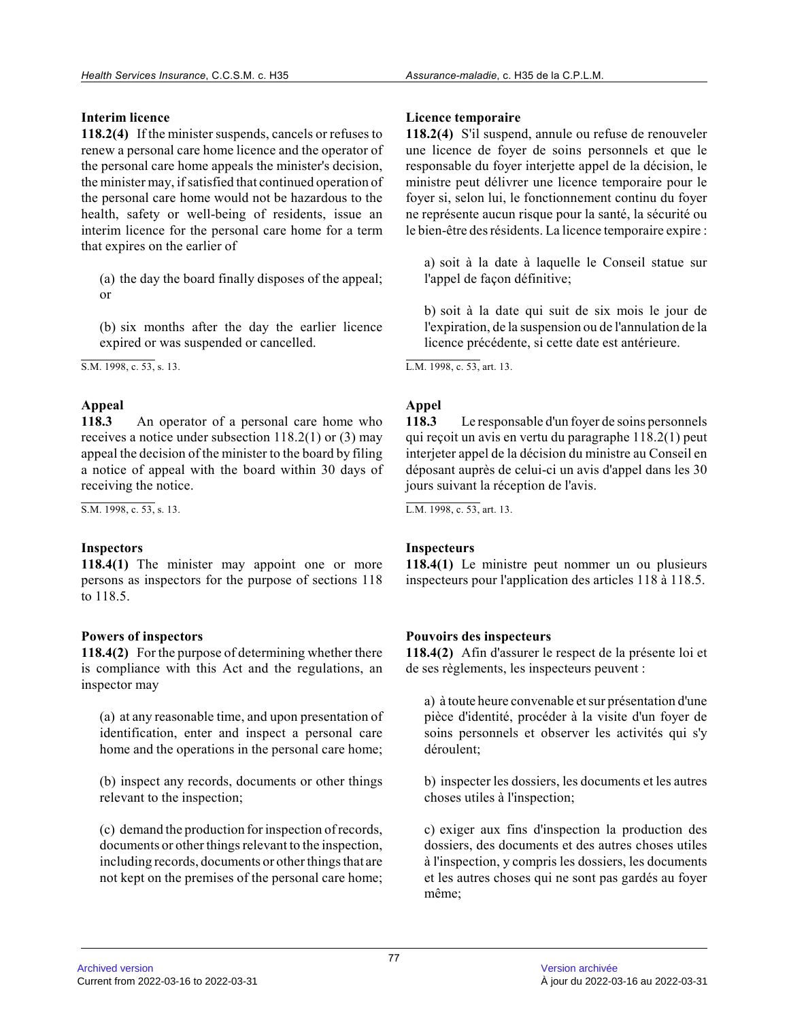# **Interim licence**

**118.2(4)** If the minister suspends, cancels or refuses to renew a personal care home licence and the operator of the personal care home appeals the minister's decision, the minister may, if satisfied that continued operation of the personal care home would not be hazardous to th e health, safety or well-being of residents, issue an interim licence for the personal care home for a term that expires on the earlier of

(a) the day the board finally disposes of the appeal ; or

(b) six months after the day the earlier licence expired or was suspended or cancelled.

 $\overline{SM. 1998. c. 53. s. 13.}$ 

# **Appeal**

**118.3** An operator of a personal care home who receives a notice under subsection 118.2(1) or (3) may appeal the decision of the minister to the board by filing a notice of appeal with the board within 30 days of receiving the notice.

 $\overline{S.M. 1998, c. 53, s. 13}.$ 

# **Inspectors**

**118.4(1)** The minister may appoint one or more persons as inspectors for the purpose of sections 118 to 118.5.

# **Powers of inspectors**

**118.4(2)** For the purpose of determining whether there is compliance with this Act and the regulations, an inspector may

(a) at any reasonable time, and upon presentation of identification, enter and inspect a personal care home and the operations in the personal care home;

(b) inspect any records, documents or other things relevant to the inspection;

(c) demand the production for inspection of records, documents or other things relevant to the inspection , including records, documents or other things that are not kept on the premises of the personal care home;

# **Licence temporaire**

**118.2(4)** S'il suspend, annule ou refuse de renouveler une licence de foyer de soins personnels et que le responsable du foyer interjette appel de la décision, le ministre peut délivrer une licence temporaire pour le foyer si, selon lui, le fonctionnement continu du foyer ne représente aucun risque pour la santé, la sécurité ou le bien-être des résidents. La licence temporaire expire :

a) soit à la date à laquelle le Conseil statue sur l'appel de façon définitive;

b) soit à la date qui suit de six mois le jour de l'expiration, de la suspension ou de l'annulation de la licence précédente, si cette date est antérieure.

L.M. 1998, c. 53, art. 13.

# **Appel**

**118.3** Le responsable d'un foyer de soins personnels qui reçoit un avis en vertu du paragraphe 118.2(1) peut interjeter appel de la décision du ministre au Conseil en déposant auprès de celui-ci un avis d'appel dans les 30 jours suivant la réception de l'avis.

L.M. 1998, c. 53, art. 13.

# **Inspecteurs**

**118.4(1)** Le ministre peut nommer un ou plusieurs inspecteurs pour l'application des articles 118 à 118.5.

# **Pouvoirs des inspecteurs**

**118.4(2)** Afin d'assurer le respect de la présente loi et de ses règlements, les inspecteurs peuvent :

a) à toute heure convenable et sur présentation d'une pièce d'identité, procéder à la visite d'un foyer de soins personnels et observer les activités qui s'y déroulent;

b) inspecter les dossiers, les documents et les autres choses utiles à l'inspection;

c) exiger aux fins d'inspection la production des dossiers, des documents et des autres choses utiles à l'inspection, y compris les dossiers, les documents et les autres choses qui ne sont pas gardés au foye r même;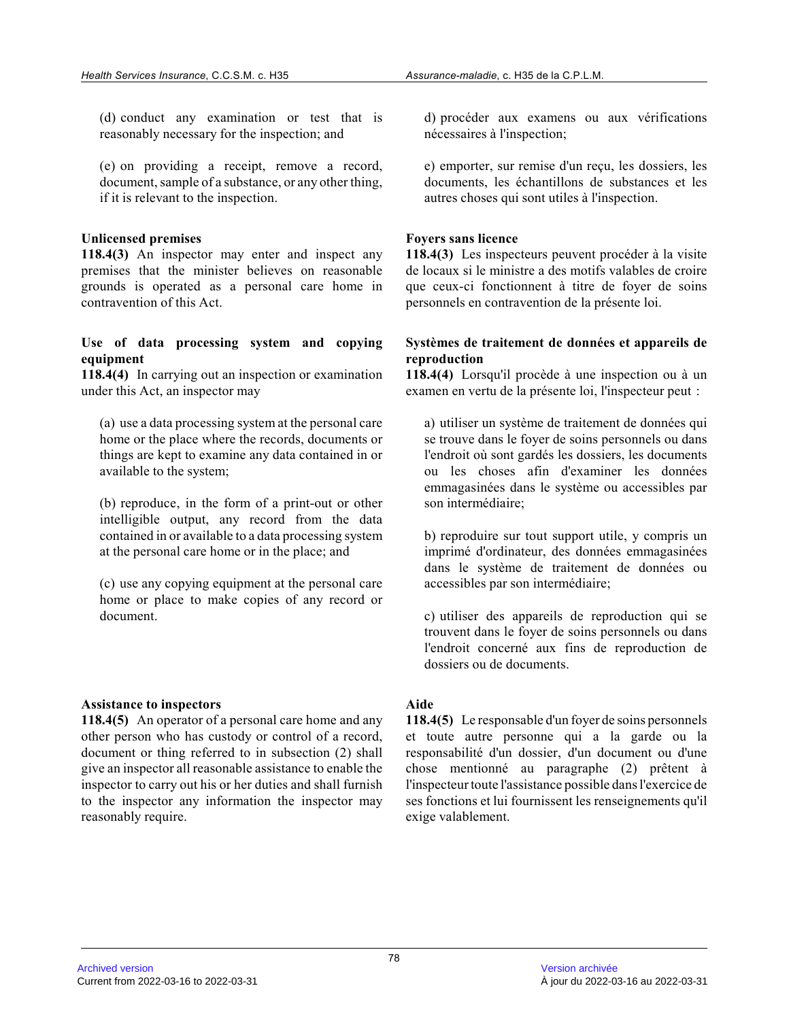(d) conduct any examination or test that is reasonably necessary for the inspection; and

(e) on providing a receipt, remove a record, document, sample of a substance, or any other thing , if it is relevant to the inspection.

#### **Unlicensed premises**

**118.4(3)** An inspector may enter and inspect any premises that the minister believes on reasonable grounds is operated as a personal care home in contravention of this Act.

#### **Use of data processing system and copying equipment**

**118.4(4)** In carrying out an inspection or examination under this Act, an inspector may

(a) use a data processing system at the personal car e home or the place where the records, documents or things are kept to examine any data contained in or available to the system;

(b) reproduce, in the form of a print-out or other intelligible output, any record from the data contained in or available to a data processing syste m at the personal care home or in the place; and

(c) use any copying equipment at the personal care home or place to make copies of any record or document.

#### **Assistance to inspectors**

**118.4(5)** An operator of a personal care home and any other person who has custody or control of a record , document or thing referred to in subsection (2) shall give an inspector all reasonable assistance to enable the inspector to carry out his or her duties and shall furnish to the inspector any information the inspector may reasonably require.

d) procéder aux examens ou aux vérifications nécessaires à l'inspection;

e) emporter, sur remise d'un reçu, les dossiers, les documents, les échantillons de substances et les autres choses qui sont utiles à l'inspection.

#### **Foyers sans licence**

**118.4(3)** Les inspecteurs peuvent procéder à la visite de locaux si le ministre a des motifs valables de croire que ceux-ci fonctionnent à titre de foyer de soins personnels en contravention de la présente loi.

#### **Systèmes de traitement de données et appareils de reproduction**

**118.4(4)** Lorsqu'il procède à une inspection ou à un examen en vertu de la présente loi, l'inspecteur peut :

a) utiliser un système de traitement de données qui se trouve dans le foyer de soins personnels ou dans l'endroit où sont gardés les dossiers, les documents ou les choses afin d'examiner les données emmagasinées dans le système ou accessibles par son intermédiaire;

b) reproduire sur tout support utile, y compris un imprimé d'ordinateur, des données emmagasinées dans le système de traitement de données ou accessibles par son intermédiaire;

c) utiliser des appareils de reproduction qui se trouvent dans le foyer de soins personnels ou dans l'endroit concerné aux fins de reproduction de dossiers ou de documents.

#### **Aide**

**118.4(5)** Le responsable d'un foyer de soins personnels et toute autre personne qui a la garde ou la responsabilité d'un dossier, d'un document ou d'une chose mentionné au paragraphe (2) prêtent à l'inspecteur toute l'assistance possible dans l'exercice de ses fonctions et lui fournissent les renseignements qu'il exige valablement.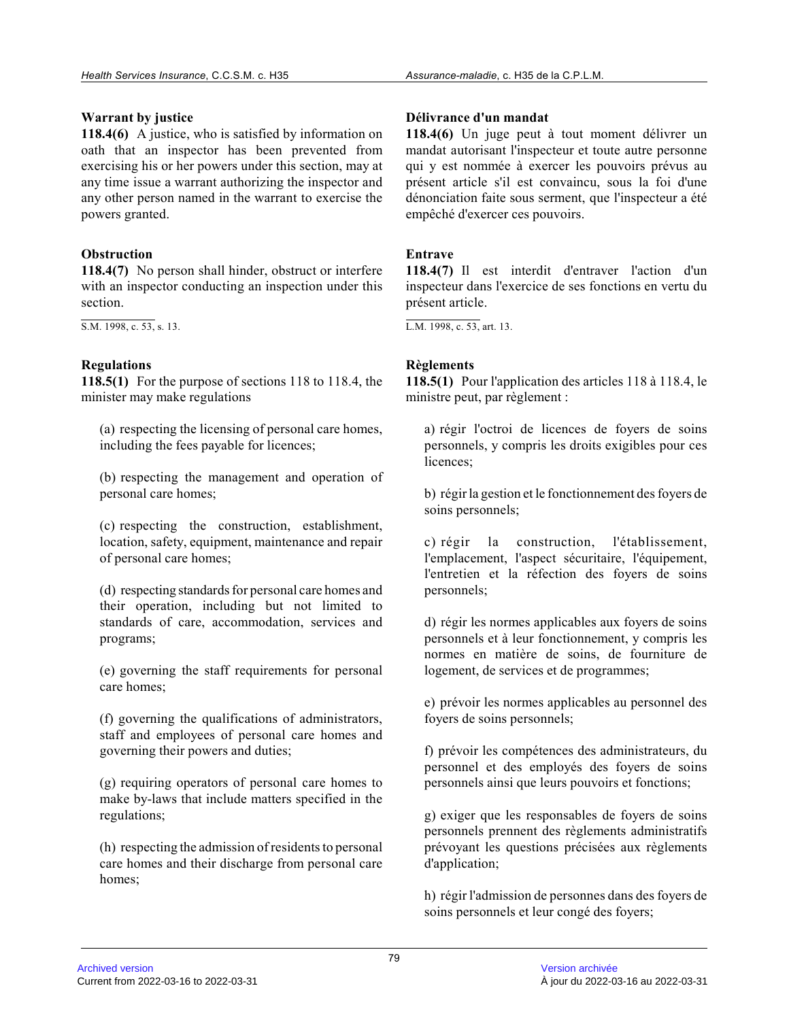#### **Warrant by justice**

**118.4(6)** A justice, who is satisfied by information on oath that an inspector has been prevented from exercising his or her powers under this section, may at any time issue a warrant authorizing the inspector and any other person named in the warrant to exercise the powers granted.

## **Obstruction**

**118.4(7)** No person shall hinder, obstruct or interfere with an inspector conducting an inspection under this section.

S.M. 1998, c. 53, s. 13.

# **Regulations**

**118.5(1)** For the purpose of sections 118 to 118.4, the minister may make regulations

(a) respecting the licensing of personal care homes, including the fees payable for licences;

(b) respecting the management and operation of personal care homes;

(c) respecting the construction, establishment, location, safety, equipment, maintenance and repair of personal care homes;

(d) respecting standards for personal care homes and their operation, including but not limited to standards of care, accommodation, services and programs;

(e) governing the staff requirements for personal care homes;

(f) governing the qualifications of administrators, staff and employees of personal care homes and governing their powers and duties;

(g) requiring operators of personal care homes to make by-laws that include matters specified in the regulations;

(h) respecting the admission of residents to persona l care homes and their discharge from personal care homes;

#### **Délivrance d'un mandat**

**118.4(6)** Un juge peut à tout moment délivrer un mandat autorisant l'inspecteur et toute autre personne qui y est nommée à exercer les pouvoirs prévus au présent article s'il est convaincu, sous la foi d'un e dénonciation faite sous serment, que l'inspecteur a été empêché d'exercer ces pouvoirs.

## **Entrave**

**118.4(7)** Il est interdit d'entraver l'action d'un inspecteur dans l'exercice de ses fonctions en vertu du présent article.

L.M. 1998, c. 53, art. 13.

## **Règlements**

**118.5(1)** Pour l'application des articles 118 à 118.4, le ministre peut, par règlement :

a) régir l'octroi de licences de foyers de soins personnels, y compris les droits exigibles pour ces licences;

b) régir la gestion et le fonctionnement des foyers de soins personnels;

c) régir la construction, l'établissement, l'emplacement, l'aspect sécuritaire, l'équipement, l'entretien et la réfection des foyers de soins personnels;

d) régir les normes applicables aux foyers de soins personnels et à leur fonctionnement, y compris les normes en matière de soins, de fourniture de logement, de services et de programmes;

e) prévoir les normes applicables au personnel des foyers de soins personnels;

f) prévoir les compétences des administrateurs, du personnel et des employés des foyers de soins personnels ainsi que leurs pouvoirs et fonctions;

g) exiger que les responsables de foyers de soins personnels prennent des règlements administratifs prévoyant les questions précisées aux règlements d'application;

h) régir l'admission de personnes dans des foyers de soins personnels et leur congé des foyers;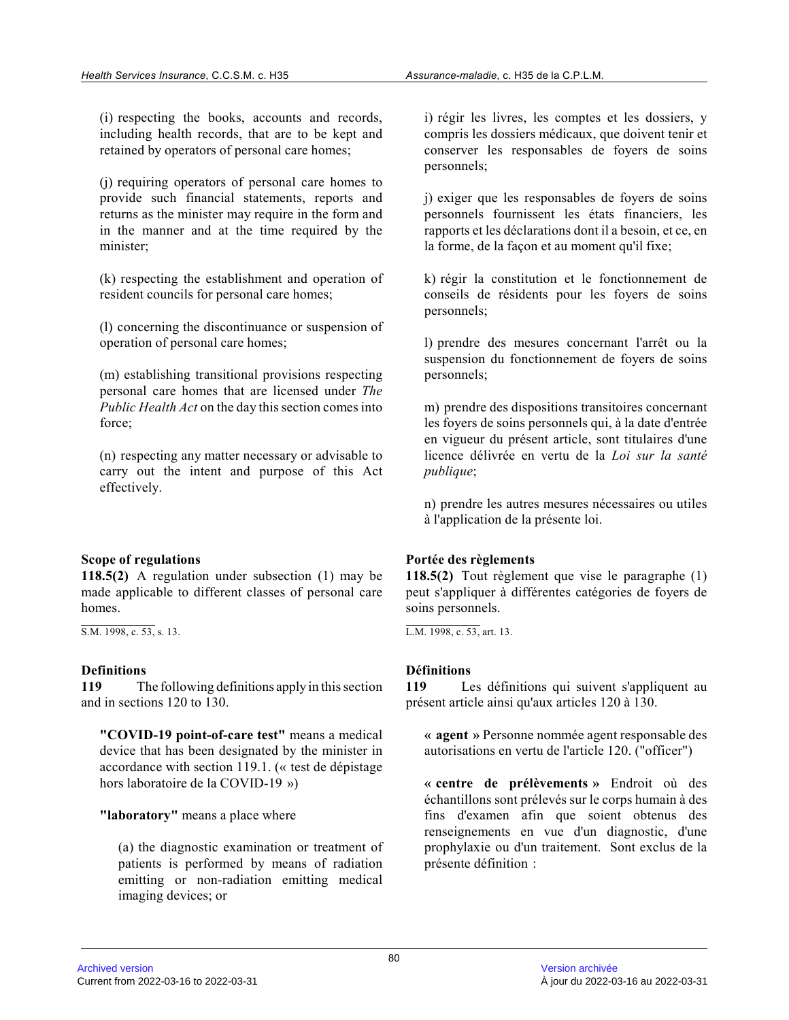(i) respecting the books, accounts and records, including health records, that are to be kept and retained by operators of personal care homes;

(j) requiring operators of personal care homes to provide such financial statements, reports and returns as the minister may require in the form and in the manner and at the time required by the minister;

(k) respecting the establishment and operation of resident councils for personal care homes;

(l) concerning the discontinuance or suspension of operation of personal care homes;

(m) establishing transitional provisions respecting personal care homes that are licensed under *The Public Health Act* on the day this section comes into force;

(n) respecting any matter necessary or advisable to carry out the intent and purpose of this Act effectively.

## **Scope of regulations**

**118.5(2)** A regulation under subsection (1) may be made applicable to different classes of personal care homes.

S.M. 1998, c. 53, s. 13.

#### **Definitions**

**119** The following definitions apply in this section and in sections 120 to 130.

**"COVID-19 point-of-care test"** means a medical device that has been designated by the minister in accordance with section 119.1. (« test de dépistage hors laboratoire de la COVID-19 »)

**"laboratory"** means a place where

(a) the diagnostic examination or treatment of patients is performed by means of radiation emitting or non-radiation emitting medical imaging devices; or

i) régir les livres, les comptes et les dossiers, y compris les dossiers médicaux, que doivent tenir et conserver les responsables de foyers de soins personnels;

j) exiger que les responsables de foyers de soins personnels fournissent les états financiers, les rapports et les déclarations dont il a besoin, et ce, en la forme, de la façon et au moment qu'il fixe;

k) régir la constitution et le fonctionnement de conseils de résidents pour les foyers de soins personnels;

l) prendre des mesures concernant l'arrêt ou la suspension du fonctionnement de foyers de soins personnels;

m) prendre des dispositions transitoires concernant les foyers de soins personnels qui, à la date d'entrée en vigueur du présent article, sont titulaires d'une licence délivrée en vertu de la *Loi sur la santé publique* ;

n) prendre les autres mesures nécessaires ou utiles à l'application de la présente loi.

## **Portée des règlements**

**118.5(2)** Tout règlement que vise le paragraphe (1) peut s'appliquer à différentes catégories de foyers de soins personnels.

L.M. 1998, c. 53, art. 13.

## **Définitions**

**119** Les définitions qui suivent s'appliquent au présent article ainsi qu'aux articles 120 à 130.

**« agent »** Personne nommée agent responsable des autorisations en vertu de l'article 120. ("officer")

**« centre de prélèvements »** Endroit où des échantillons sont prélevés sur le corps humain à des fins d'examen afin que soient obtenus des renseignements en vue d'un diagnostic, d'une prophylaxie ou d'un traitement. Sont exclus de la présente définition :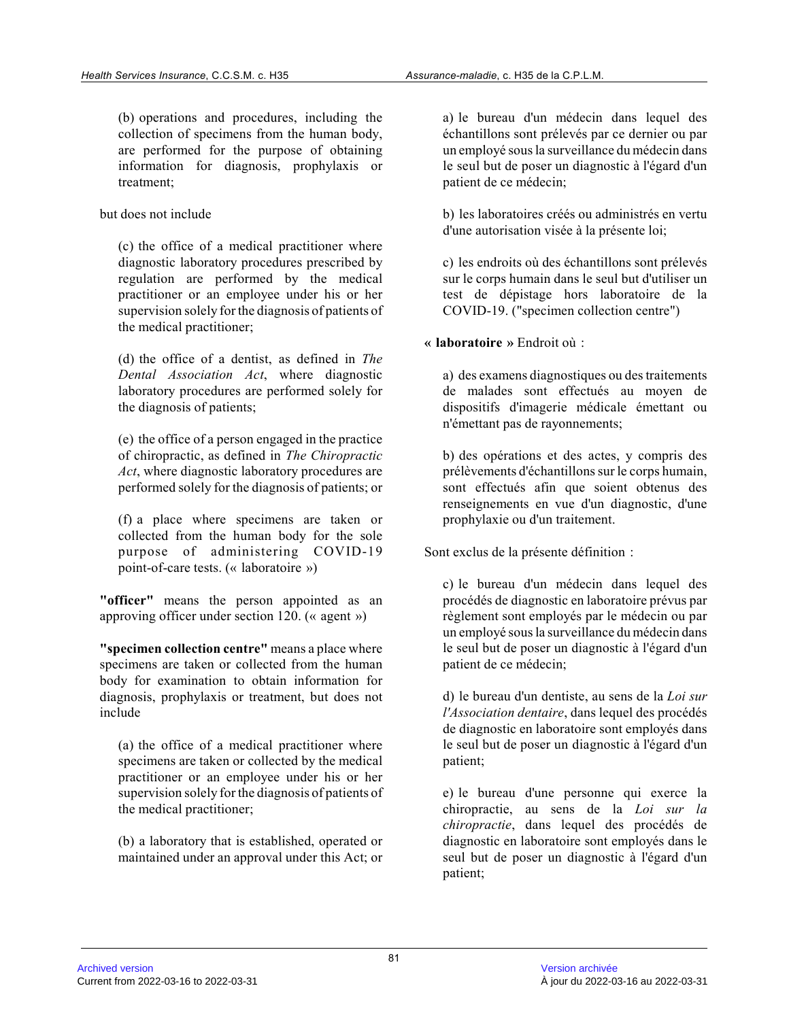(b) operations and procedures, including the collection of specimens from the human body, are performed for the purpose of obtaining information for diagnosis, prophylaxis or treatment;

but does not include

(c) the office of a medical practitioner where diagnostic laboratory procedures prescribed by regulation are performed by the medical practitioner or an employee under his or her supervision solely for the diagnosis of patients of the medical practitioner;

(d) the office of a dentist, as defined in *The Dental Association Act*, where diagnostic laboratory procedures are performed solely for the diagnosis of patients;

(e) the office of a person engaged in the practice of chiropractic, as defined in *The Chiropractic Act*, where diagnostic laboratory procedures are performed solely for the diagnosis of patients; or

(f) a place where specimens are taken or collected from the human body for the sole purpose of administering COVID-19 point-of-care tests. (« laboratoire »)

**"officer"** means the person appointed as an approving officer under section 120. (« agent »)

**"specimen collection centre"** means a place where specimens are taken or collected from the human body for examination to obtain information for diagnosis, prophylaxis or treatment, but does not include

(a) the office of a medical practitioner where specimens are taken or collected by the medical practitioner or an employee under his or her supervision solely for the diagnosis of patients of the medical practitioner;

(b) a laboratory that is established, operated or maintained under an approval under this Act; or

a) le bureau d'un médecin dans lequel des échantillons sont prélevés par ce dernier ou par un employé sous la surveillance du médecin dans le seul but de poser un diagnostic à l'égard d'un patient de ce médecin;

b) les laboratoires créés ou administrés en vertu d'une autorisation visée à la présente loi;

c) les endroits où des échantillons sont prélevés sur le corps humain dans le seul but d'utiliser un test de dépistage hors laboratoire de la COVID-19. ("specimen collection centre")

**« laboratoire »** Endroit où :

a) des examens diagnostiques ou des traitements de malades sont effectués au moyen de dispositifs d'imagerie médicale émettant ou n'émettant pas de rayonnements;

b) des opérations et des actes, y compris des prélèvements d'échantillons sur le corps humain, sont effectués afin que soient obtenus des renseignements en vue d'un diagnostic, d'une prophylaxie ou d'un traitement.

Sont exclus de la présente définition :

c) le bureau d'un médecin dans lequel des procédés de diagnostic en laboratoire prévus par règlement sont employés par le médecin ou par un employé sous la surveillance du médecin dans le seul but de poser un diagnostic à l'égard d'un patient de ce médecin;

d) le bureau d'un dentiste, au sens de la *Loi sur l'Association dentaire*, dans lequel des procédés de diagnostic en laboratoire sont employés dans le seul but de poser un diagnostic à l'égard d'un patient;

e) le bureau d'une personne qui exerce la chiropractie, au sens de la *Loi sur la chiropractie*, dans lequel des procédés de diagnostic en laboratoire sont employés dans le seul but de poser un diagnostic à l'égard d'un patient;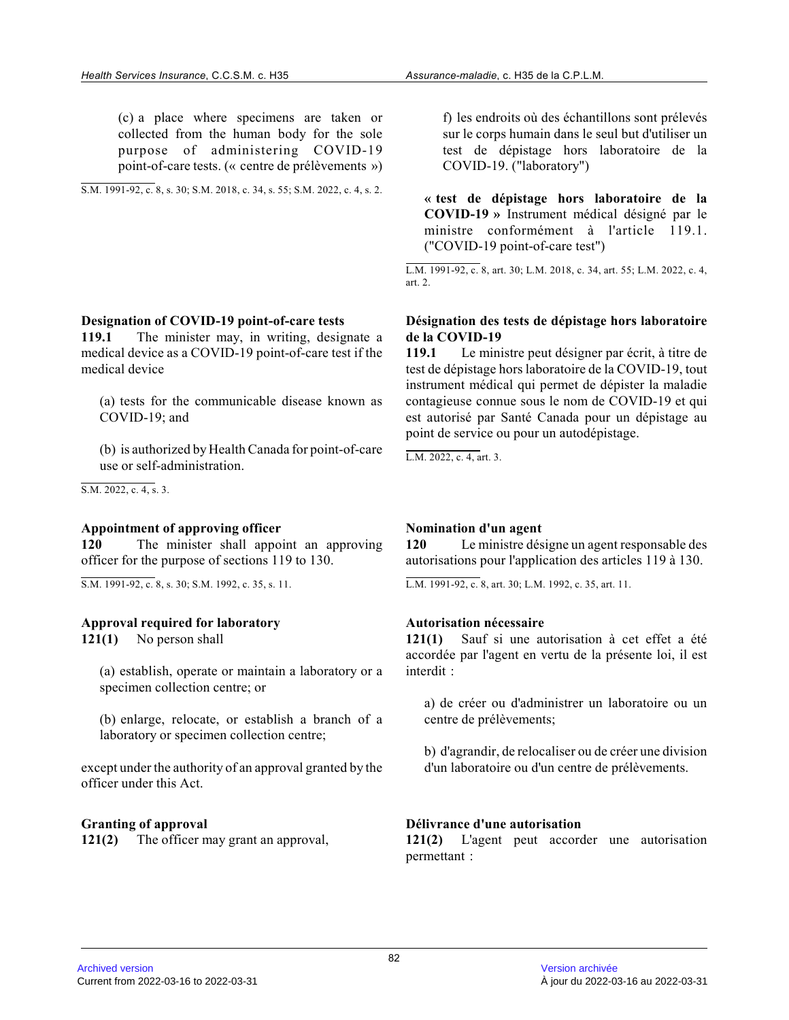(c) a place where specimens are taken or collected from the human body for the sole purpose of administering COVID-19 point-of-care tests. (« centre de prélèvements »)

S.M. 1991-92, c. 8, s. 30; S.M. 2018, c. 34, s. 55; S.M. 2022, c. 4, s. 2.

#### **Designation of COVID-19 point-of-care tests**

**119.1** The minister may, in writing, designate a medical device as a COVID-19 point-of-care test if the medical device

(a) tests for the communicable disease known as COVID-19; and

(b) is authorized by Health Canada for point-of-care use or self-administration.

S.M. 2022, c. 4, s. 3.

#### **Appointment of approving officer**

**120** The minister shall appoint an approving officer for the purpose of sections 119 to 130.

S.M. 1991-92, c. 8, s. 30; S.M. 1992, c. 35, s. 11.

#### **Approval required for laboratory**

**121(1)** No person shall

(a) establish, operate or maintain a laboratory or a specimen collection centre; or

(b) enlarge, relocate, or establish a branch of a laboratory or specimen collection centre;

except under the authority of an approval granted by the officer under this Act.

#### **Granting of approval**

**121(2)** The officer may grant an approval,

f) les endroits où des échantillons sont prélevés sur le corps humain dans le seul but d'utiliser un test de dépistage hors laboratoire de la COVID-19. ("laboratory")

**« test de dépistage hors laboratoire de la COVID-19 »** Instrument médical désigné par le ministre conformément à l'article 119.1. ("COVID-19 point-of-care test")

L.M. 1991-92, c. 8, art. 30; L.M. 2018, c. 34, art. 55; L.M. 2022, c. 4, art. 2.

#### **Désignation des tests de dépistage hors laboratoire de la COVID-19**

**119.1** Le ministre peut désigner par écrit, à titre de test de dépistage hors laboratoire de la COVID-19, tout instrument médical qui permet de dépister la maladi e contagieuse connue sous le nom de COVID-19 et qui est autorisé par Santé Canada pour un dépistage au point de service ou pour un autodépistage.

L.M. 2022, c. 4, art. 3.

#### **Nomination d'un agent**

**120** Le ministre désigne un agent responsable des autorisations pour l'application des articles 119 à 130.

L.M. 1991-92, c. 8, art. 30; L.M. 1992, c. 35, art. 11.

#### **Autorisation nécessaire**

**121(1)** Sauf si une autorisation à cet effet a été accordée par l'agent en vertu de la présente loi, il est interdit :

a) de créer ou d'administrer un laboratoire ou un centre de prélèvements;

b) d'agrandir, de relocaliser ou de créer une divisio n d'un laboratoire ou d'un centre de prélèvements.

#### **Délivrance d'une autorisation**

**121(2)** L'agent peut accorder une autorisation permettant :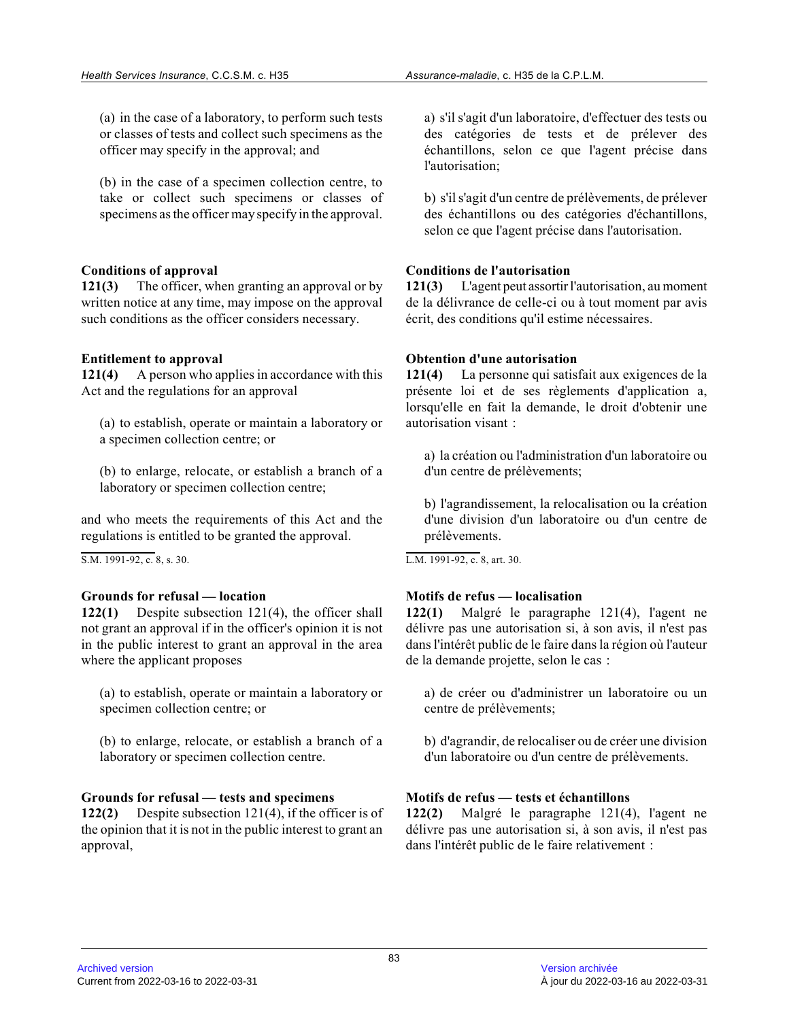(a) in the case of a laboratory, to perform such tests or classes of tests and collect such specimens as the officer may specify in the approval; and

(b) in the case of a specimen collection centre, to take or collect such specimens or classes of specimens as the officer may specify in the approval .

#### **Conditions of approval**

**121(3)** The officer, when granting an approval or by written notice at any time, may impose on the approval such conditions as the officer considers necessary.

## **Entitlement to approval**

**121(4)** A person who applies in accordance with this Act and the regulations for an approval

(a) to establish, operate or maintain a laboratory or a specimen collection centre; or

(b) to enlarge, relocate, or establish a branch of a laboratory or specimen collection centre;

and who meets the requirements of this Act and the regulations is entitled to be granted the approval.

S.M. 1991-92, c. 8, s. 30.

## **Grounds for refusal — location**

**122(1)** Despite subsection 121(4), the officer shall not grant an approval if in the officer's opinion it is not in the public interest to grant an approval in the area where the applicant proposes

(a) to establish, operate or maintain a laboratory or specimen collection centre; or

(b) to enlarge, relocate, or establish a branch of a laboratory or specimen collection centre.

## **Grounds for refusal — tests and specimens**

**122(2)** Despite subsection 121(4), if the officer is of the opinion that it is not in the public interest to grant an approval,

a) s'il s'agit d'un laboratoire, d'effectuer des tests ou des catégories de tests et de prélever des échantillons, selon ce que l'agent précise dans l'autorisation;

b) s'il s'agit d'un centre de prélèvements, de préleve r des échantillons ou des catégories d'échantillons, selon ce que l'agent précise dans l'autorisation.

#### **Conditions de l'autorisation**

**121(3)** L'agent peut assortir l'autorisation, au moment de la délivrance de celle-ci ou à tout moment par avi s écrit, des conditions qu'il estime nécessaires.

#### **Obtention d'une autorisation**

**121(4)** La personne qui satisfait aux exigences de la présente loi et de ses règlements d'application a, lorsqu'elle en fait la demande, le droit d'obtenir une autorisation visant :

a) la création ou l'administration d'un laboratoire ou d'un centre de prélèvements;

b) l'agrandissement, la relocalisation ou la création d'une division d'un laboratoire ou d'un centre de prélèvements.

L.M. 1991-92, c. 8, art. 30.

## **Motifs de refus — localisation**

**122(1)** Malgré le paragraphe 121(4), l'agent ne délivre pas une autorisation si, à son avis, il n'est pas dans l'intérêt public de le faire dans la région où l'auteur de la demande projette, selon le cas :

a) de créer ou d'administrer un laboratoire ou un centre de prélèvements;

b) d'agrandir, de relocaliser ou de créer une divisio n d'un laboratoire ou d'un centre de prélèvements.

## **Motifs de refus — tests et échantillons**

**122(2)** Malgré le paragraphe 121(4), l'agent ne délivre pas une autorisation si, à son avis, il n'est pas dans l'intérêt public de le faire relativement :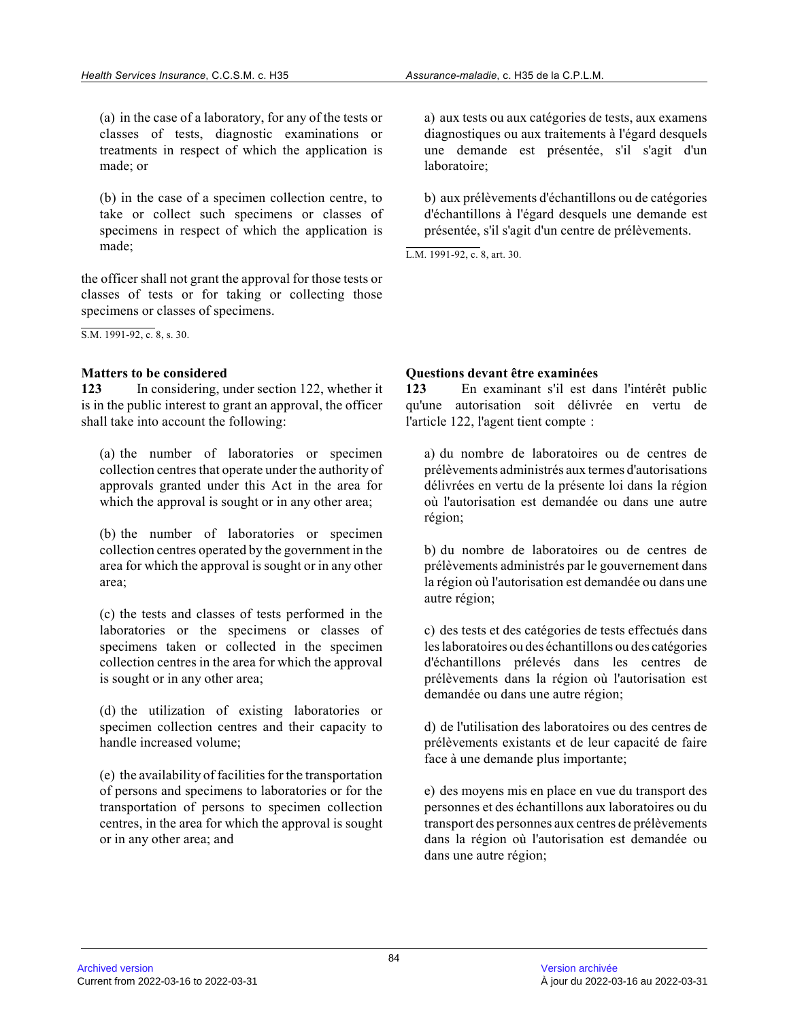(a) in the case of a laboratory, for any of the tests or classes of tests, diagnostic examinations or treatments in respect of which the application is made; or

(b) in the case of a specimen collection centre, to take or collect such specimens or classes of specimens in respect of which the application is made;

the officer shall not grant the approval for those tests or classes of tests or for taking or collecting those specimens or classes of specimens.

S.M. 1991-92, c. 8, s. 30.

## **Matters to be considered**

**123** In considering, under section 122, whether it is in the public interest to grant an approval, the officer shall take into account the following:

(a) the number of laboratories or specimen collection centres that operate under the authority of approvals granted under this Act in the area for which the approval is sought or in any other area;

(b) the number of laboratories or specimen collection centres operated by the government in the area for which the approval is sought or in any othe r area;

(c) the tests and classes of tests performed in the laboratories or the specimens or classes of specimens taken or collected in the specimen collection centres in the area for which the approva l is sought or in any other area;

(d) the utilization of existing laboratories or specimen collection centres and their capacity to handle increased volume;

(e) the availability of facilities for the transportation of persons and specimens to laboratories or for the transportation of persons to specimen collection centres, in the area for which the approval is sough t or in any other area; and

a) aux tests ou aux catégories de tests, aux examens diagnostiques ou aux traitements à l'égard desquels une demande est présentée, s'il s'agit d'un laboratoire;

b) aux prélèvements d'échantillons ou de catégories d'échantillons à l'égard desquels une demande est présentée, s'il s'agit d'un centre de prélèvements.

L.M. 1991-92, c. 8, art. 30.

**Questions devant être examinées**

**123** En examinant s'il est dans l'intérêt public qu'une autorisation soit délivrée en vertu de l'article 122, l'agent tient compte :

a) du nombre de laboratoires ou de centres de prélèvements administrés aux termes d'autorisations délivrées en vertu de la présente loi dans la région où l'autorisation est demandée ou dans une autre région;

b) du nombre de laboratoires ou de centres de prélèvements administrés par le gouvernement dans la région où l'autorisation est demandée ou dans un e autre région;

c) des tests et des catégories de tests effectués dans les laboratoires ou des échantillons ou des catégorie s d'échantillons prélevés dans les centres de prélèvements dans la région où l'autorisation est demandée ou dans une autre région;

d) de l'utilisation des laboratoires ou des centres de prélèvements existants et de leur capacité de faire face à une demande plus importante;

e) des moyens mis en place en vue du transport des personnes et des échantillons aux laboratoires ou d u transport des personnes aux centres de prélèvements dans la région où l'autorisation est demandée ou dans une autre région;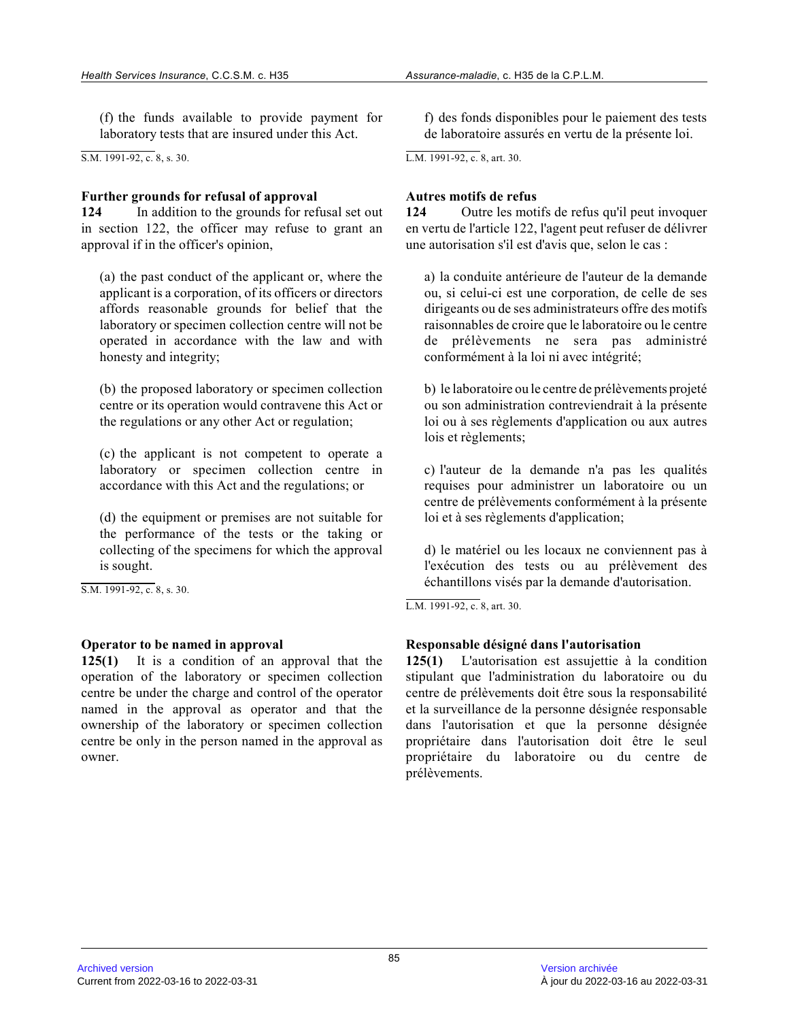(f) the funds available to provide payment for laboratory tests that are insured under this Act.

S.M. 1991-92, c. 8, s. 30.

#### **Further grounds for refusal of approval**

**124** In addition to the grounds for refusal set out in section 122, the officer may refuse to grant an approval if in the officer's opinion,

(a) the past conduct of the applicant or, where the applicant is a corporation, of its officers or directors affords reasonable grounds for belief that the laboratory or specimen collection centre will not b e operated in accordance with the law and with honesty and integrity;

(b) the proposed laboratory or specimen collection centre or its operation would contravene this Act or the regulations or any other Act or regulation;

(c) the applicant is not competent to operate a laboratory or specimen collection centre in accordance with this Act and the regulations; or

(d) the equipment or premises are not suitable for the performance of the tests or the taking or collecting of the specimens for which the approval is sought.

S.M. 1991-92, c. 8, s. 30.

## **Operator to be named in approval**

**125(1)** It is a condition of an approval that the operation of the laboratory or specimen collection centre be under the charge and control of the operator named in the approval as operator and that the ownership of the laboratory or specimen collection centre be only in the person named in the approval a s owner.

f) des fonds disponibles pour le paiement des tests de laboratoire assurés en vertu de la présente loi.

L.M. 1991-92, c. 8, art. 30.

#### **Autres motifs de refus**

**124** Outre les motifs de refus qu'il peut invoquer en vertu de l'article 122, l'agent peut refuser de délivrer une autorisation s'il est d'avis que, selon le cas :

a) la conduite antérieure de l'auteur de la demande ou, si celui-ci est une corporation, de celle de se s dirigeants ou de ses administrateurs offre des motifs raisonnables de croire que le laboratoire ou le centre de prélèvements ne sera pas administré conformément à la loi ni avec intégrité;

b) le laboratoire ou le centre de prélèvements projeté ou son administration contreviendrait à la présente loi ou à ses règlements d'application ou aux autres lois et règlements;

c) l'auteur de la demande n'a pas les qualités requises pour administrer un laboratoire ou un centre de prélèvements conformément à la présente loi et à ses règlements d'application;

d) le matériel ou les locaux ne conviennent pas à l'exécution des tests ou au prélèvement des échantillons visés par la demande d'autorisation.

L.M. 1991-92, c. 8, art. 30.

## **Responsable désigné dans l'autorisation**

**125(1)** L'autorisation est assujettie à la condition stipulant que l'administration du laboratoire ou du centre de prélèvements doit être sous la responsabilité et la surveillance de la personne désignée responsable dans l'autorisation et que la personne désignée propriétaire dans l'autorisation doit être le seul propriétaire du laboratoire ou du centre de prélèvements.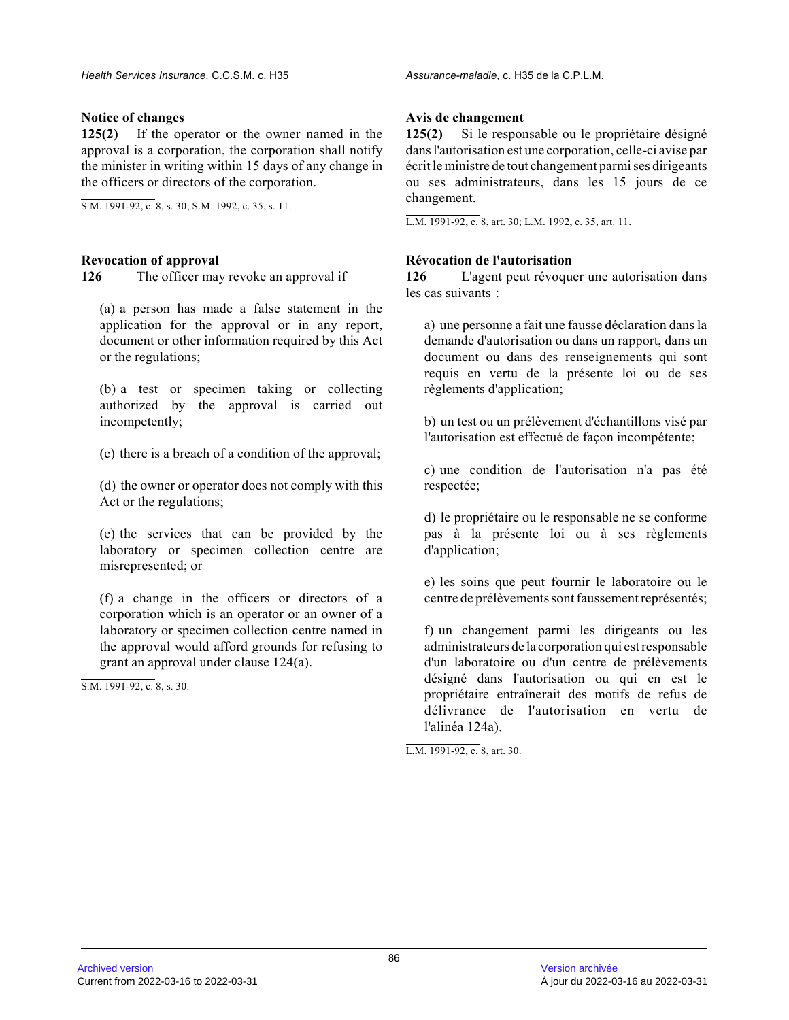#### **Notice of changes**

**125(2)** If the operator or the owner named in the approval is a corporation, the corporation shall notify the minister in writing within 15 days of any change in the officers or directors of the corporation.

S.M. 1991-92, c. 8, s. 30; S.M. 1992, c. 35, s. 11.

## **Revocation of approval**

**126** The officer may revoke an approval if

(a) a person has made a false statement in the application for the approval or in any report, document or other information required by this Act or the regulations;

(b) a test or specimen taking or collecting authorized by the approval is carried out incompetently;

(c) there is a breach of a condition of the approval;

(d) the owner or operator does not comply with this Act or the regulations;

(e) the services that can be provided by the laboratory or specimen collection centre are misrepresented; or

(f) a change in the officers or directors of a corporation which is an operator or an owner of a laboratory or specimen collection centre named in the approval would afford grounds for refusing to grant an approval under clause 124(a).

S.M. 1991-92, c. 8, s. 30.

## **Avis de changement**

**125(2)** Si le responsable ou le propriétaire désigné dans l'autorisation est une corporation, celle-ci avise par écrit le ministre de tout changement parmi ses dirigeants ou ses administrateurs, dans les 15 jours de ce changement.

L.M. 1991-92, c. 8, art. 30; L.M. 1992, c. 35, art. 11.

#### **Révocation de l'autorisation**

**126** L'agent peut révoquer une autorisation dans les cas suivants :

a) une personne a fait une fausse déclaration dans l a demande d'autorisation ou dans un rapport, dans un document ou dans des renseignements qui sont requis en vertu de la présente loi ou de ses règlements d'application;

b) un test ou un prélèvement d'échantillons visé par l'autorisation est effectué de façon incompétente;

c) une condition de l'autorisation n'a pas été respectée;

d) le propriétaire ou le responsable ne se conforme pas à la présente loi ou à ses règlements d'application;

e) les soins que peut fournir le laboratoire ou le centre de prélèvements sont faussement représentés;

f) un changement parmi les dirigeants ou les administrateurs de la corporation qui est responsabl e d'un laboratoire ou d'un centre de prélèvements désigné dans l'autorisation ou qui en est le propriétaire entraînerait des motifs de refus de délivrance de l'autorisation en vertu de l'alinéa 124a).

L.M. 1991-92, c. 8, art. 30.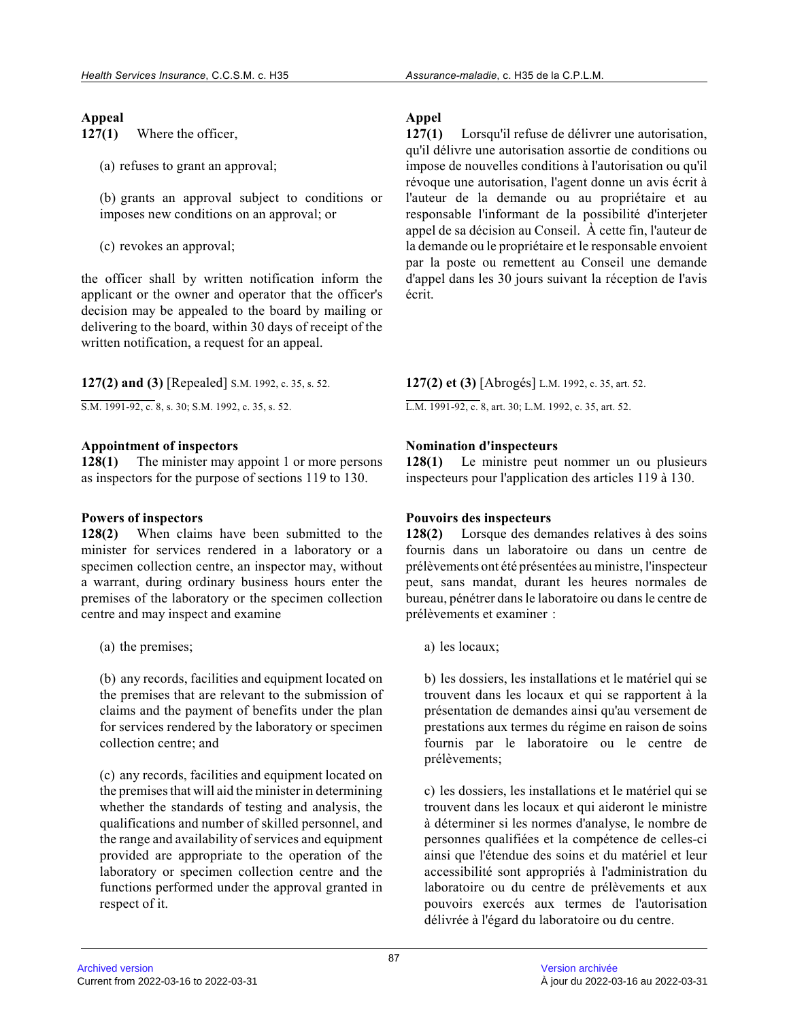#### **Appeal**

**127(1)** Where the officer,

(a) refuses to grant an approval;

(b) grants an approval subject to conditions or imposes new conditions on an approval; or

(c) revokes an approval;

the officer shall by written notification inform the applicant or the owner and operator that the officer's decision may be appealed to the board by mailing or delivering to the board, within 30 days of receipt of the written notification, a request for an appeal.

**127(2) and (3)** [Repealed] S.M. 1992, c. 35, s. 52.

S.M. 1991-92, c. 8, s. 30; S.M. 1992, c. 35, s. 52.

#### **Appointment of inspectors**

**128(1)** The minister may appoint 1 or more persons as inspectors for the purpose of sections 119 to 130.

#### **Powers of inspectors**

**128(2)** When claims have been submitted to the minister for services rendered in a laboratory or a specimen collection centre, an inspector may, without a warrant, during ordinary business hours enter the premises of the laboratory or the specimen collection centre and may inspect and examine

(a) the premises;

(b) any records, facilities and equipment located on the premises that are relevant to the submission of claims and the payment of benefits under the plan for services rendered by the laboratory or specimen collection centre; and

(c) any records, facilities and equipment located on the premises that will aid the minister in determining whether the standards of testing and analysis, the qualifications and number of skilled personnel, and the range and availability of services and equipment provided are appropriate to the operation of the laboratory or specimen collection centre and the functions performed under the approval granted in respect of it.

# **Appel**

**127(1)** Lorsqu'il refuse de délivrer une autorisation, qu'il délivre une autorisation assortie de conditions ou impose de nouvelles conditions à l'autorisation ou qu'il révoque une autorisation, l'agent donne un avis écrit à l'auteur de la demande ou au propriétaire et au responsable l'informant de la possibilité d'interjeter appel de sa décision au Conseil. À cette fin, l'auteur de la demande ou le propriétaire et le responsable envoient par la poste ou remettent au Conseil une demande d'appel dans les 30 jours suivant la réception de l'avis écrit.

**127(2) et (3)** [Abrogés] L.M. 1992, c. 35, art. 52.

L.M. 1991-92, c. 8, art. 30; L.M. 1992, c. 35, art. 52.

#### **Nomination d'inspecteurs**

**128(1)** Le ministre peut nommer un ou plusieurs inspecteurs pour l'application des articles 119 à 130.

#### **Pouvoirs des inspecteurs**

**128(2)** Lorsque des demandes relatives à des soins fournis dans un laboratoire ou dans un centre de prélèvements ont été présentées au ministre, l'inspecteur peut, sans mandat, durant les heures normales de bureau, pénétrer dans le laboratoire ou dans le centre de prélèvements et examiner :

a) les locaux;

b) les dossiers, les installations et le matériel qui se trouvent dans les locaux et qui se rapportent à la présentation de demandes ainsi qu'au versement de prestations aux termes du régime en raison de soins fournis par le laboratoire ou le centre de prélèvements;

c) les dossiers, les installations et le matériel qui se trouvent dans les locaux et qui aideront le ministre à déterminer si les normes d'analyse, le nombre de personnes qualifiées et la compétence de celles-ci ainsi que l'étendue des soins et du matériel et leu r accessibilité sont appropriés à l'administration du laboratoire ou du centre de prélèvements et aux pouvoirs exercés aux termes de l'autorisation délivrée à l'égard du laboratoire ou du centre.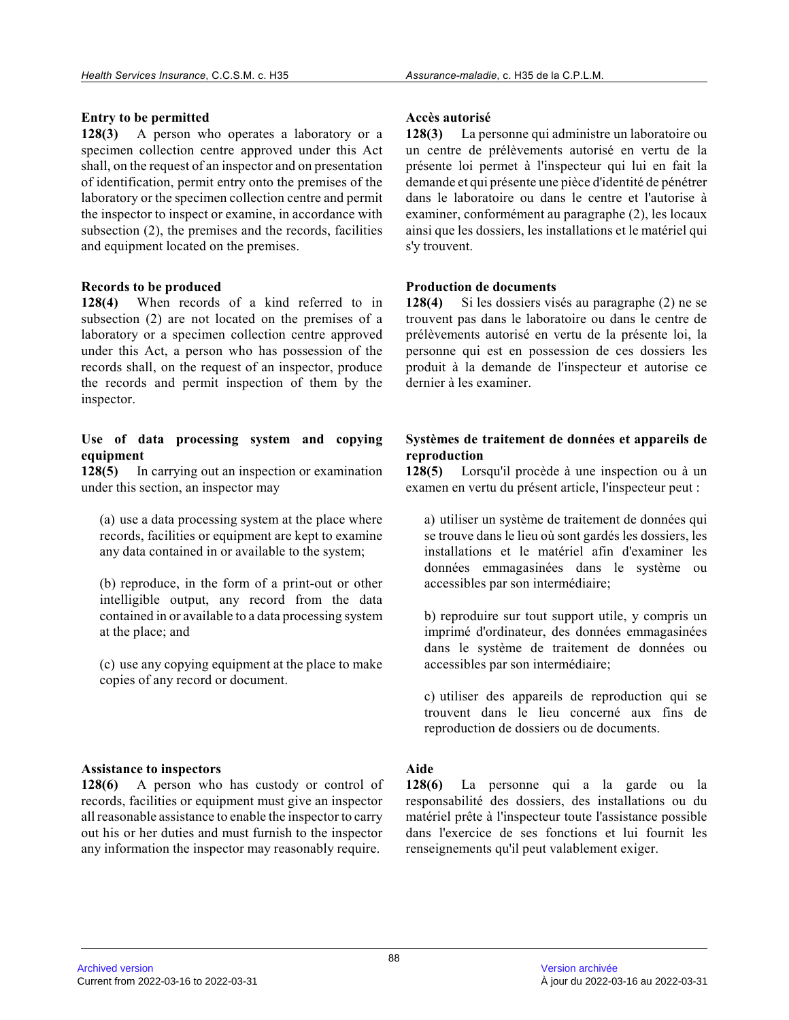## **Entry to be permitted**

**128(3)** A person who operates a laboratory or a specimen collection centre approved under this Act shall, on the request of an inspector and on presentation of identification, permit entry onto the premises of the laboratory or the specimen collection centre and permit the inspector to inspect or examine, in accordance with subsection (2), the premises and the records, facilities and equipment located on the premises.

## **Records to be produced**

**128(4)** When records of a kind referred to in subsection (2) are not located on the premises of a laboratory or a specimen collection centre approved under this Act, a person who has possession of the records shall, on the request of an inspector, produce the records and permit inspection of them by the inspector.

#### **Use of data processing system and copying equipment**

**128(5)** In carrying out an inspection or examination under this section, an inspector may

(a) use a data processing system at the place where records, facilities or equipment are kept to examin e any data contained in or available to the system;

(b) reproduce, in the form of a print-out or other intelligible output, any record from the data contained in or available to a data processing syste m at the place; and

(c) use any copying equipment at the place to make copies of any record or document.

## **Assistance to inspectors**

**128(6)** A person who has custody or control of records, facilities or equipment must give an inspector all reasonable assistance to enable the inspector to carry out his or her duties and must furnish to the inspector any information the inspector may reasonably require.

#### **Accès autorisé**

**128(3)** La personne qui administre un laboratoire ou un centre de prélèvements autorisé en vertu de la présente loi permet à l'inspecteur qui lui en fait la demande et qui présente une pièce d'identité de pénétrer dans le laboratoire ou dans le centre et l'autorise à examiner, conformément au paragraphe (2), les locau x ainsi que les dossiers, les installations et le matériel qui s'y trouvent.

#### **Production de documents**

**128(4)** Si les dossiers visés au paragraphe (2) ne se trouvent pas dans le laboratoire ou dans le centre de prélèvements autorisé en vertu de la présente loi, la personne qui est en possession de ces dossiers les produit à la demande de l'inspecteur et autorise ce dernier à les examiner.

## **Systèmes de traitement de données et appareils de reproduction**

**128(5)** Lorsqu'il procède à une inspection ou à un examen en vertu du présent article, l'inspecteur peut :

a) utiliser un système de traitement de données qui se trouve dans le lieu où sont gardés les dossiers, les installations et le matériel afin d'examiner les données emmagasinées dans le système ou accessibles par son intermédiaire;

b) reproduire sur tout support utile, y compris un imprimé d'ordinateur, des données emmagasinées dans le système de traitement de données ou accessibles par son intermédiaire;

c) utiliser des appareils de reproduction qui se trouvent dans le lieu concerné aux fins de reproduction de dossiers ou de documents.

## **Aide**

**128(6)** La personne qui a la garde ou la responsabilité des dossiers, des installations ou d u matériel prête à l'inspecteur toute l'assistance possible dans l'exercice de ses fonctions et lui fournit les renseignements qu'il peut valablement exiger.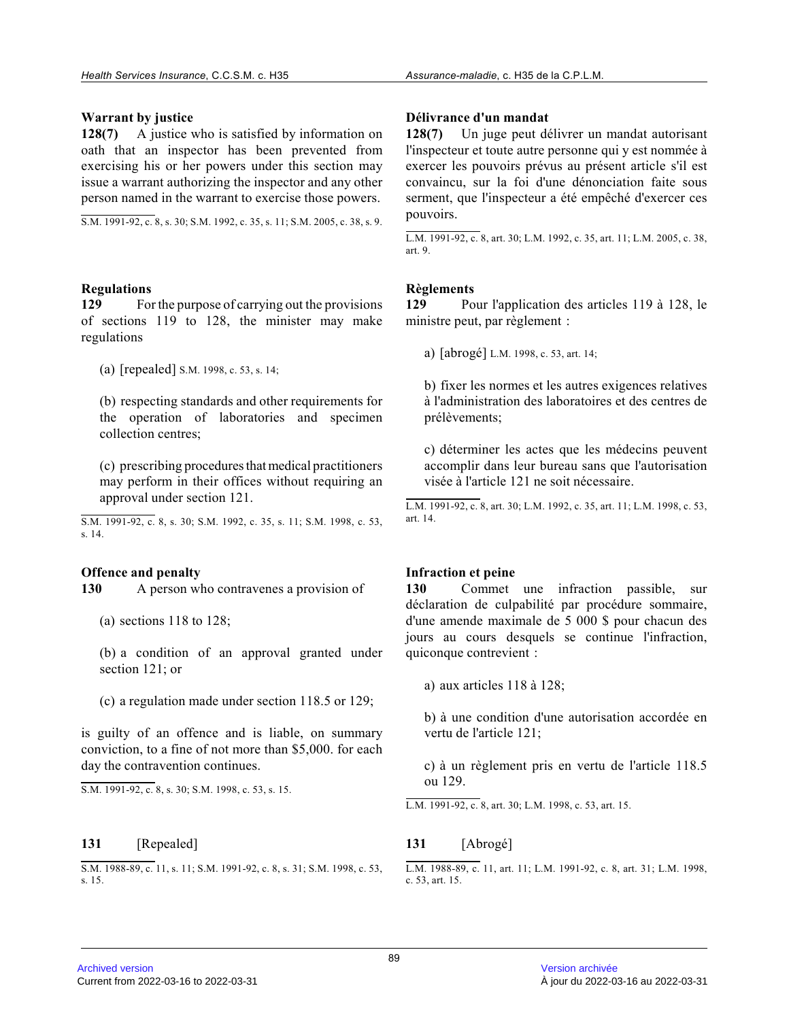#### **Warrant by justice**

**128(7)** A justice who is satisfied by information on oath that an inspector has been prevented from exercising his or her powers under this section may issue a warrant authorizing the inspector and any other person named in the warrant to exercise those powers.

S.M. 1991-92, c. 8, s. 30; S.M. 1992, c. 35, s. 11; S.M. 2005, c. 38, s. 9.

#### **Regulations**

**129** For the purpose of carrying out the provisions of sections 119 to 128, the minister may make regulations

(a) [repealed] S.M. 1998, c. 53, s. 14;

(b) respecting standards and other requirements for the operation of laboratories and specimen collection centres;

(c) prescribing procedures that medical practitioners may perform in their offices without requiring an approval under section 121.

S.M. 1991-92, c. 8, s. 30; S.M. 1992, c. 35, s. 11; S.M. 1998, c. 53, s. 14.

#### **Offence and penalty**

**130** A person who contravenes a provision of

(a) sections 118 to 128;

(b) a condition of an approval granted under section 121; or

(c) a regulation made under section 118.5 or 129;

is guilty of an offence and is liable, on summary conviction, to a fine of not more than \$5,000. for each day the contravention continues.

 $\overline{S.M. 1991-92, c. 8, s. 30; S.M. 1998, c. 53, s. 15.}$ 

#### **131** [Repealed]

S.M. 1988-89, c. 11, s. 11; S.M. 1991-92, c. 8, s. 31; S.M. 1998, c. 53, s. 15.

#### **Délivrance d'un mandat**

**128(7)** Un juge peut délivrer un mandat autorisant l'inspecteur et toute autre personne qui y est nommée à exercer les pouvoirs prévus au présent article s'il est convaincu, sur la foi d'une dénonciation faite sous serment, que l'inspecteur a été empêché d'exercer ces pouvoirs.

L.M. 1991-92, c. 8, art. 30; L.M. 1992, c. 35, art. 11; L.M. 2005, c. 38, art. 9.

# **Règlements**

**129** Pour l'application des articles 119 à 128, le ministre peut, par règlement :

a) [abrogé] L.M. 1998, c. 53, art. 14;

b) fixer les normes et les autres exigences relatives à l'administration des laboratoires et des centres de prélèvements;

c) déterminer les actes que les médecins peuvent accomplir dans leur bureau sans que l'autorisation visée à l'article 121 ne soit nécessaire.

L.M. 1991-92, c. 8, art. 30; L.M. 1992, c. 35, art. 11; L.M. 1998, c. 53, art. 14.

#### **Infraction et peine**

**130** Commet une infraction passible, sur déclaration de culpabilité par procédure sommaire, d'une amende maximale de 5 000 \$ pour chacun des jours au cours desquels se continue l'infraction, quiconque contrevient :

a) aux articles 118 à 128;

b) à une condition d'une autorisation accordée en vertu de l'article 121;

c) à un règlement pris en vertu de l'article 118.5 ou 129.

L.M. 1991-92, c. 8, art. 30; L.M. 1998, c. 53, art. 15.

#### **131** [Abrogé]

L.M. 1988-89, c. 11, art. 11; L.M. 1991-92, c. 8, art. 31; L.M. 1998, c. 53, art. 15.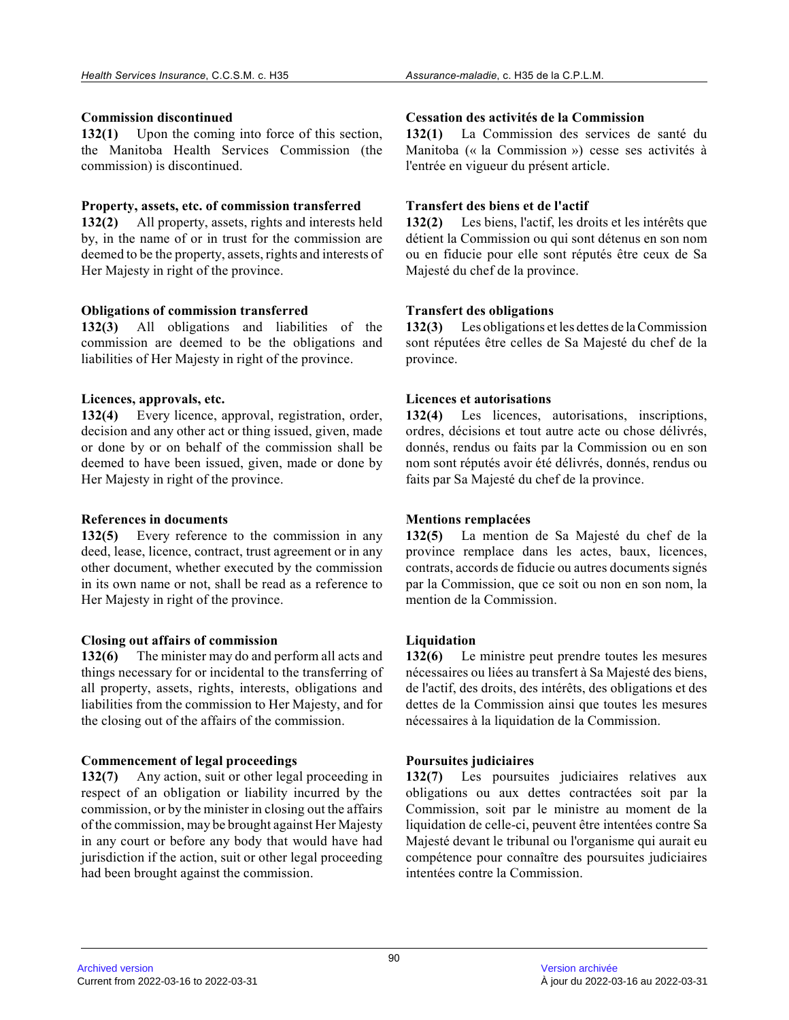#### **Commission discontinued**

**132(1)** Upon the coming into force of this section, the Manitoba Health Services Commission (the commission) is discontinued.

#### **Property, assets, etc. of commission transferred**

**132(2)** All property, assets, rights and interests held by, in the name of or in trust for the commission are deemed to be the property, assets, rights and interests of Her Majesty in right of the province.

#### **Obligations of commission transferred**

**132(3)** All obligations and liabilities of the commission are deemed to be the obligations and liabilities of Her Majesty in right of the province.

## **Licences, approvals, etc.**

**132(4)** Every licence, approval, registration, order, decision and any other act or thing issued, given, made or done by or on behalf of the commission shall be deemed to have been issued, given, made or done by Her Majesty in right of the province.

## **References in documents**

**132(5)** Every reference to the commission in any deed, lease, licence, contract, trust agreement or in any other document, whether executed by the commission in its own name or not, shall be read as a reference to Her Majesty in right of the province.

## **Closing out affairs of commission**

**132(6)** The minister may do and perform all acts and things necessary for or incidental to the transferring of all property, assets, rights, interests, obligations and liabilities from the commission to Her Majesty, and for the closing out of the affairs of the commission.

## **Commencement of legal proceedings**

**132(7)** Any action, suit or other legal proceeding in respect of an obligation or liability incurred by the commission, or by the minister in closing out the affairs of the commission, may be brought against Her Majesty in any court or before any body that would have had jurisdiction if the action, suit or other legal proceeding had been brought against the commission.

#### **Cessation des activités de la Commission**

**132(1)** La Commission des services de santé du Manitoba (« la Commission ») cesse ses activités à l'entrée en vigueur du présent article.

## **Transfert des biens et de l'actif**

**132(2)** Les biens, l'actif, les droits et les intérêts que détient la Commission ou qui sont détenus en son nom ou en fiducie pour elle sont réputés être ceux de S a Majesté du chef de la province.

## **Transfert des obligations**

**132(3)** Les obligations et les dettes de la Commission sont réputées être celles de Sa Majesté du chef de la province.

#### **Licences et autorisations**

**132(4)** Les licences, autorisations, inscriptions, ordres, décisions et tout autre acte ou chose délivrés, donnés, rendus ou faits par la Commission ou en son nom sont réputés avoir été délivrés, donnés, rendus ou faits par Sa Majesté du chef de la province.

## **Mentions remplacées**

**132(5)** La mention de Sa Majesté du chef de la province remplace dans les actes, baux, licences, contrats, accords de fiducie ou autres documents signés par la Commission, que ce soit ou non en son nom, l a mention de la Commission.

## **Liquidation**

**132(6)** Le ministre peut prendre toutes les mesures nécessaires ou liées au transfert à Sa Majesté des biens, de l'actif, des droits, des intérêts, des obligations et des dettes de la Commission ainsi que toutes les mesure s nécessaires à la liquidation de la Commission.

## **Poursuites judiciaires**

**132(7)** Les poursuites judiciaires relatives aux obligations ou aux dettes contractées soit par la Commission, soit par le ministre au moment de la liquidation de celle-ci, peuvent être intentées contre Sa Majesté devant le tribunal ou l'organisme qui aurait eu compétence pour connaître des poursuites judiciaire s intentées contre la Commission.